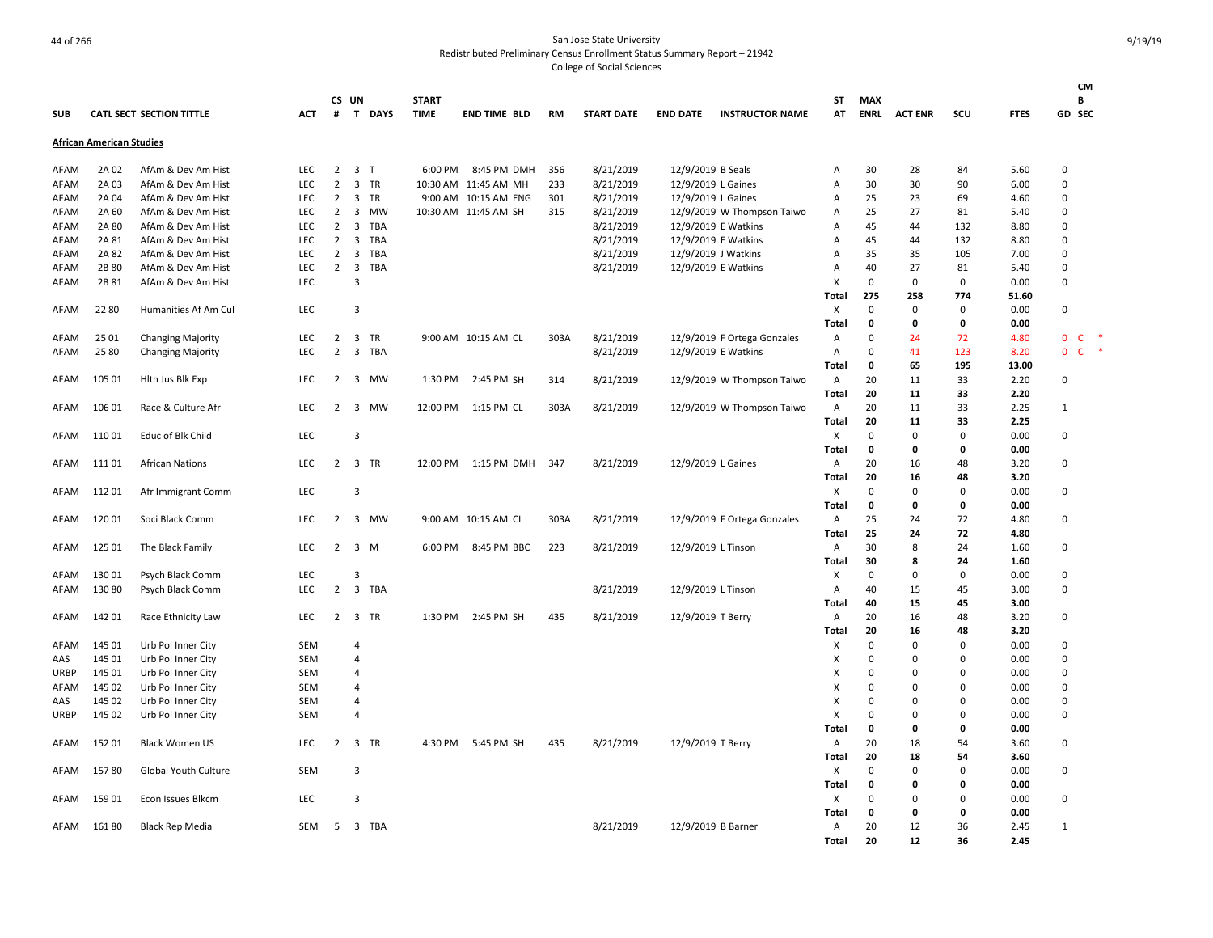| <b>SUB</b>  |                                 | CATL SECT SECTION TITTLE | <b>ACT</b> | #              | CS UN<br>T                   | <b>DAYS</b> | <b>START</b><br><b>TIME</b> | <b>END TIME BLD</b>  | <b>RM</b> | <b>START DATE</b> | <b>END DATE</b>     | <b>INSTRUCTOR NAME</b>      | ST<br>AT                  | <b>MAX</b><br><b>ENRL</b> | <b>ACT ENR</b> | SCU          | <b>FTES</b> | <b>CM</b><br>В<br>GD SEC |        |
|-------------|---------------------------------|--------------------------|------------|----------------|------------------------------|-------------|-----------------------------|----------------------|-----------|-------------------|---------------------|-----------------------------|---------------------------|---------------------------|----------------|--------------|-------------|--------------------------|--------|
|             | <b>African American Studies</b> |                          |            |                |                              |             |                             |                      |           |                   |                     |                             |                           |                           |                |              |             |                          |        |
| AFAM        | 2A 02                           | AfAm & Dev Am Hist       | LEC        | $\overline{2}$ | 3 <sub>T</sub>               |             | 6:00 PM                     | 8:45 PM DMH          | 356       | 8/21/2019         | 12/9/2019 B Seals   |                             | Α                         | 30                        | 28             | 84           | 5.60        | $\Omega$                 |        |
| AFAM        | 2A 03                           | AfAm & Dev Am Hist       | <b>LEC</b> | $\overline{2}$ | 3                            | <b>TR</b>   |                             | 10:30 AM 11:45 AM MH | 233       | 8/21/2019         | 12/9/2019 L Gaines  |                             | Α                         | 30                        | 30             | 90           | 6.00        | $\Omega$                 |        |
| AFAM        | 2A 04                           | AfAm & Dev Am Hist       | LEC        | $\overline{2}$ | 3                            | <b>TR</b>   |                             | 9:00 AM 10:15 AM ENG | 301       | 8/21/2019         | 12/9/2019 L Gaines  |                             | Α                         | 25                        | 23             | 69           | 4.60        | $\Omega$                 |        |
| AFAM        | 2A 60                           | AfAm & Dev Am Hist       | LEC        | $\overline{2}$ | 3                            | MW          |                             | 10:30 AM 11:45 AM SH | 315       | 8/21/2019         |                     | 12/9/2019 W Thompson Taiwo  | Α                         | 25                        | 27             | 81           | 5.40        | $\mathsf 0$              |        |
| AFAM        | 2A 80                           | AfAm & Dev Am Hist       | <b>LEC</b> | 2              | 3                            | <b>TBA</b>  |                             |                      |           | 8/21/2019         | 12/9/2019 E Watkins |                             | Α                         | 45                        | 44             | 132          | 8.80        | $\Omega$                 |        |
| AFAM        | 2A 81                           | AfAm & Dev Am Hist       | LEC        | $\overline{2}$ | 3                            | TBA         |                             |                      |           | 8/21/2019         | 12/9/2019 E Watkins |                             | Α                         | 45                        | 44             | 132          | 8.80        | 0                        |        |
| AFAM        | 2A 82                           | AfAm & Dev Am Hist       | LEC        | $\overline{2}$ | 3                            | <b>TBA</b>  |                             |                      |           | 8/21/2019         | 12/9/2019 J Watkins |                             | Α                         | 35                        | 35             | 105          | 7.00        | $\Omega$                 |        |
| AFAM        | 2B 80                           | AfAm & Dev Am Hist       | LEC        | 2              | $\overline{\mathbf{3}}$      | <b>TBA</b>  |                             |                      |           | 8/21/2019         | 12/9/2019 E Watkins |                             | Α                         | 40                        | 27             | 81           | 5.40        | 0                        |        |
| AFAM        | 2B 81                           | AfAm & Dev Am Hist       | LEC        |                | 3                            |             |                             |                      |           |                   |                     |                             | X                         | 0                         | 0              | $\mathbf 0$  | 0.00        | $\mathsf 0$              |        |
|             |                                 |                          |            |                |                              |             |                             |                      |           |                   |                     |                             | Total                     | 275                       | 258            | 774          | 51.60       |                          |        |
| AFAM        | 22 80                           | Humanities Af Am Cul     | LEC        |                | 3                            |             |                             |                      |           |                   |                     |                             | X                         | 0                         | $\Omega$       | $\mathsf 0$  | 0.00        | 0                        |        |
|             |                                 |                          |            |                |                              |             |                             |                      |           |                   |                     |                             | Total                     | 0                         | 0              | 0            | 0.00        |                          |        |
| AFAM        | 25 01                           | <b>Changing Majority</b> | <b>LEC</b> |                | 2 3 TR                       |             |                             | 9:00 AM 10:15 AM CL  | 303A      | 8/21/2019         |                     | 12/9/2019 F Ortega Gonzales | Α                         | $\mathbf 0$               | 24             | 72           | 4.80        | $0-$                     | $\ast$ |
| AFAM        | 25 80                           | <b>Changing Majority</b> | LEC        | $\overline{2}$ | 3                            | <b>TBA</b>  |                             |                      |           | 8/21/2019         | 12/9/2019 E Watkins |                             | Α                         | $\mathbf 0$               | 41             | 123          | 8.20        | 0 <sup>o</sup>           | $\ast$ |
|             |                                 |                          |            |                |                              |             |                             |                      |           |                   |                     |                             | Total                     | $\mathbf 0$               | 65             | 195          | 13.00       |                          |        |
| AFAM        | 105 01                          | Hith Jus Bik Exp         | LEC        | $\overline{2}$ | $\overline{\mathbf{3}}$      | MW          | 1:30 PM                     | 2:45 PM SH           | 314       | 8/21/2019         |                     | 12/9/2019 W Thompson Taiwo  | A                         | 20                        | 11             | 33           | 2.20        | $\Omega$                 |        |
|             |                                 |                          |            |                |                              |             |                             |                      |           |                   |                     |                             | Total                     | 20                        | 11             | 33           | 2.20        |                          |        |
| AFAM        | 106 01                          | Race & Culture Afr       | LEC        | $\overline{2}$ | $\overline{\mathbf{3}}$      | <b>MW</b>   | 12:00 PM                    | 1:15 PM CL           | 303A      | 8/21/2019         |                     | 12/9/2019 W Thompson Taiwo  | Α                         | 20                        | 11             | 33           | 2.25        | $\mathbf{1}$             |        |
|             |                                 |                          |            |                |                              |             |                             |                      |           |                   |                     |                             | Total                     | 20                        | 11             | 33           | 2.25        |                          |        |
| AFAM        | 11001                           | Educ of Blk Child        | LEC        |                | 3                            |             |                             |                      |           |                   |                     |                             | $\boldsymbol{\mathsf{X}}$ | $\mathbf 0$               | $\Omega$       | $\mathbf 0$  | 0.00        | $\Omega$                 |        |
|             |                                 |                          |            |                |                              |             |                             |                      |           |                   |                     |                             | Total                     | 0                         | 0              | 0            | 0.00        |                          |        |
| AFAM        | 11101                           | <b>African Nations</b>   | <b>LEC</b> | $\overline{2}$ | 3 TR                         |             | 12:00 PM                    | 1:15 PM DMH          | 347       | 8/21/2019         | 12/9/2019 L Gaines  |                             | Α                         | 20                        | 16             | 48           | 3.20        | $\Omega$                 |        |
|             |                                 |                          |            |                |                              |             |                             |                      |           |                   |                     |                             | Total                     | 20                        | 16             | 48           | 3.20        |                          |        |
| AFAM        | 11201                           | Afr Immigrant Comm       | LEC        |                | 3                            |             |                             |                      |           |                   |                     |                             | X                         | 0                         | $\Omega$       | $\mathbf 0$  | 0.00        | 0                        |        |
|             |                                 |                          |            |                |                              |             |                             |                      |           |                   |                     |                             | <b>Total</b>              | $\mathbf 0$               | O              | 0            | 0.00        |                          |        |
| AFAM        | 12001                           | Soci Black Comm          | LEC        | 2              | $\overline{\mathbf{3}}$      | MW          |                             | 9:00 AM 10:15 AM CL  | 303A      | 8/21/2019         |                     | 12/9/2019 F Ortega Gonzales | A                         | 25                        | 24             | 72           | 4.80        | 0                        |        |
|             |                                 |                          |            |                |                              |             |                             |                      |           |                   |                     |                             | Total                     | 25                        | 24             | 72           | 4.80        |                          |        |
| AFAM        | 125 01                          | The Black Family         | LEC        | 2              | $\overline{\mathbf{3}}$<br>M |             | 6:00 PM                     | 8:45 PM BBC          | 223       | 8/21/2019         | 12/9/2019 L Tinson  |                             | Α                         | 30                        | 8              | 24           | 1.60        | 0                        |        |
|             |                                 |                          |            |                |                              |             |                             |                      |           |                   |                     |                             | Total                     | 30                        | 8              | 24           | 1.60        |                          |        |
| AFAM        | 13001                           | Psych Black Comm         | LEC        |                | 3                            |             |                             |                      |           |                   |                     |                             | х                         | $\Omega$                  | $\Omega$       | $\mathbf 0$  | 0.00        | $\Omega$                 |        |
| AFAM        | 130 80                          | Psych Black Comm         | LEC        | $\overline{2}$ | 3                            | <b>TBA</b>  |                             |                      |           | 8/21/2019         | 12/9/2019 L Tinson  |                             | Α                         | 40                        | 15             | 45           | 3.00        | $\Omega$                 |        |
|             |                                 |                          |            |                |                              |             |                             |                      |           |                   |                     |                             | Total                     | 40                        | 15             | 45           | 3.00        |                          |        |
| AFAM        | 142 01                          | Race Ethnicity Law       | LEC        |                | 2 3 TR                       |             | 1:30 PM                     | 2:45 PM SH           | 435       | 8/21/2019         | 12/9/2019 T Berry   |                             | Α                         | 20                        | 16             | 48           | 3.20        | 0                        |        |
|             |                                 |                          |            |                |                              |             |                             |                      |           |                   |                     |                             | Total                     | 20                        | 16             | 48           | 3.20        |                          |        |
| AFAM        | 145 01                          | Urb Pol Inner City       | SEM        |                | 4                            |             |                             |                      |           |                   |                     |                             | X                         | $\mathbf 0$               | $\Omega$       | $\mathbf 0$  | 0.00        | 0                        |        |
| AAS         | 145 01                          | Urb Pol Inner City       | <b>SEM</b> |                | 4                            |             |                             |                      |           |                   |                     |                             | X                         | $\Omega$                  | $\Omega$       | $\Omega$     | 0.00        | 0                        |        |
| <b>URBP</b> | 145 01                          | Urb Pol Inner City       | SEM        |                | 4                            |             |                             |                      |           |                   |                     |                             | Х                         | $\Omega$                  | $\Omega$       | 0            | 0.00        | 0                        |        |
| AFAM        | 145 02                          | Urb Pol Inner City       | SEM        |                | 4                            |             |                             |                      |           |                   |                     |                             | X                         | 0                         | $\Omega$       | $\mathbf 0$  | 0.00        | $\mathsf 0$              |        |
| AAS         | 145 02                          | Urb Pol Inner City       | <b>SEM</b> |                | $\overline{4}$               |             |                             |                      |           |                   |                     |                             | х                         | 0                         | $\Omega$       | $\mathbf 0$  | 0.00        | $\Omega$                 |        |
| URBP        | 145 02                          | Urb Pol Inner City       | SEM        |                | 4                            |             |                             |                      |           |                   |                     |                             | Х                         | 0                         | $\Omega$       | 0            | 0.00        | 0                        |        |
|             |                                 |                          |            |                |                              |             |                             |                      |           |                   |                     |                             | Total                     | 0                         | $\Omega$       | 0            | 0.00        |                          |        |
| AFAM        | 152 01                          | <b>Black Women US</b>    | LEC        | $\overline{2}$ | 3                            | <b>TR</b>   | 4:30 PM                     | 5:45 PM SH           | 435       | 8/21/2019         | 12/9/2019 T Berry   |                             | Α                         | 20                        | 18             | 54           | 3.60        | 0                        |        |
|             |                                 |                          |            |                |                              |             |                             |                      |           |                   |                     |                             | Total                     | 20                        | 18             | 54           | 3.60        |                          |        |
| AFAM        | 15780                           | Global Youth Culture     | SEM        |                | 3                            |             |                             |                      |           |                   |                     |                             | X                         | $\mathbf 0$               | $\Omega$       | $\mathbf 0$  | 0.00        | 0                        |        |
|             |                                 |                          |            |                |                              |             |                             |                      |           |                   |                     |                             | Total                     | $\mathbf 0$               | 0              | 0            | 0.00        |                          |        |
| AFAM        | 159 01                          | Econ Issues Blkcm        | LEC        |                | 3                            |             |                             |                      |           |                   |                     |                             | Х                         | 0                         | $\Omega$       | 0            | 0.00        | 0                        |        |
|             |                                 |                          |            |                |                              |             |                             |                      |           |                   |                     |                             | Total                     | $\mathbf{0}$              | 0              | $\mathbf{0}$ | 0.00        |                          |        |
| AFAM        | 16180                           | <b>Black Rep Media</b>   | <b>SEM</b> | 5              | 3 TBA                        |             |                             |                      |           | 8/21/2019         | 12/9/2019 B Barner  |                             | A                         | 20                        | 12             | 36           | 2.45        | $\mathbf{1}$             |        |
|             |                                 |                          |            |                |                              |             |                             |                      |           |                   |                     |                             | Total                     | 20                        | 12             | 36           | 2.45        |                          |        |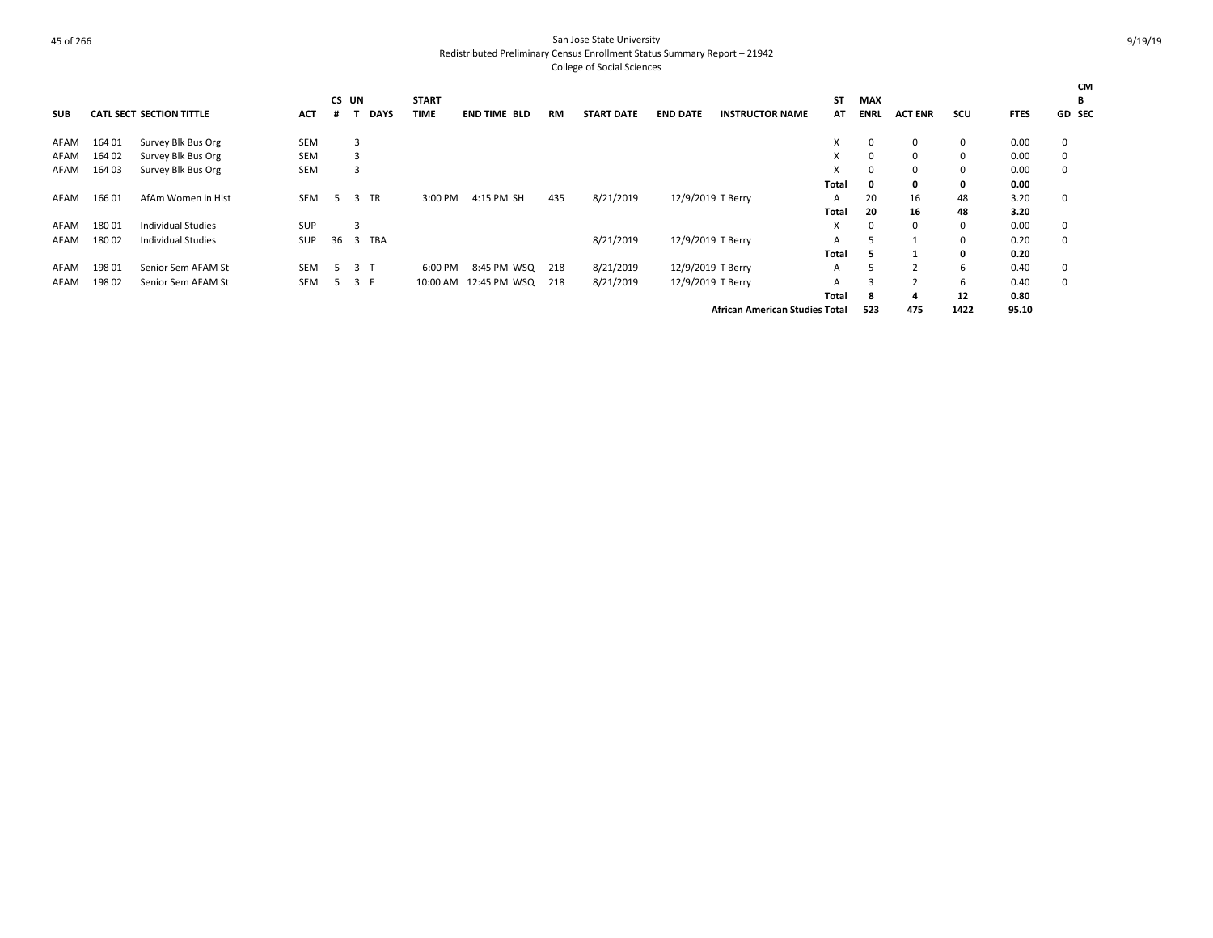|            |        |                                 |            |    |                |              |                       |           |                   |                   |                                       |       |             |                |      |             | <b>CM</b>     |
|------------|--------|---------------------------------|------------|----|----------------|--------------|-----------------------|-----------|-------------------|-------------------|---------------------------------------|-------|-------------|----------------|------|-------------|---------------|
|            |        |                                 |            |    | CS UN          | <b>START</b> |                       |           |                   |                   |                                       | ST    | <b>MAX</b>  |                |      |             | В             |
| <b>SUB</b> |        | <b>CATL SECT SECTION TITTLE</b> | <b>ACT</b> | .# | <b>DAYS</b>    | <b>TIME</b>  | <b>END TIME BLD</b>   | <b>RM</b> | <b>START DATE</b> | <b>END DATE</b>   | <b>INSTRUCTOR NAME</b>                | AT    | ENRL        | <b>ACT ENR</b> | scu  | <b>FTES</b> | <b>GD SEC</b> |
| AFAM       | 164 01 | Survey Blk Bus Org              | <b>SEM</b> |    | 3              |              |                       |           |                   |                   |                                       | X.    | 0           | $\Omega$       | 0    | 0.00        | 0             |
| AFAM       | 164 02 | Survey Blk Bus Org              | <b>SEM</b> |    | 3              |              |                       |           |                   |                   |                                       | X     | 0           | $\Omega$       | 0    | 0.00        | 0             |
| AFAM       | 164 03 | Survey Blk Bus Org              | <b>SEM</b> |    | 3              |              |                       |           |                   |                   |                                       | X     | $\Omega$    | $\Omega$       | 0    | 0.00        | $\mathbf 0$   |
|            |        |                                 |            |    |                |              |                       |           |                   |                   |                                       | Total | 0           | 0              | 0    | 0.00        |               |
| AFAM       | 16601  | AfAm Women in Hist              | <b>SEM</b> |    | <b>TR</b><br>3 | 3:00 PM      | 4:15 PM SH            | 435       | 8/21/2019         | 12/9/2019 T Berry |                                       | A     | 20          | 16             | 48   | 3.20        | 0             |
|            |        |                                 |            |    |                |              |                       |           |                   |                   |                                       | Total | 20          | 16             | 48   | 3.20        |               |
| AFAM       | 18001  | Individual Studies              | SUP        |    | З              |              |                       |           |                   |                   |                                       | X     | $\mathbf 0$ | $\Omega$       | 0    | 0.00        | $\mathbf 0$   |
| AFAM       | 18002  | <b>Individual Studies</b>       | SUP        | 36 | 3 TBA          |              |                       |           | 8/21/2019         | 12/9/2019 T Berry |                                       | A     |             |                | 0    | 0.20        | $\mathbf 0$   |
|            |        |                                 |            |    |                |              |                       |           |                   |                   |                                       | Total | э.          |                | 0    | 0.20        |               |
| AFAM       | 19801  | Senior Sem AFAM St              | <b>SEM</b> |    | 3 T            | 6:00 PM      | 8:45 PM WSQ           | 218       | 8/21/2019         | 12/9/2019 T Berry |                                       | A     | 5           |                | 6    | 0.40        | 0             |
| AFAM       | 19802  | Senior Sem AFAM St              | <b>SEM</b> | 5  | 3 F            |              | 10:00 AM 12:45 PM WSQ | 218       | 8/21/2019         | 12/9/2019 T Berry |                                       | A     | 3           |                | 6    | 0.40        | $\mathbf 0$   |
|            |        |                                 |            |    |                |              |                       |           |                   |                   |                                       | Total | -8          |                | 12   | 0.80        |               |
|            |        |                                 |            |    |                |              |                       |           |                   |                   | <b>African American Studies Total</b> |       | 523         | 475            | 1422 | 95.10       |               |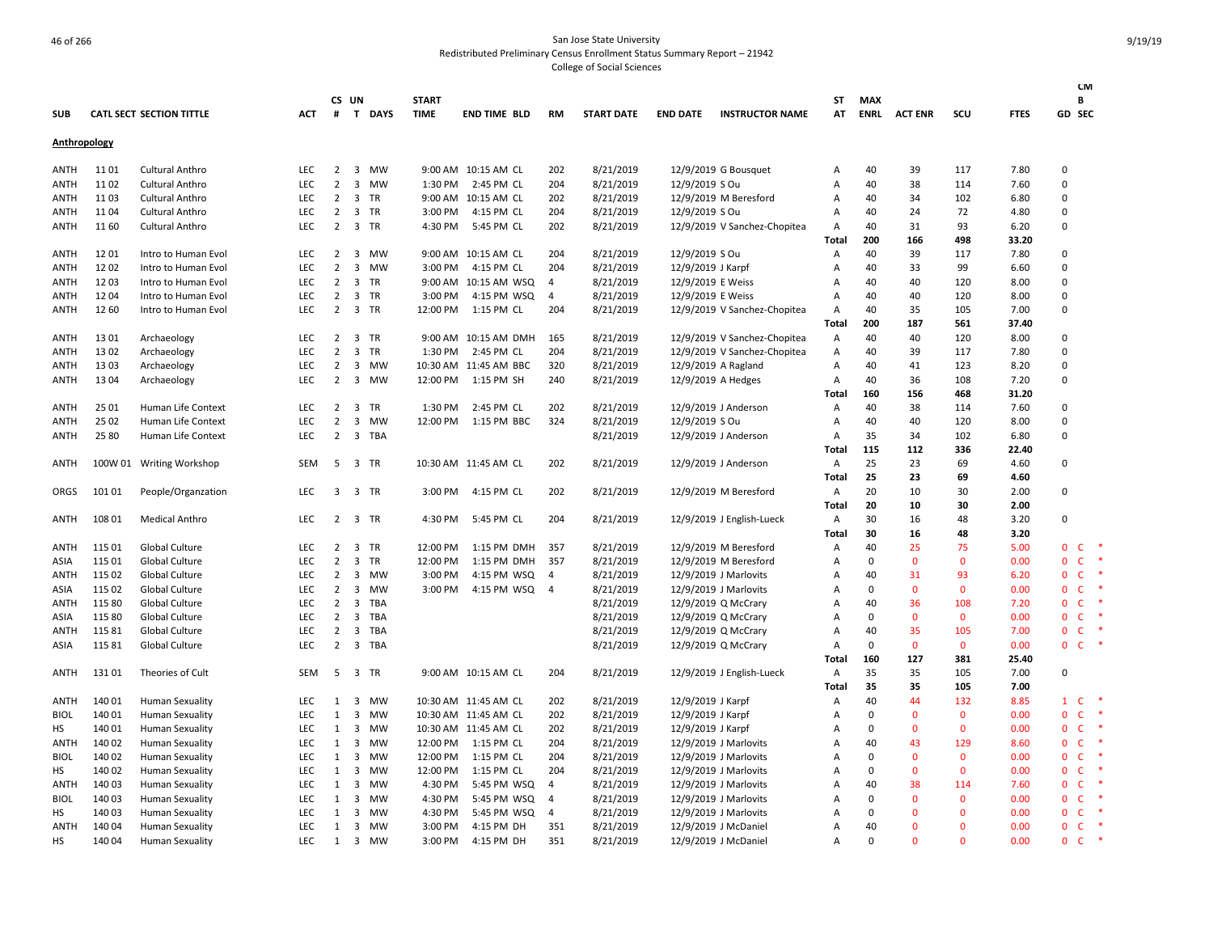|                     |        |                                 |            |                |                         |            |              |                       |                |                   |                   |                              |                |             |                |              |             |                | CM           |        |
|---------------------|--------|---------------------------------|------------|----------------|-------------------------|------------|--------------|-----------------------|----------------|-------------------|-------------------|------------------------------|----------------|-------------|----------------|--------------|-------------|----------------|--------------|--------|
|                     |        |                                 |            |                | CS UN                   |            | <b>START</b> |                       |                |                   |                   |                              | ST             | MAX         |                |              |             |                | В            |        |
| <b>SUB</b>          |        | <b>CATL SECT SECTION TITTLE</b> | <b>ACT</b> | #              |                         | T DAYS     | <b>TIME</b>  | <b>END TIME BLD</b>   | RM             | <b>START DATE</b> | <b>END DATE</b>   | <b>INSTRUCTOR NAME</b>       | AT             | <b>ENRL</b> | <b>ACT ENR</b> | SCU          | <b>FTES</b> | GD SEC         |              |        |
| <b>Anthropology</b> |        |                                 |            |                |                         |            |              |                       |                |                   |                   |                              |                |             |                |              |             |                |              |        |
| ANTH                | 11 01  | <b>Cultural Anthro</b>          | <b>LEC</b> | $\overline{2}$ |                         | 3 MW       |              | 9:00 AM 10:15 AM CL   | 202            | 8/21/2019         |                   | 12/9/2019 G Bousquet         | Α              | 40          | 39             | 117          | 7.80        | 0              |              |        |
| ANTH                | 11 02  | <b>Cultural Anthro</b>          | LEC        | $\overline{2}$ | $\overline{\mathbf{3}}$ | MW         | 1:30 PM      | 2:45 PM CL            | 204            | 8/21/2019         | 12/9/2019 S Ou    |                              | А              | 40          | 38             | 114          | 7.60        | 0              |              |        |
| ANTH                | 1103   | <b>Cultural Anthro</b>          | <b>LEC</b> | $\overline{2}$ | 3                       | <b>TR</b>  |              | 9:00 AM 10:15 AM CL   | 202            | 8/21/2019         |                   | 12/9/2019 M Beresford        | A              | 40          | 34             | 102          | 6.80        | 0              |              |        |
| ANTH                | 1104   | Cultural Anthro                 | LEC        | $\overline{2}$ |                         | 3 TR       | 3:00 PM      | 4:15 PM CL            | 204            | 8/21/2019         | 12/9/2019 S Ou    |                              | А              | 40          | 24             | 72           | 4.80        | 0              |              |        |
| ANTH                | 11 60  | <b>Cultural Anthro</b>          | LEC        | $\overline{2}$ |                         | 3 TR       | 4:30 PM      | 5:45 PM CL            | 202            | 8/21/2019         |                   | 12/9/2019 V Sanchez-Chopitea | Α              | 40          | 31             | 93           | 6.20        | 0              |              |        |
|                     |        |                                 |            |                |                         |            |              |                       |                |                   |                   |                              | Total          | 200         | 166            | 498          | 33.20       |                |              |        |
| <b>ANTH</b>         | 1201   | Intro to Human Evol             | LEC        | $\overline{2}$ |                         | 3 MW       |              | 9:00 AM 10:15 AM CL   | 204            | 8/21/2019         | 12/9/2019 S Ou    |                              | Α              | 40          | 39             | 117          | 7.80        | 0              |              |        |
| ANTH                | 12 02  | Intro to Human Evol             | <b>LEC</b> | $\overline{2}$ | $\overline{3}$          | <b>MW</b>  | 3:00 PM      | 4:15 PM CL            | 204            | 8/21/2019         | 12/9/2019 J Karpf |                              | Α              | 40          | 33             | 99           | 6.60        | 0              |              |        |
| ANTH                | 12 03  | Intro to Human Evol             | LEC        | $\overline{2}$ |                         | 3 TR       |              | 9:00 AM 10:15 AM WSQ  | 4              | 8/21/2019         | 12/9/2019 E Weiss |                              | А              | 40          | 40             | 120          | 8.00        | 0              |              |        |
| ANTH                | 12 04  | Intro to Human Evol             | <b>LEC</b> | $\overline{2}$ |                         | 3 TR       | 3:00 PM      | 4:15 PM WSQ           | 4              | 8/21/2019         | 12/9/2019 E Weiss |                              | A              | 40          | 40             | 120          | 8.00        | 0              |              |        |
| ANTH                | 12 60  | Intro to Human Evol             | <b>LEC</b> | $\overline{2}$ |                         | 3 TR       | 12:00 PM     | 1:15 PM CL            | 204            | 8/21/2019         |                   | 12/9/2019 V Sanchez-Chopitea | Α              | 40          | 35             | 105          | 7.00        | 0              |              |        |
|                     |        |                                 |            |                |                         |            |              |                       |                |                   |                   |                              | Total          | 200         | 187            | 561          | 37.40       |                |              |        |
| <b>ANTH</b>         | 13 01  | Archaeology                     | <b>LEC</b> |                | 2 3 TR                  |            |              | 9:00 AM 10:15 AM DMH  | 165            | 8/21/2019         |                   | 12/9/2019 V Sanchez-Chopitea | Α              | 40          | 40             | 120          | 8.00        | 0              |              |        |
| ANTH                | 13 02  | Archaeology                     | <b>LEC</b> | $\overline{2}$ | 3                       | <b>TR</b>  | 1:30 PM      | 2:45 PM CL            | 204            | 8/21/2019         |                   | 12/9/2019 V Sanchez-Chopitea | A              | 40          | 39             | 117          | 7.80        | $\Omega$       |              |        |
| <b>ANTH</b>         | 13 03  | Archaeology                     | LEC        | $\overline{2}$ | 3                       | MW         |              | 10:30 AM 11:45 AM BBC | 320            | 8/21/2019         |                   | 12/9/2019 A Ragland          | Α              | 40          | 41             | 123          | 8.20        | 0              |              |        |
| ANTH                | 13 04  | Archaeology                     | LEC        | $\overline{2}$ |                         | 3 MW       | 12:00 PM     | 1:15 PM SH            | 240            | 8/21/2019         |                   | 12/9/2019 A Hedges           | Α              | 40          | 36             | 108          | 7.20        | 0              |              |        |
|                     |        |                                 |            |                |                         |            |              |                       |                |                   |                   |                              | <b>Total</b>   | 160         | 156            | 468          | 31.20       |                |              |        |
| ANTH                | 25 01  | Human Life Context              | <b>LEC</b> | $\overline{2}$ | $\overline{\mathbf{3}}$ | TR         | 1:30 PM      | 2:45 PM CL            | 202            | 8/21/2019         |                   | 12/9/2019 J Anderson         | Α              | 40          | 38             | 114          | 7.60        | 0              |              |        |
| ANTH                | 25 02  | Human Life Context              | <b>LEC</b> | $\overline{2}$ | $\overline{3}$          | MW         | 12:00 PM     | 1:15 PM BBC           | 324            | 8/21/2019         | 12/9/2019 S Ou    |                              | Α              | 40          | 40             | 120          | 8.00        | $\Omega$       |              |        |
| ANTH                | 25 80  | Human Life Context              | LEC        | $\overline{2}$ |                         | 3 TBA      |              |                       |                | 8/21/2019         |                   | 12/9/2019 J Anderson         | Α              | 35          | 34             | 102          | 6.80        | $\Omega$       |              |        |
|                     |        |                                 |            |                |                         |            |              |                       |                |                   |                   |                              | Total          | 115         | 112            | 336          | 22.40       |                |              |        |
| <b>ANTH</b>         |        | 100W 01 Writing Workshop        | <b>SEM</b> | 5              |                         | 3 TR       |              | 10:30 AM 11:45 AM CL  | 202            | 8/21/2019         |                   | 12/9/2019 J Anderson         | A              | 25          | 23             | 69           | 4.60        | 0              |              |        |
|                     |        |                                 |            |                |                         |            |              |                       |                |                   |                   |                              | Total          | 25          | 23             | 69           | 4.60        |                |              |        |
| ORGS                | 101 01 | People/Organzation              | LEC        |                | 3 3 TR                  |            | 3:00 PM      | 4:15 PM CL            | 202            | 8/21/2019         |                   | 12/9/2019 M Beresford        | A              | 20          | 10             | 30           | 2.00        | 0              |              |        |
|                     |        |                                 |            |                |                         |            |              |                       |                |                   |                   |                              | Total          | 20          | 10             | 30           | 2.00        |                |              |        |
| ANTH                | 108 01 | <b>Medical Anthro</b>           | <b>LEC</b> | 2              |                         | 3 TR       | 4:30 PM      | 5:45 PM CL            | 204            | 8/21/2019         |                   | 12/9/2019 J English-Lueck    | $\overline{A}$ | 30          | 16             | 48           | 3.20        | 0              |              |        |
|                     |        |                                 |            |                |                         |            |              |                       |                |                   |                   |                              | <b>Total</b>   | 30          | 16             | 48           | 3.20        |                |              |        |
| ANTH                | 115 01 | Global Culture                  | LEC        | $\overline{2}$ | 3                       | <b>TR</b>  | 12:00 PM     | 1:15 PM DMH           | 357            | 8/21/2019         |                   | 12/9/2019 M Beresford        | A              | 40          | 25             | 75           | 5.00        | $\Omega$       | <b>C</b>     |        |
| ASIA                | 115 01 | Global Culture                  | LEC        | 2              | 3                       | TR         | 12:00 PM     | 1:15 PM DMH           | 357            | 8/21/2019         |                   | 12/9/2019 M Beresford        | А              | 0           | $\mathbf{0}$   | $\mathbf{0}$ | 0.00        | $\Omega$       | $\mathsf{C}$ | *      |
| ANTH                | 115 02 | Global Culture                  | LEC        | $\overline{2}$ | $\overline{3}$          | MW         | 3:00 PM      | 4:15 PM WSQ           | 4              | 8/21/2019         |                   | 12/9/2019 J Marlovits        | А              | 40          | 31             | 93           | 6.20        | 0              | $\mathsf{C}$ | $\ast$ |
| ASIA                | 115 02 | Global Culture                  | <b>LEC</b> | $\overline{2}$ | 3                       | <b>MW</b>  | 3:00 PM      | 4:15 PM WSQ           | $\overline{4}$ | 8/21/2019         |                   | 12/9/2019 J Marlovits        | A              | 0           | $\Omega$       | $\mathbf{0}$ | 0.00        | $\Omega$       | <b>C</b>     |        |
| ANTH                | 115 80 | Global Culture                  | LEC        | $\overline{2}$ | 3                       | TBA        |              |                       |                | 8/21/2019         |                   | 12/9/2019 Q McCrary          | A              | 40          | 36             | 108          | 7.20        | $\overline{0}$ | $\mathsf{C}$ |        |
| ASIA                | 115 80 | Global Culture                  | LEC        | $\overline{2}$ | 3                       | TBA        |              |                       |                | 8/21/2019         |                   | 12/9/2019 Q McCrary          | А              | $\Omega$    | $\Omega$       | 0            | 0.00        | $\Omega$       | $\mathsf{C}$ |        |
| ANTH                | 11581  | Global Culture                  | LEC        | $\overline{2}$ | 3                       | <b>TBA</b> |              |                       |                | 8/21/2019         |                   | 12/9/2019 Q McCrary          | A              | 40          | 35             | 105          | 7.00        | $\Omega$       | <b>C</b>     |        |
| ASIA                | 11581  | Global Culture                  | LEC        | $\overline{2}$ |                         | 3 TBA      |              |                       |                | 8/21/2019         |                   | 12/9/2019 Q McCrary          | А              | $\mathbf 0$ | $\mathbf 0$    | $\mathbf 0$  | 0.00        | 0              | $\mathsf{C}$ |        |
|                     |        |                                 |            |                |                         |            |              |                       |                |                   |                   |                              | Total          | 160         | 127            | 381          | 25.40       |                |              |        |
| ANTH                | 13101  | Theories of Cult                | <b>SEM</b> | 5              |                         | 3 TR       |              | 9:00 AM 10:15 AM CL   | 204            | 8/21/2019         |                   | 12/9/2019 J English-Lueck    | A              | 35          | 35             | 105          | 7.00        | 0              |              |        |
|                     |        |                                 |            |                |                         |            |              |                       |                |                   |                   |                              | Total          | 35          | 35             | 105          | 7.00        |                |              |        |
| ANTH                | 14001  | <b>Human Sexuality</b>          | LEC        | 1              | 3                       | MW         |              | 10:30 AM 11:45 AM CL  | 202            | 8/21/2019         | 12/9/2019 J Karpf |                              | Α              | 40          | 44             | 132          | 8.85        | $\mathbf{1}$   | $\mathsf{C}$ |        |
| <b>BIOL</b>         | 140 01 | <b>Human Sexuality</b>          | LEC        | 1              | 3                       | MW         |              | 10:30 AM 11:45 AM CL  | 202            | 8/21/2019         | 12/9/2019 J Karpf |                              | А              | 0           | 0              | 0            | 0.00        | $\mathbf 0$    | $\mathsf{C}$ | $\ast$ |
| HS                  | 140 01 | <b>Human Sexuality</b>          | <b>LEC</b> |                |                         | 1 3 MW     |              | 10:30 AM 11:45 AM CL  | 202            | 8/21/2019         | 12/9/2019 J Karpf |                              | A              | 0           | 0              | $\mathbf{0}$ | 0.00        | 0              | $\mathsf{C}$ | $\ast$ |
| ANTH                | 140 02 | <b>Human Sexuality</b>          | <b>LEC</b> | 1              | 3                       | MW         | 12:00 PM     | 1:15 PM CL            | 204            | 8/21/2019         |                   | 12/9/2019 J Marlovits        | А              | 40          | 43             | 129          | 8.60        | $\Omega$       | $\mathsf{C}$ |        |
| <b>BIOL</b>         | 140 02 | <b>Human Sexuality</b>          | LEC        | 1              | 3                       | MW         | 12:00 PM     | 1:15 PM CL            | 204            | 8/21/2019         |                   | 12/9/2019 J Marlovits        | A              | 0           | $\Omega$       | $\mathbf 0$  | 0.00        | $\Omega$       | $\mathsf{C}$ |        |
| HS                  | 140 02 | <b>Human Sexuality</b>          | LEC        | 1              | $\overline{3}$          | MW         | 12:00 PM     | 1:15 PM CL            | 204            | 8/21/2019         |                   | 12/9/2019 J Marlovits        | А              | $\mathbf 0$ | 0              | $\mathbf{0}$ | 0.00        | 0              | $\mathsf{C}$ |        |
| <b>ANTH</b>         | 14003  | <b>Human Sexuality</b>          | <b>LEC</b> | 1              | 3                       | <b>MW</b>  | 4:30 PM      | 5:45 PM WSQ           | $\overline{4}$ | 8/21/2019         |                   | 12/9/2019 J Marlovits        | A              | 40          | 38             | 114          | 7.60        | $\Omega$       | $\mathsf{C}$ |        |
| <b>BIOL</b>         | 14003  | <b>Human Sexuality</b>          | LEC        | 1              | 3                       | <b>MW</b>  | 4:30 PM      | 5:45 PM WSQ           | 4              | 8/21/2019         |                   | 12/9/2019 J Marlovits        | A              | $\mathbf 0$ | 0              | $\mathbf{0}$ | 0.00        | 0              | $\mathsf{C}$ |        |
| НS                  | 14003  | <b>Human Sexuality</b>          | LEC        | 1              | 3                       | MW         | 4:30 PM      | 5:45 PM WSQ           | 4              | 8/21/2019         |                   | 12/9/2019 J Marlovits        | Α              | $\Omega$    | $\Omega$       | $\Omega$     | 0.00        | $\Omega$       | $\mathsf{C}$ | $\ast$ |
| <b>ANTH</b>         | 14004  | <b>Human Sexuality</b>          | LEC        | 1              |                         | 3 MW       | 3:00 PM      | 4:15 PM DH            | 351            | 8/21/2019         |                   | 12/9/2019 J McDaniel         | A              | 40          | $\Omega$       | $\mathbf{0}$ | 0.00        | $\mathbf 0$    | $\mathsf{C}$ | *      |
| <b>HS</b>           | 140 04 | <b>Human Sexuality</b>          | <b>LEC</b> | 1              | $\overline{3}$          | <b>MW</b>  | 3:00 PM      | 4:15 PM DH            | 351            | 8/21/2019         |                   | 12/9/2019 J McDaniel         | A              | $\Omega$    | $\Omega$       | $\Omega$     | 0.00        | 0              | $\mathsf{C}$ | $\ast$ |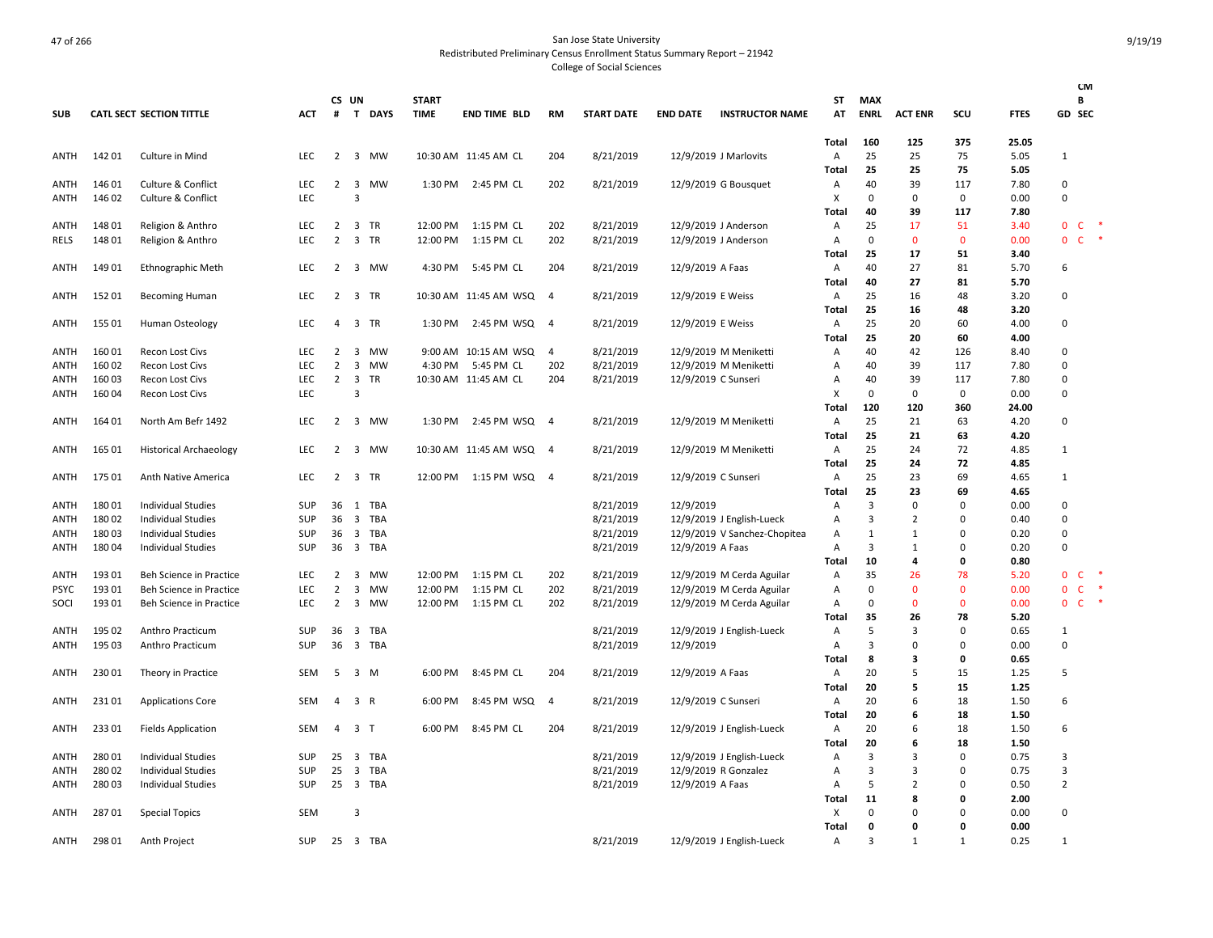|                     |        |                                                        |                   |                |                                                    |            |              |                       |                |                        |                     |                              |                     |              |                |               |              | <b>CM</b>                    |                      |
|---------------------|--------|--------------------------------------------------------|-------------------|----------------|----------------------------------------------------|------------|--------------|-----------------------|----------------|------------------------|---------------------|------------------------------|---------------------|--------------|----------------|---------------|--------------|------------------------------|----------------------|
|                     |        |                                                        |                   | CS UN          |                                                    |            | <b>START</b> |                       |                |                        |                     |                              | ST                  | <b>MAX</b>   |                |               |              | В                            |                      |
| <b>SUB</b>          |        | CATL SECT SECTION TITTLE                               | <b>ACT</b>        | #              |                                                    | T DAYS     | <b>TIME</b>  | <b>END TIME BLD</b>   | <b>RM</b>      | <b>START DATE</b>      | <b>END DATE</b>     | <b>INSTRUCTOR NAME</b>       | AT                  | <b>ENRL</b>  | <b>ACT ENR</b> | scu           | <b>FTES</b>  | <b>GD SEC</b>                |                      |
|                     |        |                                                        |                   |                |                                                    |            |              |                       |                |                        |                     |                              | Total               | 160          | 125            | 375           | 25.05        |                              |                      |
| ANTH                | 14201  | Culture in Mind                                        | LEC               |                |                                                    | 2 3 MW     |              | 10:30 AM 11:45 AM CL  | 204            | 8/21/2019              |                     | 12/9/2019 J Marlovits        | Α                   | 25           | 25             | 75            | 5.05         | 1                            |                      |
|                     |        |                                                        |                   |                |                                                    |            |              |                       |                |                        |                     |                              | Total               | 25           | 25             | 75            | 5.05         |                              |                      |
| ANTH                | 146 01 | Culture & Conflict                                     | <b>LEC</b>        | $\overline{2}$ | 3                                                  | <b>MW</b>  |              | 1:30 PM 2:45 PM CL    | 202            | 8/21/2019              |                     | 12/9/2019 G Bousquet         | Α                   | 40           | 39             | 117           | 7.80         | 0                            |                      |
| ANTH                | 146 02 | Culture & Conflict                                     | LEC               |                | $\overline{3}$                                     |            |              |                       |                |                        |                     |                              | X                   | $\Omega$     | 0              | 0             | 0.00         | $\Omega$                     |                      |
|                     |        |                                                        |                   |                |                                                    |            |              |                       |                |                        |                     |                              | Total               | 40           | 39             | 117           | 7.80         |                              |                      |
| ANTH                | 148 01 | Religion & Anthro                                      | <b>LEC</b>        | $\overline{2}$ |                                                    | 3 TR       | 12:00 PM     | 1:15 PM CL            | 202            | 8/21/2019              |                     | 12/9/2019 J Anderson         | A                   | 25           | 17             | 51            | 3.40         | $\mathbf{0}$<br>C            |                      |
| <b>RELS</b>         | 148 01 | Religion & Anthro                                      | LEC               | $\overline{2}$ |                                                    | 3 TR       | 12:00 PM     | 1:15 PM CL            | 202            | 8/21/2019              |                     | 12/9/2019 J Anderson         | $\mathsf{A}$        | $\Omega$     | $\mathbf{0}$   | $\mathbf{0}$  | 0.00         | $\mathsf{C}$<br>$\mathbf{0}$ | $\ddot{\phantom{1}}$ |
|                     |        |                                                        |                   |                |                                                    |            |              |                       |                |                        |                     |                              | Total               | 25           | 17             | 51            | 3.40         |                              |                      |
| ANTH                | 14901  | Ethnographic Meth                                      | <b>LEC</b>        | 2              |                                                    | 3 MW       | 4:30 PM      | 5:45 PM CL            | 204            | 8/21/2019              | 12/9/2019 A Faas    |                              | A                   | 40           | 27             | 81            | 5.70         | 6                            |                      |
|                     |        |                                                        |                   |                |                                                    |            |              |                       |                |                        |                     |                              | Total               | 40           | 27             | 81            | 5.70         |                              |                      |
| ANTH                | 15201  | <b>Becoming Human</b>                                  | <b>LEC</b>        | 2              |                                                    | 3 TR       |              | 10:30 AM 11:45 AM WSQ | $\overline{4}$ | 8/21/2019              | 12/9/2019 E Weiss   |                              | Α                   | 25           | 16             | 48            | 3.20         | $\Omega$                     |                      |
|                     |        |                                                        |                   |                |                                                    |            |              |                       |                |                        |                     |                              | Total               | 25           | 16             | 48            | 3.20         |                              |                      |
| ANTH                | 155 01 | Human Osteology                                        | <b>LEC</b>        | 4              |                                                    | 3 TR       | 1:30 PM      | 2:45 PM WSQ           | $\overline{4}$ | 8/21/2019              | 12/9/2019 E Weiss   |                              | Α                   | 25           | 20             | 60            | 4.00         | 0                            |                      |
|                     |        |                                                        |                   |                |                                                    |            |              |                       |                |                        |                     |                              | <b>Total</b>        | 25           | 20             | 60            | 4.00         |                              |                      |
| ANTH                | 16001  | <b>Recon Lost Civs</b>                                 | LEC               | 2              | 3                                                  | MW         |              | 9:00 AM 10:15 AM WSQ  | 4              | 8/21/2019              |                     | 12/9/2019 M Meniketti        | Α                   | 40           | 42             | 126           | 8.40         | $\mathsf 0$                  |                      |
| ANTH                | 16002  | <b>Recon Lost Civs</b>                                 | <b>LEC</b>        | $\overline{2}$ | 3                                                  | MW         | 4:30 PM      | 5:45 PM CL            | 202            | 8/21/2019              |                     | 12/9/2019 M Meniketti        | Α                   | 40           | 39             | 117           | 7.80         | 0                            |                      |
| ANTH                | 16003  | <b>Recon Lost Civs</b>                                 | <b>LEC</b>        | $\overline{2}$ | $\overline{\mathbf{3}}$                            | TR         |              | 10:30 AM 11:45 AM CL  | 204            | 8/21/2019              | 12/9/2019 C Sunseri |                              | $\overline{A}$      | 40           | 39             | 117           | 7.80         | 0                            |                      |
| ANTH                | 16004  | <b>Recon Lost Civs</b>                                 | LEC               |                | $\overline{3}$                                     |            |              |                       |                |                        |                     |                              | х                   | $\Omega$     | 0              | 0             | 0.00         | $\Omega$                     |                      |
|                     |        |                                                        |                   |                |                                                    |            |              |                       |                |                        |                     |                              | Total               | 120          | 120            | 360           | 24.00        |                              |                      |
| ANTH                | 164 01 | North Am Befr 1492                                     | <b>LEC</b>        | 2              |                                                    | 3 MW       | 1:30 PM      | 2:45 PM WSQ 4         |                | 8/21/2019              |                     | 12/9/2019 M Meniketti        | Α                   | 25           | 21             | 63            | 4.20         | $\mathbf 0$                  |                      |
|                     |        |                                                        |                   |                |                                                    |            |              |                       |                |                        |                     |                              | Total               | 25           | 21             | 63            | 4.20         |                              |                      |
| ANTH                | 165 01 |                                                        | <b>LEC</b>        | 2              | 3                                                  | MW         |              | 10:30 AM 11:45 AM WSQ | $\overline{4}$ | 8/21/2019              |                     | 12/9/2019 M Meniketti        | Α                   | 25           | 24             | 72            | 4.85         | 1                            |                      |
|                     |        | <b>Historical Archaeology</b>                          |                   |                |                                                    |            |              |                       |                |                        |                     |                              | Total               | 25           | 24             | 72            | 4.85         |                              |                      |
| <b>ANTH</b>         | 175 01 | Anth Native America                                    | <b>LEC</b>        | $\overline{2}$ |                                                    | 3 TR       | 12:00 PM     | 1:15 PM WSQ           |                | 8/21/2019              | 12/9/2019 C Sunseri |                              | Α                   | 25           | 23             | 69            | 4.65         | 1                            |                      |
|                     |        |                                                        |                   |                |                                                    |            |              |                       | 4              |                        |                     |                              | Total               | 25           | 23             | 69            | 4.65         |                              |                      |
| ANTH                | 18001  | <b>Individual Studies</b>                              | SUP               | 36             |                                                    | 1 TBA      |              |                       |                | 8/21/2019              | 12/9/2019           |                              | $\mathsf{A}$        | 3            | $\Omega$       | 0             | 0.00         | 0                            |                      |
|                     | 18002  |                                                        |                   |                |                                                    | <b>TBA</b> |              |                       |                |                        |                     |                              |                     | 3            | $\overline{2}$ |               |              | 0                            |                      |
| ANTH<br><b>ANTH</b> | 18003  | <b>Individual Studies</b><br><b>Individual Studies</b> | SUP<br><b>SUP</b> | 36<br>36       | $\overline{\mathbf{3}}$<br>$\overline{\mathbf{3}}$ | TBA        |              |                       |                | 8/21/2019              |                     | 12/9/2019 J English-Lueck    | Α<br>$\overline{A}$ | $\mathbf{1}$ | $\mathbf{1}$   | 0<br>$\Omega$ | 0.40<br>0.20 | $\Omega$                     |                      |
|                     | 18004  |                                                        | SUP               |                |                                                    | 36 3 TBA   |              |                       |                | 8/21/2019<br>8/21/2019 | 12/9/2019 A Faas    | 12/9/2019 V Sanchez-Chopitea | $\overline{A}$      | 3            | 1              | $\mathbf 0$   | 0.20         | $\Omega$                     |                      |
| ANTH                |        | <b>Individual Studies</b>                              |                   |                |                                                    |            |              |                       |                |                        |                     |                              |                     |              | 4              | O             |              |                              |                      |
| <b>ANTH</b>         | 19301  |                                                        | <b>LEC</b>        | $\overline{2}$ | 3                                                  | MW         | 12:00 PM     | 1:15 PM CL            | 202            |                        |                     |                              | Total<br>Α          | 10<br>35     | 26             | 78            | 0.80<br>5.20 | $\mathbf{0}$<br>C            |                      |
| <b>PSYC</b>         | 193 01 | Beh Science in Practice<br>Beh Science in Practice     | <b>LEC</b>        | $\overline{2}$ | 3                                                  | MW         | 12:00 PM     | 1:15 PM CL            | 202            | 8/21/2019<br>8/21/2019 |                     | 12/9/2019 M Cerda Aguilar    | Α                   | $\Omega$     | $\mathbf{0}$   | $\mathbf{0}$  | 0.00         | 0<br>$\mathsf{C}$            |                      |
|                     | 193 01 |                                                        | <b>LEC</b>        | $\overline{2}$ |                                                    | MW         |              |                       |                |                        |                     | 12/9/2019 M Cerda Aguilar    |                     | $\Omega$     | $\Omega$       | $\mathbf{0}$  | 0.00         | $\mathbf 0$<br>$C$ *         |                      |
| SOCI                |        | Beh Science in Practice                                |                   |                | 3                                                  |            | 12:00 PM     | 1:15 PM CL            | 202            | 8/21/2019              |                     | 12/9/2019 M Cerda Aguilar    | Α                   | 35           |                | 78            | 5.20         |                              |                      |
|                     |        |                                                        |                   |                |                                                    |            |              |                       |                |                        |                     |                              | Total               | 5            | 26<br>3        | $\mathbf 0$   |              | $\mathbf{1}$                 |                      |
| <b>ANTH</b>         | 195 02 | Anthro Practicum                                       | SUP<br><b>SUP</b> | 36             | $\overline{\mathbf{3}}$                            | TBA        |              |                       |                | 8/21/2019              |                     | 12/9/2019 J English-Lueck    | Α<br>A              | 3            | $\Omega$       | $\Omega$      | 0.65<br>0.00 | $\Omega$                     |                      |
| ANTH                | 195 03 | Anthro Practicum                                       |                   | 36             |                                                    | 3 TBA      |              |                       |                | 8/21/2019              | 12/9/2019           |                              |                     |              |                |               |              |                              |                      |
|                     |        |                                                        |                   |                |                                                    |            |              |                       |                |                        |                     |                              | Total               | 8            | 3              | 0             | 0.65         |                              |                      |
| <b>ANTH</b>         | 23001  | Theory in Practice                                     | SEM               | 5              |                                                    | 3 M        | 6:00 PM      | 8:45 PM CL            | 204            | 8/21/2019              | 12/9/2019 A Faas    |                              | Α                   | 20<br>20     | 5<br>5         | 15            | 1.25         | 5                            |                      |
|                     |        |                                                        |                   |                |                                                    |            |              |                       |                |                        |                     |                              | Total               |              |                | 15            | 1.25         |                              |                      |
| ANTH                | 23101  | <b>Applications Core</b>                               | <b>SEM</b>        | $\overline{4}$ | 3 R                                                |            | 6:00 PM      | 8:45 PM WSQ           | $\overline{4}$ | 8/21/2019              | 12/9/2019 C Sunseri |                              | A                   | 20           | 6              | 18            | 1.50         | 6                            |                      |
|                     |        |                                                        |                   |                |                                                    |            |              |                       |                |                        |                     |                              | Total               | 20           | 6              | 18            | 1.50         |                              |                      |
| ANTH                | 23301  | <b>Fields Application</b>                              | <b>SEM</b>        | 4              | 3 T                                                |            | 6:00 PM      | 8:45 PM CL            | 204            | 8/21/2019              |                     | 12/9/2019 J English-Lueck    | Α                   | 20           | 6              | 18            | 1.50         | 6                            |                      |
|                     |        |                                                        |                   |                |                                                    |            |              |                       |                |                        |                     |                              | Total               | 20           | 6              | 18            | 1.50         |                              |                      |
| ANTH                | 280 01 | <b>Individual Studies</b>                              | SUP               | 25             | $\overline{\mathbf{3}}$                            | TBA        |              |                       |                | 8/21/2019              |                     | 12/9/2019 J English-Lueck    | Α                   | 3            | 3              | 0             | 0.75         | $\overline{3}$               |                      |
| <b>ANTH</b>         | 280 02 | <b>Individual Studies</b>                              | <b>SUP</b>        | 25             | $\overline{\mathbf{3}}$                            | TBA        |              |                       |                | 8/21/2019              |                     | 12/9/2019 R Gonzalez         | $\overline{A}$      | 3            | 3              | $\Omega$      | 0.75         | 3                            |                      |
| ANTH                | 28003  | <b>Individual Studies</b>                              | SUP               | 25             |                                                    | 3 TBA      |              |                       |                | 8/21/2019              | 12/9/2019 A Faas    |                              | Α                   | 5            | $\overline{2}$ | $\mathbf 0$   | 0.50         | $\overline{2}$               |                      |
|                     |        |                                                        |                   |                |                                                    |            |              |                       |                |                        |                     |                              | Total               | 11           | 8              | O             | 2.00         |                              |                      |
| ANTH                | 28701  | <b>Special Topics</b>                                  | <b>SEM</b>        |                | 3                                                  |            |              |                       |                |                        |                     |                              | Х                   | $\Omega$     | $\Omega$       | $\Omega$      | 0.00         | $\Omega$                     |                      |
|                     |        |                                                        |                   |                |                                                    |            |              |                       |                |                        |                     |                              | Total               | 0            | O              | 0             | 0.00         |                              |                      |
| <b>ANTH</b>         | 29801  | Anth Project                                           | <b>SUP</b>        |                |                                                    | 25 3 TBA   |              |                       |                | 8/21/2019              |                     | 12/9/2019 J English-Lueck    | $\overline{A}$      | 3            | 1              | $\mathbf{1}$  | 0.25         | $\mathbf{1}$                 |                      |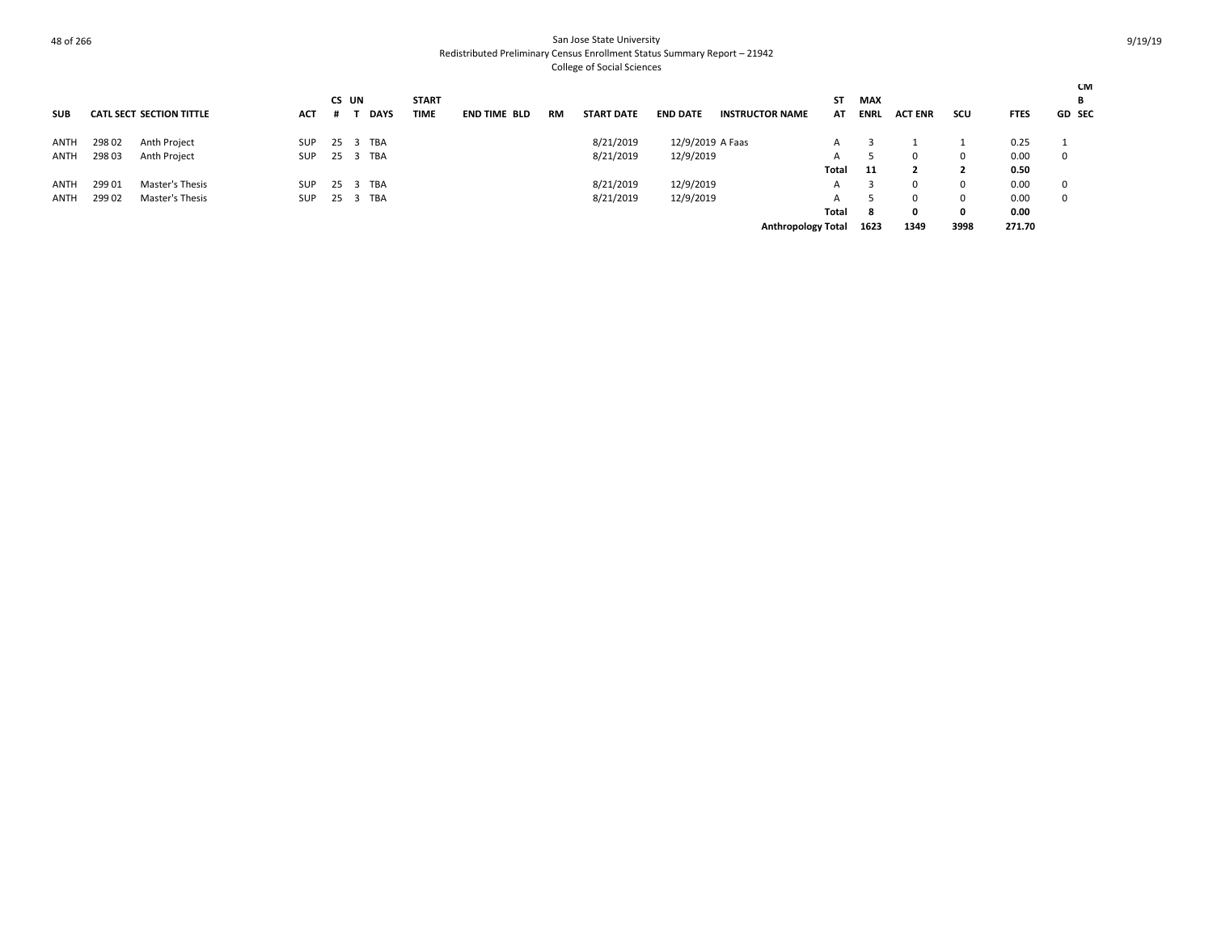| <b>SUB</b>  |        | <b>CATL SECT SECTION TITTLE</b> | <b>ACT</b> |     | CS UN<br><b>DAYS</b> | <b>START</b><br><b>TIME</b> | <b>END TIME BLD</b> | <b>RM</b> | <b>START DATE</b> | <b>END DATE</b>  | <b>INSTRUCTOR NAME</b>    | <b>ST</b><br>AT | <b>MAX</b><br><b>ENRL</b> | <b>ACT ENR</b> | scu          | <b>FTES</b> | <b>CM</b><br>В<br><b>GD SEC</b> |
|-------------|--------|---------------------------------|------------|-----|----------------------|-----------------------------|---------------------|-----------|-------------------|------------------|---------------------------|-----------------|---------------------------|----------------|--------------|-------------|---------------------------------|
|             |        |                                 |            |     |                      |                             |                     |           |                   |                  |                           |                 |                           |                |              |             |                                 |
| ANTH        | 298 02 | Anth Project                    | SUP        | -25 | TBA<br>3             |                             |                     |           | 8/21/2019         | 12/9/2019 A Faas |                           | A               |                           |                |              | 0.25        |                                 |
| ANTH        | 298 03 | Anth Project                    | <b>SUP</b> | 25  | TBA                  |                             |                     |           | 8/21/2019         | 12/9/2019        |                           | A               |                           |                | $\Omega$     | 0.00        | 0                               |
|             |        |                                 |            |     |                      |                             |                     |           |                   |                  |                           | Total           | - 11                      |                |              | 0.50        |                                 |
| <b>ANTH</b> | 299 01 | Master's Thesis                 | <b>SUP</b> | 25  | TBA<br>-3            |                             |                     |           | 8/21/2019         | 12/9/2019        |                           | A               |                           |                | -0           | 0.00        | $\Omega$                        |
| <b>ANTH</b> | 299 02 | Master's Thesis                 | <b>SUP</b> | 25  | TBA<br>-3            |                             |                     |           | 8/21/2019         | 12/9/2019        |                           | A               |                           |                | $\Omega$     | 0.00        | 0                               |
|             |        |                                 |            |     |                      |                             |                     |           |                   |                  |                           | Total           | -8                        | 0              | $\mathbf{0}$ | 0.00        |                                 |
|             |        |                                 |            |     |                      |                             |                     |           |                   |                  | <b>Anthropology Total</b> |                 | 1623                      | 1349           | 3998         | 271.70      |                                 |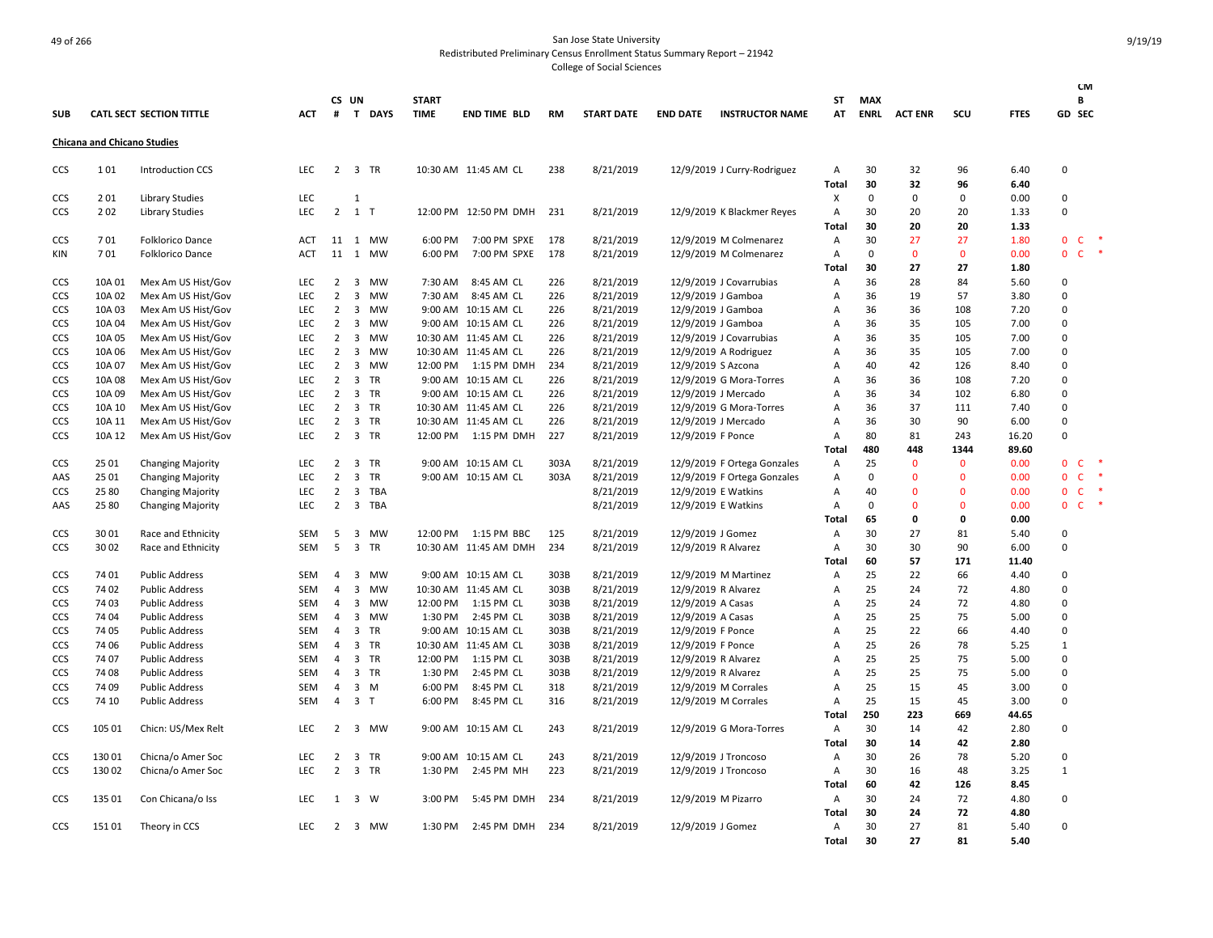|            |                                    |                                 |            |                |                         |                |                             |                        |           |                   |                     |                             |                   |                           |                   |                   |               | <b>CM</b>                    |                          |
|------------|------------------------------------|---------------------------------|------------|----------------|-------------------------|----------------|-----------------------------|------------------------|-----------|-------------------|---------------------|-----------------------------|-------------------|---------------------------|-------------------|-------------------|---------------|------------------------------|--------------------------|
| <b>SUB</b> |                                    | <b>CATL SECT SECTION TITTLE</b> | <b>ACT</b> | #              | CS UN                   | T DAYS         | <b>START</b><br><b>TIME</b> | <b>END TIME BLD</b>    | <b>RM</b> | <b>START DATE</b> | <b>END DATE</b>     | <b>INSTRUCTOR NAME</b>      | ST<br>AT          | <b>MAX</b><br><b>ENRL</b> | <b>ACT ENR</b>    | scu               | <b>FTES</b>   | В<br>GD SEC                  |                          |
|            |                                    |                                 |            |                |                         |                |                             |                        |           |                   |                     |                             |                   |                           |                   |                   |               |                              |                          |
|            | <b>Chicana and Chicano Studies</b> |                                 |            |                |                         |                |                             |                        |           |                   |                     |                             |                   |                           |                   |                   |               |                              |                          |
| CCS        | 101                                | <b>Introduction CCS</b>         | LEC        |                |                         | 2 3 TR         |                             | 10:30 AM 11:45 AM CL   | 238       | 8/21/2019         |                     | 12/9/2019 J Curry-Rodriguez | Α                 | 30                        | 32                | 96                | 6.40          | $\Omega$                     |                          |
|            |                                    |                                 |            |                |                         |                |                             |                        |           |                   |                     |                             | Total             | 30                        | 32                | 96                | 6.40          |                              |                          |
| CCS        | 201                                | <b>Library Studies</b>          | <b>LEC</b> |                | 1                       |                |                             |                        |           |                   |                     |                             | X                 | 0                         | 0                 | 0                 | 0.00          | 0                            |                          |
| CCS        | 202                                | <b>Library Studies</b>          | <b>LEC</b> |                | 2 1 T                   |                |                             | 12:00 PM 12:50 PM DMH  | 231       | 8/21/2019         |                     | 12/9/2019 K Blackmer Reyes  | Α                 | 30                        | 20                | 20                | 1.33          | 0                            |                          |
|            |                                    |                                 |            |                |                         |                |                             |                        |           |                   |                     |                             | Total             | 30                        | 20                | 20                | 1.33          |                              | $\overline{\phantom{a}}$ |
| CCS        | 701                                | Folklorico Dance                | ACT        |                |                         | 11 1 MW        | 6:00 PM                     | 7:00 PM SPXE           | 178       | 8/21/2019         |                     | 12/9/2019 M Colmenarez      | Α                 | 30                        | 27                | 27                | 1.80          | $\mathbf{0}$<br>$\mathsf{C}$ | $\ast$                   |
| KIN        | 701                                | Folklorico Dance                | <b>ACT</b> |                |                         | 11 1 MW        | 6:00 PM                     | 7:00 PM SPXE           | 178       | 8/21/2019         |                     | 12/9/2019 M Colmenarez      | A<br><b>Total</b> | 0<br>30                   | $\mathbf 0$<br>27 | $\mathbf 0$<br>27 | 0.00<br>1.80  | $\mathbf 0$<br>$\mathsf{C}$  |                          |
| <b>CCS</b> | 10A 01                             | Mex Am US Hist/Gov              | LEC        | $\overline{2}$ | $\overline{\mathbf{3}}$ | MW             | 7:30 AM                     | 8:45 AM CL             | 226       | 8/21/2019         |                     | 12/9/2019 J Covarrubias     | Α                 | 36                        | 28                | 84                | 5.60          | 0                            |                          |
| <b>CCS</b> | 10A 02                             | Mex Am US Hist/Gov              | <b>LEC</b> | $\overline{2}$ | $\overline{\mathbf{3}}$ | MW             | 7:30 AM                     | 8:45 AM CL             | 226       | 8/21/2019         | 12/9/2019 J Gamboa  |                             | A                 | 36                        | 19                | 57                | 3.80          | $\Omega$                     |                          |
| <b>CCS</b> | 10A 03                             | Mex Am US Hist/Gov              | LEC        | 2              | $\overline{\mathbf{3}}$ | MW             |                             | 9:00 AM 10:15 AM CL    | 226       | 8/21/2019         | 12/9/2019 J Gamboa  |                             | Α                 | 36                        | 36                | 108               | 7.20          | $\Omega$                     |                          |
| <b>CCS</b> | 10A 04                             | Mex Am US Hist/Gov              | <b>LEC</b> | $\overline{2}$ | 3                       | MW             |                             | 9:00 AM 10:15 AM CL    | 226       | 8/21/2019         | 12/9/2019 J Gamboa  |                             | $\overline{A}$    | 36                        | 35                | 105               | 7.00          | $\Omega$                     |                          |
| <b>CCS</b> | 10A 05                             | Mex Am US Hist/Gov              | <b>LEC</b> | 2              | $\overline{\mathbf{3}}$ | MW             |                             | 10:30 AM 11:45 AM CL   | 226       | 8/21/2019         |                     | 12/9/2019 J Covarrubias     | Α                 | 36                        | 35                | 105               | 7.00          | $\Omega$                     |                          |
| <b>CCS</b> | 10A 06                             | Mex Am US Hist/Gov              | <b>LEC</b> | 2              | 3                       | MW             |                             | 10:30 AM 11:45 AM CL   | 226       | 8/21/2019         |                     | 12/9/2019 A Rodriguez       | Α                 | 36                        | 35                | 105               | 7.00          | $\Omega$                     |                          |
| <b>CCS</b> | 10A 07                             | Mex Am US Hist/Gov              | LEC        | $\overline{2}$ | 3                       | <b>MW</b>      |                             | 12:00 PM   1:15 PM DMH | 234       | 8/21/2019         | 12/9/2019 S Azcona  |                             | Α                 | 40                        | 42                | 126               | 8.40          | $\Omega$                     |                          |
| <b>CCS</b> | 10A 08                             | Mex Am US Hist/Gov              | <b>LEC</b> | $\overline{2}$ | $\overline{\mathbf{3}}$ | TR             |                             | 9:00 AM 10:15 AM CL    | 226       | 8/21/2019         |                     | 12/9/2019 G Mora-Torres     | $\overline{A}$    | 36                        | 36                | 108               | 7.20          | 0                            |                          |
| <b>CCS</b> | 10A 09                             | Mex Am US Hist/Gov              | <b>LEC</b> | 2              | $\overline{3}$          | TR             |                             | 9:00 AM 10:15 AM CL    | 226       | 8/21/2019         |                     | 12/9/2019 J Mercado         | A                 | 36                        | 34                | 102               | 6.80          | $\Omega$                     |                          |
| CCS        | 10A 10                             | Mex Am US Hist/Gov              | LEC        | $\overline{2}$ |                         | 3 TR           |                             | 10:30 AM 11:45 AM CL   | 226       | 8/21/2019         |                     | 12/9/2019 G Mora-Torres     | A                 | 36                        | 37                | 111               | 7.40          | 0                            |                          |
| CCS        | 10A 11                             | Mex Am US Hist/Gov              | <b>LEC</b> | $\overline{2}$ | $\overline{\mathbf{3}}$ | TR             |                             | 10:30 AM 11:45 AM CL   | 226       | 8/21/2019         |                     | 12/9/2019 J Mercado         | $\overline{A}$    | 36                        | 30                | 90                | 6.00          | $\Omega$                     |                          |
| CCS        | 10A 12                             | Mex Am US Hist/Gov              | LEC        | $\overline{2}$ |                         | 3 TR           | 12:00 PM                    | 1:15 PM DMH            | 227       | 8/21/2019         | 12/9/2019 F Ponce   |                             | А                 | 80                        | 81                | 243               | 16.20         | $\mathbf 0$                  |                          |
|            |                                    |                                 |            |                |                         |                |                             |                        |           |                   |                     |                             | <b>Total</b>      | 480                       | 448               | 1344              | 89.60         |                              |                          |
| <b>CCS</b> | 25 01                              | <b>Changing Majority</b>        | <b>LEC</b> | $\overline{2}$ | $\overline{\mathbf{3}}$ | TR             |                             | 9:00 AM 10:15 AM CL    | 303A      | 8/21/2019         |                     | 12/9/2019 F Ortega Gonzales | Α                 | 25                        | $\mathbf{0}$      | $\mathbf{0}$      | 0.00          | $\mathbf{0}$<br>- C          | $\ast$                   |
| AAS        | 25 01                              | <b>Changing Majority</b>        | LEC        | $\overline{2}$ | $\overline{3}$          | <b>TR</b>      |                             | 9:00 AM 10:15 AM CL    | 303A      | 8/21/2019         |                     | 12/9/2019 F Ortega Gonzales | А                 | $\mathbf 0$               | $\mathbf 0$       | $\mathbf 0$       | 0.00          | $\mathsf{C}$<br>$\mathbf{0}$ | $\ast$                   |
| CCS        | 25 80                              | <b>Changing Majority</b>        | <b>LEC</b> | $\overline{2}$ | $\overline{\mathbf{3}}$ | TBA            |                             |                        |           | 8/21/2019         |                     | 12/9/2019 E Watkins         | Α                 | 40                        | $\mathbf 0$       | 0                 | 0.00          | $\mathbf 0$<br>$\mathsf{C}$  | $\ast$                   |
| AAS        | 25 80                              | <b>Changing Majority</b>        | LEC        | 2              | $\overline{\mathbf{3}}$ | TBA            |                             |                        |           | 8/21/2019         |                     | 12/9/2019 E Watkins         | Α                 | 0                         | $\mathbf{0}$      | $\mathbf{0}$      | 0.00          | $\mathbf{0}$<br>$\mathsf{C}$ | $\ast$                   |
|            |                                    |                                 |            |                |                         |                |                             |                        |           |                   |                     |                             | Total             | 65                        | $\mathbf 0$       | 0                 | 0.00          |                              |                          |
| CCS        | 3001<br>3002                       | Race and Ethnicity              | SEM        | 5<br>5         | $\overline{3}$          | MW<br>3 TR     | 12:00 PM                    | 1:15 PM BBC            | 125       | 8/21/2019         | 12/9/2019 J Gomez   |                             | Α                 | 30                        | 27                | 81                | 5.40          | $\Omega$<br>$\Omega$         |                          |
| <b>CCS</b> |                                    | Race and Ethnicity              | SEM        |                |                         |                |                             | 10:30 AM 11:45 AM DMH  | 234       | 8/21/2019         | 12/9/2019 R Alvarez |                             | Α<br><b>Total</b> | 30<br>60                  | 30<br>57          | 90<br>171         | 6.00<br>11.40 |                              |                          |
| CCS        | 74 01                              | <b>Public Address</b>           | SEM        | $\overline{4}$ | $\overline{\mathbf{3}}$ | MW             |                             | 9:00 AM 10:15 AM CL    | 303B      | 8/21/2019         |                     | 12/9/2019 M Martinez        | Α                 | 25                        | 22                | 66                | 4.40          | 0                            |                          |
| <b>CCS</b> | 74 02                              | <b>Public Address</b>           | SEM        | 4              | 3                       | MW             |                             | 10:30 AM 11:45 AM CL   | 303B      | 8/21/2019         | 12/9/2019 R Alvarez |                             | Α                 | 25                        | 24                | 72                | 4.80          | $\Omega$                     |                          |
| CCS        | 74 03                              | <b>Public Address</b>           | SEM        | 4              | $\overline{3}$          | MW             | 12:00 PM                    | 1:15 PM CL             | 303B      | 8/21/2019         | 12/9/2019 A Casas   |                             | A                 | 25                        | 24                | 72                | 4.80          | $\mathbf 0$                  |                          |
| <b>CCS</b> | 74 04                              | <b>Public Address</b>           | SEM        | 4              | $\overline{3}$          | MW             | 1:30 PM                     | 2:45 PM CL             | 303B      | 8/21/2019         | 12/9/2019 A Casas   |                             | Α                 | 25                        | 25                | 75                | 5.00          | $\Omega$                     |                          |
| <b>CCS</b> | 74 05                              | <b>Public Address</b>           | <b>SEM</b> | 4              | $\overline{\mathbf{3}}$ | <b>TR</b>      |                             | 9:00 AM 10:15 AM CL    | 303B      | 8/21/2019         | 12/9/2019 F Ponce   |                             | Α                 | 25                        | 22                | 66                | 4.40          | $\Omega$                     |                          |
| CCS        | 74 06                              | <b>Public Address</b>           | SEM        | 4              |                         | 3 TR           |                             | 10:30 AM 11:45 AM CL   | 303B      | 8/21/2019         | 12/9/2019 F Ponce   |                             | A                 | 25                        | 26                | 78                | 5.25          | $\mathbf{1}$                 |                          |
| <b>CCS</b> | 74 07                              | <b>Public Address</b>           | <b>SEM</b> | 4              | $\overline{\mathbf{3}}$ | TR             | 12:00 PM                    | 1:15 PM CL             | 303B      | 8/21/2019         | 12/9/2019 R Alvarez |                             | A                 | 25                        | 25                | 75                | 5.00          | $\Omega$                     |                          |
| <b>CCS</b> | 74 08                              | <b>Public Address</b>           | SEM        | 4              |                         | 3 TR           | 1:30 PM                     | 2:45 PM CL             | 303B      | 8/21/2019         | 12/9/2019 R Alvarez |                             | Α                 | 25                        | 25                | 75                | 5.00          | $\Omega$                     |                          |
| CCS        | 74 09                              | <b>Public Address</b>           | SEM        | 4              |                         | 3 M            | 6:00 PM                     | 8:45 PM CL             | 318       | 8/21/2019         |                     | 12/9/2019 M Corrales        | А                 | 25                        | 15                | 45                | 3.00          | 0                            |                          |
| CCS        | 74 10                              | <b>Public Address</b>           | <b>SEM</b> | $\overline{4}$ |                         | 3 <sub>1</sub> | 6:00 PM                     | 8:45 PM CL             | 316       | 8/21/2019         |                     | 12/9/2019 M Corrales        | A                 | 25                        | 15                | 45                | 3.00          | $\Omega$                     |                          |
|            |                                    |                                 |            |                |                         |                |                             |                        |           |                   |                     |                             | Total             | 250                       | 223               | 669               | 44.65         |                              |                          |
| CCS        | 105 01                             | Chicn: US/Mex Relt              | LEC        | $\overline{2}$ |                         | 3 MW           |                             | 9:00 AM 10:15 AM CL    | 243       | 8/21/2019         |                     | 12/9/2019 G Mora-Torres     | Α                 | 30                        | 14                | 42                | 2.80          | 0                            |                          |
|            |                                    |                                 |            |                |                         |                |                             |                        |           |                   |                     |                             | <b>Total</b>      | 30                        | 14                | 42                | 2.80          |                              |                          |
| CCS        | 13001                              | Chicna/o Amer Soc               | <b>LEC</b> | $\overline{2}$ | $\overline{3}$          | TR             |                             | 9:00 AM 10:15 AM CL    | 243       | 8/21/2019         |                     | 12/9/2019 J Troncoso        | Α                 | 30                        | 26                | 78                | 5.20          | $\Omega$                     |                          |
| <b>CCS</b> | 130 02                             | Chicna/o Amer Soc               | <b>LEC</b> | $\overline{2}$ |                         | 3 TR           | 1:30 PM                     | 2:45 PM MH             | 223       | 8/21/2019         |                     | 12/9/2019 J Troncoso        | Α                 | 30                        | 16                | 48                | 3.25          | 1                            |                          |
|            |                                    |                                 |            |                |                         |                |                             |                        |           |                   |                     |                             | Total             | 60                        | 42                | 126               | 8.45          |                              |                          |
| <b>CCS</b> | 135 01                             | Con Chicana/o Iss               | <b>LEC</b> | 1              |                         | 3 W            | 3:00 PM                     | 5:45 PM DMH            | 234       | 8/21/2019         | 12/9/2019 M Pizarro |                             | Α                 | 30                        | 24                | 72                | 4.80          | $\Omega$                     |                          |
|            |                                    |                                 |            |                |                         |                |                             |                        |           |                   |                     |                             | <b>Total</b>      | 30                        | 24                | 72                | 4.80          |                              |                          |
| <b>CCS</b> | 15101                              | Theory in CCS                   | <b>LEC</b> | 2              |                         | 3 MW           | 1:30 PM                     | 2:45 PM DMH            | 234       | 8/21/2019         | 12/9/2019 J Gomez   |                             | A                 | 30                        | 27                | 81                | 5.40          | $\Omega$                     |                          |
|            |                                    |                                 |            |                |                         |                |                             |                        |           |                   |                     |                             | <b>Total</b>      | 30                        | 27                | 81                | 5.40          |                              |                          |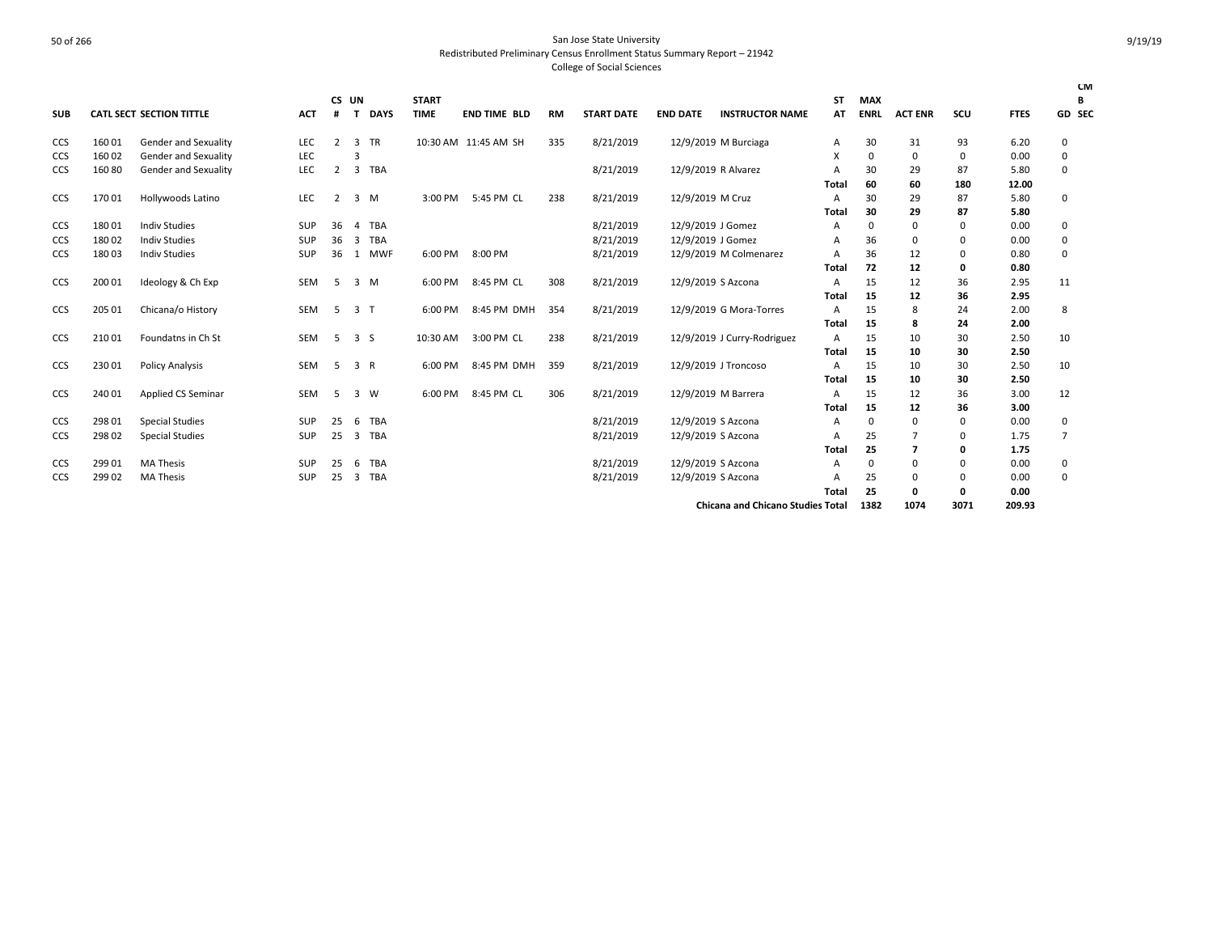|            |        |                                 |            | <b>CS</b>      | UN             |             | <b>START</b> |                      |           |                   |                    |                                          | <b>ST</b>      | <b>MAX</b>   |                |          |             |                | <b>CM</b><br>B |
|------------|--------|---------------------------------|------------|----------------|----------------|-------------|--------------|----------------------|-----------|-------------------|--------------------|------------------------------------------|----------------|--------------|----------------|----------|-------------|----------------|----------------|
| <b>SUB</b> |        | <b>CATL SECT SECTION TITTLE</b> | <b>ACT</b> | #              | т              | <b>DAYS</b> | <b>TIME</b>  | <b>END TIME BLD</b>  | <b>RM</b> | <b>START DATE</b> | <b>END DATE</b>    | <b>INSTRUCTOR NAME</b>                   | AT             | <b>ENRL</b>  | <b>ACT ENR</b> | scu      | <b>FTES</b> |                | GD SEC         |
| CCS        | 16001  | Gender and Sexuality            | LEC        | $\overline{2}$ | 3              | <b>TR</b>   |              | 10:30 AM 11:45 AM SH | 335       | 8/21/2019         |                    | 12/9/2019 M Burciaga                     | A              | 30           | 31             | 93       | 6.20        | 0              |                |
| <b>CCS</b> | 16002  | Gender and Sexuality            | LEC        |                | 3              |             |              |                      |           |                   |                    |                                          | X              | $\Omega$     | 0              | 0        | 0.00        | 0              |                |
| <b>CCS</b> | 16080  | Gender and Sexuality            | LEC        | $\overline{2}$ | 3              | TBA         |              |                      |           | 8/21/2019         |                    | 12/9/2019 R Alvarez                      | A              | 30           | 29             | 87       | 5.80        | 0              |                |
|            |        |                                 |            |                |                |             |              |                      |           |                   |                    |                                          | Total          | 60           | 60             | 180      | 12.00       |                |                |
| CCS        | 17001  | Hollywoods Latino               | LEC        | $\overline{2}$ | 3              | M           | 3:00 PM      | 5:45 PM CL           | 238       | 8/21/2019         | 12/9/2019 M Cruz   |                                          | $\overline{A}$ | 30           | 29             | 87       | 5.80        | 0              |                |
|            |        |                                 |            |                |                |             |              |                      |           |                   |                    |                                          | Total          | 30           | 29             | 87       | 5.80        |                |                |
| CCS        | 18001  | <b>Indiv Studies</b>            | <b>SUP</b> | 36             | 4              | <b>TBA</b>  |              |                      |           | 8/21/2019         | 12/9/2019 J Gomez  |                                          | A              | 0            | 0              | $\Omega$ | 0.00        | $\mathbf 0$    |                |
| CCS        | 18002  | <b>Indiv Studies</b>            | SUP        | 36             | 3              | <b>TBA</b>  |              |                      |           | 8/21/2019         | 12/9/2019 J Gomez  |                                          | $\overline{A}$ | 36           | 0              | 0        | 0.00        | 0              |                |
| <b>CCS</b> | 18003  | <b>Indiv Studies</b>            | <b>SUP</b> | 36             | 1              | <b>MWF</b>  | 6:00 PM      | 8:00 PM              |           | 8/21/2019         |                    | 12/9/2019 M Colmenarez                   | A              | 36           | 12             | 0        | 0.80        | 0              |                |
|            |        |                                 |            |                |                |             |              |                      |           |                   |                    |                                          | Total          | 72           | 12             | 0        | 0.80        |                |                |
| CCS        | 200 01 | Ideology & Ch Exp               | SEM        | -5             | 3              | M           | 6:00 PM      | 8:45 PM CL           | 308       | 8/21/2019         |                    | 12/9/2019 S Azcona                       | A              | 15           | 12             | 36       | 2.95        | 11             |                |
|            |        |                                 |            |                |                |             |              |                      |           |                   |                    |                                          | <b>Total</b>   | 15           | 12             | 36       | 2.95        |                |                |
| <b>CCS</b> | 205 01 | Chicana/o History               | SEM        | .5             | 3 <sub>1</sub> |             | 6:00 PM      | 8:45 PM DMH          | 354       | 8/21/2019         |                    | 12/9/2019 G Mora-Torres                  | A              | 15           | 8              | 24       | 2.00        | 8              |                |
|            |        |                                 |            |                |                |             |              |                      |           |                   |                    |                                          | Total          | 15           | 8              | 24       | 2.00        |                |                |
| <b>CCS</b> | 21001  | Foundatns in Ch St              | <b>SEM</b> | 5              | 3S             |             | 10:30 AM     | 3:00 PM CL           | 238       | 8/21/2019         |                    | 12/9/2019 J Curry-Rodriguez              | A              | 15           | 10             | 30       | 2.50        | 10             |                |
|            |        |                                 |            |                |                |             |              |                      |           |                   |                    |                                          | <b>Total</b>   | 15           | 10             | 30       | 2.50        |                |                |
| <b>CCS</b> | 230 01 | <b>Policy Analysis</b>          | <b>SEM</b> | -5             | 3 R            |             | 6:00 PM      | 8:45 PM DMH          | 359       | 8/21/2019         |                    | 12/9/2019 J Troncoso                     | $\overline{A}$ | 15           | 10             | 30       | 2.50        | 10             |                |
|            |        |                                 |            |                |                |             |              |                      |           |                   |                    |                                          | <b>Total</b>   | 15           | 10             | 30       | 2.50        |                |                |
| <b>CCS</b> | 240 01 | Applied CS Seminar              | <b>SEM</b> | -5             | 3              | <b>W</b>    | 6:00 PM      | 8:45 PM CL           | 306       | 8/21/2019         |                    | 12/9/2019 M Barrera                      | $\overline{A}$ | 15           | 12             | 36       | 3.00        | 12             |                |
|            |        |                                 |            |                |                |             |              |                      |           |                   |                    |                                          | Total          | 15           | 12             | 36       | 3.00        |                |                |
| CCS        | 298 01 | <b>Special Studies</b>          | <b>SUP</b> | 25             | 6              | <b>TBA</b>  |              |                      |           | 8/21/2019         | 12/9/2019 S Azcona |                                          | A              | $\Omega$     | 0              | 0        | 0.00        | 0              |                |
| CCS        | 298 02 | <b>Special Studies</b>          | SUP        | 25             | 3              | TBA         |              |                      |           | 8/21/2019         |                    | 12/9/2019 S Azcona                       | A              | 25           | 7              | $\Omega$ | 1.75        | $\overline{7}$ |                |
|            |        |                                 |            |                |                |             |              |                      |           |                   |                    |                                          | Total          | 25           | 7              | 0        | 1.75        |                |                |
| <b>CCS</b> | 299 01 | <b>MA Thesis</b>                | <b>SUP</b> | 25             | 6              | <b>TBA</b>  |              |                      |           | 8/21/2019         | 12/9/2019 S Azcona |                                          | A              | <sup>0</sup> | $\Omega$       | 0        | 0.00        | $\mathbf 0$    |                |
| <b>CCS</b> | 299 02 | <b>MA Thesis</b>                | <b>SUP</b> | 25             | 3              | <b>TBA</b>  |              |                      |           | 8/21/2019         | 12/9/2019 S Azcona |                                          | A              | 25           | 0              | 0        | 0.00        | 0              |                |
|            |        |                                 |            |                |                |             |              |                      |           |                   |                    |                                          | Total          | 25           | 0              | 0        | 0.00        |                |                |
|            |        |                                 |            |                |                |             |              |                      |           |                   |                    | <b>Chicana and Chicano Studies Total</b> |                | 1382         | 1074           | 3071     | 209.93      |                |                |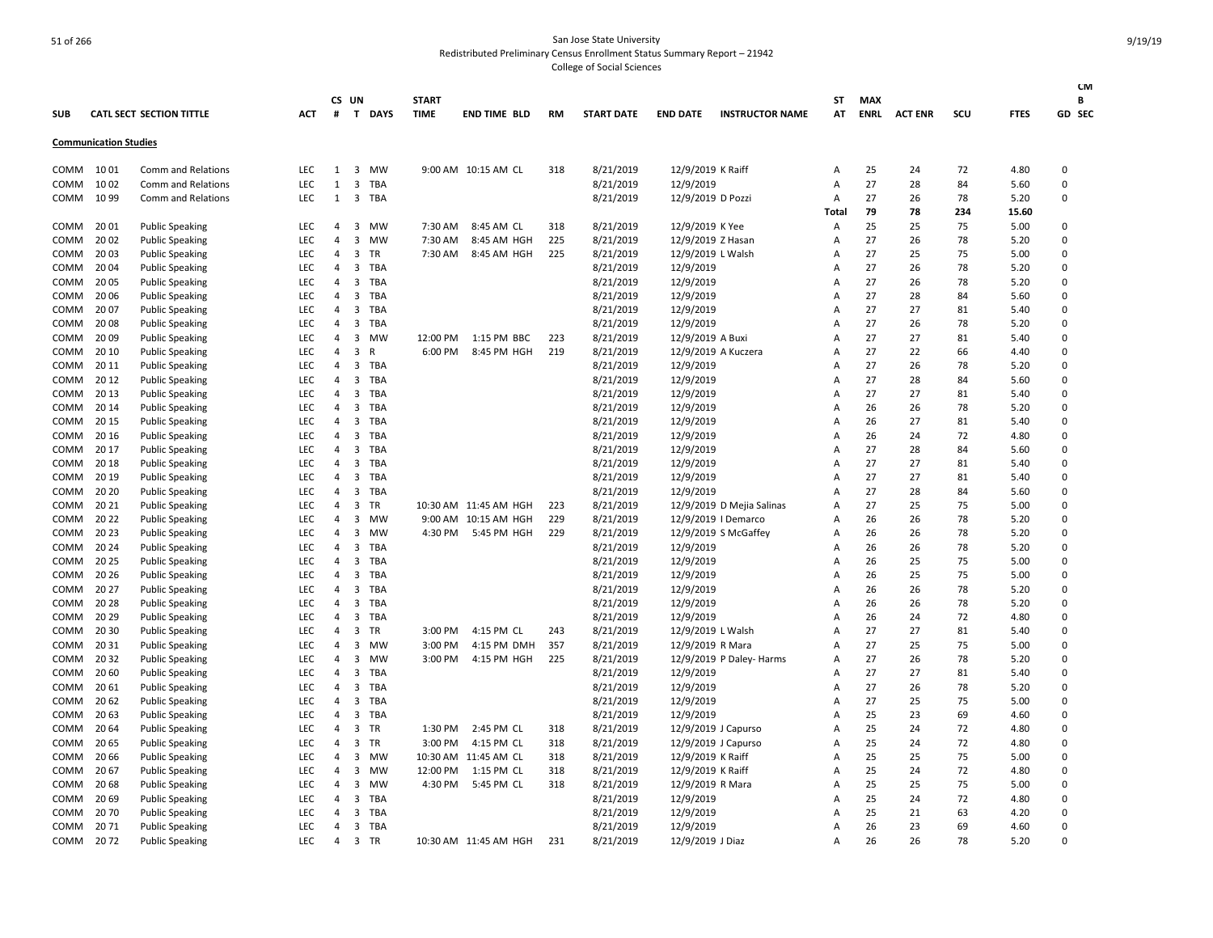| SUB  |                              | <b>CATL SECT SECTION TITTLE</b> | ACT        | #              | CS UN<br>T              | <b>DAYS</b> | <b>START</b><br><b>TIME</b> | <b>END TIME BLD</b>   | <b>RM</b> | <b>START DATE</b> | <b>END DATE</b>   | <b>INSTRUCTOR NAME</b>    | ST<br>AT       | <b>MAX</b><br><b>ENRL</b> | <b>ACT ENR</b> | scu | <b>FTES</b> | <b>CM</b><br>В<br>GD SEC |
|------|------------------------------|---------------------------------|------------|----------------|-------------------------|-------------|-----------------------------|-----------------------|-----------|-------------------|-------------------|---------------------------|----------------|---------------------------|----------------|-----|-------------|--------------------------|
|      | <b>Communication Studies</b> |                                 |            |                |                         |             |                             |                       |           |                   |                   |                           |                |                           |                |     |             |                          |
| COMM | 10 01                        | Comm and Relations              | <b>LEC</b> | 1              | 3                       | MW          |                             | 9:00 AM 10:15 AM CL   | 318       | 8/21/2019         | 12/9/2019 K Raiff |                           | A              | 25                        | 24             | 72  | 4.80        | $\Omega$                 |
| COMM | 10 02                        | Comm and Relations              | LEC        | $\mathbf{1}$   | $\overline{3}$          | TBA         |                             |                       |           | 8/21/2019         | 12/9/2019         |                           | A              | 27                        | 28             | 84  | 5.60        | 0                        |
| COMM | 10 99                        | <b>Comm and Relations</b>       | <b>LEC</b> | 1              | 3                       | TBA         |                             |                       |           | 8/21/2019         | 12/9/2019 D Pozzi |                           | A              | 27                        | 26             | 78  | 5.20        | $\Omega$                 |
|      |                              |                                 |            |                |                         |             |                             |                       |           |                   |                   |                           | Total          | 79                        | 78             | 234 | 15.60       |                          |
| COMM | 20 01                        | <b>Public Speaking</b>          | LEC        | 4              | $\overline{\mathbf{3}}$ | MW          | 7:30 AM                     | 8:45 AM CL            | 318       | 8/21/2019         | 12/9/2019 K Yee   |                           | Α              | 25                        | 25             | 75  | 5.00        | $\Omega$                 |
| COMM | 20 02                        | <b>Public Speaking</b>          | LEC        | 4              | 3                       | <b>MW</b>   | 7:30 AM                     | 8:45 AM HGH           | 225       | 8/21/2019         | 12/9/2019 Z Hasan |                           | Α              | 27                        | 26             | 78  | 5.20        | $\Omega$                 |
| COMM | 20 03                        | <b>Public Speaking</b>          | LEC        | 4              | $\overline{\mathbf{3}}$ | TR          | 7:30 AM                     | 8:45 AM HGH           | 225       | 8/21/2019         | 12/9/2019 L Walsh |                           | A              | 27                        | 25             | 75  | 5.00        | 0                        |
| COMM | 2004                         | <b>Public Speaking</b>          | <b>LEC</b> | 4              | $\overline{\mathbf{3}}$ | TBA         |                             |                       |           | 8/21/2019         | 12/9/2019         |                           | A              | 27                        | 26             | 78  | 5.20        | $\Omega$                 |
| COMM | 20 05                        | <b>Public Speaking</b>          | LEC        | 4              | $\overline{\mathbf{3}}$ | <b>TBA</b>  |                             |                       |           | 8/21/2019         | 12/9/2019         |                           | A              | 27                        | 26             | 78  | 5.20        | 0                        |
| COMM | 20 06                        | <b>Public Speaking</b>          | LEC        | 4              | 3                       | <b>TBA</b>  |                             |                       |           | 8/21/2019         | 12/9/2019         |                           | A              | 27                        | 28             | 84  | 5.60        | $\Omega$                 |
| COMM | 20 07                        | <b>Public Speaking</b>          | LEC        | 4              | 3                       | TBA         |                             |                       |           | 8/21/2019         | 12/9/2019         |                           | A              | 27                        | 27             | 81  | 5.40        | 0                        |
| COMM | 20 08                        | <b>Public Speaking</b>          | LEC        | 4              | $\overline{\mathbf{3}}$ | <b>TBA</b>  |                             |                       |           | 8/21/2019         | 12/9/2019         |                           | A              | 27                        | 26             | 78  | 5.20        | 0                        |
| COMM | 20 09                        | <b>Public Speaking</b>          | LEC        | 4              | $\overline{\mathbf{3}}$ | MW          | 12:00 PM                    | 1:15 PM BBC           | 223       | 8/21/2019         | 12/9/2019 A Buxi  |                           | A              | 27                        | 27             | 81  | 5.40        | $\Omega$                 |
| COMM | 20 10                        | <b>Public Speaking</b>          | LEC        | 4              | 3                       | R           | 6:00 PM                     | 8:45 PM HGH           | 219       | 8/21/2019         |                   | 12/9/2019 A Kuczera       | A              | 27                        | 22             | 66  | 4.40        | $\Omega$                 |
| COMM | 20 11                        | <b>Public Speaking</b>          | LEC        | 4              | $\overline{\mathbf{3}}$ | <b>TBA</b>  |                             |                       |           | 8/21/2019         | 12/9/2019         |                           | Α              | 27                        | 26             | 78  | 5.20        | $\Omega$                 |
| COMM | 20 12                        | <b>Public Speaking</b>          | LEC        | 4              | $\overline{\mathbf{3}}$ | TBA         |                             |                       |           | 8/21/2019         | 12/9/2019         |                           | A              | 27                        | 28             | 84  | 5.60        | $\Omega$                 |
| COMM | 20 13                        | <b>Public Speaking</b>          | LEC        | 4              | $\overline{\mathbf{3}}$ | <b>TBA</b>  |                             |                       |           | 8/21/2019         | 12/9/2019         |                           | $\overline{A}$ | 27                        | 27             | 81  | 5.40        | $\Omega$                 |
| COMM | 20 14                        | <b>Public Speaking</b>          | LEC        | 4              | 3                       | TBA         |                             |                       |           | 8/21/2019         | 12/9/2019         |                           | A              | 26                        | 26             | 78  | 5.20        | $\Omega$                 |
| COMM | 20 15                        | <b>Public Speaking</b>          | LEC        | 4              | $\overline{\mathbf{3}}$ | <b>TBA</b>  |                             |                       |           | 8/21/2019         | 12/9/2019         |                           | A              | 26                        | 27             | 81  | 5.40        | $\Omega$                 |
| COMM | 20 16                        | <b>Public Speaking</b>          | LEC        | 4              | $\overline{\mathbf{3}}$ | <b>TBA</b>  |                             |                       |           | 8/21/2019         | 12/9/2019         |                           | A              | 26                        | 24             | 72  | 4.80        | $\Omega$                 |
| COMM | 20 17                        | <b>Public Speaking</b>          | LEC        | 4              | $\overline{\mathbf{3}}$ | <b>TBA</b>  |                             |                       |           | 8/21/2019         | 12/9/2019         |                           | A              | 27                        | 28             | 84  | 5.60        | $\Omega$                 |
| COMM | 20 18                        | <b>Public Speaking</b>          | LEC        | 4              | $\overline{\mathbf{3}}$ | <b>TBA</b>  |                             |                       |           | 8/21/2019         | 12/9/2019         |                           | $\overline{A}$ | 27                        | 27             | 81  | 5.40        | $\Omega$                 |
| COMM | 20 19                        | <b>Public Speaking</b>          | LEC        | 4              | $\overline{3}$          | <b>TBA</b>  |                             |                       |           | 8/21/2019         | 12/9/2019         |                           | A              | 27                        | 27             | 81  | 5.40        | $\Omega$                 |
| COMM | 20 20                        | <b>Public Speaking</b>          | LEC        | 4              | $\overline{\mathbf{3}}$ | TBA         |                             |                       |           | 8/21/2019         | 12/9/2019         |                           | A              | 27                        | 28             | 84  | 5.60        | $\Omega$                 |
| COMM | 20 21                        | <b>Public Speaking</b>          | LEC        | 4              | $\overline{\mathbf{3}}$ | TR          |                             | 10:30 AM 11:45 AM HGH | 223       | 8/21/2019         |                   | 12/9/2019 D Mejia Salinas | Α              | 27                        | 25             | 75  | 5.00        | 0                        |
| COMM | 20 22                        | <b>Public Speaking</b>          | <b>LEC</b> | 4              | 3                       | <b>MW</b>   |                             | 9:00 AM 10:15 AM HGH  | 229       | 8/21/2019         |                   | 12/9/2019   Demarco       | A              | 26                        | 26             | 78  | 5.20        | $\Omega$                 |
| COMM | 20 23                        | <b>Public Speaking</b>          | LEC        | 4              | $\overline{\mathbf{3}}$ | MW          | 4:30 PM                     | 5:45 PM HGH           | 229       | 8/21/2019         |                   | 12/9/2019 S McGaffey      | A              | 26                        | 26             | 78  | 5.20        | $\Omega$                 |
| COMM | 20 24                        | <b>Public Speaking</b>          | LEC        | 4              | 3                       | <b>TBA</b>  |                             |                       |           | 8/21/2019         | 12/9/2019         |                           | A              | 26                        | 26             | 78  | 5.20        | $\Omega$                 |
| COMM | 20 25                        | <b>Public Speaking</b>          | LEC        | 4              | 3                       | TBA         |                             |                       |           | 8/21/2019         | 12/9/2019         |                           | A              | 26                        | 25             | 75  | 5.00        | $\Omega$                 |
| COMM | 20 26                        | <b>Public Speaking</b>          | LEC        | 4              | $\overline{3}$          | TBA         |                             |                       |           | 8/21/2019         | 12/9/2019         |                           | A              | 26                        | 25             | 75  | 5.00        | 0                        |
| COMM | 20 27                        | <b>Public Speaking</b>          | LEC        | 4              | 3                       | <b>TBA</b>  |                             |                       |           | 8/21/2019         | 12/9/2019         |                           | A              | 26                        | 26             | 78  | 5.20        | $\Omega$                 |
| COMM | 20 28                        | <b>Public Speaking</b>          | LEC        | 4              | $\overline{\mathbf{3}}$ | <b>TBA</b>  |                             |                       |           | 8/21/2019         | 12/9/2019         |                           | A              | 26                        | 26             | 78  | 5.20        | 0                        |
| COMM | 20 29                        | <b>Public Speaking</b>          | LEC        | 4              | $\overline{\mathbf{3}}$ | TBA         |                             |                       |           | 8/21/2019         | 12/9/2019         |                           | A              | 26                        | 24             | 72  | 4.80        | $\Omega$                 |
| COMM | 20 30                        | <b>Public Speaking</b>          | LEC        | 4              | 3                       | <b>TR</b>   | 3:00 PM                     | 4:15 PM CL            | 243       | 8/21/2019         | 12/9/2019 L Walsh |                           | A              | 27                        | 27             | 81  | 5.40        | $\Omega$                 |
| COMM | 20 31                        | <b>Public Speaking</b>          | LEC        | 4              | $\overline{3}$          | <b>MW</b>   | 3:00 PM                     | 4:15 PM DMH           | 357       | 8/21/2019         | 12/9/2019 R Mara  |                           | A              | 27                        | 25             | 75  | 5.00        | 0                        |
| COMM | 20 32                        | <b>Public Speaking</b>          | LEC        | 4              | $\overline{\mathbf{3}}$ | <b>MW</b>   | 3:00 PM                     | 4:15 PM HGH           | 225       | 8/21/2019         |                   | 12/9/2019 P Daley- Harms  | Α              | 27                        | 26             | 78  | 5.20        | $\Omega$                 |
| COMM | 20 60                        | <b>Public Speaking</b>          | LEC        | 4              | $\overline{\mathbf{3}}$ | <b>TBA</b>  |                             |                       |           | 8/21/2019         | 12/9/2019         |                           | A              | 27                        | 27             | 81  | 5.40        | 0                        |
| COMM | 20 61                        | <b>Public Speaking</b>          | LEC        | 4              | 3                       | TBA         |                             |                       |           | 8/21/2019         | 12/9/2019         |                           | A              | 27                        | 26             | 78  | 5.20        | $\Omega$                 |
| COMM | 20 62                        | <b>Public Speaking</b>          | LEC        | 4              | 3                       | TBA         |                             |                       |           | 8/21/2019         | 12/9/2019         |                           | A              | 27                        | 25             | 75  | 5.00        | 0                        |
| COMM | 20 63                        | <b>Public Speaking</b>          | LEC        | 4              | $\overline{\mathbf{3}}$ | TBA         |                             |                       |           | 8/21/2019         | 12/9/2019         |                           | Α              | 25                        | 23             | 69  | 4.60        | 0                        |
| COMM | 20 64                        | <b>Public Speaking</b>          | LEC        | 4              | $\overline{\mathbf{3}}$ | TR          |                             | 1:30 PM 2:45 PM CL    | 318       | 8/21/2019         |                   | 12/9/2019 J Capurso       | A              | 25                        | 24             | 72  | 4.80        | $\Omega$                 |
| COMM | 20 65                        | <b>Public Speaking</b>          | LEC        | 4              | $\overline{\mathbf{3}}$ | TR          | 3:00 PM                     | 4:15 PM CL            | 318       | 8/21/2019         |                   | 12/9/2019 J Capurso       | A              | 25                        | 24             | 72  | 4.80        | 0                        |
| COMM | 20 66                        | <b>Public Speaking</b>          | LEC        | 4              | 3                       | <b>MW</b>   |                             | 10:30 AM 11:45 AM CL  | 318       | 8/21/2019         | 12/9/2019 K Raiff |                           | Α              | 25                        | 25             | 75  | 5.00        | $\Omega$                 |
| COMM | 20 67                        | <b>Public Speaking</b>          | LEC        | 4              | $\overline{\mathbf{3}}$ | MW          | 12:00 PM                    | 1:15 PM CL            | 318       | 8/21/2019         | 12/9/2019 K Raiff |                           | A              | 25                        | 24             | 72  | 4.80        | 0                        |
| COMM | 20 68                        | <b>Public Speaking</b>          | LEC        | 4              | 3                       | <b>MW</b>   | 4:30 PM                     | 5:45 PM CL            | 318       | 8/21/2019         | 12/9/2019 R Mara  |                           | A              | 25                        | 25             | 75  | 5.00        | $\Omega$                 |
| COMM | 20 69                        | <b>Public Speaking</b>          | LEC        | 4              | 3                       | <b>TBA</b>  |                             |                       |           | 8/21/2019         | 12/9/2019         |                           | A              | 25                        | 24             | 72  | 4.80        | $\Omega$                 |
| COMM | 2070                         | <b>Public Speaking</b>          | LEC        | 4              | $\overline{\mathbf{3}}$ | <b>TBA</b>  |                             |                       |           | 8/21/2019         | 12/9/2019         |                           | A              | 25                        | 21             | 63  | 4.20        | $\Omega$                 |
| COMM | 2071                         | <b>Public Speaking</b>          | LEC        | $\overline{4}$ | $\overline{\mathbf{3}}$ | <b>TBA</b>  |                             |                       |           | 8/21/2019         | 12/9/2019         |                           | A              | 26                        | 23             | 69  | 4.60        | 0                        |
| COMM | 2072                         | <b>Public Speaking</b>          | <b>LEC</b> | $\overline{4}$ | $\overline{\mathbf{3}}$ | <b>TR</b>   |                             | 10:30 AM 11:45 AM HGH | 231       | 8/21/2019         | 12/9/2019 J Diaz  |                           | A              | 26                        | 26             | 78  | 5.20        | <sup>0</sup>             |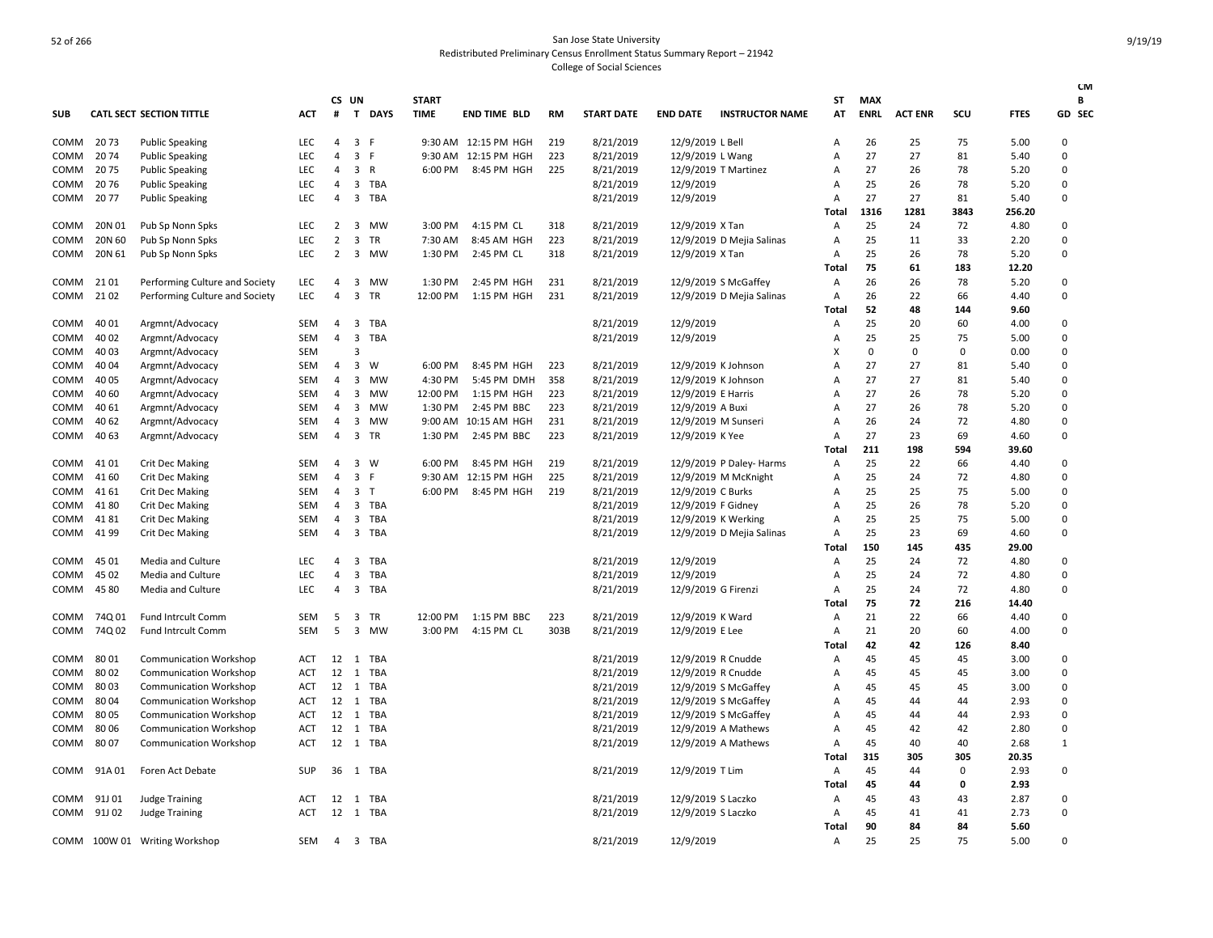|            |        |                                 |            |                | CS UN                   |              | <b>START</b> |                      |           |                   |                     |                           | ST             | <b>MAX</b>  |                |             |             | <b>CM</b><br>В |
|------------|--------|---------------------------------|------------|----------------|-------------------------|--------------|--------------|----------------------|-----------|-------------------|---------------------|---------------------------|----------------|-------------|----------------|-------------|-------------|----------------|
| <b>SUB</b> |        | <b>CATL SECT SECTION TITTLE</b> | ACT        | $\#$           |                         | T DAYS       | <b>TIME</b>  | <b>END TIME BLD</b>  | <b>RM</b> | <b>START DATE</b> | <b>END DATE</b>     | <b>INSTRUCTOR NAME</b>    | AT             | <b>ENRL</b> | <b>ACT ENR</b> | SCU         | <b>FTES</b> | GD SEC         |
| СОММ       | 2073   | <b>Public Speaking</b>          | LEC        | 4              | 3 F                     |              |              | 9:30 AM 12:15 PM HGH | 219       | 8/21/2019         | 12/9/2019 L Bell    |                           | Α              | 26          | 25             | 75          | 5.00        | $\Omega$       |
| COMM       | 2074   | <b>Public Speaking</b>          | <b>LEC</b> | $\overline{4}$ | 3 F                     |              |              | 9:30 AM 12:15 PM HGH | 223       | 8/21/2019         | 12/9/2019 L Wang    |                           | A              | 27          | 27             | 81          | 5.40        | $\Omega$       |
| COMM       | 2075   | <b>Public Speaking</b>          | LEC        | $\overline{4}$ | $\overline{3}$          | $\mathsf{R}$ | 6:00 PM      | 8:45 PM HGH          | 225       | 8/21/2019         |                     | 12/9/2019 T Martinez      | A              | 27          | 26             | 78          | 5.20        | $\Omega$       |
| сомм       | 2076   | <b>Public Speaking</b>          | LEC        | $\overline{4}$ | 3                       | TBA          |              |                      |           | 8/21/2019         | 12/9/2019           |                           | A              | 25          | 26             | 78          | 5.20        | $\Omega$       |
| COMM       | 2077   | <b>Public Speaking</b>          | LEC        | $\overline{4}$ | $\overline{3}$          | <b>TBA</b>   |              |                      |           | 8/21/2019         | 12/9/2019           |                           | A              | 27          | 27             | 81          | 5.40        | $\mathbf 0$    |
|            |        |                                 |            |                |                         |              |              |                      |           |                   |                     |                           | Total          | 1316        | 1281           | 3843        | 256.20      |                |
| COMM       | 20N 01 | Pub Sp Nonn Spks                | LEC        | $\overline{2}$ | 3                       | MW           | 3:00 PM      | 4:15 PM CL           | 318       | 8/21/2019         | 12/9/2019 X Tan     |                           | A              | 25          | 24             | 72          | 4.80        | $\Omega$       |
| сомм       | 20N 60 | Pub Sp Nonn Spks                | <b>LEC</b> | $\overline{2}$ | $\overline{\mathbf{3}}$ | <b>TR</b>    | 7:30 AM      | 8:45 AM HGH          | 223       | 8/21/2019         |                     | 12/9/2019 D Mejia Salinas | A              | 25          | 11             | 33          | 2.20        | $\Omega$       |
| COMM       | 20N 61 | Pub Sp Nonn Spks                | <b>LEC</b> | $\overline{2}$ | 3                       | MW           | 1:30 PM      | 2:45 PM CL           | 318       | 8/21/2019         | 12/9/2019 X Tan     |                           | $\overline{A}$ | 25          | 26             | 78          | 5.20        | $\Omega$       |
|            |        |                                 |            |                |                         |              |              |                      |           |                   |                     |                           | Total          | 75          | 61             | 183         | 12.20       |                |
| COMM       | 21 01  | Performing Culture and Society  | LEC        | $\overline{4}$ | 3                       | MW           | 1:30 PM      | 2:45 PM HGH          | 231       | 8/21/2019         |                     | 12/9/2019 S McGaffey      | Α              | 26          | 26             | 78          | 5.20        | $\Omega$       |
| COMM       | 21 02  | Performing Culture and Society  | LEC        | $\overline{4}$ | 3                       | TR           | 12:00 PM     | 1:15 PM HGH          | 231       | 8/21/2019         |                     | 12/9/2019 D Mejia Salinas | Α              | 26          | 22             | 66          | 4.40        | $\Omega$       |
|            |        |                                 |            |                |                         |              |              |                      |           |                   |                     |                           | Total          | 52          | 48             | 144         | 9.60        |                |
| COMM       | 40 01  | Argmnt/Advocacy                 | <b>SEM</b> | $\overline{4}$ | $\overline{\mathbf{3}}$ | <b>TBA</b>   |              |                      |           | 8/21/2019         | 12/9/2019           |                           | $\overline{A}$ | 25          | 20             | 60          | 4.00        | $\Omega$       |
| СОММ       | 40 02  | Argmnt/Advocacy                 | SEM        | $\overline{4}$ | $\overline{\mathbf{3}}$ | <b>TBA</b>   |              |                      |           | 8/21/2019         | 12/9/2019           |                           | A              | 25          | 25             | 75          | 5.00        | $\Omega$       |
| сомм       | 40 03  | Argmnt/Advocacy                 | SEM        |                | 3                       |              |              |                      |           |                   |                     |                           | x              | $\mathbf 0$ | $\mathbf 0$    | $\mathbf 0$ | 0.00        | $\Omega$       |
| COMM       | 40 04  | Argmnt/Advocacy                 | SEM        | $\overline{4}$ | 3                       | W            | 6:00 PM      | 8:45 PM HGH          | 223       | 8/21/2019         | 12/9/2019 K Johnson |                           | A              | 27          | 27             | 81          | 5.40        | $\Omega$       |
| СОММ       | 40 05  | Argmnt/Advocacy                 | SEM        | 4              | $\overline{\mathbf{3}}$ | MW           | 4:30 PM      | 5:45 PM DMH          | 358       | 8/21/2019         | 12/9/2019 K Johnson |                           | A              | 27          | 27             | 81          | 5.40        | $\Omega$       |
| сомм       | 40 60  | Argmnt/Advocacy                 | <b>SEM</b> | $\overline{4}$ | 3                       | <b>MW</b>    | 12:00 PM     | 1:15 PM HGH          | 223       | 8/21/2019         | 12/9/2019 E Harris  |                           | A              | 27          | 26             | 78          | 5.20        | $\Omega$       |
| СОММ       | 40 61  | Argmnt/Advocacy                 | <b>SEM</b> | 4              | 3                       | MW           | 1:30 PM      | 2:45 PM BBC          | 223       | 8/21/2019         | 12/9/2019 A Buxi    |                           | A              | 27          | 26             | 78          | 5.20        | $\Omega$       |
| COMM       | 40 62  | Argmnt/Advocacy                 | SEM        | 4              | $\overline{\mathbf{3}}$ | MW           | 9:00 AM      | 10:15 AM HGH         | 231       | 8/21/2019         | 12/9/2019 M Sunseri |                           | A              | 26          | 24             | 72          | 4.80        | $\Omega$       |
| COMM       | 40 63  | Argmnt/Advocacy                 | <b>SEM</b> | $\overline{4}$ | 3                       | <b>TR</b>    | 1:30 PM      | 2:45 PM BBC          | 223       | 8/21/2019         | 12/9/2019 K Yee     |                           | A              | 27          | 23             | 69          | 4.60        | $\Omega$       |
|            |        |                                 |            |                |                         |              |              |                      |           |                   |                     |                           | Total          | 211         | 198            | 594         | 39.60       |                |
| COMM       | 41 01  | <b>Crit Dec Making</b>          | SEM        | 4              |                         | 3 W          | 6:00 PM      | 8:45 PM HGH          | 219       | 8/21/2019         |                     | 12/9/2019 P Daley- Harms  | A              | 25          | 22             | 66          | 4.40        | $\Omega$       |
| COMM       | 41 60  | <b>Crit Dec Making</b>          | <b>SEM</b> | 4              | $\overline{3}$          | -F           | 9:30 AM      | 12:15 PM HGH         | 225       | 8/21/2019         |                     | 12/9/2019 M McKnight      | $\overline{A}$ | 25          | 24             | 72          | 4.80        | $\Omega$       |
| СОММ       | 41 61  | <b>Crit Dec Making</b>          | SEM        | $\overline{4}$ | $\overline{\mathbf{3}}$ | $\top$       | 6:00 PM      | 8:45 PM HGH          | 219       | 8/21/2019         | 12/9/2019 C Burks   |                           | A              | 25          | 25             | 75          | 5.00        | $\Omega$       |
| COMM       | 4180   | <b>Crit Dec Making</b>          | <b>SEM</b> | $\overline{4}$ | $\overline{3}$          | TBA          |              |                      |           | 8/21/2019         | 12/9/2019 F Gidney  |                           | $\overline{A}$ | 25          | 26             | 78          | 5.20        | $\Omega$       |
| СОММ       | 4181   | <b>Crit Dec Making</b>          | SEM        | 4              | 3                       | <b>TBA</b>   |              |                      |           | 8/21/2019         |                     | 12/9/2019 K Werking       | A              | 25          | 25             | 75          | 5.00        | $\Omega$       |
| COMM       | 41 99  | <b>Crit Dec Making</b>          | SEM        | 4              | $\overline{3}$          | <b>TBA</b>   |              |                      |           | 8/21/2019         |                     | 12/9/2019 D Mejia Salinas | Α              | 25          | 23             | 69          | 4.60        | $\Omega$       |
|            |        |                                 |            |                |                         |              |              |                      |           |                   |                     |                           | Total          | 150         | 145            | 435         | 29.00       |                |
| COMM       | 45 01  | Media and Culture               | LEC        | $\overline{4}$ | 3                       | <b>TBA</b>   |              |                      |           | 8/21/2019         | 12/9/2019           |                           | A              | 25          | 24             | 72          | 4.80        | $\Omega$       |
| COMM       | 45 02  | Media and Culture               | LEC        | 4              | 3                       | TBA          |              |                      |           | 8/21/2019         | 12/9/2019           |                           | A              | 25          | 24             | 72          | 4.80        | $\Omega$       |
| COMM       | 45 80  | Media and Culture               | LEC        | 4              | $\overline{\mathbf{3}}$ | TBA          |              |                      |           | 8/21/2019         | 12/9/2019 G Firenzi |                           | $\overline{A}$ | 25          | 24             | 72          | 4.80        | $\Omega$       |
|            |        |                                 |            |                |                         |              |              |                      |           |                   |                     |                           | Total          | 75          | 72             | 216         | 14.40       |                |
| COMM       | 74Q 01 | Fund Intrcult Comm              | SEM        | 5              | 3                       | TR           | 12:00 PM     | 1:15 PM BBC          | 223       | 8/21/2019         | 12/9/2019 K Ward    |                           | A              | 21          | 22             | 66          | 4.40        | $\Omega$       |
| COMM       | 74Q 02 | Fund Intrcult Comm              | <b>SEM</b> | 5              | $\overline{\mathbf{3}}$ | MW           | 3:00 PM      | 4:15 PM CL           | 303B      | 8/21/2019         | 12/9/2019 E Lee     |                           | Α              | 21          | 20             | 60          | 4.00        | 0              |
|            |        |                                 |            |                |                         |              |              |                      |           |                   |                     |                           | Total          | 42          | 42             | 126         | 8.40        |                |
| COMM       | 8001   | <b>Communication Workshop</b>   | ACT        | 12 1           |                         | TBA          |              |                      |           | 8/21/2019         | 12/9/2019 R Cnudde  |                           | A              | 45          | 45             | 45          | 3.00        | 0              |
| COMM       | 80 02  | <b>Communication Workshop</b>   | ACT        | 12             | 1                       | TBA          |              |                      |           | 8/21/2019         | 12/9/2019 R Cnudde  |                           | $\overline{A}$ | 45          | 45             | 45          | 3.00        | $\Omega$       |
| COMM       | 8003   | <b>Communication Workshop</b>   | <b>ACT</b> | 12             | 1                       | TBA          |              |                      |           | 8/21/2019         |                     | 12/9/2019 S McGaffey      | A              | 45          | 45             | 45          | 3.00        | $\mathbf 0$    |
| СОММ       | 80 04  | <b>Communication Workshop</b>   | <b>ACT</b> | 12 1           |                         | TBA          |              |                      |           | 8/21/2019         |                     | 12/9/2019 S McGaffey      | $\overline{A}$ | 45          | 44             | 44          | 2.93        | $\mathbf 0$    |
| СОММ       | 80 05  | <b>Communication Workshop</b>   | ACT        | 12             | 1                       | TBA          |              |                      |           | 8/21/2019         |                     | 12/9/2019 S McGaffey      | $\overline{A}$ | 45          | 44             | 44          | 2.93        | $\Omega$       |
| COMM       | 80 06  | <b>Communication Workshop</b>   | ACT        | 12             | 1                       | TBA          |              |                      |           | 8/21/2019         |                     | 12/9/2019 A Mathews       | A              | 45          | 42             | 42          | 2.80        | $\Omega$       |
| COMM       | 80 07  | <b>Communication Workshop</b>   | ACT        | 12 1           |                         | TBA          |              |                      |           | 8/21/2019         |                     | 12/9/2019 A Mathews       | A              | 45          | 40             | 40          | 2.68        | 1              |
|            |        |                                 |            |                |                         |              |              |                      |           |                   |                     |                           | Total          | 315         | 305            | 305         | 20.35       |                |
| COMM       | 91A01  | Foren Act Debate                | SUP        |                |                         | 36 1 TBA     |              |                      |           | 8/21/2019         | 12/9/2019 T Lim     |                           | Α              | 45          | 44             | 0           | 2.93        | $\Omega$       |
|            |        |                                 |            |                |                         |              |              |                      |           |                   |                     |                           | Total          | 45          | 44             | 0           | 2.93        |                |
| сомм       | 91J 01 | <b>Judge Training</b>           | ACT        | 12 1           |                         | TBA          |              |                      |           | 8/21/2019         | 12/9/2019 S Laczko  |                           | $\overline{A}$ | 45          | 43             | 43          | 2.87        | $\Omega$       |
| COMM       | 91J 02 | <b>Judge Training</b>           | ACT        |                |                         | 12 1 TBA     |              |                      |           | 8/21/2019         | 12/9/2019 S Laczko  |                           | $\overline{A}$ | 45          | 41             | 41          | 2.73        | 0              |
|            |        |                                 |            |                |                         |              |              |                      |           |                   |                     |                           | Total          | 90          | 84             | 84          | 5.60        |                |
|            |        | COMM 100W 01 Writing Workshop   | <b>SEM</b> | $\overline{4}$ |                         | 3 TBA        |              |                      |           | 8/21/2019         | 12/9/2019           |                           | Α              | 25          | 25             | 75          | 5.00        | $\Omega$       |
|            |        |                                 |            |                |                         |              |              |                      |           |                   |                     |                           |                |             |                |             |             |                |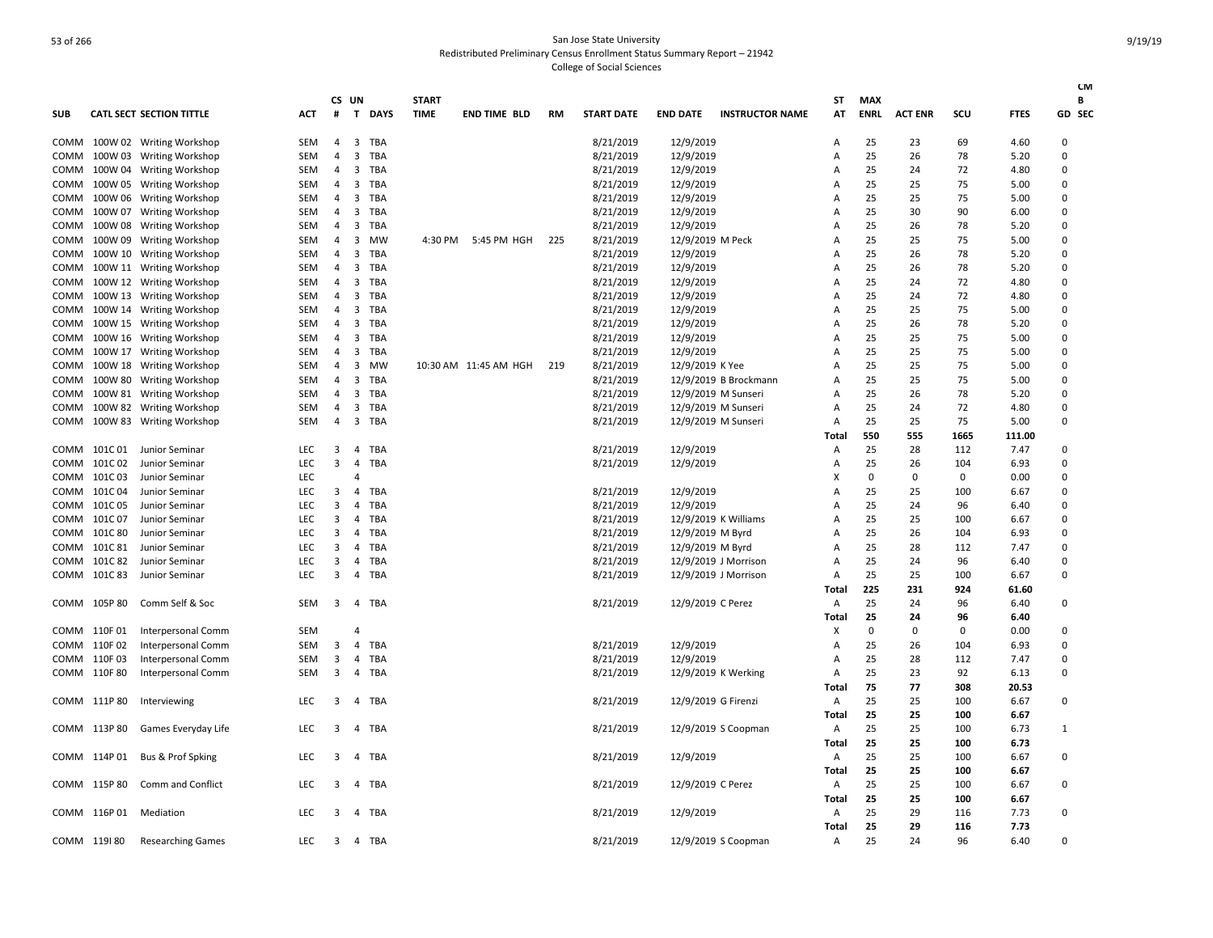| <b>SUB</b>  |              | <b>CATL SECT SECTION TITTLE</b> | <b>ACT</b> | #              | CS UN<br>$\mathsf{T}$   | <b>DAYS</b> | <b>START</b><br><b>TIME</b> | <b>END TIME BLD</b>   | <b>RM</b> | <b>START DATE</b> | <b>END DATE</b>     | <b>INSTRUCTOR NAME</b> | ST<br>AT | MAX<br><b>ENRL</b> | <b>ACT ENR</b> | SCU      | <b>FTES</b> | <b>CM</b><br>В<br>GD SEC |
|-------------|--------------|---------------------------------|------------|----------------|-------------------------|-------------|-----------------------------|-----------------------|-----------|-------------------|---------------------|------------------------|----------|--------------------|----------------|----------|-------------|--------------------------|
| COMM        |              | 100W 02 Writing Workshop        | SEM        | $\overline{a}$ | 3                       | TBA         |                             |                       |           | 8/21/2019         | 12/9/2019           |                        | A        | 25                 | 23             | 69       | 4.60        | 0                        |
| <b>COMM</b> |              | 100W 03 Writing Workshop        | SEM        | 4              | 3                       | TBA         |                             |                       |           | 8/21/2019         | 12/9/2019           |                        | Α        | 25                 | 26             | 78       | 5.20        | 0                        |
| COMM        |              | 100W 04 Writing Workshop        | SEM        | 4              | $\overline{\mathbf{3}}$ | TBA         |                             |                       |           | 8/21/2019         | 12/9/2019           |                        | A        | 25                 | 24             | 72       | 4.80        | 0                        |
| COMM        |              | 100W 05 Writing Workshop        | SEM        | 4              | 3                       | TBA         |                             |                       |           | 8/21/2019         | 12/9/2019           |                        | Α        | 25                 | 25             | 75       | 5.00        | $\Omega$                 |
| COMM        |              | 100W 06 Writing Workshop        | SEM        | $\overline{4}$ | $\overline{\mathbf{3}}$ | <b>TBA</b>  |                             |                       |           | 8/21/2019         | 12/9/2019           |                        | A        | 25                 | 25             | 75       | 5.00        | 0                        |
| COMM        |              | 100W 07 Writing Workshop        | SEM        | 4              | 3                       | TBA         |                             |                       |           | 8/21/2019         | 12/9/2019           |                        | A        | 25                 | 30             | 90       | 6.00        | $\Omega$                 |
| COMM        | 100W 08      | <b>Writing Workshop</b>         | SEM        | 4              | $\overline{\mathbf{3}}$ | <b>TBA</b>  |                             |                       |           | 8/21/2019         | 12/9/2019           |                        | A        | 25                 | 26             | 78       | 5.20        | 0                        |
| COMM        |              | 100W 09 Writing Workshop        | SEM        | 4              | 3                       | <b>MW</b>   | 4:30 PM                     | 5:45 PM HGH           | 225       | 8/21/2019         | 12/9/2019 M Peck    |                        | A        | 25                 | 25             | 75       | 5.00        | $\mathbf 0$              |
| COMM        |              | 100W 10 Writing Workshop        | SEM        | $\overline{4}$ | 3                       | <b>TBA</b>  |                             |                       |           | 8/21/2019         | 12/9/2019           |                        | A        | 25                 | 26             | 78       | 5.20        | 0                        |
| COMM        |              | 100W 11 Writing Workshop        | SEM        | 4              | $\overline{\mathbf{3}}$ | TBA         |                             |                       |           | 8/21/2019         | 12/9/2019           |                        | A        | 25                 | 26             | 78       | 5.20        | 0                        |
| COMM        |              | 100W 12 Writing Workshop        | <b>SEM</b> | $\overline{4}$ | 3                       | <b>TBA</b>  |                             |                       |           | 8/21/2019         | 12/9/2019           |                        | A        | 25                 | 24             | 72       | 4.80        | $\Omega$                 |
| COMM        |              | 100W 13 Writing Workshop        | SEM        | 4              | 3                       | TBA         |                             |                       |           | 8/21/2019         | 12/9/2019           |                        | A        | 25                 | 24             | 72       | 4.80        | 0                        |
| COMM        |              | 100W 14 Writing Workshop        | SEM        | $\overline{4}$ | $\overline{3}$          | TBA         |                             |                       |           | 8/21/2019         | 12/9/2019           |                        | A        | 25                 | 25             | 75       | 5.00        | 0                        |
| COMM        |              | 100W 15 Writing Workshop        | SEM        | 4              | 3                       | TBA         |                             |                       |           | 8/21/2019         | 12/9/2019           |                        | A        | 25                 | 26             | 78       | 5.20        | $\mathbf 0$              |
| COMM        |              | 100W 16 Writing Workshop        | SEM        | 4              | 3                       | TBA         |                             |                       |           | 8/21/2019         | 12/9/2019           |                        | Α        | 25                 | 25             | 75       | 5.00        | $\Omega$                 |
| COMM        |              | 100W 17 Writing Workshop        | SEM        | 4              | 3                       | TBA         |                             |                       |           | 8/21/2019         | 12/9/2019           |                        | A        | 25                 | 25             | 75       | 5.00        | 0                        |
| COMM        |              | 100W 18 Writing Workshop        | SEM        | 4              | 3                       | <b>MW</b>   |                             | 10:30 AM 11:45 AM HGH | 219       | 8/21/2019         | 12/9/2019 K Yee     |                        | A        | 25                 | 25             | 75       | 5.00        | 0                        |
| COMM        |              | 100W 80 Writing Workshop        | SEM        | 4              | $\overline{\mathbf{3}}$ | TBA         |                             |                       |           | 8/21/2019         |                     | 12/9/2019 B Brockmann  | A        | 25                 | 25             | 75       | 5.00        | 0                        |
| COMM        |              | 100W 81 Writing Workshop        | SEM        | $\overline{4}$ | 3                       | <b>TBA</b>  |                             |                       |           | 8/21/2019         | 12/9/2019 M Sunseri |                        | A        | 25                 | 26             | 78       | 5.20        | 0                        |
| COMM        |              | 100W 82 Writing Workshop        | SEM        | 4              | $\overline{\mathbf{3}}$ | TBA         |                             |                       |           | 8/21/2019         | 12/9/2019 M Sunseri |                        | Α        | 25                 | 24             | 72       | 4.80        | 0                        |
| COMM        |              | 100W 83 Writing Workshop        | SEM        | 4              | $\overline{\mathbf{3}}$ | <b>TBA</b>  |                             |                       |           | 8/21/2019         | 12/9/2019 M Sunseri |                        | Α        | 25                 | 25             | 75       | 5.00        | 0                        |
|             |              |                                 |            |                |                         |             |                             |                       |           |                   |                     |                        | Total    | 550                | 555            | 1665     | 111.00      |                          |
| COMM        | 101C 01      | Junior Seminar                  | LEC        | 3              | $\overline{4}$          | <b>TBA</b>  |                             |                       |           | 8/21/2019         | 12/9/2019           |                        | Α        | 25                 | 28             | 112      | 7.47        | 0                        |
| COMM        | 101C 02      | Junior Seminar                  | <b>LEC</b> | 3              | 4                       | TBA         |                             |                       |           | 8/21/2019         | 12/9/2019           |                        | Α        | 25                 | 26             | 104      | 6.93        | 0                        |
| COMM        | 101C03       | Junior Seminar                  | LEC        |                | 4                       |             |                             |                       |           |                   |                     |                        | X        | 0                  | $\mathbf 0$    | 0        | 0.00        | 0                        |
| COMM        | 101C04       | Junior Seminar                  | LEC        | 3              | 4                       | TBA         |                             |                       |           | 8/21/2019         | 12/9/2019           |                        | A        | 25                 | 25             | 100      | 6.67        | $\mathbf 0$              |
| COMM        | 101C 05      | Junior Seminar                  | <b>LEC</b> | 3              | $\overline{4}$          | <b>TBA</b>  |                             |                       |           | 8/21/2019         | 12/9/2019           |                        | A        | 25                 | 24             | 96       | 6.40        | 0                        |
| COMM        | 101C07       | Junior Seminar                  | <b>LEC</b> | 3              | 4                       | TBA         |                             |                       |           | 8/21/2019         |                     | 12/9/2019 K Williams   | A        | 25                 | 25             | 100      | 6.67        | $\mathbf 0$              |
| COMM        | 101C 80      | Junior Seminar                  | <b>LEC</b> | 3              | $\overline{4}$          | TBA         |                             |                       |           | 8/21/2019         | 12/9/2019 M Byrd    |                        | A        | 25                 | 26             | 104      | 6.93        | 0                        |
| COMM        | 101C 81      | Junior Seminar                  | LEC        | 3              | 4                       | TBA         |                             |                       |           | 8/21/2019         | 12/9/2019 M Byrd    |                        | A        | 25                 | 28             | 112      | 7.47        | $\mathbf 0$              |
| COMM        | 101C 82      | Junior Seminar                  | <b>LEC</b> | 3              | $\overline{4}$          | TBA         |                             |                       |           | 8/21/2019         |                     | 12/9/2019 J Morrison   | Α        | 25                 | 24             | 96       | 6.40        | 0                        |
| COMM        | 101C 83      | Junior Seminar                  | <b>LEC</b> | 3              | $\overline{4}$          | TBA         |                             |                       |           | 8/21/2019         |                     | 12/9/2019 J Morrison   | Α        | 25                 | 25             | 100      | 6.67        | 0                        |
|             |              |                                 |            |                |                         |             |                             |                       |           |                   |                     |                        | Total    | 225                | 231            | 924      | 61.60       |                          |
| COMM        | 105P80       | Comm Self & Soc                 | SEM        | 3              | 4                       | TBA         |                             |                       |           | 8/21/2019         | 12/9/2019 C Perez   |                        | Α        | 25                 | 24             | 96       | 6.40        | 0                        |
|             |              |                                 |            |                |                         |             |                             |                       |           |                   |                     |                        | Total    | 25                 | 24             | 96       | 6.40        |                          |
|             | COMM 110F01  | <b>Interpersonal Comm</b>       | <b>SEM</b> |                | 4                       |             |                             |                       |           |                   |                     |                        | X        | 0                  | $\mathbf 0$    | $\Omega$ | 0.00        | 0                        |
|             | COMM 110F02  | Interpersonal Comm              | SEM        | 3              | 4                       | <b>TBA</b>  |                             |                       |           | 8/21/2019         | 12/9/2019           |                        | Α        | 25                 | 26             | 104      | 6.93        | 0                        |
|             | COMM 110F 03 | Interpersonal Comm              | SEM        | 3              | 4                       | TBA         |                             |                       |           | 8/21/2019         | 12/9/2019           |                        | Α        | 25                 | 28             | 112      | 7.47        | 0                        |
|             | COMM 110F 80 | Interpersonal Comm              | SEM        | 3              | $\overline{4}$          | TBA         |                             |                       |           | 8/21/2019         | 12/9/2019 K Werking |                        | Α        | 25                 | 23             | 92       | 6.13        | 0                        |
|             |              |                                 |            |                |                         |             |                             |                       |           |                   |                     |                        | Total    | 75                 | 77             | 308      | 20.53       |                          |
|             | COMM 111P80  | Interviewing                    | LEC        | 3              | $\overline{4}$          | TBA         |                             |                       |           | 8/21/2019         | 12/9/2019 G Firenzi |                        | Α        | 25                 | 25             | 100      | 6.67        | 0                        |
|             |              |                                 |            |                |                         |             |                             |                       |           |                   |                     |                        | Total    | 25                 | 25             | 100      | 6.67        |                          |
|             | COMM 113P80  | Games Everyday Life             | LEC        | 3              | $\overline{4}$          | <b>TBA</b>  |                             |                       |           | 8/21/2019         |                     | 12/9/2019 S Coopman    | Α        | 25                 | 25             | 100      | 6.73        | 1                        |
|             |              |                                 |            |                |                         |             |                             |                       |           |                   |                     |                        | Total    | 25                 | 25             | 100      | 6.73        |                          |
|             | COMM 114P 01 | Bus & Prof Spking               | <b>LEC</b> | 3              | $\overline{4}$          | <b>TBA</b>  |                             |                       |           | 8/21/2019         | 12/9/2019           |                        | Α        | 25                 | 25             | 100      | 6.67        | 0                        |
|             |              |                                 |            |                |                         |             |                             |                       |           |                   |                     |                        | Total    | 25                 | 25             | 100      | 6.67        |                          |
|             | COMM 115P80  | Comm and Conflict               | LEC        | 3              | 4                       | <b>TBA</b>  |                             |                       |           | 8/21/2019         | 12/9/2019 C Perez   |                        | Α        | 25                 | 25             | 100      | 6.67        | 0                        |
|             |              |                                 |            |                |                         |             |                             |                       |           |                   |                     |                        | Total    | 25                 | 25             | 100      | 6.67        |                          |
|             | COMM 116P 01 | Mediation                       | <b>LEC</b> | 3              | 4                       | <b>TBA</b>  |                             |                       |           | 8/21/2019         | 12/9/2019           |                        | Α        | 25                 | 29             | 116      | 7.73        | 0                        |
|             |              |                                 |            |                |                         |             |                             |                       |           |                   |                     |                        | Total    | 25                 | 29             | 116      | 7.73        |                          |
|             | COMM 119180  | <b>Researching Games</b>        | LEC.       | 3              |                         | 4 TBA       |                             |                       |           | 8/21/2019         |                     | 12/9/2019 S Coopman    | Α        | 25                 | 24             | 96       | 6.40        | $\Omega$                 |
|             |              |                                 |            |                |                         |             |                             |                       |           |                   |                     |                        |          |                    |                |          |             |                          |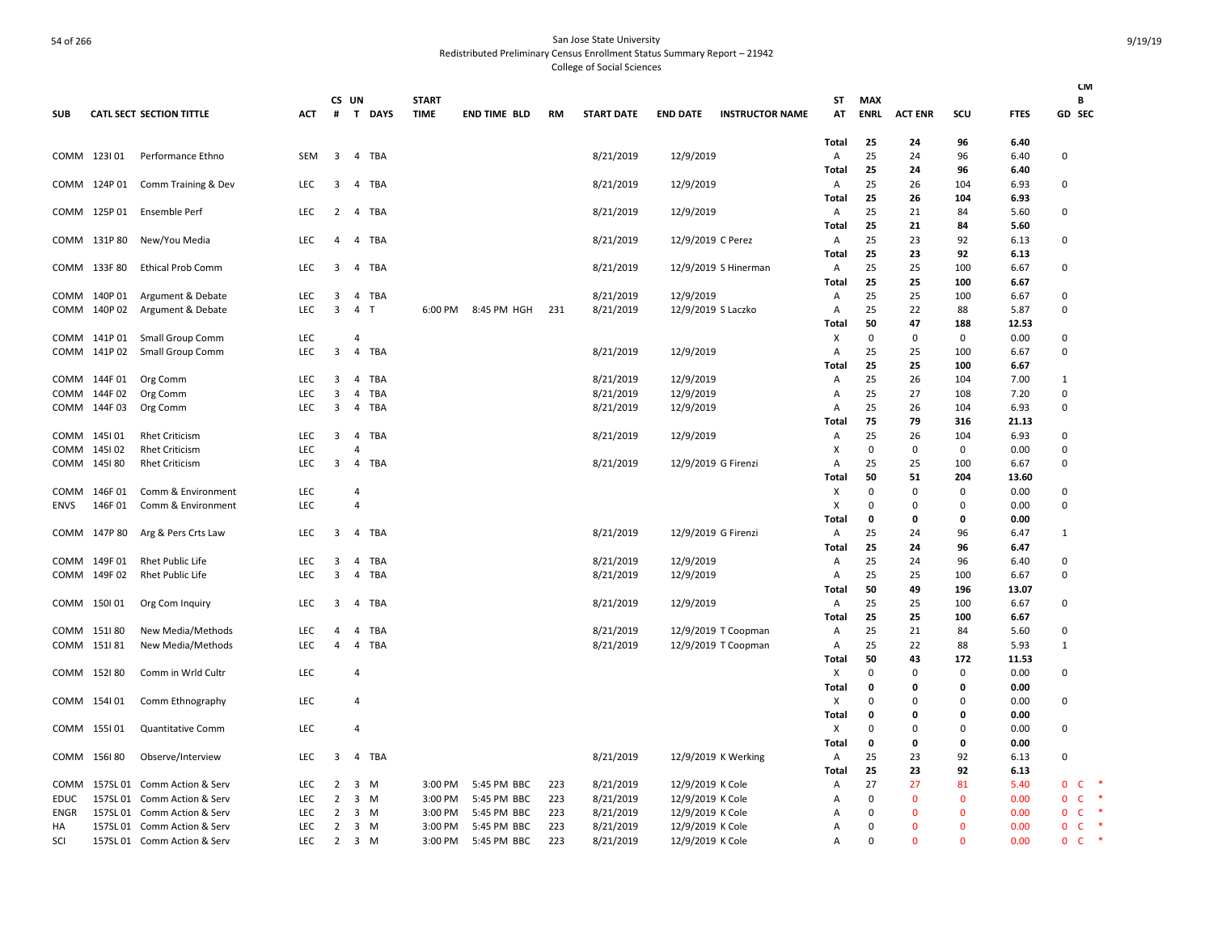|             |              |                                  |            |                         |                         |            |              |                     |           |                   |                   |                        |                         |                   |                   |              |               | <b>CM</b>          |
|-------------|--------------|----------------------------------|------------|-------------------------|-------------------------|------------|--------------|---------------------|-----------|-------------------|-------------------|------------------------|-------------------------|-------------------|-------------------|--------------|---------------|--------------------|
|             |              |                                  |            | CS UN                   |                         |            | <b>START</b> |                     |           |                   |                   |                        | ST                      | <b>MAX</b>        |                   |              |               | В                  |
| <b>SUB</b>  |              | <b>CATL SECT SECTION TITTLE</b>  | <b>ACT</b> | #                       |                         | T DAYS     | <b>TIME</b>  | <b>END TIME BLD</b> | <b>RM</b> | <b>START DATE</b> | <b>END DATE</b>   | <b>INSTRUCTOR NAME</b> | AT                      | <b>ENRL</b>       | <b>ACT ENR</b>    | SCU          | <b>FTES</b>   | GD SEC             |
|             |              |                                  |            |                         |                         |            |              |                     |           |                   |                   |                        | <b>Total</b>            | 25                | 24                | 96           | 6.40          |                    |
|             | COMM 123101  | Performance Ethno                | SEM        | $\overline{\mathbf{3}}$ |                         | 4 TBA      |              |                     |           | 8/21/2019         | 12/9/2019         |                        | A                       | 25                | 24                | 96           | 6.40          | $\Omega$           |
|             |              |                                  |            |                         |                         |            |              |                     |           |                   |                   |                        | <b>Total</b>            | 25                | 24                | 96           | 6.40          |                    |
|             | COMM 124P 01 | Comm Training & Dev              | <b>LEC</b> | 3                       | 4                       | TBA        |              |                     |           | 8/21/2019         | 12/9/2019         |                        | Α<br>Total              | 25<br>25          | 26<br>26          | 104<br>104   | 6.93<br>6.93  | $\Omega$           |
|             | COMM 125P 01 | Ensemble Perf                    | <b>LEC</b> | 2                       | 4                       | TBA        |              |                     |           | 8/21/2019         | 12/9/2019         |                        | Α                       | 25                | 21                | 84           | 5.60          | $\Omega$           |
|             |              |                                  |            |                         |                         |            |              |                     |           |                   |                   |                        | Total                   | 25                | 21                | 84           | 5.60          |                    |
|             | COMM 131P80  | New/You Media                    | <b>LEC</b> | $\overline{a}$          |                         | 4 TBA      |              |                     |           | 8/21/2019         | 12/9/2019 C Perez |                        | Α                       | 25                | 23                | 92           | 6.13          | 0                  |
|             |              |                                  |            |                         |                         |            |              |                     |           |                   |                   |                        | Total                   | 25                | 23                | 92           | 6.13          |                    |
|             | COMM 133F 80 | <b>Ethical Prob Comm</b>         | LEC        | 3                       | $\overline{4}$          | TBA        |              |                     |           | 8/21/2019         |                   | 12/9/2019 S Hinerman   | Α                       | 25                | 25                | 100          | 6.67          | 0                  |
|             |              |                                  |            |                         |                         |            |              |                     |           |                   |                   |                        | Total                   | 25                | 25                | 100          | 6.67          |                    |
|             | COMM 140P 01 | Argument & Debate                | <b>LEC</b> | 3                       | $\overline{4}$          | TBA        |              |                     |           | 8/21/2019         | 12/9/2019         |                        | Α                       | 25                | 25                | 100          | 6.67          | $\Omega$           |
|             | COMM 140P 02 | Argument & Debate                | <b>LEC</b> | 3                       | $\overline{4}$          | T          | 6:00 PM      | 8:45 PM HGH         | 231       | 8/21/2019         |                   | 12/9/2019 S Laczko     | Α                       | 25                | 22                | 88           | 5.87          | $\Omega$           |
|             | COMM 141P01  | Small Group Comm                 | LEC        |                         | $\overline{4}$          |            |              |                     |           |                   |                   |                        | Total<br>X              | 50<br>$\mathbf 0$ | 47<br>0           | 188<br>0     | 12.53<br>0.00 | 0                  |
|             | COMM 141P02  | Small Group Comm                 | <b>LEC</b> | $\overline{\mathbf{3}}$ | $\overline{4}$          | TBA        |              |                     |           | 8/21/2019         | 12/9/2019         |                        | Α                       | 25                | 25                | 100          | 6.67          | $\Omega$           |
|             |              |                                  |            |                         |                         |            |              |                     |           |                   |                   |                        | Total                   | 25                | 25                | 100          | 6.67          |                    |
|             | COMM 144F 01 | Org Comm                         | <b>LEC</b> | 3                       | $\overline{4}$          | <b>TBA</b> |              |                     |           | 8/21/2019         | 12/9/2019         |                        | Α                       | 25                | 26                | 104          | 7.00          | $\mathbf{1}$       |
|             | COMM 144F 02 | Org Comm                         | LEC        | 3                       | $\overline{4}$          | <b>TBA</b> |              |                     |           | 8/21/2019         | 12/9/2019         |                        | Α                       | 25                | 27                | 108          | 7.20          | 0                  |
|             | COMM 144F 03 | Org Comm                         | LEC        | 3                       | 4                       | <b>TBA</b> |              |                     |           | 8/21/2019         | 12/9/2019         |                        | Α                       | 25                | 26                | 104          | 6.93          | $\Omega$           |
|             |              |                                  |            |                         |                         |            |              |                     |           |                   |                   |                        | <b>Total</b>            | 75                | 79                | 316          | 21.13         |                    |
|             | COMM 145101  | <b>Rhet Criticism</b>            | LEC        | 3                       | 4                       | TBA        |              |                     |           | 8/21/2019         | 12/9/2019         |                        | Α                       | 25                | 26                | 104          | 6.93          | $\Omega$           |
|             | COMM 145102  | <b>Rhet Criticism</b>            | LEC        |                         | $\overline{a}$          |            |              |                     |           |                   |                   |                        | X                       | $\Omega$          | $\Omega$          | $\Omega$     | 0.00          | $\Omega$           |
|             | COMM 145180  | <b>Rhet Criticism</b>            | <b>LEC</b> | 3                       | $\overline{4}$          | TBA        |              |                     |           | 8/21/2019         |                   | 12/9/2019 G Firenzi    | Α<br>Total              | 25<br>50          | 25<br>51          | 100<br>204   | 6.67<br>13.60 | $\Omega$           |
|             | COMM 146F 01 | Comm & Environment               | LEC        |                         | $\overline{4}$          |            |              |                     |           |                   |                   |                        | X                       | $\mathbf 0$       | 0                 | 0            | 0.00          | $\Omega$           |
| <b>ENVS</b> | 146F01       | Comm & Environment               | LEC        |                         | $\overline{4}$          |            |              |                     |           |                   |                   |                        | X                       | 0                 | $\mathbf 0$       | 0            | 0.00          | 0                  |
|             |              |                                  |            |                         |                         |            |              |                     |           |                   |                   |                        | Total                   | 0                 | 0                 | 0            | 0.00          |                    |
|             | COMM 147P 80 | Arg & Pers Crts Law              | LEC        | 3                       | $\overline{4}$          | TBA        |              |                     |           | 8/21/2019         |                   | 12/9/2019 G Firenzi    | Α                       | 25                | 24                | 96           | 6.47          | $\mathbf{1}$       |
|             |              |                                  |            |                         |                         |            |              |                     |           |                   |                   |                        | Total                   | 25                | 24                | 96           | 6.47          |                    |
|             | COMM 149F 01 | Rhet Public Life                 | LEC        | 3                       | 4                       | <b>TBA</b> |              |                     |           | 8/21/2019         | 12/9/2019         |                        | Α                       | 25                | 24                | 96           | 6.40          | 0                  |
|             | COMM 149F 02 | Rhet Public Life                 | <b>LEC</b> | 3                       | $\overline{4}$          | TBA        |              |                     |           | 8/21/2019         | 12/9/2019         |                        | Α                       | 25                | 25                | 100          | 6.67          | $\Omega$           |
|             |              |                                  |            |                         |                         |            |              |                     |           |                   |                   |                        | Total                   | 50                | 49                | 196          | 13.07         |                    |
|             | COMM 150101  | Org Com Inquiry                  | <b>LEC</b> | 3                       | $\overline{4}$          | <b>TBA</b> |              |                     |           | 8/21/2019         | 12/9/2019         |                        | Α<br>Total              | 25<br>25          | 25<br>25          | 100<br>100   | 6.67<br>6.67  | $\Omega$           |
|             | COMM 151180  | New Media/Methods                | <b>LEC</b> | $\overline{a}$          | $\overline{4}$          | <b>TBA</b> |              |                     |           | 8/21/2019         |                   | 12/9/2019 T Coopman    | Α                       | 25                | 21                | 84           | 5.60          | $\Omega$           |
|             | COMM 151 81  | New Media/Methods                | <b>LEC</b> | 4                       | $\overline{4}$          | TBA        |              |                     |           | 8/21/2019         |                   | 12/9/2019 T Coopman    | Α                       | 25                | 22                | 88           | 5.93          | 1                  |
|             |              |                                  |            |                         |                         |            |              |                     |           |                   |                   |                        | Total                   | 50                | 43                | 172          | 11.53         |                    |
|             | COMM 152180  | Comm in Wrld Cultr               | LEC        |                         | $\overline{4}$          |            |              |                     |           |                   |                   |                        | X                       | 0                 | $\Omega$          | 0            | 0.00          | 0                  |
|             |              |                                  |            |                         |                         |            |              |                     |           |                   |                   |                        | Total                   | 0                 | 0                 | 0            | 0.00          |                    |
|             | COMM 154101  | Comm Ethnography                 | <b>LEC</b> |                         | $\overline{4}$          |            |              |                     |           |                   |                   |                        | X                       | $\Omega$          | $\Omega$          | 0            | 0.00          | $\Omega$           |
|             |              |                                  |            |                         |                         |            |              |                     |           |                   |                   |                        | Total                   | 0                 | 0                 | 0            | 0.00          |                    |
|             | COMM 155101  | <b>Quantitative Comm</b>         | <b>LEC</b> |                         | $\overline{4}$          |            |              |                     |           |                   |                   |                        | X                       | $\Omega$          | $\Omega$          | $\Omega$     | 0.00          | $\Omega$           |
|             | 156180       | Observe/Interview                | <b>LEC</b> | 3                       | $\overline{4}$          | <b>TBA</b> |              |                     |           | 8/21/2019         |                   | 12/9/2019 K Werking    | Total<br>$\overline{A}$ | $\mathbf 0$<br>25 | $\mathbf 0$<br>23 | 0<br>92      | 0.00<br>6.13  | $\Omega$           |
| COMM        |              |                                  |            |                         |                         |            |              |                     |           |                   |                   |                        | Total                   | 25                | 23                | 92           | 6.13          |                    |
|             |              | COMM 157SL 01 Comm Action & Serv | <b>LEC</b> | 2                       | $\overline{\mathbf{3}}$ | M          | 3:00 PM      | 5:45 PM BBC         | 223       | 8/21/2019         | 12/9/2019 K Cole  |                        | Α                       | 27                | 27                | 81           | 5.40          | 0<br><b>C</b>      |
| EDUC        |              | 157SL 01 Comm Action & Serv      | <b>LEC</b> | 2                       | $\overline{\mathbf{3}}$ | M          | 3:00 PM      | 5:45 PM BBC         | 223       | 8/21/2019         | 12/9/2019 K Cole  |                        | Α                       | 0                 | $\mathbf{0}$      | $\mathbf{0}$ | 0.00          | <b>C</b><br>*<br>0 |
| <b>ENGR</b> |              | 157SL 01 Comm Action & Serv      | LEC        | 2                       |                         | $3 \, M$   | 3:00 PM      | 5:45 PM BBC         | 223       | 8/21/2019         | 12/9/2019 K Cole  |                        | Α                       | 0                 | $\mathbf 0$       | $\mathbf 0$  | 0.00          | 0<br><b>C</b>      |
| НA          |              | 157SL 01 Comm Action & Serv      | <b>LEC</b> | 2                       | 3 M                     |            | 3:00 PM      | 5:45 PM BBC         | 223       | 8/21/2019         | 12/9/2019 K Cole  |                        | Α                       | 0                 | $\mathbf{0}$      | $\mathbf{0}$ | 0.00          | $\Omega$<br>C      |
| SCI         |              | 157SL 01 Comm Action & Serv      | LEC        | $\overline{2}$          | $3 \, M$                |            | 3:00 PM      | 5:45 PM BBC         | 223       | 8/21/2019         | 12/9/2019 K Cole  |                        | Α                       | $\mathbf 0$       | $\mathbf 0$       | $\mathbf 0$  | 0.00          | $\mathsf{C}$<br>0  |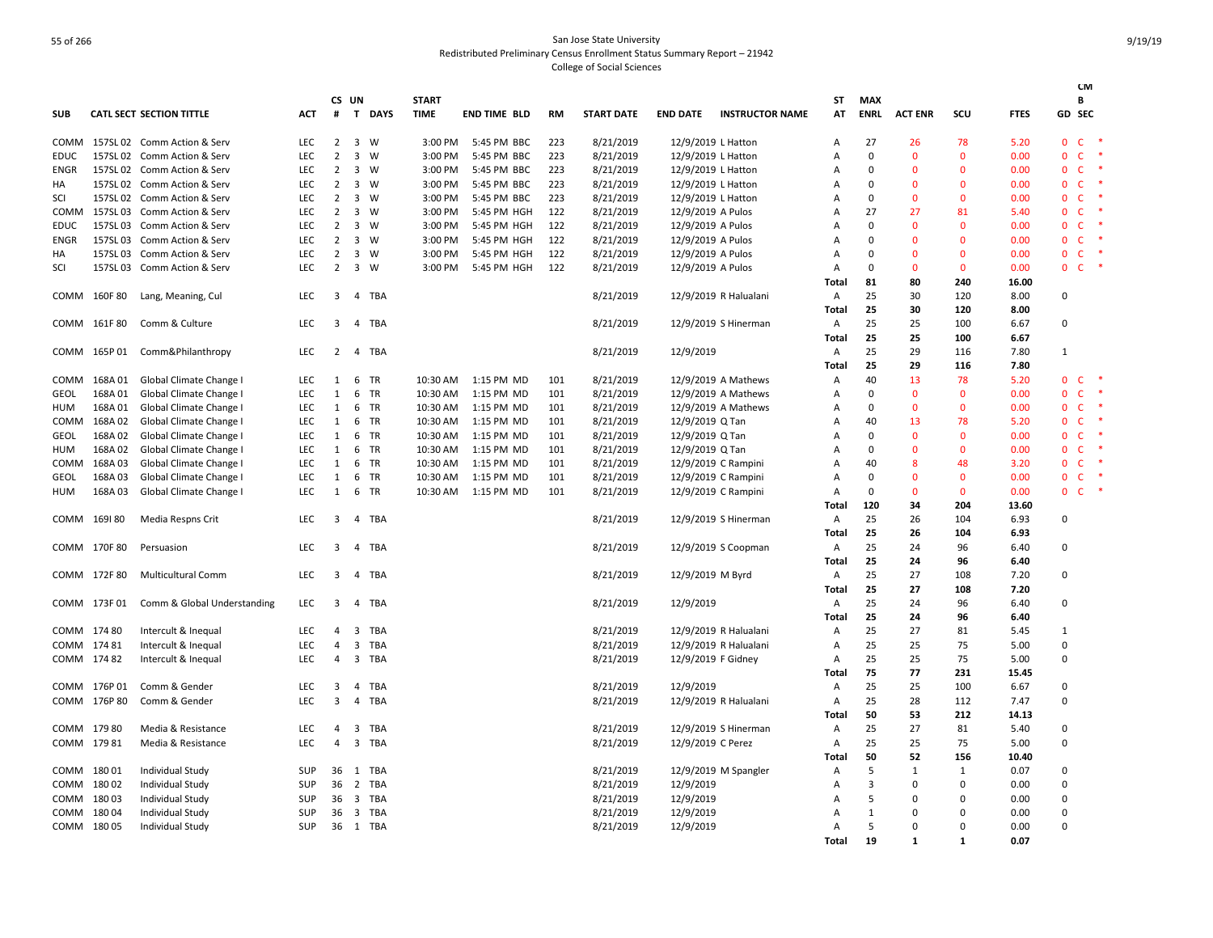|             |              |                                 |            |                |                         |            |              |                     |           |                   |                    |                        |                |              |                |               |             |                              | <b>CM</b> |
|-------------|--------------|---------------------------------|------------|----------------|-------------------------|------------|--------------|---------------------|-----------|-------------------|--------------------|------------------------|----------------|--------------|----------------|---------------|-------------|------------------------------|-----------|
|             |              |                                 |            |                | CS UN                   |            | <b>START</b> |                     |           |                   |                    |                        | ST             | <b>MAX</b>   |                |               |             | В                            |           |
| <b>SUB</b>  |              | <b>CATL SECT SECTION TITTLE</b> | <b>ACT</b> | #              |                         | T DAYS     | <b>TIME</b>  | <b>END TIME BLD</b> | <b>RM</b> | <b>START DATE</b> | <b>END DATE</b>    | <b>INSTRUCTOR NAME</b> | AT             | <b>ENRL</b>  | <b>ACT ENR</b> | scu           | <b>FTES</b> | GD SEC                       |           |
| COMM        |              | 157SL 02 Comm Action & Serv     | <b>LEC</b> | $\overline{2}$ |                         | 3 W        | 3:00 PM      | 5:45 PM BBC         | 223       | 8/21/2019         | 12/9/2019 L Hatton |                        | Α              | 27           | 26             | 78            | 5.20        | $\mathbf{0}$<br>$\mathsf{C}$ |           |
| <b>EDUC</b> |              | 157SL 02 Comm Action & Serv     | LEC        | $\overline{2}$ |                         | 3 W        | 3:00 PM      | 5:45 PM BBC         | 223       | 8/21/2019         | 12/9/2019 L Hatton |                        | Α              | $\mathbf 0$  | $\mathbf{0}$   | $\mathbf{0}$  | 0.00        | $\mathsf{C}$<br>$\mathbf{0}$ |           |
| ENGR        |              | 157SL 02 Comm Action & Serv     | <b>LEC</b> | $\overline{2}$ |                         | 3 W        | 3:00 PM      | 5:45 PM BBC         | 223       | 8/21/2019         | 12/9/2019 L Hatton |                        | Α              | $\Omega$     | $\mathbf{0}$   | $\mathbf{0}$  | 0.00        | $\mathsf{C}$<br>$\mathbf{0}$ |           |
| НA          |              | 157SL 02 Comm Action & Serv     | <b>LEC</b> | $\overline{2}$ |                         | 3 W        | 3:00 PM      | 5:45 PM BBC         | 223       | 8/21/2019         | 12/9/2019 L Hatton |                        | Α              | 0            | $\Omega$       | $\Omega$      | 0.00        | $\mathsf{C}$<br>$\mathbf{0}$ | $\ast$    |
| SCI         |              | 157SL 02 Comm Action & Serv     | <b>LEC</b> | 2              |                         | 3 W        | 3:00 PM      | 5:45 PM BBC         | 223       | 8/21/2019         | 12/9/2019 L Hatton |                        | A              | $\mathbf 0$  | $\mathbf{0}$   | $\Omega$      | 0.00        | $\mathsf{C}$<br>$\Omega$     |           |
| COMM        | 157SL03      | Comm Action & Serv              | <b>LEC</b> | $\overline{2}$ |                         | 3 W        | 3:00 PM      | 5:45 PM HGH         | 122       | 8/21/2019         | 12/9/2019 A Pulos  |                        | Α              | 27           | 27             | 81            | 5.40        | C.<br>$\Omega$               |           |
| <b>EDUC</b> | 157SL03      | Comm Action & Serv              | <b>LEC</b> | $\overline{2}$ |                         | 3 W        | 3:00 PM      | 5:45 PM HGH         | 122       | 8/21/2019         | 12/9/2019 A Pulos  |                        | A              | $\mathbf 0$  | $\Omega$       | $\mathbf{0}$  | 0.00        | $\Omega$<br>C.               |           |
| ENGR        |              | 157SL 03 Comm Action & Serv     | LEC        | $\overline{2}$ |                         | 3 W        | 3:00 PM      | 5:45 PM HGH         | 122       | 8/21/2019         | 12/9/2019 A Pulos  |                        | A              | $\mathbf 0$  | $\mathbf 0$    | $\mathbf 0$   | 0.00        | $\mathsf{C}$<br>$\mathbf{0}$ |           |
| НA          | 157SL03      | Comm Action & Serv              | <b>LEC</b> | 2              |                         | 3 W        | 3:00 PM      | 5:45 PM HGH         | 122       | 8/21/2019         | 12/9/2019 A Pulos  |                        | A              | 0            | $\mathbf{0}$   | $\mathbf{0}$  | 0.00        | $\Omega$<br>C                |           |
| SCI         |              | 157SL 03 Comm Action & Serv     | LEC        | $\overline{2}$ |                         | 3 W        | 3:00 PM      | 5:45 PM HGH         | 122       | 8/21/2019         | 12/9/2019 A Pulos  |                        | Α              | $\mathbf 0$  | $\mathbf 0$    | $\mathbf 0$   | 0.00        | $\mathbf 0$<br>$\mathsf{C}$  | $\ast$    |
|             |              |                                 |            |                |                         |            |              |                     |           |                   |                    |                        | Total          | 81           | 80             | 240           | 16.00       |                              |           |
|             | COMM 160F 80 | Lang, Meaning, Cul              | <b>LEC</b> | 3              |                         | 4 TBA      |              |                     |           | 8/21/2019         |                    | 12/9/2019 R Halualani  | Α              | 25           | 30             | 120           | 8.00        | $\Omega$                     |           |
|             |              |                                 |            |                |                         |            |              |                     |           |                   |                    |                        | Total          | 25           | 30             | 120           | 8.00        |                              |           |
|             | COMM 161F80  | Comm & Culture                  | <b>LEC</b> | 3              |                         | 4 TBA      |              |                     |           | 8/21/2019         |                    | 12/9/2019 S Hinerman   | Α              | 25           | 25             | 100           | 6.67        | $\Omega$                     |           |
|             |              |                                 |            |                |                         |            |              |                     |           |                   |                    |                        | Total          | 25           | 25             | 100           | 6.67        |                              |           |
|             | COMM 165P01  |                                 | <b>LEC</b> | $\overline{2}$ |                         | 4 TBA      |              |                     |           | 8/21/2019         | 12/9/2019          |                        | Α              | 25           | 29             | 116           | 7.80        | 1                            |           |
|             |              | Comm&Philanthropy               |            |                |                         |            |              |                     |           |                   |                    |                        |                | 25           | 29             |               |             |                              |           |
|             |              |                                 | <b>LEC</b> | 1              |                         |            | 10:30 AM     | 1:15 PM MD          |           |                   |                    |                        | Total          | 40           | 13             | 116<br>78     | 7.80        | $\Omega$<br>C.               |           |
|             | COMM 168A01  | Global Climate Change I         |            |                |                         | 6 TR       |              |                     | 101       | 8/21/2019         |                    | 12/9/2019 A Mathews    | Α              |              | $\mathbf{0}$   | $\mathbf 0$   | 5.20        | $\mathsf{C}$                 |           |
| GEOL        | 168A01       | Global Climate Change I         | <b>LEC</b> | $\mathbf{1}$   |                         | 6 TR       | 10:30 AM     | 1:15 PM MD          | 101       | 8/21/2019         |                    | 12/9/2019 A Mathews    | Α              | $\mathbf 0$  |                |               | 0.00        | $\mathbf{0}$                 |           |
| HUM         | 168A01       | Global Climate Change I         | <b>LEC</b> | 1              |                         | 6 TR       | 10:30 AM     | 1:15 PM MD          | 101       | 8/21/2019         |                    | 12/9/2019 A Mathews    | A              | $\mathbf{0}$ | $\Omega$       | $\mathbf{0}$  | 0.00        | $\Omega$<br>C                |           |
| COMM        | 168A02       | Global Climate Change I         | LEC        | $\mathbf{1}$   |                         | 6 TR       | 10:30 AM     | 1:15 PM MD          | 101       | 8/21/2019         | 12/9/2019 Q Tan    |                        | Α              | 40           | 13             | 78            | 5.20        | $\mathbf{0}$<br>$\mathsf{C}$ |           |
| GEOL        | 168A 02      | Global Climate Change I         | <b>LEC</b> | $\mathbf{1}$   |                         | 6 TR       | 10:30 AM     | 1:15 PM MD          | 101       | 8/21/2019         | 12/9/2019 Q Tan    |                        | A              | $\Omega$     | $\Omega$       | $\Omega$      | 0.00        | $\mathsf{C}$<br>$\Omega$     |           |
| HUM         | 168A02       | Global Climate Change I         | LEC        | 1              |                         | 6 TR       | 10:30 AM     | 1:15 PM MD          | 101       | 8/21/2019         | 12/9/2019 Q Tan    |                        | Α              | $\mathbf 0$  | $\mathbf{0}$   | $\mathbf 0$   | 0.00        | $\mathbf{0}$<br>$\mathsf{C}$ |           |
| COMM        | 168A 03      | Global Climate Change I         | <b>LEC</b> | 1              |                         | 6 TR       | 10:30 AM     | 1:15 PM MD          | 101       | 8/21/2019         |                    | 12/9/2019 C Rampini    | A              | 40           | -8             | 48            | 3.20        | $\mathbf{0}$<br>C.           |           |
| GEOL        | 168A03       | Global Climate Change I         | LEC        | 1              |                         | 6 TR       | 10:30 AM     | 1:15 PM MD          | 101       | 8/21/2019         |                    | 12/9/2019 C Rampini    | Α              | $\mathbf 0$  | $\mathbf 0$    | $\mathbf 0$   | 0.00        | $\mathbf 0$<br>$\mathsf{C}$  |           |
| HUM         | 168A03       | Global Climate Change I         | <b>LEC</b> | $\mathbf{1}$   |                         | 6 TR       | 10:30 AM     | 1:15 PM MD          | 101       | 8/21/2019         |                    | 12/9/2019 C Rampini    | A              | 0            | $\mathbf{0}$   | $\mathbf{0}$  | 0.00        | $\mathsf{C}$<br>$\mathbf{0}$ |           |
|             |              |                                 |            |                |                         |            |              |                     |           |                   |                    |                        | Total          | 120          | 34             | 204           | 13.60       |                              |           |
|             | COMM 169180  | Media Respns Crit               | <b>LEC</b> | 3              | $\overline{4}$          | TBA        |              |                     |           | 8/21/2019         |                    | 12/9/2019 S Hinerman   | $\overline{A}$ | 25           | 26             | 104           | 6.93        | $\Omega$                     |           |
|             |              |                                 |            |                |                         |            |              |                     |           |                   |                    |                        | Total          | 25           | 26             | 104           | 6.93        |                              |           |
|             | COMM 170F 80 | Persuasion                      | <b>LEC</b> | 3              |                         | 4 TBA      |              |                     |           | 8/21/2019         |                    | 12/9/2019 S Coopman    | Α              | 25           | 24             | 96            | 6.40        | $\Omega$                     |           |
|             |              |                                 |            |                |                         |            |              |                     |           |                   |                    |                        | Total          | 25           | 24             | 96            | 6.40        |                              |           |
|             | COMM 172F 80 | <b>Multicultural Comm</b>       | <b>LEC</b> | 3              |                         | 4 TBA      |              |                     |           | 8/21/2019         | 12/9/2019 M Byrd   |                        | Α              | 25           | 27             | 108           | 7.20        | $\Omega$                     |           |
|             |              |                                 |            |                |                         |            |              |                     |           |                   |                    |                        | Total          | 25           | 27             | 108           | 7.20        |                              |           |
|             | COMM 173F01  | Comm & Global Understanding     | <b>LEC</b> | 3              |                         | 4 TBA      |              |                     |           | 8/21/2019         | 12/9/2019          |                        | Α              | 25           | 24             | 96            | 6.40        | $\Omega$                     |           |
|             |              |                                 |            |                |                         |            |              |                     |           |                   |                    |                        | <b>Total</b>   | 25           | 24             | 96            | 6.40        |                              |           |
|             | COMM 174 80  | Intercult & Inequal             | <b>LEC</b> | 4              | 3                       | TBA        |              |                     |           | 8/21/2019         |                    | 12/9/2019 R Halualani  | Α              | 25           | 27             | 81            | 5.45        | 1                            |           |
| COMM 17481  |              | Intercult & Inequal             | <b>LEC</b> | 4              | $\overline{\mathbf{3}}$ | TBA        |              |                     |           | 8/21/2019         |                    | 12/9/2019 R Halualani  | A              | 25           | 25             | 75            | 5.00        | $\Omega$                     |           |
|             | COMM 174 82  | Intercult & Inequal             | <b>LEC</b> | 4              |                         | 3 TBA      |              |                     |           | 8/21/2019         | 12/9/2019 F Gidney |                        | Α              | 25           | 25             | 75            | 5.00        | $\Omega$                     |           |
|             |              |                                 |            |                |                         |            |              |                     |           |                   |                    |                        | <b>Total</b>   | 75           | 77             | 231           | 15.45       |                              |           |
|             | COMM 176P 01 | Comm & Gender                   | LEC        | 3              |                         | 4 TBA      |              |                     |           | 8/21/2019         | 12/9/2019          |                        | Α              | 25           | 25             | 100           | 6.67        | $\mathbf 0$                  |           |
|             | COMM 176P 80 | Comm & Gender                   | <b>LEC</b> | 3              | $\overline{4}$          | <b>TBA</b> |              |                     |           | 8/21/2019         |                    | 12/9/2019 R Halualani  | A              | 25           | 28             | 112           | 7.47        | $\Omega$                     |           |
|             |              |                                 |            |                |                         |            |              |                     |           |                   |                    |                        | <b>Total</b>   | 50           | 53             | 212           | 14.13       |                              |           |
|             | COMM 179 80  | Media & Resistance              | <b>LEC</b> | 4              | 3                       | TBA        |              |                     |           | 8/21/2019         |                    | 12/9/2019 S Hinerman   | Α              | 25           | 27             | 81            | 5.40        | $\Omega$                     |           |
|             | COMM 179 81  | Media & Resistance              | LEC        | $\overline{4}$ |                         | 3 TBA      |              |                     |           | 8/21/2019         | 12/9/2019 C Perez  |                        | Α              | 25           | 25             | 75            | 5.00        | $\mathbf 0$                  |           |
|             |              |                                 |            |                |                         |            |              |                     |           |                   |                    |                        | Total          | 50           | 52             | 156           | 10.40       |                              |           |
| COMM 180 01 |              | Individual Study                | <b>SUP</b> |                |                         | 36 1 TBA   |              |                     |           | 8/21/2019         |                    | 12/9/2019 M Spangler   | Α              | 5            | $\mathbf{1}$   | $\mathbf{1}$  | 0.07        | $\Omega$                     |           |
|             |              |                                 |            |                |                         |            |              |                     |           |                   |                    |                        |                | 3            | $\Omega$       | $\mathbf 0$   |             | $\Omega$                     |           |
| COMM        | 18002        | Individual Study                | <b>SUP</b> | 36             | $\overline{2}$          | <b>TBA</b> |              |                     |           | 8/21/2019         | 12/9/2019          |                        | A              |              | $\Omega$       |               | 0.00        | $\Omega$                     |           |
| COMM 18003  |              | Individual Study                | <b>SUP</b> | 36             | $\overline{\mathbf{3}}$ | TBA        |              |                     |           | 8/21/2019         | 12/9/2019          |                        | Α              | 5            | $\Omega$       | 0<br>$\Omega$ | 0.00        | $\Omega$                     |           |
| COMM        | 18004        | Individual Study                | <b>SUP</b> | 36             | $\overline{\mathbf{3}}$ | TBA        |              |                     |           | 8/21/2019         | 12/9/2019          |                        | A              | 1            |                |               | 0.00        |                              |           |
|             | COMM 180 05  | Individual Study                | <b>SUP</b> | 36             |                         | 1 TBA      |              |                     |           | 8/21/2019         | 12/9/2019          |                        | $\Delta$       | 5            | $\Omega$       | $\mathbf 0$   | 0.00        | $\Omega$                     |           |
|             |              |                                 |            |                |                         |            |              |                     |           |                   |                    |                        | Total          | 19           | 1              | $\mathbf{1}$  | 0.07        |                              |           |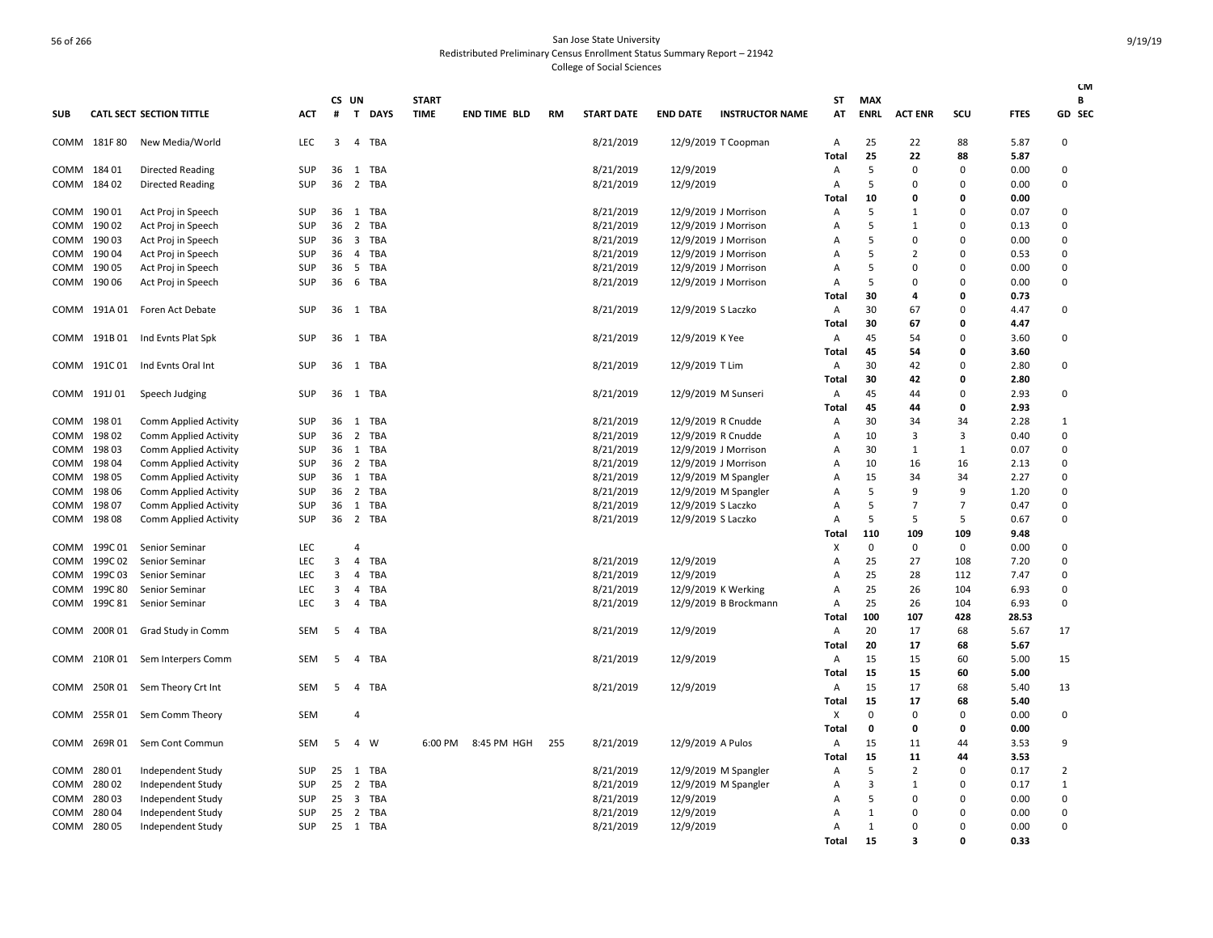|             |              |                                 |            |            |                         |             |                             |                     |     |                   |                    |                        |                |                           |                |                         |              | <b>CM</b>    |
|-------------|--------------|---------------------------------|------------|------------|-------------------------|-------------|-----------------------------|---------------------|-----|-------------------|--------------------|------------------------|----------------|---------------------------|----------------|-------------------------|--------------|--------------|
| <b>SUB</b>  |              | <b>CATL SECT SECTION TITTLE</b> | <b>ACT</b> | CS UN<br># | $\mathbf{T}$            | <b>DAYS</b> | <b>START</b><br><b>TIME</b> | <b>END TIME BLD</b> | RM  | <b>START DATE</b> | <b>END DATE</b>    | <b>INSTRUCTOR NAME</b> | ST<br>AT       | <b>MAX</b><br><b>ENRL</b> | <b>ACT ENR</b> | scu                     | <b>FTES</b>  | В<br>GD SEC  |
| COMM        | 181F 80      | New Media/World                 | <b>LEC</b> | 3          | $\overline{4}$          | <b>TBA</b>  |                             |                     |     | 8/21/2019         |                    | 12/9/2019 T Coopman    | A              | 25                        | 22             | 88                      | 5.87         | $\Omega$     |
|             |              |                                 |            |            |                         |             |                             |                     |     |                   |                    |                        | Total          | 25                        | 22             | 88                      | 5.87         |              |
| COMM        | 18401        | <b>Directed Reading</b>         | <b>SUP</b> | 36         | 1                       | TBA         |                             |                     |     | 8/21/2019         | 12/9/2019          |                        | Α              | 5                         | 0              | 0                       | 0.00         | $\Omega$     |
| COMM        | 18402        | Directed Reading                | SUP        | 36         |                         | 2 TBA       |                             |                     |     | 8/21/2019         | 12/9/2019          |                        | A              | 5                         | 0              | $\Omega$                | 0.00         | $\Omega$     |
|             |              |                                 |            |            |                         |             |                             |                     |     |                   |                    |                        | Total          | 10                        | 0              | 0                       | 0.00         |              |
| COMM        | 19001        | Act Proj in Speech              | SUP        | 36         | 1                       | <b>TBA</b>  |                             |                     |     | 8/21/2019         |                    | 12/9/2019 J Morrison   | A              | 5                         | 1              | $\Omega$                | 0.07         | $\Omega$     |
| COMM        | 190 02       | Act Proj in Speech              | SUP        | 36         | $\overline{2}$          | TBA         |                             |                     |     | 8/21/2019         |                    | 12/9/2019 J Morrison   | $\overline{A}$ | 5                         | $\mathbf{1}$   | $\Omega$                | 0.13         | $\mathbf 0$  |
| COMM        | 19003        | Act Proj in Speech              | SUP        | 36         | $\overline{\mathbf{3}}$ | <b>TBA</b>  |                             |                     |     | 8/21/2019         |                    | 12/9/2019 J Morrison   | $\overline{A}$ | 5                         | 0              | $\Omega$                | 0.00         | $\Omega$     |
| COMM        | 19004        | Act Proj in Speech              | SUP        | 36         | $\overline{4}$          | <b>TBA</b>  |                             |                     |     | 8/21/2019         |                    | 12/9/2019 J Morrison   | A              | 5                         | $\overline{2}$ | $\Omega$                | 0.53         | $\Omega$     |
| COMM        | 190 05       | Act Proj in Speech              | SUP        | 36         | 5                       | <b>TBA</b>  |                             |                     |     | 8/21/2019         |                    | 12/9/2019 J Morrison   | $\overline{A}$ | 5                         | 0              | $\Omega$                | 0.00         | $\Omega$     |
| COMM        | 190 06       | Act Proj in Speech              | SUP        | 36         | - 6                     | TBA         |                             |                     |     | 8/21/2019         |                    | 12/9/2019 J Morrison   | A              | 5                         | $\Omega$       | $\Omega$                | 0.00         | $\mathbf 0$  |
|             |              |                                 |            |            |                         |             |                             |                     |     |                   |                    |                        | Total          | 30                        | 4              | 0                       | 0.73         |              |
|             |              | COMM 191A 01 Foren Act Debate   | <b>SUP</b> |            |                         | 36 1 TBA    |                             |                     |     | 8/21/2019         | 12/9/2019 S Laczko |                        | A              | 30                        | 67             | $\Omega$                | 4.47         | 0            |
|             |              |                                 |            |            |                         |             |                             |                     |     |                   |                    |                        | Total          | 30                        | 67             | $\mathbf 0$             | 4.47         |              |
|             | COMM 191B 01 | Ind Evnts Plat Spk              | SUP        | 36         |                         | 1 TBA       |                             |                     |     | 8/21/2019         | 12/9/2019 K Yee    |                        | A              | 45                        | 54             | $\Omega$                | 3.60         | $\Omega$     |
|             | 191C 01      |                                 | <b>SUP</b> | 36         | 1                       | <b>TBA</b>  |                             |                     |     |                   |                    |                        | Total<br>A     | 45<br>30                  | 54<br>42       | $\mathbf 0$<br>$\Omega$ | 3.60<br>2.80 | $\Omega$     |
| COMM        |              | Ind Evnts Oral Int              |            |            |                         |             |                             |                     |     | 8/21/2019         | 12/9/2019 T Lim    |                        | Total          | 30                        | 42             | $\mathbf 0$             | 2.80         |              |
|             | COMM 191J01  | Speech Judging                  | SUP        | 36         | 1                       | TBA         |                             |                     |     | 8/21/2019         |                    | 12/9/2019 M Sunseri    | A              | 45                        | 44             | $\Omega$                | 2.93         | 0            |
|             |              |                                 |            |            |                         |             |                             |                     |     |                   |                    |                        | Total          | 45                        | 44             | $\mathbf 0$             | 2.93         |              |
| COMM        | 198 01       | <b>Comm Applied Activity</b>    | SUP        | 36         | 1                       | TBA         |                             |                     |     | 8/21/2019         |                    | 12/9/2019 R Cnudde     | A              | 30                        | 34             | 34                      | 2.28         | 1            |
| COMM        | 19802        | <b>Comm Applied Activity</b>    | SUP        | 36         | $\overline{2}$          | <b>TBA</b>  |                             |                     |     | 8/21/2019         | 12/9/2019 R Cnudde |                        | $\overline{A}$ | 10                        | 3              | 3                       | 0.40         | $\Omega$     |
| COMM        | 19803        | <b>Comm Applied Activity</b>    | SUP        | 36         | 1                       | <b>TBA</b>  |                             |                     |     | 8/21/2019         |                    | 12/9/2019 J Morrison   | A              | 30                        | $\mathbf{1}$   | 1                       | 0.07         | $\Omega$     |
| COMM        | 19804        | Comm Applied Activity           | <b>SUP</b> | 36         | $\overline{2}$          | <b>TBA</b>  |                             |                     |     | 8/21/2019         |                    | 12/9/2019 J Morrison   | $\overline{A}$ | 10                        | 16             | 16                      | 2.13         | $\Omega$     |
| COMM        | 19805        | <b>Comm Applied Activity</b>    | SUP        | 36         | 1                       | <b>TBA</b>  |                             |                     |     | 8/21/2019         |                    | 12/9/2019 M Spangler   | $\overline{A}$ | 15                        | 34             | 34                      | 2.27         | $\Omega$     |
| COMM        | 198 06       | <b>Comm Applied Activity</b>    | SUP        | 36         | $\overline{2}$          | <b>TBA</b>  |                             |                     |     | 8/21/2019         |                    | 12/9/2019 M Spangler   | $\overline{A}$ | 5                         | 9              | 9                       | 1.20         | $\mathbf 0$  |
| COMM        | 19807        | <b>Comm Applied Activity</b>    | SUP        | 36         | 1                       | TBA         |                             |                     |     | 8/21/2019         | 12/9/2019 S Laczko |                        | $\overline{A}$ | 5                         | $\overline{7}$ | $\overline{7}$          | 0.47         | $\Omega$     |
| COMM        | 19808        | <b>Comm Applied Activity</b>    | SUP        | 36         | $\overline{2}$          | <b>TBA</b>  |                             |                     |     | 8/21/2019         | 12/9/2019 S Laczko |                        | $\overline{A}$ | 5                         | 5              | 5                       | 0.67         | $\Omega$     |
|             |              |                                 |            |            |                         |             |                             |                     |     |                   |                    |                        | Total          | 110                       | 109            | 109                     | 9.48         |              |
| COMM        | 199C 01      | Senior Seminar                  | <b>LEC</b> |            | $\overline{4}$          |             |                             |                     |     |                   |                    |                        | х              | 0                         | 0              | 0                       | 0.00         | 0            |
| COMM        | 199C02       | Senior Seminar                  | LEC        | 3          | $\overline{4}$          | TBA         |                             |                     |     | 8/21/2019         | 12/9/2019          |                        | A              | 25                        | 27             | 108                     | 7.20         | $\Omega$     |
| COMM        | 199C 03      | Senior Seminar                  | <b>LEC</b> | 3          | $\overline{4}$          | <b>TBA</b>  |                             |                     |     | 8/21/2019         | 12/9/2019          |                        | A              | 25                        | 28             | 112                     | 7.47         | $\mathbf 0$  |
| COMM        | 199C 80      | Senior Seminar                  | <b>LEC</b> | 3          | 4                       | TBA         |                             |                     |     | 8/21/2019         |                    | 12/9/2019 K Werking    | $\overline{A}$ | 25                        | 26             | 104                     | 6.93         | $\Omega$     |
| COMM        | 199C 81      | Senior Seminar                  | LEC        | 3          | 4                       | <b>TBA</b>  |                             |                     |     | 8/21/2019         |                    | 12/9/2019 B Brockmann  | Α              | 25                        | 26             | 104                     | 6.93         | $\Omega$     |
|             |              |                                 |            |            |                         |             |                             |                     |     |                   |                    |                        | Total          | 100                       | 107            | 428                     | 28.53        |              |
| COMM        | 200R 01      | Grad Study in Comm              | SEM        | 5          | 4                       | <b>TBA</b>  |                             |                     |     | 8/21/2019         | 12/9/2019          |                        | Α              | 20                        | 17             | 68                      | 5.67         | 17           |
|             |              |                                 |            |            |                         |             |                             |                     |     |                   |                    |                        | Total          | 20                        | 17             | 68                      | 5.67         |              |
|             | COMM 210R 01 | Sem Interpers Comm              | SEM        | 5          | $\overline{4}$          | TBA         |                             |                     |     | 8/21/2019         | 12/9/2019          |                        | Α<br>Total     | 15<br>15                  | 15<br>15       | 60<br>60                | 5.00<br>5.00 | 15           |
|             | COMM 250R 01 | Sem Theory Crt Int              | SEM        | 5          | $\overline{4}$          | <b>TBA</b>  |                             |                     |     | 8/21/2019         | 12/9/2019          |                        | Α              | 15                        | 17             | 68                      | 5.40         | 13           |
|             |              |                                 |            |            |                         |             |                             |                     |     |                   |                    |                        | Total          | 15                        | 17             | 68                      | 5.40         |              |
| COMM        | 255R 01      | Sem Comm Theory                 | <b>SEM</b> |            | $\overline{4}$          |             |                             |                     |     |                   |                    |                        | х              | 0                         | 0              | 0                       | 0.00         | $\pmb{0}$    |
|             |              |                                 |            |            |                         |             |                             |                     |     |                   |                    |                        | Total          | 0                         | 0              | 0                       | 0.00         |              |
| COMM        | 269R 01      | Sem Cont Commun                 | SEM        | 5          | $\overline{4}$          | W           | 6:00 PM                     | 8:45 PM HGH         | 255 | 8/21/2019         | 12/9/2019 A Pulos  |                        | Α              | 15                        | 11             | 44                      | 3.53         | 9            |
|             |              |                                 |            |            |                         |             |                             |                     |     |                   |                    |                        | Total          | 15                        | 11             | 44                      | 3.53         |              |
| COMM        | 28001        | Independent Study               | <b>SUP</b> | 25 1       |                         | TBA         |                             |                     |     | 8/21/2019         |                    | 12/9/2019 M Spangler   | $\overline{A}$ | 5                         | $\overline{2}$ | $\Omega$                | 0.17         | 2            |
| COMM        | 28002        | Independent Study               | SUP        | 25         | 2                       | TBA         |                             |                     |     | 8/21/2019         |                    | 12/9/2019 M Spangler   | $\overline{A}$ | 3                         | $\mathbf{1}$   | $\Omega$                | 0.17         | $\mathbf{1}$ |
| COMM        | 28003        | Independent Study               | SUP        | 25         | $\overline{\mathbf{3}}$ | TBA         |                             |                     |     | 8/21/2019         | 12/9/2019          |                        | $\overline{A}$ | 5                         | 0              | 0                       | 0.00         | $\pmb{0}$    |
| COMM        | 28004        | Independent Study               | <b>SUP</b> | 25         | $\overline{2}$          | TBA         |                             |                     |     | 8/21/2019         | 12/9/2019          |                        | A              | 1                         | 0              | $\Omega$                | 0.00         | $\Omega$     |
| COMM 280 05 |              | Independent Study               | SUP        |            |                         | 25 1 TBA    |                             |                     |     | 8/21/2019         | 12/9/2019          |                        | $\overline{A}$ | $\mathbf{1}$              | $\Omega$       | $\Omega$                | 0.00         | $\Omega$     |
|             |              |                                 |            |            |                         |             |                             |                     |     |                   |                    |                        | Total          | 15                        | 3              | $\Omega$                | 0.33         |              |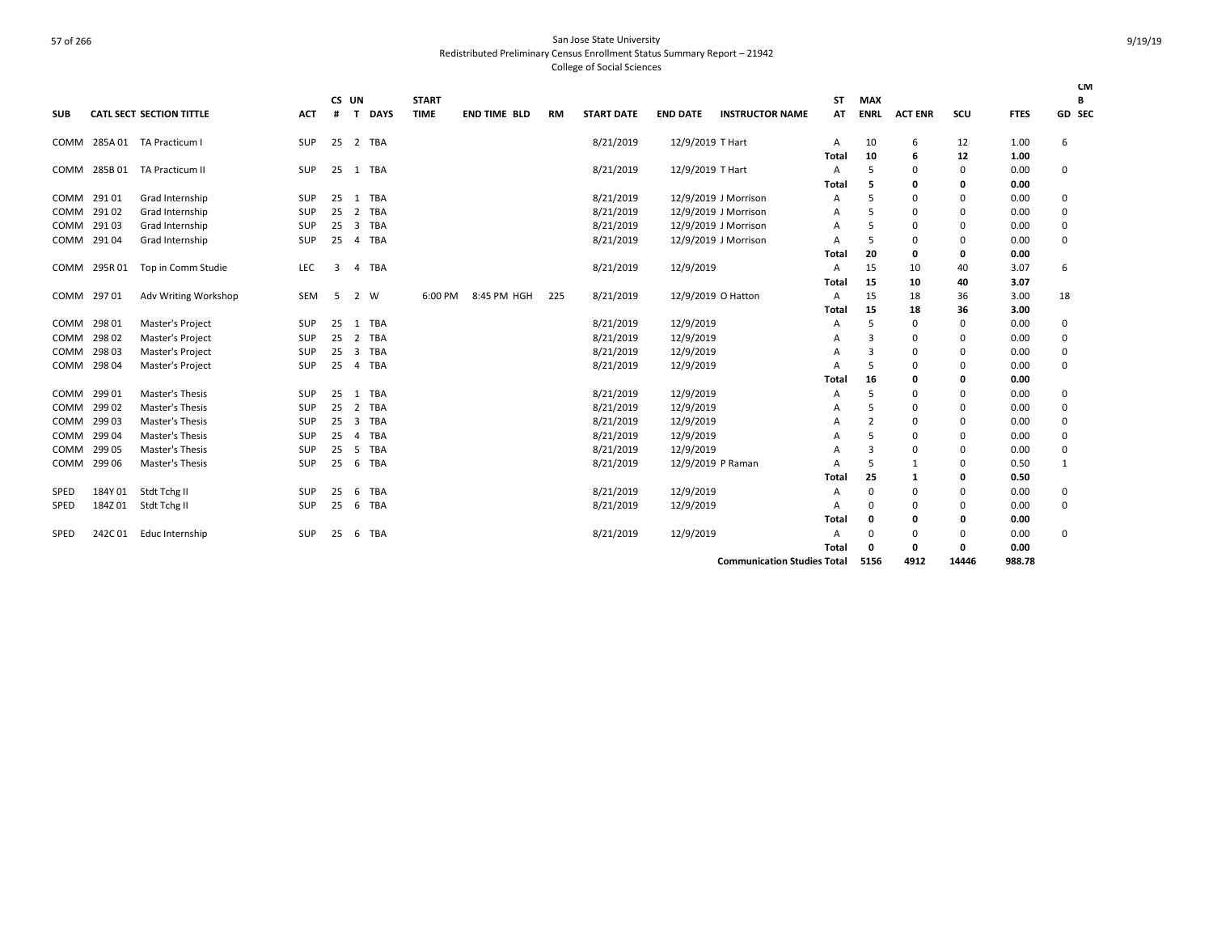| <b>START</b><br><b>MAX</b><br>CS UN<br><b>ST</b><br>В<br>GD SEC<br><b>SUB</b><br><b>CATL SECT SECTION TITTLE</b><br>$\mathbf{T}$<br><b>TIME</b><br><b>END TIME BLD</b><br><b>START DATE</b><br><b>END DATE</b><br><b>INSTRUCTOR NAME</b><br><b>ENRL</b><br><b>ACT ENR</b><br>scu<br><b>FTES</b><br><b>ACT</b><br><b>DAYS</b><br><b>RM</b><br>AT<br>#<br>12/9/2019 T Hart<br>2 TBA<br>8/21/2019<br>COMM 285A 01 TA Practicum I<br>SUP<br>25<br>$\mathsf{A}$<br>10<br>6<br>12<br>1.00<br>6<br>10<br><b>Total</b><br>6<br>12<br>1.00<br>COMM 285B 01 TA Practicum II<br>8/21/2019<br>12/9/2019 T Hart<br>0<br>SUP<br>25<br>1 TBA<br>5<br>$\Omega$<br>$\Omega$<br>0.00<br>A<br>Total<br>0.00<br>5<br>0<br>0<br>COMM 29101<br><b>TBA</b><br>8/21/2019<br>12/9/2019 J Morrison<br>0.00<br>Grad Internship<br>SUP<br>25<br>1<br>.5<br>0<br>0<br>0<br>A<br>29102<br><b>TBA</b><br>8/21/2019<br>12/9/2019 J Morrison<br>COMM<br>Grad Internship<br>SUP<br>25<br>$\overline{2}$<br>$\Omega$<br>0.00<br>0<br>$\Omega$<br>А<br>29103<br>8/21/2019<br>12/9/2019 J Morrison<br>Grad Internship<br>SUP<br>25<br>3<br><b>TBA</b><br>0.00<br>0<br>COMM<br>0<br>А<br>8/21/2019<br>29104<br>SUP<br>25<br><b>TBA</b><br>12/9/2019 J Morrison<br>0.00<br>0<br>COMM<br>Grad Internship<br>0<br>$\Omega$<br>$\overline{4}$<br>A<br>20<br>0.00<br>Total<br>0<br>0<br>8/21/2019<br>12/9/2019<br>15<br>COMM 295R 01<br>Top in Comm Studie<br>LEC<br><b>TBA</b><br>10<br>3.07<br>6<br>40<br>3<br>A<br>4<br>15<br>10<br>3.07<br>40<br>Total<br>12/9/2019 O Hatton<br>15<br>COMM 297 01<br>Adv Writing Workshop<br>2 W<br>8:45 PM HGH<br>8/21/2019<br>18<br>36<br>3.00<br>18<br>SEM<br>-5<br>6:00 PM<br>225<br>A<br>15<br>Total<br>18<br>36<br>3.00<br>12/9/2019<br>298 01<br>Master's Project<br>8/21/2019<br>0.00<br>COMM<br>SUP<br>25<br><b>TBA</b><br>5<br>0<br>0<br>-1<br>$\Omega$<br>Α<br><b>TBA</b><br>8/21/2019<br>12/9/2019<br>29802<br><b>Master's Project</b><br>SUP<br>25<br>$\overline{2}$<br>0.00<br>0<br><b>COMM</b><br>0<br>A<br>$\Omega$<br>8/21/2019<br>12/9/2019<br>29803<br><b>Master's Project</b><br><b>TBA</b><br>SUP<br>25<br>3<br>0.00<br>$\Omega$<br>COMM<br>3<br>$\Omega$<br>$\Omega$<br>А<br>8/21/2019<br>$\mathbf 0$<br>COMM 298 04<br>Master's Project<br>SUP<br>25<br><b>TBA</b><br>12/9/2019<br>5<br>0<br>0.00<br>$\overline{4}$<br>A<br>16<br>0.00<br>Total<br>0<br>0<br>12/9/2019<br>29901<br>Master's Thesis<br>25<br><b>TBA</b><br>8/21/2019<br>0.00<br>COMM<br>SUP<br>5<br>$\Omega$<br>1<br>0<br>$\Omega$<br>А<br>8/21/2019<br>29902<br>Master's Thesis<br>25<br>2<br><b>TBA</b><br>12/9/2019<br>0.00<br>0<br>COMM<br>SUP<br>$\Omega$<br>$\Omega$<br>A<br>29903<br>8/21/2019<br>12/9/2019<br>Master's Thesis<br>SUP<br>$\overline{\mathbf{3}}$<br><b>TBA</b><br>$\overline{2}$<br>0.00<br>COMM<br>25<br>0<br>0<br>A<br>8/21/2019<br>12/9/2019<br>29904<br>Master's Thesis<br>SUP<br><b>TBA</b><br>0.00<br><b>COMM</b><br>25<br>$\Omega$<br>$\Omega$<br>A<br>$\Omega$<br>$\overline{a}$<br>12/9/2019<br>299 05<br>Master's Thesis<br><b>TBA</b><br>8/21/2019<br>$\Omega$<br>SUP<br>25<br>-5<br>3<br>$\Omega$<br>0.00<br>COMM<br>A<br>$\Omega$<br>8/21/2019<br>299 06<br>Master's Thesis<br>SUP<br>25<br><b>TBA</b><br>12/9/2019 P Raman<br>5<br>0.50<br>$\mathbf{1}$<br>- 6<br>$\mathbf{1}$<br>0<br>COMM<br>25<br>Total<br>0.50<br>0<br>1<br>12/9/2019<br>Stdt Tchg II<br>8/21/2019<br>184Y 01<br>25<br>TBA<br>0<br>0.00<br><b>SPED</b><br>SUP<br>- 6<br>0<br>$\Omega$<br>0<br>А<br>184Z01<br>Stdt Tchg II<br>25<br><b>TBA</b><br>8/21/2019<br>12/9/2019<br>0.00<br>0<br><b>SPED</b><br>SUP<br>6<br>$\Omega$<br>$\Omega$<br>$\Omega$<br>А<br>0.00<br>Total<br>0<br>0<br>$\Omega$<br>8/21/2019<br>12/9/2019<br>TBA<br>0.00<br>SPED<br>242C01<br>Educ Internship<br>SUP<br>$\Omega$<br>$\Omega$<br>$\Omega$<br>25<br>6<br>$\Omega$<br>А<br>0.00<br>Total<br>0<br>0<br>0<br><b>Communication Studies Total</b> |  |  |  |  |  |  |  |      |      |       |        | <b>CM</b> |
|--------------------------------------------------------------------------------------------------------------------------------------------------------------------------------------------------------------------------------------------------------------------------------------------------------------------------------------------------------------------------------------------------------------------------------------------------------------------------------------------------------------------------------------------------------------------------------------------------------------------------------------------------------------------------------------------------------------------------------------------------------------------------------------------------------------------------------------------------------------------------------------------------------------------------------------------------------------------------------------------------------------------------------------------------------------------------------------------------------------------------------------------------------------------------------------------------------------------------------------------------------------------------------------------------------------------------------------------------------------------------------------------------------------------------------------------------------------------------------------------------------------------------------------------------------------------------------------------------------------------------------------------------------------------------------------------------------------------------------------------------------------------------------------------------------------------------------------------------------------------------------------------------------------------------------------------------------------------------------------------------------------------------------------------------------------------------------------------------------------------------------------------------------------------------------------------------------------------------------------------------------------------------------------------------------------------------------------------------------------------------------------------------------------------------------------------------------------------------------------------------------------------------------------------------------------------------------------------------------------------------------------------------------------------------------------------------------------------------------------------------------------------------------------------------------------------------------------------------------------------------------------------------------------------------------------------------------------------------------------------------------------------------------------------------------------------------------------------------------------------------------------------------------------------------------------------------------------------------------------------------------------------------------------------------------------------------------------------------------------------------------------------------------------------------------------------------------------------------------------------------------------------------------------------------------------------------------------------------------------------------------------------------------------------------------------------------------------------------------------------------------------------------------------------------------------------------------------------------------------------------------------------------------------------|--|--|--|--|--|--|--|------|------|-------|--------|-----------|
|                                                                                                                                                                                                                                                                                                                                                                                                                                                                                                                                                                                                                                                                                                                                                                                                                                                                                                                                                                                                                                                                                                                                                                                                                                                                                                                                                                                                                                                                                                                                                                                                                                                                                                                                                                                                                                                                                                                                                                                                                                                                                                                                                                                                                                                                                                                                                                                                                                                                                                                                                                                                                                                                                                                                                                                                                                                                                                                                                                                                                                                                                                                                                                                                                                                                                                                                                                                                                                                                                                                                                                                                                                                                                                                                                                                                                                                                                                                    |  |  |  |  |  |  |  |      |      |       |        |           |
|                                                                                                                                                                                                                                                                                                                                                                                                                                                                                                                                                                                                                                                                                                                                                                                                                                                                                                                                                                                                                                                                                                                                                                                                                                                                                                                                                                                                                                                                                                                                                                                                                                                                                                                                                                                                                                                                                                                                                                                                                                                                                                                                                                                                                                                                                                                                                                                                                                                                                                                                                                                                                                                                                                                                                                                                                                                                                                                                                                                                                                                                                                                                                                                                                                                                                                                                                                                                                                                                                                                                                                                                                                                                                                                                                                                                                                                                                                                    |  |  |  |  |  |  |  |      |      |       |        |           |
|                                                                                                                                                                                                                                                                                                                                                                                                                                                                                                                                                                                                                                                                                                                                                                                                                                                                                                                                                                                                                                                                                                                                                                                                                                                                                                                                                                                                                                                                                                                                                                                                                                                                                                                                                                                                                                                                                                                                                                                                                                                                                                                                                                                                                                                                                                                                                                                                                                                                                                                                                                                                                                                                                                                                                                                                                                                                                                                                                                                                                                                                                                                                                                                                                                                                                                                                                                                                                                                                                                                                                                                                                                                                                                                                                                                                                                                                                                                    |  |  |  |  |  |  |  |      |      |       |        |           |
|                                                                                                                                                                                                                                                                                                                                                                                                                                                                                                                                                                                                                                                                                                                                                                                                                                                                                                                                                                                                                                                                                                                                                                                                                                                                                                                                                                                                                                                                                                                                                                                                                                                                                                                                                                                                                                                                                                                                                                                                                                                                                                                                                                                                                                                                                                                                                                                                                                                                                                                                                                                                                                                                                                                                                                                                                                                                                                                                                                                                                                                                                                                                                                                                                                                                                                                                                                                                                                                                                                                                                                                                                                                                                                                                                                                                                                                                                                                    |  |  |  |  |  |  |  |      |      |       |        |           |
|                                                                                                                                                                                                                                                                                                                                                                                                                                                                                                                                                                                                                                                                                                                                                                                                                                                                                                                                                                                                                                                                                                                                                                                                                                                                                                                                                                                                                                                                                                                                                                                                                                                                                                                                                                                                                                                                                                                                                                                                                                                                                                                                                                                                                                                                                                                                                                                                                                                                                                                                                                                                                                                                                                                                                                                                                                                                                                                                                                                                                                                                                                                                                                                                                                                                                                                                                                                                                                                                                                                                                                                                                                                                                                                                                                                                                                                                                                                    |  |  |  |  |  |  |  |      |      |       |        |           |
|                                                                                                                                                                                                                                                                                                                                                                                                                                                                                                                                                                                                                                                                                                                                                                                                                                                                                                                                                                                                                                                                                                                                                                                                                                                                                                                                                                                                                                                                                                                                                                                                                                                                                                                                                                                                                                                                                                                                                                                                                                                                                                                                                                                                                                                                                                                                                                                                                                                                                                                                                                                                                                                                                                                                                                                                                                                                                                                                                                                                                                                                                                                                                                                                                                                                                                                                                                                                                                                                                                                                                                                                                                                                                                                                                                                                                                                                                                                    |  |  |  |  |  |  |  |      |      |       |        |           |
|                                                                                                                                                                                                                                                                                                                                                                                                                                                                                                                                                                                                                                                                                                                                                                                                                                                                                                                                                                                                                                                                                                                                                                                                                                                                                                                                                                                                                                                                                                                                                                                                                                                                                                                                                                                                                                                                                                                                                                                                                                                                                                                                                                                                                                                                                                                                                                                                                                                                                                                                                                                                                                                                                                                                                                                                                                                                                                                                                                                                                                                                                                                                                                                                                                                                                                                                                                                                                                                                                                                                                                                                                                                                                                                                                                                                                                                                                                                    |  |  |  |  |  |  |  |      |      |       |        |           |
|                                                                                                                                                                                                                                                                                                                                                                                                                                                                                                                                                                                                                                                                                                                                                                                                                                                                                                                                                                                                                                                                                                                                                                                                                                                                                                                                                                                                                                                                                                                                                                                                                                                                                                                                                                                                                                                                                                                                                                                                                                                                                                                                                                                                                                                                                                                                                                                                                                                                                                                                                                                                                                                                                                                                                                                                                                                                                                                                                                                                                                                                                                                                                                                                                                                                                                                                                                                                                                                                                                                                                                                                                                                                                                                                                                                                                                                                                                                    |  |  |  |  |  |  |  |      |      |       |        |           |
|                                                                                                                                                                                                                                                                                                                                                                                                                                                                                                                                                                                                                                                                                                                                                                                                                                                                                                                                                                                                                                                                                                                                                                                                                                                                                                                                                                                                                                                                                                                                                                                                                                                                                                                                                                                                                                                                                                                                                                                                                                                                                                                                                                                                                                                                                                                                                                                                                                                                                                                                                                                                                                                                                                                                                                                                                                                                                                                                                                                                                                                                                                                                                                                                                                                                                                                                                                                                                                                                                                                                                                                                                                                                                                                                                                                                                                                                                                                    |  |  |  |  |  |  |  |      |      |       |        |           |
|                                                                                                                                                                                                                                                                                                                                                                                                                                                                                                                                                                                                                                                                                                                                                                                                                                                                                                                                                                                                                                                                                                                                                                                                                                                                                                                                                                                                                                                                                                                                                                                                                                                                                                                                                                                                                                                                                                                                                                                                                                                                                                                                                                                                                                                                                                                                                                                                                                                                                                                                                                                                                                                                                                                                                                                                                                                                                                                                                                                                                                                                                                                                                                                                                                                                                                                                                                                                                                                                                                                                                                                                                                                                                                                                                                                                                                                                                                                    |  |  |  |  |  |  |  |      |      |       |        |           |
|                                                                                                                                                                                                                                                                                                                                                                                                                                                                                                                                                                                                                                                                                                                                                                                                                                                                                                                                                                                                                                                                                                                                                                                                                                                                                                                                                                                                                                                                                                                                                                                                                                                                                                                                                                                                                                                                                                                                                                                                                                                                                                                                                                                                                                                                                                                                                                                                                                                                                                                                                                                                                                                                                                                                                                                                                                                                                                                                                                                                                                                                                                                                                                                                                                                                                                                                                                                                                                                                                                                                                                                                                                                                                                                                                                                                                                                                                                                    |  |  |  |  |  |  |  |      |      |       |        |           |
|                                                                                                                                                                                                                                                                                                                                                                                                                                                                                                                                                                                                                                                                                                                                                                                                                                                                                                                                                                                                                                                                                                                                                                                                                                                                                                                                                                                                                                                                                                                                                                                                                                                                                                                                                                                                                                                                                                                                                                                                                                                                                                                                                                                                                                                                                                                                                                                                                                                                                                                                                                                                                                                                                                                                                                                                                                                                                                                                                                                                                                                                                                                                                                                                                                                                                                                                                                                                                                                                                                                                                                                                                                                                                                                                                                                                                                                                                                                    |  |  |  |  |  |  |  |      |      |       |        |           |
|                                                                                                                                                                                                                                                                                                                                                                                                                                                                                                                                                                                                                                                                                                                                                                                                                                                                                                                                                                                                                                                                                                                                                                                                                                                                                                                                                                                                                                                                                                                                                                                                                                                                                                                                                                                                                                                                                                                                                                                                                                                                                                                                                                                                                                                                                                                                                                                                                                                                                                                                                                                                                                                                                                                                                                                                                                                                                                                                                                                                                                                                                                                                                                                                                                                                                                                                                                                                                                                                                                                                                                                                                                                                                                                                                                                                                                                                                                                    |  |  |  |  |  |  |  |      |      |       |        |           |
|                                                                                                                                                                                                                                                                                                                                                                                                                                                                                                                                                                                                                                                                                                                                                                                                                                                                                                                                                                                                                                                                                                                                                                                                                                                                                                                                                                                                                                                                                                                                                                                                                                                                                                                                                                                                                                                                                                                                                                                                                                                                                                                                                                                                                                                                                                                                                                                                                                                                                                                                                                                                                                                                                                                                                                                                                                                                                                                                                                                                                                                                                                                                                                                                                                                                                                                                                                                                                                                                                                                                                                                                                                                                                                                                                                                                                                                                                                                    |  |  |  |  |  |  |  |      |      |       |        |           |
|                                                                                                                                                                                                                                                                                                                                                                                                                                                                                                                                                                                                                                                                                                                                                                                                                                                                                                                                                                                                                                                                                                                                                                                                                                                                                                                                                                                                                                                                                                                                                                                                                                                                                                                                                                                                                                                                                                                                                                                                                                                                                                                                                                                                                                                                                                                                                                                                                                                                                                                                                                                                                                                                                                                                                                                                                                                                                                                                                                                                                                                                                                                                                                                                                                                                                                                                                                                                                                                                                                                                                                                                                                                                                                                                                                                                                                                                                                                    |  |  |  |  |  |  |  |      |      |       |        |           |
|                                                                                                                                                                                                                                                                                                                                                                                                                                                                                                                                                                                                                                                                                                                                                                                                                                                                                                                                                                                                                                                                                                                                                                                                                                                                                                                                                                                                                                                                                                                                                                                                                                                                                                                                                                                                                                                                                                                                                                                                                                                                                                                                                                                                                                                                                                                                                                                                                                                                                                                                                                                                                                                                                                                                                                                                                                                                                                                                                                                                                                                                                                                                                                                                                                                                                                                                                                                                                                                                                                                                                                                                                                                                                                                                                                                                                                                                                                                    |  |  |  |  |  |  |  |      |      |       |        |           |
|                                                                                                                                                                                                                                                                                                                                                                                                                                                                                                                                                                                                                                                                                                                                                                                                                                                                                                                                                                                                                                                                                                                                                                                                                                                                                                                                                                                                                                                                                                                                                                                                                                                                                                                                                                                                                                                                                                                                                                                                                                                                                                                                                                                                                                                                                                                                                                                                                                                                                                                                                                                                                                                                                                                                                                                                                                                                                                                                                                                                                                                                                                                                                                                                                                                                                                                                                                                                                                                                                                                                                                                                                                                                                                                                                                                                                                                                                                                    |  |  |  |  |  |  |  |      |      |       |        |           |
|                                                                                                                                                                                                                                                                                                                                                                                                                                                                                                                                                                                                                                                                                                                                                                                                                                                                                                                                                                                                                                                                                                                                                                                                                                                                                                                                                                                                                                                                                                                                                                                                                                                                                                                                                                                                                                                                                                                                                                                                                                                                                                                                                                                                                                                                                                                                                                                                                                                                                                                                                                                                                                                                                                                                                                                                                                                                                                                                                                                                                                                                                                                                                                                                                                                                                                                                                                                                                                                                                                                                                                                                                                                                                                                                                                                                                                                                                                                    |  |  |  |  |  |  |  |      |      |       |        |           |
|                                                                                                                                                                                                                                                                                                                                                                                                                                                                                                                                                                                                                                                                                                                                                                                                                                                                                                                                                                                                                                                                                                                                                                                                                                                                                                                                                                                                                                                                                                                                                                                                                                                                                                                                                                                                                                                                                                                                                                                                                                                                                                                                                                                                                                                                                                                                                                                                                                                                                                                                                                                                                                                                                                                                                                                                                                                                                                                                                                                                                                                                                                                                                                                                                                                                                                                                                                                                                                                                                                                                                                                                                                                                                                                                                                                                                                                                                                                    |  |  |  |  |  |  |  |      |      |       |        |           |
|                                                                                                                                                                                                                                                                                                                                                                                                                                                                                                                                                                                                                                                                                                                                                                                                                                                                                                                                                                                                                                                                                                                                                                                                                                                                                                                                                                                                                                                                                                                                                                                                                                                                                                                                                                                                                                                                                                                                                                                                                                                                                                                                                                                                                                                                                                                                                                                                                                                                                                                                                                                                                                                                                                                                                                                                                                                                                                                                                                                                                                                                                                                                                                                                                                                                                                                                                                                                                                                                                                                                                                                                                                                                                                                                                                                                                                                                                                                    |  |  |  |  |  |  |  |      |      |       |        |           |
|                                                                                                                                                                                                                                                                                                                                                                                                                                                                                                                                                                                                                                                                                                                                                                                                                                                                                                                                                                                                                                                                                                                                                                                                                                                                                                                                                                                                                                                                                                                                                                                                                                                                                                                                                                                                                                                                                                                                                                                                                                                                                                                                                                                                                                                                                                                                                                                                                                                                                                                                                                                                                                                                                                                                                                                                                                                                                                                                                                                                                                                                                                                                                                                                                                                                                                                                                                                                                                                                                                                                                                                                                                                                                                                                                                                                                                                                                                                    |  |  |  |  |  |  |  |      |      |       |        |           |
|                                                                                                                                                                                                                                                                                                                                                                                                                                                                                                                                                                                                                                                                                                                                                                                                                                                                                                                                                                                                                                                                                                                                                                                                                                                                                                                                                                                                                                                                                                                                                                                                                                                                                                                                                                                                                                                                                                                                                                                                                                                                                                                                                                                                                                                                                                                                                                                                                                                                                                                                                                                                                                                                                                                                                                                                                                                                                                                                                                                                                                                                                                                                                                                                                                                                                                                                                                                                                                                                                                                                                                                                                                                                                                                                                                                                                                                                                                                    |  |  |  |  |  |  |  |      |      |       |        |           |
|                                                                                                                                                                                                                                                                                                                                                                                                                                                                                                                                                                                                                                                                                                                                                                                                                                                                                                                                                                                                                                                                                                                                                                                                                                                                                                                                                                                                                                                                                                                                                                                                                                                                                                                                                                                                                                                                                                                                                                                                                                                                                                                                                                                                                                                                                                                                                                                                                                                                                                                                                                                                                                                                                                                                                                                                                                                                                                                                                                                                                                                                                                                                                                                                                                                                                                                                                                                                                                                                                                                                                                                                                                                                                                                                                                                                                                                                                                                    |  |  |  |  |  |  |  |      |      |       |        |           |
|                                                                                                                                                                                                                                                                                                                                                                                                                                                                                                                                                                                                                                                                                                                                                                                                                                                                                                                                                                                                                                                                                                                                                                                                                                                                                                                                                                                                                                                                                                                                                                                                                                                                                                                                                                                                                                                                                                                                                                                                                                                                                                                                                                                                                                                                                                                                                                                                                                                                                                                                                                                                                                                                                                                                                                                                                                                                                                                                                                                                                                                                                                                                                                                                                                                                                                                                                                                                                                                                                                                                                                                                                                                                                                                                                                                                                                                                                                                    |  |  |  |  |  |  |  |      |      |       |        |           |
|                                                                                                                                                                                                                                                                                                                                                                                                                                                                                                                                                                                                                                                                                                                                                                                                                                                                                                                                                                                                                                                                                                                                                                                                                                                                                                                                                                                                                                                                                                                                                                                                                                                                                                                                                                                                                                                                                                                                                                                                                                                                                                                                                                                                                                                                                                                                                                                                                                                                                                                                                                                                                                                                                                                                                                                                                                                                                                                                                                                                                                                                                                                                                                                                                                                                                                                                                                                                                                                                                                                                                                                                                                                                                                                                                                                                                                                                                                                    |  |  |  |  |  |  |  |      |      |       |        |           |
|                                                                                                                                                                                                                                                                                                                                                                                                                                                                                                                                                                                                                                                                                                                                                                                                                                                                                                                                                                                                                                                                                                                                                                                                                                                                                                                                                                                                                                                                                                                                                                                                                                                                                                                                                                                                                                                                                                                                                                                                                                                                                                                                                                                                                                                                                                                                                                                                                                                                                                                                                                                                                                                                                                                                                                                                                                                                                                                                                                                                                                                                                                                                                                                                                                                                                                                                                                                                                                                                                                                                                                                                                                                                                                                                                                                                                                                                                                                    |  |  |  |  |  |  |  |      |      |       |        |           |
|                                                                                                                                                                                                                                                                                                                                                                                                                                                                                                                                                                                                                                                                                                                                                                                                                                                                                                                                                                                                                                                                                                                                                                                                                                                                                                                                                                                                                                                                                                                                                                                                                                                                                                                                                                                                                                                                                                                                                                                                                                                                                                                                                                                                                                                                                                                                                                                                                                                                                                                                                                                                                                                                                                                                                                                                                                                                                                                                                                                                                                                                                                                                                                                                                                                                                                                                                                                                                                                                                                                                                                                                                                                                                                                                                                                                                                                                                                                    |  |  |  |  |  |  |  |      |      |       |        |           |
|                                                                                                                                                                                                                                                                                                                                                                                                                                                                                                                                                                                                                                                                                                                                                                                                                                                                                                                                                                                                                                                                                                                                                                                                                                                                                                                                                                                                                                                                                                                                                                                                                                                                                                                                                                                                                                                                                                                                                                                                                                                                                                                                                                                                                                                                                                                                                                                                                                                                                                                                                                                                                                                                                                                                                                                                                                                                                                                                                                                                                                                                                                                                                                                                                                                                                                                                                                                                                                                                                                                                                                                                                                                                                                                                                                                                                                                                                                                    |  |  |  |  |  |  |  |      |      |       |        |           |
|                                                                                                                                                                                                                                                                                                                                                                                                                                                                                                                                                                                                                                                                                                                                                                                                                                                                                                                                                                                                                                                                                                                                                                                                                                                                                                                                                                                                                                                                                                                                                                                                                                                                                                                                                                                                                                                                                                                                                                                                                                                                                                                                                                                                                                                                                                                                                                                                                                                                                                                                                                                                                                                                                                                                                                                                                                                                                                                                                                                                                                                                                                                                                                                                                                                                                                                                                                                                                                                                                                                                                                                                                                                                                                                                                                                                                                                                                                                    |  |  |  |  |  |  |  |      |      |       |        |           |
|                                                                                                                                                                                                                                                                                                                                                                                                                                                                                                                                                                                                                                                                                                                                                                                                                                                                                                                                                                                                                                                                                                                                                                                                                                                                                                                                                                                                                                                                                                                                                                                                                                                                                                                                                                                                                                                                                                                                                                                                                                                                                                                                                                                                                                                                                                                                                                                                                                                                                                                                                                                                                                                                                                                                                                                                                                                                                                                                                                                                                                                                                                                                                                                                                                                                                                                                                                                                                                                                                                                                                                                                                                                                                                                                                                                                                                                                                                                    |  |  |  |  |  |  |  |      |      |       |        |           |
|                                                                                                                                                                                                                                                                                                                                                                                                                                                                                                                                                                                                                                                                                                                                                                                                                                                                                                                                                                                                                                                                                                                                                                                                                                                                                                                                                                                                                                                                                                                                                                                                                                                                                                                                                                                                                                                                                                                                                                                                                                                                                                                                                                                                                                                                                                                                                                                                                                                                                                                                                                                                                                                                                                                                                                                                                                                                                                                                                                                                                                                                                                                                                                                                                                                                                                                                                                                                                                                                                                                                                                                                                                                                                                                                                                                                                                                                                                                    |  |  |  |  |  |  |  |      |      |       |        |           |
|                                                                                                                                                                                                                                                                                                                                                                                                                                                                                                                                                                                                                                                                                                                                                                                                                                                                                                                                                                                                                                                                                                                                                                                                                                                                                                                                                                                                                                                                                                                                                                                                                                                                                                                                                                                                                                                                                                                                                                                                                                                                                                                                                                                                                                                                                                                                                                                                                                                                                                                                                                                                                                                                                                                                                                                                                                                                                                                                                                                                                                                                                                                                                                                                                                                                                                                                                                                                                                                                                                                                                                                                                                                                                                                                                                                                                                                                                                                    |  |  |  |  |  |  |  |      |      |       |        |           |
|                                                                                                                                                                                                                                                                                                                                                                                                                                                                                                                                                                                                                                                                                                                                                                                                                                                                                                                                                                                                                                                                                                                                                                                                                                                                                                                                                                                                                                                                                                                                                                                                                                                                                                                                                                                                                                                                                                                                                                                                                                                                                                                                                                                                                                                                                                                                                                                                                                                                                                                                                                                                                                                                                                                                                                                                                                                                                                                                                                                                                                                                                                                                                                                                                                                                                                                                                                                                                                                                                                                                                                                                                                                                                                                                                                                                                                                                                                                    |  |  |  |  |  |  |  | 5156 | 4912 | 14446 | 988.78 |           |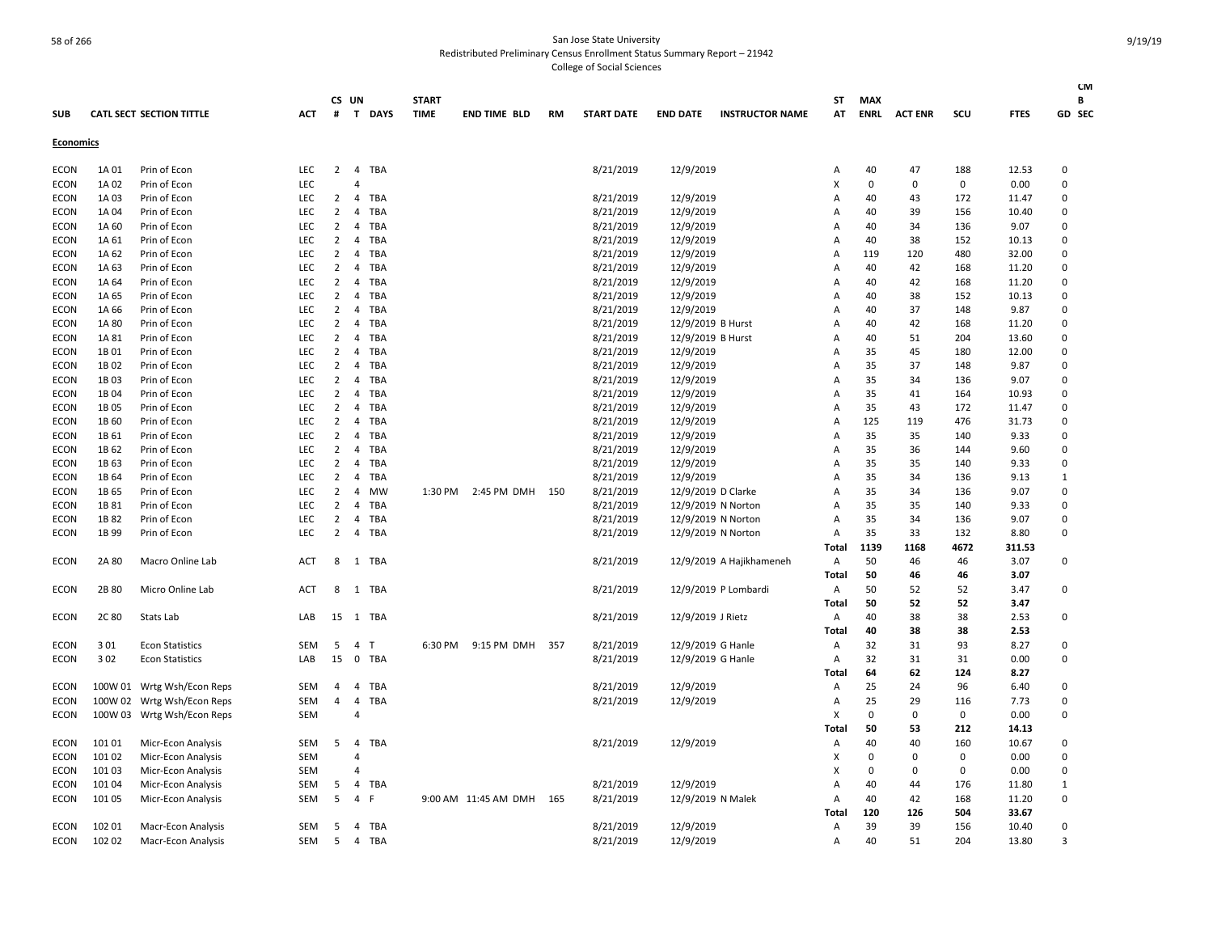| <b>SUB</b>       |         | <b>CATL SECT SECTION TITTLE</b> | <b>ACT</b> | #              | CS UN          | T DAYS     | <b>START</b><br><b>TIME</b> | <b>END TIME BLD</b>  | RM    | <b>START DATE</b> | <b>END DATE</b>   | <b>INSTRUCTOR NAME</b>   | ST<br>AT       | <b>MAX</b><br>ENRL | <b>ACT ENR</b> | scu         | <b>FTES</b> | <b>CM</b><br>B<br>GD SEC |
|------------------|---------|---------------------------------|------------|----------------|----------------|------------|-----------------------------|----------------------|-------|-------------------|-------------------|--------------------------|----------------|--------------------|----------------|-------------|-------------|--------------------------|
| <b>Economics</b> |         |                                 |            |                |                |            |                             |                      |       |                   |                   |                          |                |                    |                |             |             |                          |
| <b>ECON</b>      | 1A 01   | Prin of Econ                    | LEC        | $\overline{2}$ | $\overline{4}$ | <b>TBA</b> |                             |                      |       | 8/21/2019         | 12/9/2019         |                          | A              | 40                 | 47             | 188         | 12.53       | 0                        |
| ECON             | 1A 02   | Prin of Econ                    | <b>LEC</b> |                | 4              |            |                             |                      |       |                   |                   |                          | X              | 0                  | 0              | 0           | 0.00        | 0                        |
| <b>ECON</b>      | 1A03    | Prin of Econ                    | <b>LEC</b> | $\overline{2}$ | $\overline{4}$ | <b>TBA</b> |                             |                      |       | 8/21/2019         | 12/9/2019         |                          | А              | 40                 | 43             | 172         | 11.47       | $\Omega$                 |
| ECON             | 1A 04   | Prin of Econ                    | <b>LEC</b> | 2              | $\overline{4}$ | <b>TBA</b> |                             |                      |       | 8/21/2019         | 12/9/2019         |                          | Α              | 40                 | 39             | 156         | 10.40       | $\Omega$                 |
| <b>ECON</b>      | 1A 60   | Prin of Econ                    | LEC        | $\overline{2}$ | $\overline{4}$ | TBA        |                             |                      |       | 8/21/2019         | 12/9/2019         |                          | A              | 40                 | 34             | 136         | 9.07        | 0                        |
| <b>ECON</b>      | 1A 61   | Prin of Econ                    | <b>LEC</b> | 2              | 4              | <b>TBA</b> |                             |                      |       | 8/21/2019         | 12/9/2019         |                          | A              | 40                 | 38             | 152         | 10.13       | 0                        |
| <b>ECON</b>      | 1A 62   | Prin of Econ                    | LEC        | $\overline{2}$ | $\overline{4}$ | TBA        |                             |                      |       | 8/21/2019         | 12/9/2019         |                          | Α              | 119                | 120            | 480         | 32.00       | $\Omega$                 |
| ECON             | 1A 63   | Prin of Econ                    | LEC        | $\overline{2}$ | $\overline{4}$ | TBA        |                             |                      |       | 8/21/2019         | 12/9/2019         |                          | A              | 40                 | 42             | 168         | 11.20       | 0                        |
| ECON             | 1A 64   | Prin of Econ                    | <b>LEC</b> | 2              | 4              | TBA        |                             |                      |       | 8/21/2019         | 12/9/2019         |                          | A              | 40                 | 42             | 168         | 11.20       | 0                        |
| <b>ECON</b>      | 1A 65   | Prin of Econ                    | LEC        | $\overline{2}$ | $\overline{4}$ | TBA        |                             |                      |       | 8/21/2019         | 12/9/2019         |                          | A              | 40                 | 38             | 152         | 10.13       | $\Omega$                 |
| ECON             | 1A 66   | Prin of Econ                    | <b>LEC</b> | 2              | $\overline{4}$ | <b>TBA</b> |                             |                      |       | 8/21/2019         | 12/9/2019         |                          | A              | 40                 | 37             | 148         | 9.87        | $\Omega$                 |
| <b>ECON</b>      | 1A 80   | Prin of Econ                    | LEC        | $\overline{2}$ | $\overline{4}$ | TBA        |                             |                      |       | 8/21/2019         | 12/9/2019 B Hurst |                          | $\overline{A}$ | 40                 | 42             | 168         | 11.20       | 0                        |
| <b>ECON</b>      | 1A 81   | Prin of Econ                    | LEC        | 2              | $\overline{4}$ | TBA        |                             |                      |       | 8/21/2019         | 12/9/2019 B Hurst |                          | A              | 40                 | 51             | 204         | 13.60       | 0                        |
| <b>ECON</b>      | 1B 01   | Prin of Econ                    | LEC        | $\overline{2}$ | $\overline{4}$ | TBA        |                             |                      |       | 8/21/2019         | 12/9/2019         |                          | A              | 35                 | 45             | 180         | 12.00       | $\Omega$                 |
| ECON             | 1B02    | Prin of Econ                    | LEC        | $\overline{2}$ | $\overline{4}$ | TBA        |                             |                      |       | 8/21/2019         | 12/9/2019         |                          | A              | 35                 | 37             | 148         | 9.87        | 0                        |
| ECON             | 1B03    | Prin of Econ                    | <b>LEC</b> | 2              | 4              | <b>TBA</b> |                             |                      |       | 8/21/2019         | 12/9/2019         |                          | A              | 35                 | 34             | 136         | 9.07        | 0                        |
| <b>ECON</b>      | 1B04    | Prin of Econ                    | LEC        | $\overline{2}$ | 4              | TBA        |                             |                      |       | 8/21/2019         | 12/9/2019         |                          | А              | 35                 | 41             | 164         | 10.93       | 0                        |
| ECON             | 1B 05   | Prin of Econ                    | <b>LEC</b> | $\overline{2}$ | $\overline{4}$ | <b>TBA</b> |                             |                      |       | 8/21/2019         | 12/9/2019         |                          | Α              | 35                 | 43             | 172         | 11.47       | $\Omega$                 |
| <b>ECON</b>      | 1B 60   | Prin of Econ                    | <b>LEC</b> | $\overline{2}$ | $\overline{4}$ | TBA        |                             |                      |       | 8/21/2019         | 12/9/2019         |                          | A              | 125                | 119            | 476         | 31.73       | 0                        |
| <b>ECON</b>      | 1B 61   | Prin of Econ                    | <b>LEC</b> | 2              | $\overline{4}$ | <b>TBA</b> |                             |                      |       | 8/21/2019         | 12/9/2019         |                          | A              | 35                 | 35             | 140         | 9.33        | $\Omega$                 |
| ECON             | 1B 62   | Prin of Econ                    | LEC        | $\overline{2}$ | $\overline{4}$ | <b>TBA</b> |                             |                      |       | 8/21/2019         | 12/9/2019         |                          | A              | 35                 | 36             | 144         | 9.60        | $\Omega$                 |
| <b>ECON</b>      | 1B 63   | Prin of Econ                    | LEC        | $\overline{2}$ | $\overline{4}$ | TBA        |                             |                      |       | 8/21/2019         | 12/9/2019         |                          | A              | 35                 | 35             | 140         | 9.33        | 0                        |
| ECON             | 1B 64   | Prin of Econ                    | <b>LEC</b> | 2              | $\overline{4}$ | <b>TBA</b> |                             |                      |       | 8/21/2019         | 12/9/2019         |                          | A              | 35                 | 34             | 136         | 9.13        | 1                        |
| <b>ECON</b>      | 1B 65   | Prin of Econ                    | LEC        | $\overline{2}$ | $\overline{4}$ | <b>MW</b>  | 1:30 PM                     | 2:45 PM DMH 150      |       | 8/21/2019         |                   | 12/9/2019 D Clarke       | A              | 35                 | 34             | 136         | 9.07        | 0                        |
| ECON             | 1B 81   | Prin of Econ                    | LEC        | 2              | 4              | <b>TBA</b> |                             |                      |       | 8/21/2019         |                   | 12/9/2019 N Norton       | A              | 35                 | 35             | 140         | 9.33        | $\Omega$                 |
| <b>ECON</b>      | 1B 82   | Prin of Econ                    | LEC        | $\overline{2}$ | 4              | TBA        |                             |                      |       | 8/21/2019         |                   | 12/9/2019 N Norton       | A              | 35                 | 34             | 136         | 9.07        | 0                        |
| ECON             | 1B 99   | Prin of Econ                    | <b>LEC</b> | $\overline{2}$ | $\overline{4}$ | <b>TBA</b> |                             |                      |       | 8/21/2019         |                   | 12/9/2019 N Norton       | Α              | 35                 | 33             | 132         | 8.80        | $\Omega$                 |
|                  |         |                                 |            |                |                |            |                             |                      |       |                   |                   |                          | Total          | 1139               | 1168           | 4672        | 311.53      |                          |
| ECON             | 2A 80   | Macro Online Lab                | ACT        | 8              | 1              | TBA        |                             |                      |       | 8/21/2019         |                   | 12/9/2019 A Hajikhameneh | Α              | 50                 | 46             | 46          | 3.07        | 0                        |
|                  |         |                                 |            |                |                |            |                             |                      |       |                   |                   |                          | Total          | 50                 | 46             | 46          | 3.07        |                          |
| <b>ECON</b>      | 2B 80   | Micro Online Lab                | ACT        | 8              | 1              | <b>TBA</b> |                             |                      |       | 8/21/2019         |                   | 12/9/2019 P Lombardi     | Α              | 50                 | 52             | 52          | 3.47        | 0                        |
|                  |         |                                 |            |                |                |            |                             |                      |       |                   |                   |                          | <b>Total</b>   | 50                 | 52             | 52          | 3.47        |                          |
| <b>ECON</b>      | 2C 80   | Stats Lab                       | LAB        | 15             |                | 1 TBA      |                             |                      |       | 8/21/2019         | 12/9/2019 J Rietz |                          | Α              | 40                 | 38             | 38          | 2.53        | 0                        |
|                  |         |                                 |            |                |                |            |                             |                      |       |                   |                   |                          | Total          | 40                 | 38             | 38          | 2.53        |                          |
| <b>ECON</b>      | 301     | <b>Econ Statistics</b>          | SEM        | 5              | $\overline{4}$ | T          | 6:30 PM                     | 9:15 PM DMH          | 357   | 8/21/2019         | 12/9/2019 G Hanle |                          | Α              | 32                 | 31             | 93          | 8.27        | 0                        |
| ECON             | 302     | <b>Econ Statistics</b>          | LAB        | 15             | $\mathbf 0$    | <b>TBA</b> |                             |                      |       | 8/21/2019         | 12/9/2019 G Hanle |                          | Α              | 32                 | 31             | 31          | 0.00        | 0                        |
|                  |         |                                 |            |                |                |            |                             |                      |       |                   |                   |                          | Total          | 64                 | 62             | 124         | 8.27        |                          |
| <b>ECON</b>      | 100W 01 | Wrtg Wsh/Econ Reps              | SEM        | 4              | $\overline{4}$ | TBA        |                             |                      |       | 8/21/2019         | 12/9/2019         |                          | Α              | 25                 | 24             | 96          | 6.40        | 0                        |
| ECON             |         | 100W 02 Wrtg Wsh/Econ Reps      | SEM        | 4              | $\overline{4}$ | TBA        |                             |                      |       | 8/21/2019         | 12/9/2019         |                          | A              | 25                 | 29             | 116         | 7.73        | $\Omega$                 |
| ECON             | 100W 03 | Wrtg Wsh/Econ Reps              | <b>SEM</b> |                | $\overline{4}$ |            |                             |                      |       |                   |                   |                          | X              | $\mathbf 0$        | 0              | $\mathbf 0$ | 0.00        | 0                        |
|                  |         |                                 |            |                |                |            |                             |                      |       |                   |                   |                          | Total          | 50                 | 53             | 212         | 14.13       |                          |
| <b>ECON</b>      | 10101   | Micr-Econ Analysis              | SEM        | 5              | $\overline{4}$ | <b>TBA</b> |                             |                      |       | 8/21/2019         | 12/9/2019         |                          | Α              | 40                 | 40             | 160         | 10.67       | 0                        |
| ECON             | 101 02  | Micr-Econ Analysis              | <b>SEM</b> |                | $\overline{4}$ |            |                             |                      |       |                   |                   |                          | х              | $\Omega$           | 0              | 0           | 0.00        | 0                        |
| ECON             | 10103   | Micr-Econ Analysis              | SEM        |                | 4              |            |                             |                      |       |                   |                   |                          | x              | 0                  | 0              | 0           | 0.00        | 0                        |
| ECON             | 10104   | Micr-Econ Analysis              | SEM        | 5              | 4              | <b>TBA</b> |                             |                      |       | 8/21/2019         | 12/9/2019         |                          | Α              | 40                 | 44             | 176         | 11.80       | $\mathbf{1}$             |
| ECON             | 101 05  | Micr-Econ Analysis              | <b>SEM</b> | 5              | $\overline{4}$ | F          |                             | 9:00 AM 11:45 AM DMH | - 165 | 8/21/2019         |                   | 12/9/2019 N Malek        | A              | 40                 | 42             | 168         | 11.20       | $\Omega$                 |
|                  |         |                                 |            |                |                |            |                             |                      |       |                   |                   |                          | Total          | 120                | 126            | 504         | 33.67       |                          |
| <b>ECON</b>      | 10201   | <b>Macr-Econ Analysis</b>       | <b>SEM</b> | 5              | $\overline{4}$ | <b>TBA</b> |                             |                      |       | 8/21/2019         | 12/9/2019         |                          | A              | 39                 | 39             | 156         | 10.40       | $\Omega$                 |
| ECON             | 102 02  | Macr-Econ Analysis              | SEM        | 5              | $\overline{4}$ | TBA        |                             |                      |       | 8/21/2019         | 12/9/2019         |                          | $\overline{A}$ | 40                 | 51             | 204         | 13.80       | $\mathbf{a}$             |
|                  |         |                                 |            |                |                |            |                             |                      |       |                   |                   |                          |                |                    |                |             |             |                          |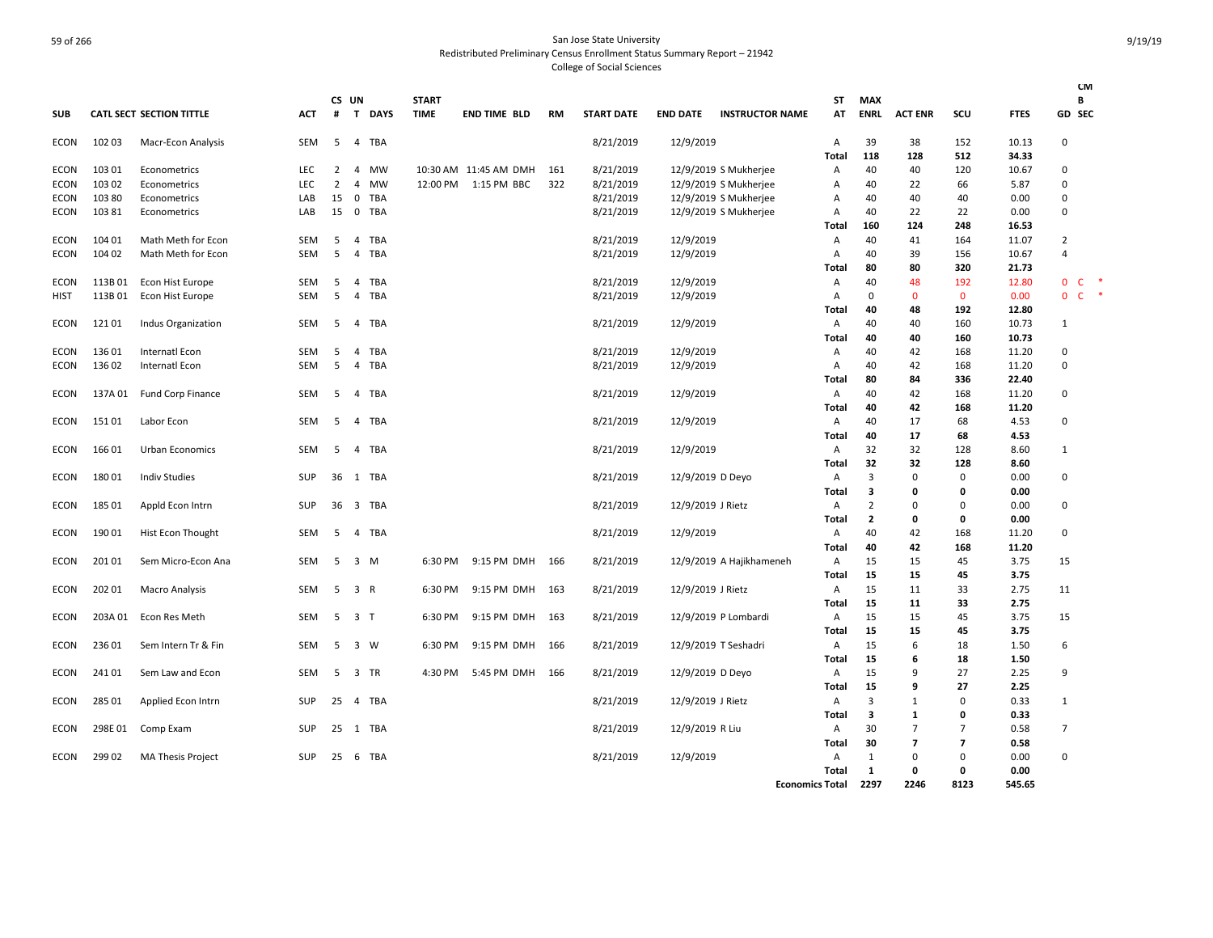|             |         |                                 |            |                |                         |             |                             |                       |     |                   |                   |                          |                        |                           |                |                |              |                | <b>CM</b>   |        |
|-------------|---------|---------------------------------|------------|----------------|-------------------------|-------------|-----------------------------|-----------------------|-----|-------------------|-------------------|--------------------------|------------------------|---------------------------|----------------|----------------|--------------|----------------|-------------|--------|
|             |         | <b>CATL SECT SECTION TITTLE</b> | ACT        | #              | CS UN<br>$\mathbf{T}$   | <b>DAYS</b> | <b>START</b><br><b>TIME</b> | <b>END TIME BLD</b>   | RM  | <b>START DATE</b> | <b>END DATE</b>   | <b>INSTRUCTOR NAME</b>   | <b>ST</b><br>AT        | <b>MAX</b><br><b>ENRL</b> | <b>ACT ENR</b> | SCU            | <b>FTES</b>  |                | В<br>GD SEC |        |
| <b>SUB</b>  |         |                                 |            |                |                         |             |                             |                       |     |                   |                   |                          |                        |                           |                |                |              |                |             |        |
| <b>ECON</b> | 102 03  | Macr-Econ Analysis              | SEM        | 5              | $\overline{4}$          | TBA         |                             |                       |     | 8/21/2019         | 12/9/2019         |                          | A                      | 39                        | 38             | 152            | 10.13        | $\mathbf 0$    |             |        |
|             |         |                                 |            |                |                         |             |                             |                       |     |                   |                   |                          | Total                  | 118                       | 128            | 512            | 34.33        |                |             |        |
| ECON        | 103 01  | Econometrics                    | <b>LEC</b> | 2              | $\overline{4}$          | MW          |                             | 10:30 AM 11:45 AM DMH | 161 | 8/21/2019         |                   | 12/9/2019 S Mukherjee    | A                      | 40                        | 40             | 120            | 10.67        | $\Omega$       |             |        |
| ECON        | 103 02  | Econometrics                    | <b>LEC</b> | $\overline{2}$ | 4                       | MW          | 12:00 PM                    | 1:15 PM BBC           | 322 | 8/21/2019         |                   | 12/9/2019 S Mukherjee    | Α                      | 40                        | 22             | 66             | 5.87         | $\mathbf 0$    |             |        |
| ECON        | 103 80  | Econometrics                    | LAB        | 15             | 0                       | <b>TBA</b>  |                             |                       |     | 8/21/2019         |                   | 12/9/2019 S Mukherjee    | Α                      | 40                        | 40             | 40             | 0.00         | $\mathbf 0$    |             |        |
| ECON        | 10381   | Econometrics                    | LAB        | 15             | 0                       | <b>TBA</b>  |                             |                       |     | 8/21/2019         |                   | 12/9/2019 S Mukherjee    | A                      | 40                        | 22             | 22             | 0.00         | $\Omega$       |             |        |
|             |         |                                 |            |                |                         |             |                             |                       |     |                   |                   |                          | Total                  | 160                       | 124            | 248            | 16.53        |                |             |        |
| <b>ECON</b> | 104 01  | Math Meth for Econ              | SEM        | 5              | 4                       | <b>TBA</b>  |                             |                       |     | 8/21/2019         | 12/9/2019         |                          | Α                      | 40                        | 41             | 164            | 11.07        | $\overline{2}$ |             |        |
| ECON        | 104 02  | Math Meth for Econ              | <b>SEM</b> | 5              | 4                       | TBA         |                             |                       |     | 8/21/2019         | 12/9/2019         |                          | A                      | 40                        | 39             | 156            | 10.67        | $\overline{4}$ |             |        |
|             |         |                                 |            |                |                         |             |                             |                       |     |                   |                   |                          | Total                  | 80                        | 80             | 320            | 21.73        |                |             |        |
| ECON        | 113B01  | Econ Hist Europe                | SEM        | 5              | 4                       | TBA         |                             |                       |     | 8/21/2019         | 12/9/2019         |                          | Α                      | 40                        | 48             | 192            | 12.80        | 0 <sub>c</sub> |             | ×      |
| HIST        | 113B01  | Econ Hist Europe                | SEM        | 5              | 4                       | <b>TBA</b>  |                             |                       |     | 8/21/2019         | 12/9/2019         |                          | Α                      | $\mathbf 0$               | $\mathbf 0$    | $\mathbf 0$    | 0.00         | $0-$           |             | $\ast$ |
|             |         |                                 |            |                |                         |             |                             |                       |     |                   |                   |                          | Total                  | 40                        | 48             | 192            | 12.80        |                |             |        |
| ECON        | 12101   | Indus Organization              | SEM        | -5             | $\overline{4}$          | <b>TBA</b>  |                             |                       |     | 8/21/2019         | 12/9/2019         |                          | A                      | 40                        | 40             | 160            | 10.73        | 1              |             |        |
|             |         |                                 |            |                |                         |             |                             |                       |     |                   |                   |                          | Total                  | 40                        | 40             | 160            | 10.73        |                |             |        |
| <b>ECON</b> | 13601   | Internatl Econ                  | SEM        | 5              | 4                       | <b>TBA</b>  |                             |                       |     | 8/21/2019         | 12/9/2019         |                          | Α                      | 40                        | 42             | 168            | 11.20        | $\mathbf 0$    |             |        |
| ECON        | 136 02  | Internatl Econ                  | SEM        | 5              | $\overline{4}$          | <b>TBA</b>  |                             |                       |     | 8/21/2019         | 12/9/2019         |                          | A                      | 40                        | 42             | 168            | 11.20        | 0              |             |        |
|             |         |                                 |            |                |                         |             |                             |                       |     |                   |                   |                          | Total                  | 80                        | 84             | 336            | 22.40        |                |             |        |
| ECON        | 137A 01 | Fund Corp Finance               | SEM        | 5              | 4                       | <b>TBA</b>  |                             |                       |     | 8/21/2019         | 12/9/2019         |                          | Α                      | 40                        | 42             | 168            | 11.20        | $\mathbf 0$    |             |        |
|             |         |                                 |            |                |                         |             |                             |                       |     |                   |                   |                          | Total                  | 40                        | 42             | 168            | 11.20        |                |             |        |
| ECON        | 15101   | Labor Econ                      | SEM        | 5              | 4                       | TBA         |                             |                       |     | 8/21/2019         | 12/9/2019         |                          | Α                      | 40                        | 17             | 68             | 4.53         | $\Omega$       |             |        |
|             |         |                                 |            |                |                         |             |                             |                       |     |                   |                   |                          | Total                  | 40                        | 17             | 68             | 4.53         |                |             |        |
| ECON        | 16601   | Urban Economics                 | <b>SEM</b> | -5             | $\overline{4}$          | <b>TBA</b>  |                             |                       |     | 8/21/2019         | 12/9/2019         |                          | A                      | 32                        | 32             | 128            | 8.60         | 1              |             |        |
|             |         |                                 |            |                |                         |             |                             |                       |     |                   |                   |                          | Total                  | 32                        | 32             | 128            | 8.60         |                |             |        |
| ECON        | 18001   | <b>Indiv Studies</b>            | SUP        | 36             | 1                       | TBA         |                             |                       |     | 8/21/2019         | 12/9/2019 D Deyo  |                          | Α                      | $\overline{3}$            | 0              | $\Omega$       | 0.00         | $\mathbf 0$    |             |        |
|             |         |                                 |            |                |                         |             |                             |                       |     |                   |                   |                          | Total                  | 3                         | 0              | 0              | 0.00         |                |             |        |
| ECON        | 18501   | Appld Econ Intrn                | SUP        | 36             | $\overline{\mathbf{3}}$ | <b>TBA</b>  |                             |                       |     | 8/21/2019         | 12/9/2019 J Rietz |                          | Α                      | $\overline{2}$            | 0              | $\Omega$       | 0.00         | $\mathbf 0$    |             |        |
|             |         |                                 |            |                |                         |             |                             |                       |     |                   |                   |                          | Total                  | $\overline{2}$            | 0              | 0              | 0.00         |                |             |        |
| ECON        | 190 01  | Hist Econ Thought               | SEM        | 5              | 4                       | <b>TBA</b>  |                             |                       |     | 8/21/2019         | 12/9/2019         |                          | Α                      | 40                        | 42             | 168            | 11.20        | 0              |             |        |
|             |         |                                 |            |                |                         |             |                             |                       |     |                   |                   |                          | <b>Total</b>           | 40                        | 42             | 168            | 11.20        |                |             |        |
| ECON        | 201 01  | Sem Micro-Econ Ana              | SEM        | 5              | $\overline{\mathbf{3}}$ | M           | 6:30 PM                     | 9:15 PM DMH           | 166 | 8/21/2019         |                   | 12/9/2019 A Hajikhameneh | Α                      | 15                        | 15             | 45             | 3.75         | 15             |             |        |
|             |         |                                 |            |                |                         |             |                             |                       |     |                   |                   |                          | Total                  | 15                        | 15             | 45             | 3.75         |                |             |        |
| ECON        | 202 01  | <b>Macro Analysis</b>           | <b>SEM</b> | -5             | 3 R                     |             | 6:30 PM                     | 9:15 PM DMH           | 163 | 8/21/2019         | 12/9/2019 J Rietz |                          | $\mathsf{A}$           | 15                        | 11             | 33             | 2.75         | 11             |             |        |
|             |         |                                 |            |                |                         |             |                             |                       |     |                   |                   |                          | Total                  | 15                        | 11             | 33             | 2.75         |                |             |        |
| ECON        | 203A 01 | Econ Res Meth                   | SEM        | 5              | 3 T                     |             | 6:30 PM                     | 9:15 PM DMH           | 163 | 8/21/2019         |                   | 12/9/2019 P Lombardi     | Α                      | 15                        | 15             | 45             | 3.75         | 15             |             |        |
|             |         |                                 |            |                |                         |             |                             |                       |     |                   |                   |                          | Total                  | 15                        | 15<br>6        | 45             | 3.75         |                |             |        |
| ECON        | 236 01  | Sem Intern Tr & Fin             | SEM        | 5              | $\overline{\mathbf{3}}$ | W           | 6:30 PM                     | 9:15 PM DMH           | 166 | 8/21/2019         |                   | 12/9/2019 T Seshadri     | Α                      | 15                        |                | 18             | 1.50         | 6              |             |        |
|             |         |                                 |            |                |                         |             |                             |                       |     |                   |                   |                          | Total                  | 15                        | 6<br>9         | 18             | 1.50         | 9              |             |        |
| ECON        | 241 01  | Sem Law and Econ                | SEM        | 5              | $\overline{\mathbf{3}}$ | TR          | 4:30 PM                     | 5:45 PM DMH           | 166 | 8/21/2019         | 12/9/2019 D Deyo  |                          | Α<br>Total             | 15<br>15                  | 9              | 27<br>27       | 2.25<br>2.25 |                |             |        |
|             |         |                                 | <b>SUP</b> |                |                         |             |                             |                       |     |                   |                   |                          |                        | 3                         | $\mathbf{1}$   | $\Omega$       |              |                |             |        |
| ECON        | 285 01  | Applied Econ Intrn              |            | 25             | 4 TBA                   |             |                             |                       |     | 8/21/2019         | 12/9/2019 J Rietz |                          | Α<br>Total             | 3                         | $\mathbf{1}$   | 0              | 0.33<br>0.33 | 1              |             |        |
| ECON        | 298E01  |                                 | SUP        | 25             | 1 TBA                   |             |                             |                       |     | 8/21/2019         |                   |                          | Α                      | 30                        | $\overline{7}$ | $\overline{7}$ | 0.58         | $\overline{7}$ |             |        |
|             |         | Comp Exam                       |            |                |                         |             |                             |                       |     |                   | 12/9/2019 R Liu   |                          | Total                  | 30                        | $\overline{7}$ | $\overline{7}$ | 0.58         |                |             |        |
| ECON        | 299 02  | <b>MA Thesis Project</b>        | SUP        | 25             | - 6                     | TBA         |                             |                       |     | 8/21/2019         | 12/9/2019         |                          | Α                      | 1                         | 0              | $\Omega$       | 0.00         | $\Omega$       |             |        |
|             |         |                                 |            |                |                         |             |                             |                       |     |                   |                   |                          | <b>Total</b>           | 1                         | 0              | 0              | 0.00         |                |             |        |
|             |         |                                 |            |                |                         |             |                             |                       |     |                   |                   |                          | <b>Economics Total</b> | 2297                      | 2246           | 8123           | 545.65       |                |             |        |
|             |         |                                 |            |                |                         |             |                             |                       |     |                   |                   |                          |                        |                           |                |                |              |                |             |        |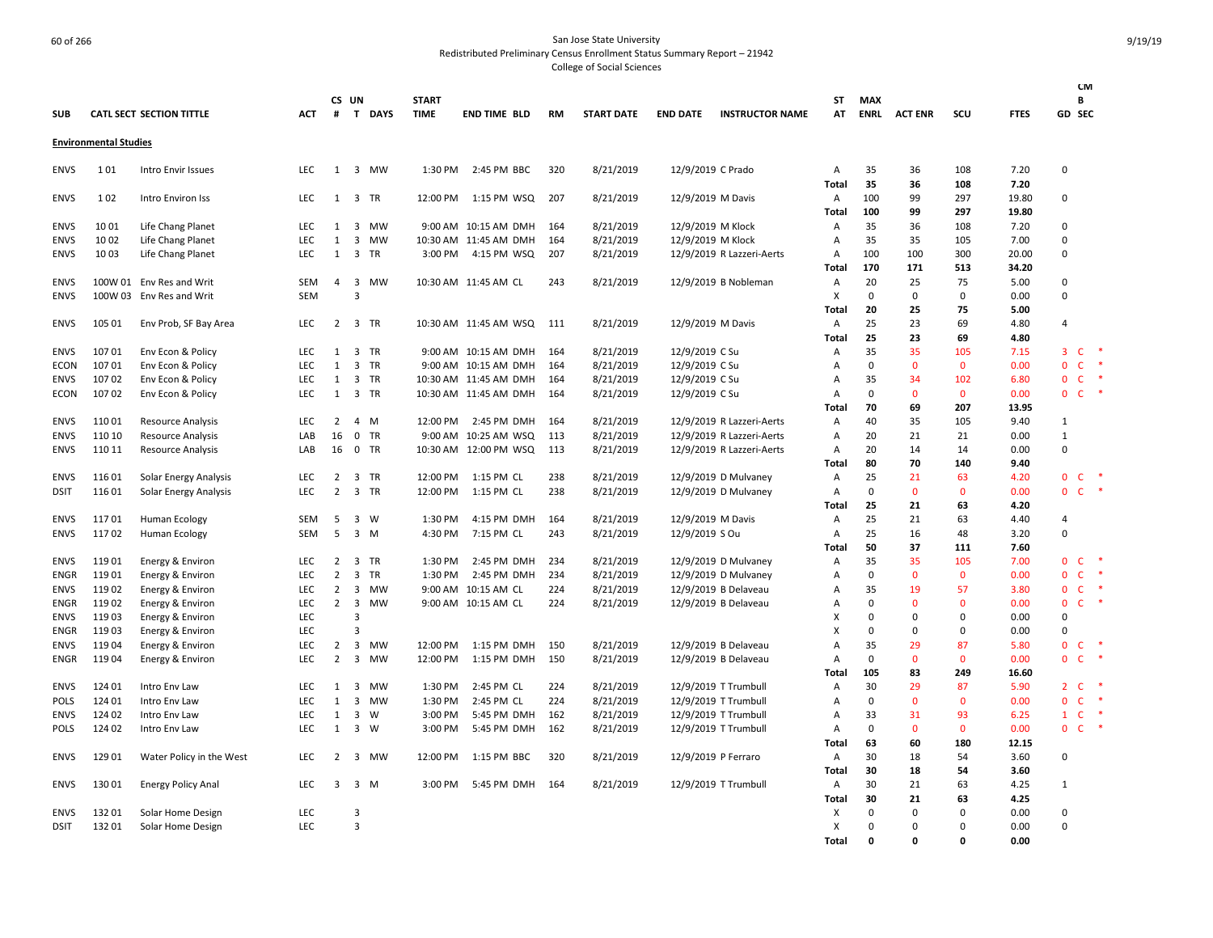|                            |                              |                                        |                   |                                  |                                           |           |              |                                            |            |                        |                                  |                                              |                   |                   |                      |                    |              |                                                            | <b>CM</b>            |
|----------------------------|------------------------------|----------------------------------------|-------------------|----------------------------------|-------------------------------------------|-----------|--------------|--------------------------------------------|------------|------------------------|----------------------------------|----------------------------------------------|-------------------|-------------------|----------------------|--------------------|--------------|------------------------------------------------------------|----------------------|
|                            |                              |                                        |                   |                                  | CS UN                                     |           | <b>START</b> |                                            |            |                        |                                  |                                              | <b>ST</b>         | <b>MAX</b>        |                      |                    |              | В                                                          |                      |
| <b>SUB</b>                 |                              | <b>CATL SECT SECTION TITTLE</b>        | <b>ACT</b>        | #                                |                                           | T DAYS    | <b>TIME</b>  | <b>END TIME BLD</b>                        | RM         | <b>START DATE</b>      | <b>END DATE</b>                  | <b>INSTRUCTOR NAME</b>                       | AT                | <b>ENRL</b>       | <b>ACT ENR</b>       | SCU                | <b>FTES</b>  | GD SEC                                                     |                      |
|                            | <b>Environmental Studies</b> |                                        |                   |                                  |                                           |           |              |                                            |            |                        |                                  |                                              |                   |                   |                      |                    |              |                                                            |                      |
| <b>ENVS</b>                | 101                          | Intro Envir Issues                     | <b>LEC</b>        | 1                                |                                           | 3 MW      | 1:30 PM      | 2:45 PM BBC                                | 320        | 8/21/2019              | 12/9/2019 C Prado                |                                              | Α                 | 35                | 36                   | 108                | 7.20         | $\mathbf 0$                                                |                      |
|                            |                              |                                        |                   |                                  |                                           |           |              |                                            |            |                        |                                  |                                              | Total             | 35                | 36                   | 108                | 7.20         |                                                            |                      |
| <b>ENVS</b>                | 102                          | Intro Environ Iss                      | <b>LEC</b>        | 1                                | 3 TR                                      |           | 12:00 PM     | 1:15 PM WSQ                                | 207        | 8/21/2019              | 12/9/2019 M Davis                |                                              | Α                 | 100               | 99                   | 297                | 19.80        | 0                                                          |                      |
|                            |                              |                                        |                   |                                  |                                           |           |              |                                            |            |                        |                                  |                                              | Total             | 100               | 99                   | 297                | 19.80        |                                                            |                      |
| <b>ENVS</b>                | 10 01                        | Life Chang Planet                      | <b>LEC</b>        | 1                                | $\overline{\mathbf{3}}$                   | MW        |              | 9:00 AM 10:15 AM DMH                       | 164        | 8/21/2019              | 12/9/2019 M Klock                |                                              | Α                 | 35                | 36                   | 108                | 7.20         | $\Omega$                                                   |                      |
| <b>ENVS</b>                | 10 02                        | Life Chang Planet                      | LEC               | 1                                | 3                                         | MW        |              | 10:30 AM 11:45 AM DMH                      | 164        | 8/21/2019              | 12/9/2019 M Klock                |                                              | Α                 | 35                | 35                   | 105                | 7.00         | $\mathbf 0$                                                |                      |
| <b>ENVS</b>                | 10 03                        | Life Chang Planet                      | LEC               | $\mathbf{1}$                     | 3 TR                                      |           |              | 3:00 PM 4:15 PM WSQ                        | 207        | 8/21/2019              |                                  | 12/9/2019 R Lazzeri-Aerts                    | Α                 | 100               | 100                  | 300                | 20.00        | $\mathbf 0$                                                |                      |
|                            |                              |                                        |                   |                                  |                                           |           |              |                                            |            |                        |                                  |                                              | Total             | 170               | 171                  | 513                | 34.20        |                                                            |                      |
| <b>ENVS</b>                |                              | 100W 01 Env Res and Writ               | SEM               | 4                                | $\overline{\mathbf{3}}$                   | MW        |              | 10:30 AM 11:45 AM CL                       | 243        | 8/21/2019              |                                  | 12/9/2019 B Nobleman                         | Α                 | 20                | 25                   | 75                 | 5.00         | 0                                                          |                      |
| <b>ENVS</b>                |                              | 100W 03 Env Res and Writ               | <b>SEM</b>        |                                  | $\overline{3}$                            |           |              |                                            |            |                        |                                  |                                              | X                 | 0                 | $\mathbf 0$          | $\mathbf 0$        | 0.00         | $\mathbf 0$                                                |                      |
|                            |                              |                                        |                   |                                  |                                           |           |              |                                            |            |                        |                                  |                                              | Total             | 20                | 25                   | 75                 | 5.00         |                                                            |                      |
| <b>ENVS</b>                | 105 01                       | Env Prob, SF Bay Area                  | <b>LEC</b>        | $\overline{2}$                   | 3 TR                                      |           |              | 10:30 AM 11:45 AM WSQ                      | - 111      | 8/21/2019              | 12/9/2019 M Davis                |                                              | A                 | 25<br>25          | 23<br>23             | 69<br>69           | 4.80<br>4.80 | $\overline{4}$                                             |                      |
|                            | 10701                        |                                        | <b>LEC</b>        | 1                                | $\overline{\mathbf{3}}$                   | TR        |              | 9:00 AM 10:15 AM DMH                       | 164        |                        |                                  |                                              | Total             | 35                | 35                   | 105                | 7.15         | 3<br><b>C</b>                                              | $\ast$               |
| <b>ENVS</b><br><b>ECON</b> | 10701                        | Env Econ & Policy<br>Env Econ & Policy | <b>LEC</b>        | 1                                | $\overline{\mathbf{3}}$                   | TR        |              | 9:00 AM 10:15 AM DMH                       | 164        | 8/21/2019<br>8/21/2019 | 12/9/2019 C Su<br>12/9/2019 C Su |                                              | Α<br>Α            | 0                 | $\mathbf{0}$         | $\mathbf{0}$       | 0.00         | $\mathsf{C}$<br>$\mathbf 0$                                | $\ast$               |
| <b>ENVS</b>                | 10702                        | Env Econ & Policy                      | LEC               | 1                                | 3 TR                                      |           |              | 10:30 AM 11:45 AM DMH                      | 164        | 8/21/2019              | 12/9/2019 C Su                   |                                              | A                 | 35                | 34                   | 102                | 6.80         | $\mathbf 0$<br>$\mathsf{C}$                                |                      |
| <b>ECON</b>                | 10702                        | Env Econ & Policy                      | <b>LEC</b>        | 1                                | 3 TR                                      |           |              | 10:30 AM 11:45 AM DMH                      | 164        | 8/21/2019              | 12/9/2019 C Su                   |                                              | Α                 | 0                 | $\Omega$             | $\mathbf{0}$       | 0.00         | $\mathbf 0$<br>$\mathsf{C}$                                | *                    |
|                            |                              |                                        |                   |                                  |                                           |           |              |                                            |            |                        |                                  |                                              | Total             | 70                | 69                   | 207                | 13.95        |                                                            |                      |
| <b>ENVS</b>                | 11001                        | Resource Analysis                      | LEC               | $\overline{2}$                   | 4 M                                       |           | 12:00 PM     | 2:45 PM DMH                                | 164        | 8/21/2019              |                                  | 12/9/2019 R Lazzeri-Aerts                    | Α                 | 40                | 35                   | 105                | 9.40         | 1                                                          |                      |
| <b>ENVS</b>                | 110 10                       | Resource Analysis                      | LAB               | 16                               | $\mathbf 0$                               | <b>TR</b> | 9:00 AM      | 10:25 AM WSQ                               | 113        | 8/21/2019              |                                  | 12/9/2019 R Lazzeri-Aerts                    | Α                 | 20                | 21                   | 21                 | 0.00         | $\mathbf 1$                                                |                      |
| <b>ENVS</b>                | 110 11                       | <b>Resource Analysis</b>               | LAB               |                                  | 16 0 TR                                   |           |              | 10:30 AM 12:00 PM WSQ                      | 113        | 8/21/2019              |                                  | 12/9/2019 R Lazzeri-Aerts                    | Α                 | 20                | 14                   | 14                 | 0.00         | $\mathbf 0$                                                |                      |
|                            |                              |                                        |                   |                                  |                                           |           |              |                                            |            |                        |                                  |                                              | <b>Total</b>      | 80                | 70                   | 140                | 9.40         |                                                            |                      |
| <b>ENVS</b>                | 11601                        | Solar Energy Analysis                  | LEC               | $\overline{2}$                   | 3 TR                                      |           | 12:00 PM     | 1:15 PM CL                                 | 238        | 8/21/2019              |                                  | 12/9/2019 D Mulvaney                         | Α                 | 25                | 21                   | 63                 | 4.20         | $\mathbf 0$<br>$\mathsf{C}$                                | $\ddot{\phantom{1}}$ |
| <b>DSIT</b>                | 116 01                       | Solar Energy Analysis                  | <b>LEC</b>        | $\overline{2}$                   | 3 TR                                      |           | 12:00 PM     | 1:15 PM CL                                 | 238        | 8/21/2019              |                                  | 12/9/2019 D Mulvaney                         | Α                 | 0                 | $\mathbf{0}$         | $\mathbf{0}$       | 0.00         | $\mathbf{0}$<br><b>C</b>                                   | $\ast$               |
|                            |                              |                                        |                   |                                  |                                           |           |              |                                            |            |                        |                                  |                                              | Total             | 25                | 21                   | 63                 | 4.20         |                                                            |                      |
| <b>ENVS</b>                | 11701                        | <b>Human Ecology</b>                   | SEM               | 5                                | $3 \quad W$                               |           | 1:30 PM      | 4:15 PM DMH                                | 164        | 8/21/2019              | 12/9/2019 M Davis                |                                              | Α                 | 25                | 21                   | 63                 | 4.40         | $\overline{4}$                                             |                      |
| <b>ENVS</b>                | 11702                        | Human Ecology                          | <b>SEM</b>        | 5                                | $3 \, M$                                  |           | 4:30 PM      | 7:15 PM CL                                 | 243        | 8/21/2019              | 12/9/2019 S Ou                   |                                              | Α                 | 25                | 16                   | 48                 | 3.20         | $\mathbf 0$                                                |                      |
|                            |                              |                                        |                   |                                  |                                           |           |              |                                            |            |                        |                                  |                                              | Total             | 50                | 37                   | 111                | 7.60         |                                                            |                      |
| <b>ENVS</b>                | 11901                        | Energy & Environ                       | LEC               | $\overline{2}$                   | $\overline{\mathbf{3}}$                   | TR        | 1:30 PM      | 2:45 PM DMH                                | 234        | 8/21/2019              |                                  | 12/9/2019 D Mulvaney                         | Α                 | 35                | 35                   | 105                | 7.00         | $\mathbf 0$<br>$\mathsf{C}$                                | $\ast$<br>*          |
| ENGR                       | 11901                        | Energy & Environ                       | <b>LEC</b>        | $\overline{2}$                   | $\overline{\mathbf{3}}$                   | <b>TR</b> | 1:30 PM      | 2:45 PM DMH                                | 234        | 8/21/2019              |                                  | 12/9/2019 D Mulvaney                         | Α                 | $\mathbf 0$       | $\mathbf{0}$         | $\mathbf{0}$       | 0.00         | $\mathbf{0}$<br>$\mathsf{C}$                               | $\ast$               |
| ENVS<br><b>ENGR</b>        | 11902<br>11902               | Energy & Environ<br>Energy & Environ   | <b>LEC</b><br>LEC | $\overline{2}$<br>$\overline{2}$ | $\overline{\mathbf{3}}$<br>$\overline{3}$ | MW<br>MW  |              | 9:00 AM 10:15 AM CL<br>9:00 AM 10:15 AM CL | 224<br>224 | 8/21/2019<br>8/21/2019 |                                  | 12/9/2019 B Delaveau<br>12/9/2019 B Delaveau | Α<br>A            | 35<br>0           | 19<br>$\Omega$       | 57<br>$\mathbf{0}$ | 3.80<br>0.00 | $\mathbf 0$<br>$\mathsf{C}$<br>$\mathbf 0$<br>$\mathsf{C}$ | -*                   |
| <b>ENVS</b>                | 11903                        | Energy & Environ                       | <b>LEC</b>        |                                  | $\overline{3}$                            |           |              |                                            |            |                        |                                  |                                              | X                 | 0                 | $\Omega$             | 0                  | 0.00         | $\mathbf 0$                                                |                      |
| <b>ENGR</b>                | 11903                        | Energy & Environ                       | <b>LEC</b>        |                                  | $\overline{3}$                            |           |              |                                            |            |                        |                                  |                                              | X                 | 0                 | $\Omega$             | $\mathbf 0$        | 0.00         | $\Omega$                                                   |                      |
| <b>ENVS</b>                | 11904                        | Energy & Environ                       | LEC               | $\overline{2}$                   | $\overline{3}$                            | MW        | 12:00 PM     | 1:15 PM DMH                                | 150        | 8/21/2019              |                                  | 12/9/2019 B Delaveau                         | A                 | 35                | 29                   | 87                 | 5.80         | $\mathbf 0$<br>$\mathsf{C}$                                | -*                   |
| <b>ENGR</b>                | 11904                        | Energy & Environ                       | <b>LEC</b>        | 2                                | $\overline{3}$                            | MW        | 12:00 PM     | 1:15 PM DMH                                | 150        | 8/21/2019              |                                  | 12/9/2019 B Delaveau                         | A                 | 0                 | $\Omega$             | $\mathbf{0}$       | 0.00         | $\mathbf{0}$<br>$\mathsf{C}$                               | $\ast$               |
|                            |                              |                                        |                   |                                  |                                           |           |              |                                            |            |                        |                                  |                                              | <b>Total</b>      | 105               | 83                   | 249                | 16.60        |                                                            |                      |
| <b>ENVS</b>                | 124 01                       | Intro Env Law                          | <b>LEC</b>        | 1                                | $\overline{\mathbf{3}}$                   | MW        | 1:30 PM      | 2:45 PM CL                                 | 224        | 8/21/2019              |                                  | 12/9/2019 T Trumbull                         | Α                 | 30                | 29                   | 87                 | 5.90         | $2\degree$ C                                               |                      |
| <b>POLS</b>                | 124 01                       | Intro Env Law                          | <b>LEC</b>        | 1                                | 3                                         | MW        | 1:30 PM      | 2:45 PM CL                                 | 224        | 8/21/2019              |                                  | 12/9/2019 T Trumbull                         | Α                 | 0                 | $\Omega$             | $\mathbf{0}$       | 0.00         | $\mathbf{0}$<br>$\mathsf{C}$                               | ∗                    |
| ENVS                       | 124 02                       | Intro Env Law                          | LEC               | $\mathbf{1}$                     | $\overline{\mathbf{3}}$                   | W         | 3:00 PM      | 5:45 PM DMH                                | 162        | 8/21/2019              |                                  | 12/9/2019 T Trumbull                         | Α                 | 33                | 31                   | 93                 | 6.25         | $\mathsf{C}$<br>$\mathbf{1}$                               |                      |
| <b>POLS</b>                | 124 02                       | Intro Env Law                          | <b>LEC</b>        | 1                                | 3 W                                       |           | 3:00 PM      | 5:45 PM DMH                                | 162        | 8/21/2019              |                                  | 12/9/2019 T Trumbull                         | Α                 | 0                 | $\Omega$             | $\mathbf 0$        | 0.00         | $\mathbf 0$<br><b>C</b>                                    | -*                   |
|                            |                              |                                        |                   |                                  |                                           |           |              |                                            |            |                        |                                  |                                              | Total             | 63                | 60                   | 180                | 12.15        |                                                            |                      |
| <b>ENVS</b>                | 129 01                       | Water Policy in the West               | LEC               | $\overline{2}$                   | 3                                         | MW        | 12:00 PM     | 1:15 PM BBC                                | 320        | 8/21/2019              |                                  | 12/9/2019 P Ferraro                          | Α                 | 30                | 18                   | 54                 | 3.60         | $\overline{0}$                                             |                      |
|                            |                              |                                        |                   |                                  |                                           |           |              |                                            |            |                        |                                  |                                              | Total             | 30                | 18                   | 54                 | 3.60         |                                                            |                      |
| <b>ENVS</b>                | 13001                        | <b>Energy Policy Anal</b>              | <b>LEC</b>        | 3                                | 3 M                                       |           | 3:00 PM      | 5:45 PM DMH                                | 164        | 8/21/2019              |                                  | 12/9/2019 T Trumbull                         | Α                 | 30                | 21                   | 63                 | 4.25         | $\mathbf{1}$                                               |                      |
|                            |                              |                                        |                   |                                  |                                           |           |              |                                            |            |                        |                                  |                                              | Total             | 30                | 21                   | 63                 | 4.25         |                                                            |                      |
| <b>ENVS</b>                | 13201                        | Solar Home Design                      | LEC               |                                  | 3                                         |           |              |                                            |            |                        |                                  |                                              | х                 | 0                 | $\Omega$             | $\Omega$           | 0.00         | $\Omega$                                                   |                      |
| <b>DSIT</b>                | 13201                        | Solar Home Design                      | <b>LEC</b>        |                                  | 3                                         |           |              |                                            |            |                        |                                  |                                              | X<br><b>Total</b> | 0<br>$\mathbf{0}$ | $\Omega$<br>$\Omega$ | 0<br>O             | 0.00<br>0.00 | $\Omega$                                                   |                      |
|                            |                              |                                        |                   |                                  |                                           |           |              |                                            |            |                        |                                  |                                              |                   |                   |                      |                    |              |                                                            |                      |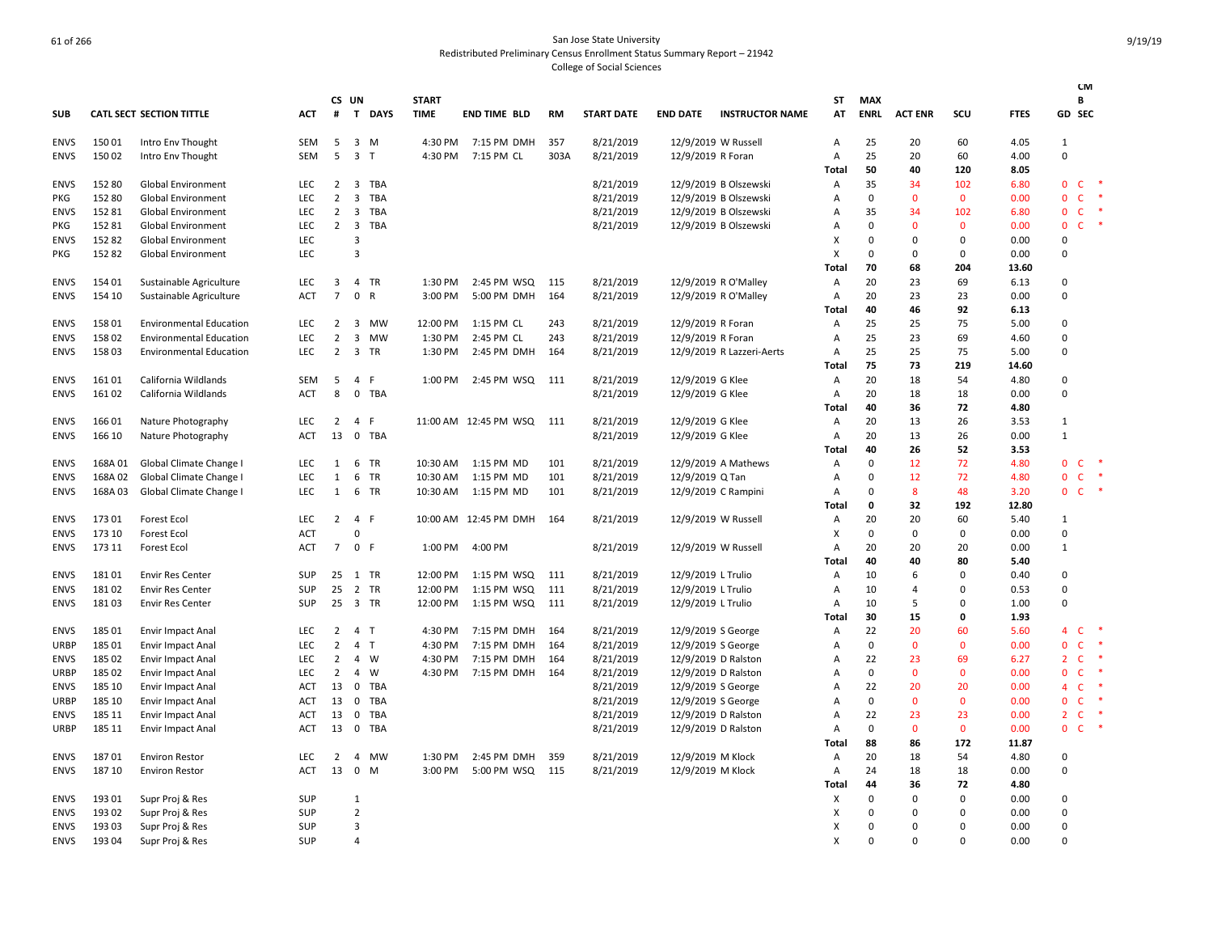|             |         |                                 |            |                 |                         |            |              |                         |           |                   |                    |                           |       |                |                |              |             |                | <b>CM</b>    |               |
|-------------|---------|---------------------------------|------------|-----------------|-------------------------|------------|--------------|-------------------------|-----------|-------------------|--------------------|---------------------------|-------|----------------|----------------|--------------|-------------|----------------|--------------|---------------|
|             |         |                                 |            |                 | CS UN                   |            | <b>START</b> |                         |           |                   |                    |                           | ST    | <b>MAX</b>     |                |              |             |                | В            |               |
| <b>SUB</b>  |         | <b>CATL SECT SECTION TITTLE</b> | <b>ACT</b> | #               |                         | T DAYS     | <b>TIME</b>  | <b>END TIME BLD</b>     | <b>RM</b> | <b>START DATE</b> | <b>END DATE</b>    | <b>INSTRUCTOR NAME</b>    | AT    | <b>ENRL</b>    | <b>ACT ENR</b> | scu          | <b>FTES</b> |                | GD SEC       |               |
| <b>ENVS</b> | 15001   | Intro Env Thought               | SEM        | 5               |                         | $3 \, M$   | 4:30 PM      | 7:15 PM DMH             | 357       | 8/21/2019         |                    | 12/9/2019 W Russell       | Α     | 25             | 20             | 60           | 4.05        | 1              |              |               |
| <b>ENVS</b> | 15002   | Intro Env Thought               | SEM        | 5               | 3 <sub>T</sub>          |            | 4:30 PM      | 7:15 PM CL              | 303A      | 8/21/2019         | 12/9/2019 R Foran  |                           | Α     | 25             | 20             | 60           | 4.00        | $\Omega$       |              |               |
|             |         |                                 |            |                 |                         |            |              |                         |           |                   |                    |                           | Total | 50             | 40             | 120          | 8.05        |                |              |               |
| ENVS        | 15280   | Global Environment              | LEC        | $\overline{2}$  | $\overline{3}$          | <b>TBA</b> |              |                         |           | 8/21/2019         |                    | 12/9/2019 B Olszewski     | Α     | 35             | 34             | 102          | 6.80        | $\mathbf{0}$   | $\mathsf{C}$ |               |
| PKG         | 152 80  | Global Environment              | LEC        | $\overline{2}$  | $\mathbf{3}$            | TBA        |              |                         |           | 8/21/2019         |                    | 12/9/2019 B Olszewski     | Α     | $\mathbf 0$    | $\mathbf 0$    | $\mathbf 0$  | 0.00        | $\mathbf 0$    | $\mathsf{C}$ |               |
| <b>ENVS</b> | 15281   | Global Environment              | LEC        | $\overline{2}$  | $\overline{\mathbf{3}}$ | TBA        |              |                         |           | 8/21/2019         |                    | 12/9/2019 B Olszewski     | A     | 35             | 34             | 102          | 6.80        | $\mathbf{0}$   | C.           |               |
| <b>PKG</b>  | 15281   | Global Environment              | LEC        | $\overline{2}$  | $\overline{\mathbf{3}}$ | TBA        |              |                         |           | 8/21/2019         |                    | 12/9/2019 B Olszewski     | Α     | 0              | $\mathbf{0}$   | $\mathbf 0$  | 0.00        | $\mathbf{0}$   | C.           | $\ast$        |
| <b>ENVS</b> | 15282   | <b>Global Environment</b>       | LEC        |                 | 3                       |            |              |                         |           |                   |                    |                           | X     | $\overline{0}$ | 0              | $\mathbf 0$  | 0.00        | $\Omega$       |              |               |
| PKG         | 15282   | Global Environment              | LEC        |                 | 3                       |            |              |                         |           |                   |                    |                           | X     | 0              | 0              | $\mathbf 0$  | 0.00        | $\Omega$       |              |               |
|             |         |                                 |            |                 |                         |            |              |                         |           |                   |                    |                           | Total | 70             | 68             | 204          | 13.60       |                |              |               |
| <b>ENVS</b> | 154 01  | Sustainable Agriculture         | LEC        | 3               |                         | 4 TR       | 1:30 PM      | 2:45 PM WSQ             | 115       | 8/21/2019         |                    | 12/9/2019 R O'Malley      | Α     | 20             | 23             | 69           | 6.13        | $\Omega$       |              |               |
| <b>ENVS</b> | 154 10  | Sustainable Agriculture         | <b>ACT</b> | $\overline{7}$  | 0 R                     |            | 3:00 PM      | 5:00 PM DMH             | 164       | 8/21/2019         |                    | 12/9/2019 R O'Malley      | Α     | 20             | 23             | 23           | 0.00        | $\Omega$       |              |               |
|             |         |                                 |            |                 |                         |            |              |                         |           |                   |                    |                           | Total | 40             | 46             | 92           | 6.13        |                |              |               |
| <b>ENVS</b> | 15801   | <b>Environmental Education</b>  | LEC        | 2               | 3                       | <b>MW</b>  | 12:00 PM     | 1:15 PM CL              | 243       | 8/21/2019         | 12/9/2019 R Foran  |                           | Α     | 25             | 25             | 75           | 5.00        | $\Omega$       |              |               |
| <b>ENVS</b> | 15802   | <b>Environmental Education</b>  | LEC        | $\overline{2}$  | 3                       | MW         | 1:30 PM      | 2:45 PM CL              | 243       | 8/21/2019         | 12/9/2019 R Foran  |                           | Α     | 25             | 23             | 69           | 4.60        | 0              |              |               |
| <b>ENVS</b> | 15803   | <b>Environmental Education</b>  | <b>LEC</b> | $\overline{2}$  |                         | 3 TR       | 1:30 PM      | 2:45 PM DMH             | 164       | 8/21/2019         |                    | 12/9/2019 R Lazzeri-Aerts | A     | 25             | 25             | 75           | 5.00        | $\Omega$       |              |               |
|             |         |                                 |            |                 |                         |            |              |                         |           |                   |                    |                           | Total | 75             | 73             | 219          | 14.60       |                |              |               |
| <b>ENVS</b> | 16101   | California Wildlands            | SEM        | 5               | $\overline{4}$          | -F         | 1:00 PM      | 2:45 PM WSQ             | 111       | 8/21/2019         | 12/9/2019 G Klee   |                           | Α     | 20             | 18             | 54           | 4.80        | 0              |              |               |
| <b>ENVS</b> | 16102   | California Wildlands            | <b>ACT</b> | 8               |                         | 0 TBA      |              |                         |           | 8/21/2019         | 12/9/2019 G Klee   |                           | Α     | 20             | 18             | 18           | 0.00        | $\Omega$       |              |               |
|             |         |                                 |            |                 |                         |            |              |                         |           |                   |                    |                           | Total | 40             | 36             | 72           | 4.80        |                |              |               |
| <b>ENVS</b> | 16601   | Nature Photography              | <b>LEC</b> | $\overline{2}$  | 4 F                     |            |              | 11:00 AM  12:45 PM  WSQ | 111       | 8/21/2019         | 12/9/2019 G Klee   |                           | Α     | 20             | 13             | 26           | 3.53        | $\mathbf{1}$   |              |               |
| <b>ENVS</b> | 166 10  | Nature Photography              | ACT        | 13              |                         | 0 TBA      |              |                         |           | 8/21/2019         | 12/9/2019 G Klee   |                           | Α     | 20             | 13             | 26           | 0.00        | $\mathbf{1}$   |              |               |
|             |         |                                 |            |                 |                         |            |              |                         |           |                   |                    |                           | Total | 40             | 26             | 52           | 3.53        |                |              |               |
| ENVS        | 168A 01 | Global Climate Change I         | LEC        | 1               |                         | 6 TR       | 10:30 AM     | 1:15 PM MD              | 101       | 8/21/2019         |                    | 12/9/2019 A Mathews       | Α     | $\mathbf 0$    | 12             | 72           | 4.80        | $\mathbf{0}$   | $\mathsf{C}$ | $\rightarrow$ |
| <b>ENVS</b> | 168A 02 | Global Climate Change I         | LEC        | 1               |                         | 6 TR       | 10:30 AM     | 1:15 PM MD              | 101       | 8/21/2019         | 12/9/2019 Q Tan    |                           | Α     | $\mathbf 0$    | 12             | 72           | 4.80        | $\mathbf{0}$   | $\mathsf{C}$ |               |
| <b>ENVS</b> | 168A03  | Global Climate Change I         | <b>LEC</b> | 1               |                         | 6 TR       | 10:30 AM     | 1:15 PM MD              | 101       | 8/21/2019         |                    | 12/9/2019 C Rampini       | A     | $\mathbf 0$    | 8              | 48           | 3.20        | $\mathbf{0}$   | $C$ *        |               |
|             |         |                                 |            |                 |                         |            |              |                         |           |                   |                    |                           | Total | 0              | 32             | 192          | 12.80       |                |              |               |
| <b>ENVS</b> | 17301   | <b>Forest Ecol</b>              | <b>LEC</b> | $\overline{2}$  | 4 F                     |            |              | 10:00 AM 12:45 PM DMH   | 164       | 8/21/2019         |                    | 12/9/2019 W Russell       | Α     | 20             | 20             | 60           | 5.40        | 1              |              |               |
| <b>ENVS</b> | 173 10  | Forest Ecol                     | ACT        |                 | $\Omega$                |            |              |                         |           |                   |                    |                           | X     | $\Omega$       | $\Omega$       | $\mathbf 0$  | 0.00        | $\Omega$       |              |               |
| <b>ENVS</b> | 173 11  | Forest Ecol                     | ACT        | $7\overline{ }$ | 0 F                     |            | 1:00 PM      | 4:00 PM                 |           | 8/21/2019         |                    | 12/9/2019 W Russell       | Α     | 20             | 20             | 20           | 0.00        | $\mathbf{1}$   |              |               |
|             |         |                                 |            |                 |                         |            |              |                         |           |                   |                    |                           | Total | 40             | 40             | 80           | 5.40        |                |              |               |
| <b>ENVS</b> | 18101   | <b>Envir Res Center</b>         | SUP        | 25              |                         | 1 TR       | 12:00 PM     | 1:15 PM WSQ             | 111       | 8/21/2019         | 12/9/2019 L Trulio |                           | Α     | 10             | 6              | $\mathbf 0$  | 0.40        | 0              |              |               |
| <b>ENVS</b> | 18102   | <b>Envir Res Center</b>         | <b>SUP</b> | 25              |                         | 2 TR       | 12:00 PM     | 1:15 PM WSQ             | 111       | 8/21/2019         | 12/9/2019 L Trulio |                           | A     | 10             | 4              | 0            | 0.53        | $\Omega$       |              |               |
| <b>ENVS</b> | 18103   | <b>Envir Res Center</b>         | SUP        | 25              |                         | 3 TR       | 12:00 PM     | 1:15 PM WSQ             | 111       | 8/21/2019         | 12/9/2019 L Trulio |                           | Α     | 10             | 5              | $\mathbf 0$  | 1.00        | $\Omega$       |              |               |
|             |         |                                 |            |                 |                         |            |              |                         |           |                   |                    |                           | Total | 30             | 15             | $\mathbf 0$  | 1.93        |                |              |               |
| <b>ENVS</b> | 18501   | <b>Envir Impact Anal</b>        | <b>LEC</b> | $\overline{2}$  | 4 T                     |            | 4:30 PM      | 7:15 PM DMH             | 164       | 8/21/2019         | 12/9/2019 S George |                           | Α     | 22             | 20             | 60           | 5.60        | 4              | $\mathsf{C}$ | $\;$ $\;$     |
| <b>URBP</b> | 185 01  | <b>Envir Impact Anal</b>        | LEC        | 2               | 4 T                     |            | 4:30 PM      | 7:15 PM DMH             | 164       | 8/21/2019         | 12/9/2019 S George |                           | Α     | 0              | $\mathbf{0}$   | $\mathbf 0$  | 0.00        | $\mathbf{0}$   | C            |               |
| <b>ENVS</b> | 185 02  | <b>Envir Impact Anal</b>        | LEC        | $\overline{2}$  |                         | 4 W        | 4:30 PM      | 7:15 PM DMH             | 164       | 8/21/2019         |                    | 12/9/2019 D Ralston       | Α     | 22             | 23             | 69           | 6.27        | $\overline{2}$ | $\mathsf{C}$ | $\ast$        |
| <b>URBP</b> | 185 02  | <b>Envir Impact Anal</b>        | LEC        | $\overline{2}$  | $\overline{4}$          | W          | 4:30 PM      | 7:15 PM DMH             | 164       | 8/21/2019         |                    | 12/9/2019 D Ralston       | Α     | $\Omega$       | $\Omega$       | $\Omega$     | 0.00        | $\Omega$       | $\mathsf{C}$ |               |
| <b>ENVS</b> | 185 10  | <b>Envir Impact Anal</b>        | ACT        | 13              | 0                       | TBA        |              |                         |           | 8/21/2019         | 12/9/2019 S George |                           | Α     | 22             | 20             | 20           | 0.00        | 4              | C.           |               |
| <b>URBP</b> | 185 10  | <b>Envir Impact Anal</b>        | ACT        | 13              | $\mathbf 0$             | <b>TBA</b> |              |                         |           | 8/21/2019         | 12/9/2019 S George |                           | Α     | $\mathbf 0$    | $\mathbf{0}$   | $\mathbf 0$  | 0.00        | $\mathbf{0}$   | $\mathsf{C}$ |               |
| <b>ENVS</b> | 185 11  | <b>Envir Impact Anal</b>        | <b>ACT</b> | 13              | 0                       | TBA        |              |                         |           | 8/21/2019         |                    | 12/9/2019 D Ralston       | Α     | 22             | 23             | 23           | 0.00        | $2^{\circ}$    | $\mathsf{C}$ |               |
| <b>URBP</b> | 185 11  | <b>Envir Impact Anal</b>        | ACT        | 13              | $\overline{0}$          | TBA        |              |                         |           | 8/21/2019         |                    | 12/9/2019 D Ralston       | A     | 0              | $\mathbf{0}$   | $\mathbf{0}$ | 0.00        | $\mathbf{0}$   | C.           | ∗             |
|             |         |                                 |            |                 |                         |            |              |                         |           |                   |                    |                           | Total | 88             | 86             | 172          | 11.87       |                |              |               |
| <b>ENVS</b> | 18701   | <b>Environ Restor</b>           | LEC        | 2               | 4                       | <b>MW</b>  | 1:30 PM      | 2:45 PM DMH             | 359       | 8/21/2019         | 12/9/2019 M Klock  |                           | Α     | 20             | 18             | 54           | 4.80        | $\Omega$       |              |               |
| <b>ENVS</b> | 187 10  | <b>Environ Restor</b>           | <b>ACT</b> | 13              | $\overline{0}$          | M          | 3:00 PM      | 5:00 PM WSQ             | 115       | 8/21/2019         | 12/9/2019 M Klock  |                           | Α     | 24             | 18             | 18           | 0.00        | $\Omega$       |              |               |
|             |         |                                 |            |                 |                         |            |              |                         |           |                   |                    |                           | Total | 44             | 36             | 72           | 4.80        |                |              |               |
| <b>ENVS</b> | 193 01  | Supr Proj & Res                 | SUP        |                 | 1                       |            |              |                         |           |                   |                    |                           | X     | $\Omega$       | 0              | $\mathbf 0$  | 0.00        | $\Omega$       |              |               |
| <b>ENVS</b> | 193 02  | Supr Proj & Res                 | <b>SUP</b> |                 | $\overline{2}$          |            |              |                         |           |                   |                    |                           | х     | $\Omega$       | $\Omega$       | $\Omega$     | 0.00        | $\Omega$       |              |               |
| <b>ENVS</b> | 19303   | Supr Proj & Res                 | <b>SUP</b> |                 | 3                       |            |              |                         |           |                   |                    |                           | X     | $\Omega$       | $\Omega$       | 0            | 0.00        | $\Omega$       |              |               |
| ENVS        | 193 04  | Supr Proj & Res                 | SUP        |                 | $\overline{4}$          |            |              |                         |           |                   |                    |                           | X     | $\Omega$       | $\Omega$       | $\mathbf 0$  | 0.00        | $\Omega$       |              |               |
|             |         |                                 |            |                 |                         |            |              |                         |           |                   |                    |                           |       |                |                |              |             |                |              |               |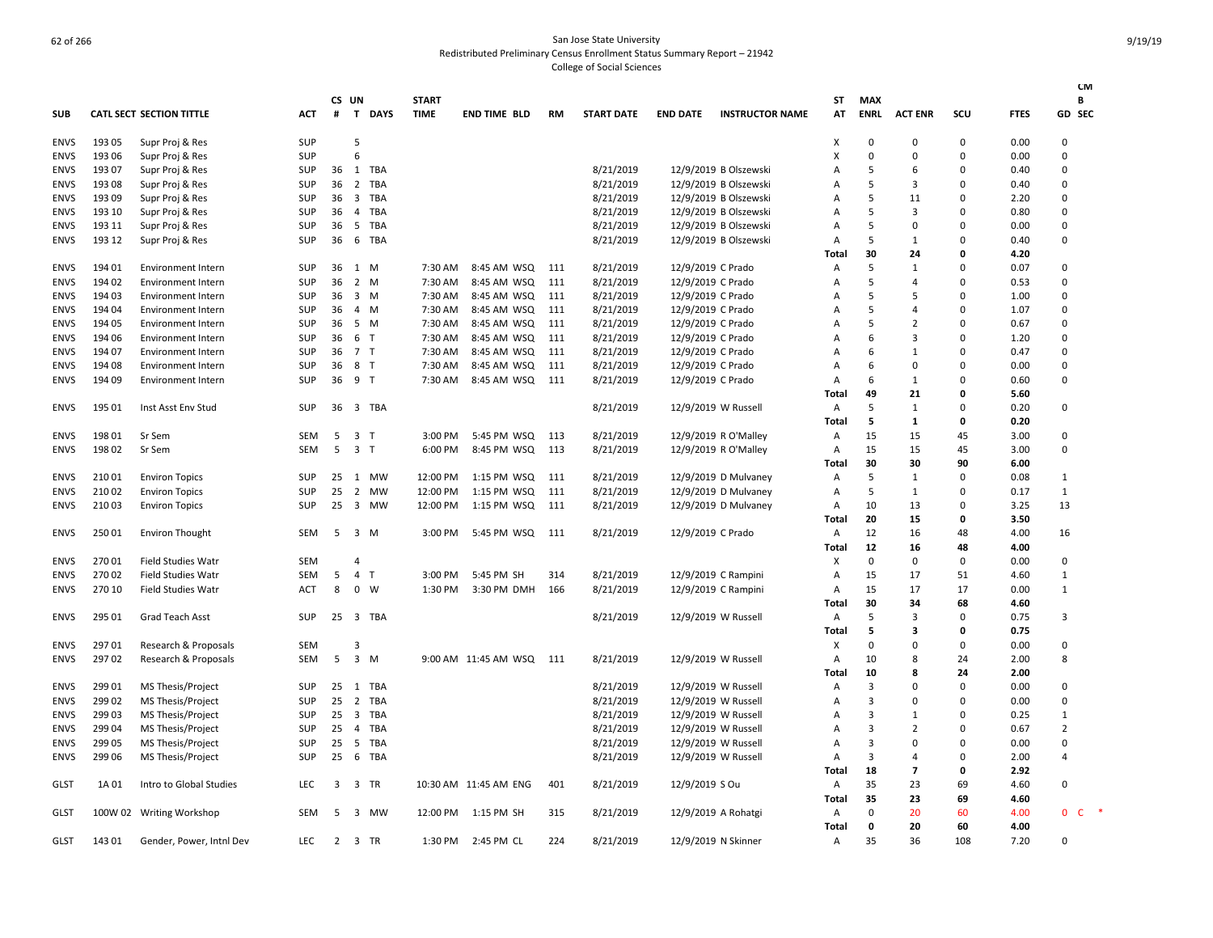|             |        |                                 |            |                |                               |                             |                       |           |                   |                   |                        |                |                    |                |              |             | <b>CM</b>                    |
|-------------|--------|---------------------------------|------------|----------------|-------------------------------|-----------------------------|-----------------------|-----------|-------------------|-------------------|------------------------|----------------|--------------------|----------------|--------------|-------------|------------------------------|
| <b>SUB</b>  |        | <b>CATL SECT SECTION TITTLE</b> | ACT        | CS UN<br>#     | <b>DAYS</b><br>T              | <b>START</b><br><b>TIME</b> | <b>END TIME BLD</b>   | <b>RM</b> | <b>START DATE</b> | <b>END DATE</b>   | <b>INSTRUCTOR NAME</b> | ST<br>AT       | MAX<br><b>ENRL</b> | <b>ACT ENR</b> | SCU          | <b>FTES</b> | В<br><b>GD SEC</b>           |
|             |        |                                 |            |                |                               |                             |                       |           |                   |                   |                        |                |                    |                |              |             |                              |
| <b>ENVS</b> | 193 05 | Supr Proj & Res                 | <b>SUP</b> |                | 5                             |                             |                       |           |                   |                   |                        | X              | $\Omega$           | $\Omega$       | $\Omega$     | 0.00        | $\Omega$                     |
| <b>ENVS</b> | 193 06 | Supr Proj & Res                 | <b>SUP</b> |                | 6                             |                             |                       |           |                   |                   |                        | X              | 0                  | 0              | 0            | 0.00        | $\Omega$                     |
| <b>ENVS</b> | 193 07 | Supr Proj & Res                 | <b>SUP</b> |                | 36 1 TBA                      |                             |                       |           | 8/21/2019         |                   | 12/9/2019 B Olszewski  | $\overline{A}$ | 5                  | 6              | ŋ            | 0.40        | 0                            |
| <b>ENVS</b> | 193 08 | Supr Proj & Res                 | <b>SUP</b> | 36             | 2 TBA                         |                             |                       |           | 8/21/2019         |                   | 12/9/2019 B Olszewski  | $\overline{A}$ | 5                  | 3              | <sup>0</sup> | 0.40        | 0                            |
| <b>ENVS</b> | 193 09 | Supr Proj & Res                 | <b>SUP</b> | 36             | 3 TBA                         |                             |                       |           | 8/21/2019         |                   | 12/9/2019 B Olszewski  | Α              | 5                  | 11             | $\Omega$     | 2.20        | 0                            |
| <b>ENVS</b> | 193 10 | Supr Proj & Res                 | <b>SUP</b> | 36             | TBA<br>$\overline{4}$         |                             |                       |           | 8/21/2019         |                   | 12/9/2019 B Olszewski  | A              | 5                  | 3              | <sup>0</sup> | 0.80        | $\Omega$                     |
| <b>ENVS</b> | 193 11 | Supr Proj & Res                 | <b>SUP</b> | 36             | 5<br>TBA                      |                             |                       |           | 8/21/2019         |                   | 12/9/2019 B Olszewski  | A              | 5                  | 0              | $\Omega$     | 0.00        | 0                            |
| <b>ENVS</b> | 193 12 | Supr Proj & Res                 | <b>SUP</b> | 36             | 6 TBA                         |                             |                       |           | 8/21/2019         |                   | 12/9/2019 B Olszewski  | A              | 5                  | 1              | $\Omega$     | 0.40        | 0                            |
|             |        |                                 |            |                |                               |                             |                       |           |                   |                   |                        | Total          | 30                 | 24             | O            | 4.20        |                              |
| <b>ENVS</b> | 19401  | <b>Environment Intern</b>       | <b>SUP</b> | 36             | 1 M                           | 7:30 AM                     | 8:45 AM WSQ           | 111       | 8/21/2019         | 12/9/2019 C Prado |                        | A              | 5                  | 1              | 0            | 0.07        | 0                            |
| <b>ENVS</b> | 194 02 | <b>Environment Intern</b>       | <b>SUP</b> | 36             | 2 M                           | 7:30 AM                     | 8:45 AM WSQ           | 111       | 8/21/2019         | 12/9/2019 C Prado |                        | $\overline{A}$ | 5                  | $\overline{a}$ | $\Omega$     | 0.53        | 0                            |
| <b>ENVS</b> | 194 03 | <b>Environment Intern</b>       | SUP        | 36             | 3 M                           | 7:30 AM                     | 8:45 AM WSQ           | 111       | 8/21/2019         | 12/9/2019 C Prado |                        | Α              | 5                  | .5             | 0            | 1.00        | 0                            |
| <b>ENVS</b> | 194 04 | <b>Environment Intern</b>       | <b>SUP</b> | 36             | 4 M                           | 7:30 AM                     | 8:45 AM WSQ           | 111       | 8/21/2019         | 12/9/2019 C Prado |                        | A              | 5                  | $\overline{a}$ | 0            | 1.07        | $\Omega$                     |
| <b>ENVS</b> | 194 05 | <b>Environment Intern</b>       | SUP        | 36             | 5 M                           | 7:30 AM                     | 8:45 AM WSQ           | 111       | 8/21/2019         | 12/9/2019 C Prado |                        | A              | 5                  | $\overline{2}$ | 0            | 0.67        | 0                            |
| <b>ENVS</b> | 194 06 | <b>Environment Intern</b>       | <b>SUP</b> | 36             | 6 T                           | 7:30 AM                     | 8:45 AM WSQ           | 111       | 8/21/2019         | 12/9/2019 C Prado |                        | A              | 6                  | 3              | $\Omega$     | 1.20        | $\Omega$                     |
| <b>ENVS</b> | 194 07 | <b>Environment Intern</b>       | <b>SUP</b> | 36             | 7 T                           | 7:30 AM                     | 8:45 AM WSQ           | 111       | 8/21/2019         | 12/9/2019 C Prado |                        | A              | 6                  | 1              | $\Omega$     | 0.47        | 0                            |
| <b>ENVS</b> | 194 08 | <b>Environment Intern</b>       | <b>SUP</b> | 36             | 8 T                           | 7:30 AM                     | 8:45 AM WSQ           | 111       | 8/21/2019         | 12/9/2019 C Prado |                        | A              | 6                  | $\Omega$       | $\Omega$     | 0.00        | $\Omega$                     |
| <b>ENVS</b> | 194 09 | <b>Environment Intern</b>       | SUP        | 36             | 9 T                           | 7:30 AM                     | 8:45 AM WSQ           | 111       | 8/21/2019         | 12/9/2019 C Prado |                        | Α              | 6                  | 1              | 0            | 0.60        | 0                            |
|             |        |                                 |            |                |                               |                             |                       |           |                   |                   |                        | Total          | 49                 | 21             | $\Omega$     | 5.60        |                              |
| <b>ENVS</b> | 195 01 | Inst Asst Env Stud              | SUP        | 36             | 3 TBA                         |                             |                       |           | 8/21/2019         |                   | 12/9/2019 W Russell    | Α              | 5                  | 1              | 0            | 0.20        | $\Omega$                     |
|             |        |                                 |            |                |                               |                             |                       |           |                   |                   |                        | <b>Total</b>   | 5                  | $\mathbf{1}$   | 0            | 0.20        |                              |
| <b>ENVS</b> | 19801  | Sr Sem                          | <b>SEM</b> | 5              | 3 <sub>T</sub>                | 3:00 PM                     | 5:45 PM WSQ           | 113       | 8/21/2019         |                   | 12/9/2019 R O'Malley   | Α              | 15                 | 15             | 45           | 3.00        | 0                            |
| <b>ENVS</b> | 19802  | Sr Sem                          | <b>SEM</b> | 5              | 3 <sub>1</sub>                | 6:00 PM                     | 8:45 PM WSQ           | 113       | 8/21/2019         |                   | 12/9/2019 R O'Malley   | Α              | 15                 | 15             | 45           | 3.00        | 0                            |
|             |        |                                 |            |                |                               |                             |                       |           |                   |                   |                        | Total          | 30                 | 30             | 90           | 6.00        |                              |
| <b>ENVS</b> | 21001  | <b>Environ Topics</b>           | <b>SUP</b> | 25             | 1<br>MW                       | 12:00 PM                    | 1:15 PM WSQ           | 111       | 8/21/2019         |                   | 12/9/2019 D Mulvaney   | A              | 5                  | 1              | $\Omega$     | 0.08        | $\mathbf{1}$                 |
| <b>ENVS</b> | 21002  | <b>Environ Topics</b>           | SUP        | 25             | $\overline{2}$<br><b>MW</b>   | 12:00 PM                    | 1:15 PM WSQ           | 111       | 8/21/2019         |                   | 12/9/2019 D Mulvaney   | $\overline{A}$ | 5                  | 1              | 0            | 0.17        | $\mathbf{1}$                 |
| <b>ENVS</b> | 21003  | <b>Environ Topics</b>           | <b>SUP</b> | 25             | 3 MW                          | 12:00 PM                    | 1:15 PM WSQ           | 111       | 8/21/2019         |                   | 12/9/2019 D Mulvaney   | A              | 10                 | 13             | $\Omega$     | 3.25        | 13                           |
|             |        |                                 |            |                |                               |                             |                       |           |                   |                   |                        | Total          | 20                 | 15             | 0            | 3.50        |                              |
| ENVS        | 25001  | <b>Environ Thought</b>          | <b>SEM</b> | 5              | 3 M                           | 3:00 PM                     | 5:45 PM WSQ           | -111      | 8/21/2019         | 12/9/2019 C Prado |                        | Α              | 12                 | 16             | 48           | 4.00        | 16                           |
|             |        |                                 |            |                |                               |                             |                       |           |                   |                   |                        | Total          | 12                 | 16             | 48           | 4.00        |                              |
| <b>ENVS</b> | 27001  | <b>Field Studies Watr</b>       | <b>SEM</b> |                | 4                             |                             |                       |           |                   |                   |                        | X              | 0                  | 0              | 0            | 0.00        | 0                            |
| <b>ENVS</b> | 27002  | <b>Field Studies Watr</b>       | SEM        | 5              | $\overline{4}$<br>T           | 3:00 PM                     | 5:45 PM SH            | 314       | 8/21/2019         |                   | 12/9/2019 C Rampini    | A              | 15                 | 17             | 51           | 4.60        | 1                            |
| <b>ENVS</b> | 270 10 | <b>Field Studies Watr</b>       | ACT        | 8              | $0 \quad W$                   | 1:30 PM                     | 3:30 PM DMH           | 166       | 8/21/2019         |                   | 12/9/2019 C Rampini    | Α              | 15                 | 17             | 17           | 0.00        | 1                            |
|             |        |                                 |            |                |                               |                             |                       |           |                   |                   |                        | Total          | 30                 | 34             | 68           | 4.60        |                              |
| <b>ENVS</b> | 295 01 | Grad Teach Asst                 | <b>SUP</b> |                | 25 3 TBA                      |                             |                       |           | 8/21/2019         |                   | 12/9/2019 W Russell    | Α              | 5                  | 3              | 0            | 0.75        | 3                            |
|             |        |                                 |            |                |                               |                             |                       |           |                   |                   |                        | Total          | 5                  | з              | 0            | 0.75        |                              |
| <b>ENVS</b> | 29701  | Research & Proposals            | <b>SEM</b> |                | 3                             |                             |                       |           |                   |                   |                        | X              | 0                  | 0              | $\Omega$     | 0.00        | 0                            |
| <b>ENVS</b> | 29702  | Research & Proposals            | <b>SEM</b> | 5              | $3 \, M$                      |                             | 9:00 AM 11:45 AM WSQ  | 111       | 8/21/2019         |                   | 12/9/2019 W Russell    | Α              | 10                 | 8              | 24           | 2.00        | 8                            |
|             |        |                                 |            |                |                               |                             |                       |           |                   |                   |                        | <b>Total</b>   | 10                 | 8              | 24           | 2.00        |                              |
| <b>ENVS</b> | 299 01 | MS Thesis/Project               | <b>SUP</b> |                | 25 1 TBA                      |                             |                       |           | 8/21/2019         |                   | 12/9/2019 W Russell    | Α              | 3                  | $\Omega$       | 0            | 0.00        | 0                            |
| <b>ENVS</b> | 299 02 | MS Thesis/Project               | <b>SUP</b> | 25             | 2 TBA                         |                             |                       |           | 8/21/2019         |                   | 12/9/2019 W Russell    | A              | 3                  | $\Omega$       | $\Omega$     | 0.00        | $\Omega$                     |
| <b>ENVS</b> | 299 03 | MS Thesis/Project               | <b>SUP</b> | 25             | 3 TBA                         |                             |                       |           | 8/21/2019         |                   | 12/9/2019 W Russell    | Α              | 3                  | 1              | $\Omega$     | 0.25        | $\mathbf{1}$                 |
| <b>ENVS</b> | 299 04 | MS Thesis/Project               | <b>SUP</b> | 25             | 4 TBA                         |                             |                       |           | 8/21/2019         |                   | 12/9/2019 W Russell    | A              | 3                  | 2              | $\Omega$     | 0.67        | $\overline{2}$               |
| <b>ENVS</b> | 299 05 | MS Thesis/Project               | <b>SUP</b> | 25             | 5<br>TBA                      |                             |                       |           | 8/21/2019         |                   | 12/9/2019 W Russell    | Α              | 3                  | 0              | $\Omega$     | 0.00        | 0                            |
|             |        |                                 |            |                |                               |                             |                       |           |                   |                   |                        |                | 3                  | 4              | $\Omega$     | 2.00        | 4                            |
| <b>ENVS</b> | 299 06 | MS Thesis/Project               | <b>SUP</b> | 25             | 6 TBA                         |                             |                       |           | 8/21/2019         |                   | 12/9/2019 W Russell    | A              |                    | $\overline{7}$ | 0            | 2.92        |                              |
|             |        |                                 |            |                |                               |                             |                       |           |                   |                   |                        | Total          | 18                 |                |              |             |                              |
| <b>GLST</b> | 1A 01  | Intro to Global Studies         | <b>LEC</b> | 3              | 3 TR                          |                             | 10:30 AM 11:45 AM ENG | 401       | 8/21/2019         | 12/9/2019 S Ou    |                        | A              | 35                 | 23             | 69           | 4.60        | $\Omega$                     |
|             |        |                                 |            |                |                               |                             |                       |           |                   |                   |                        | Total          | 35                 | 23             | 69           | 4.60        |                              |
| <b>GLST</b> |        | 100W 02 Writing Workshop        | <b>SEM</b> | 5              | $\overline{\mathbf{3}}$<br>MW | 12:00 PM                    | 1:15 PM SH            | 315       | 8/21/2019         |                   | 12/9/2019 A Rohatgi    | Α              | 0                  | 20             | 60           | 4.00        | $\mathbf{0}$<br>$\mathsf{C}$ |
|             |        |                                 |            |                |                               |                             |                       |           |                   |                   |                        | Total          | $\mathbf 0$<br>35  | 20             | 60<br>108    | 4.00        | <sup>0</sup>                 |
| <b>GLST</b> | 14301  | Gender, Power, Intnl Dev        | <b>LEC</b> | $\overline{2}$ | 3 TR                          | 1:30 PM                     | 2:45 PM CL            | 224       | 8/21/2019         |                   | 12/9/2019 N Skinner    | Α              |                    | 36             |              | 7.20        |                              |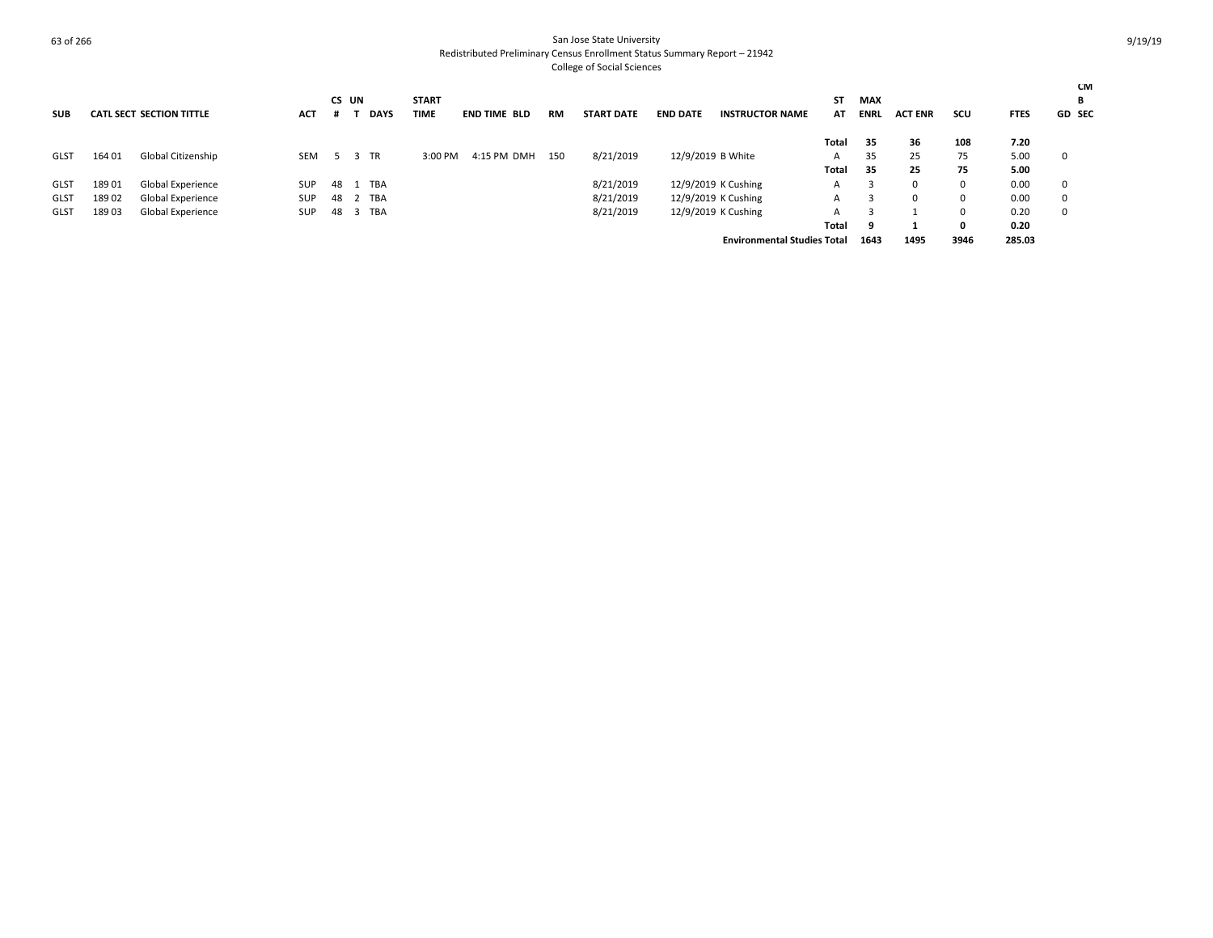|             |        |                                 |            |    | CS UN            | <b>START</b>               |                     |           |                   |                 |                                    | SΤ           | MAX         |                |          |             | CM<br>В       |
|-------------|--------|---------------------------------|------------|----|------------------|----------------------------|---------------------|-----------|-------------------|-----------------|------------------------------------|--------------|-------------|----------------|----------|-------------|---------------|
| <b>SUB</b>  |        | <b>CATL SECT SECTION TITTLE</b> | <b>ACT</b> |    |                  | <b>DAYS</b><br><b>TIME</b> | <b>END TIME BLD</b> | <b>RM</b> | <b>START DATE</b> | <b>END DATE</b> | <b>INSTRUCTOR NAME</b>             | AT           | <b>ENRL</b> | <b>ACT ENR</b> | scu      | <b>FTES</b> | <b>GD SEC</b> |
|             |        |                                 |            |    |                  |                            |                     |           |                   |                 |                                    | Total        | 35          | 36             | 108      | 7.20        |               |
| <b>GLST</b> | 164 01 | Global Citizenship              | <b>SEM</b> |    | <b>TR</b><br>- 3 | 3:00 PM                    | 4:15 PM DMH         | 150       | 8/21/2019         |                 | 12/9/2019 B White                  | $\mathsf{A}$ | 35          | 25             | 75       | 5.00        | - 0           |
|             |        |                                 |            |    |                  |                            |                     |           |                   |                 |                                    | Total        | 35          | 25             | 75       | 5.00        |               |
| GLST        | 18901  | Global Experience               | <b>SUP</b> |    | 48 1 TBA         |                            |                     |           | 8/21/2019         |                 | 12/9/2019 K Cushing                | $\mathsf{A}$ |             | $\Omega$       | $\Omega$ | 0.00        | 0             |
| <b>GLST</b> | 18902  | Global Experience               | SUP        | 48 | TBA              |                            |                     |           | 8/21/2019         |                 | 12/9/2019 K Cushing                | A            | 3           | $\Omega$       | 0        | 0.00        | 0             |
| <b>GLST</b> | 189 03 | Global Experience               | <b>SUP</b> |    | 48 3 TBA         |                            |                     |           | 8/21/2019         |                 | 12/9/2019 K Cushing                | A            |             |                | $\Omega$ | 0.20        | $\mathbf 0$   |
|             |        |                                 |            |    |                  |                            |                     |           |                   |                 |                                    | Total        | -9          |                | 0        | 0.20        |               |
|             |        |                                 |            |    |                  |                            |                     |           |                   |                 | <b>Environmental Studies Total</b> |              | 1643        | 1495           | 3946     | 285.03      |               |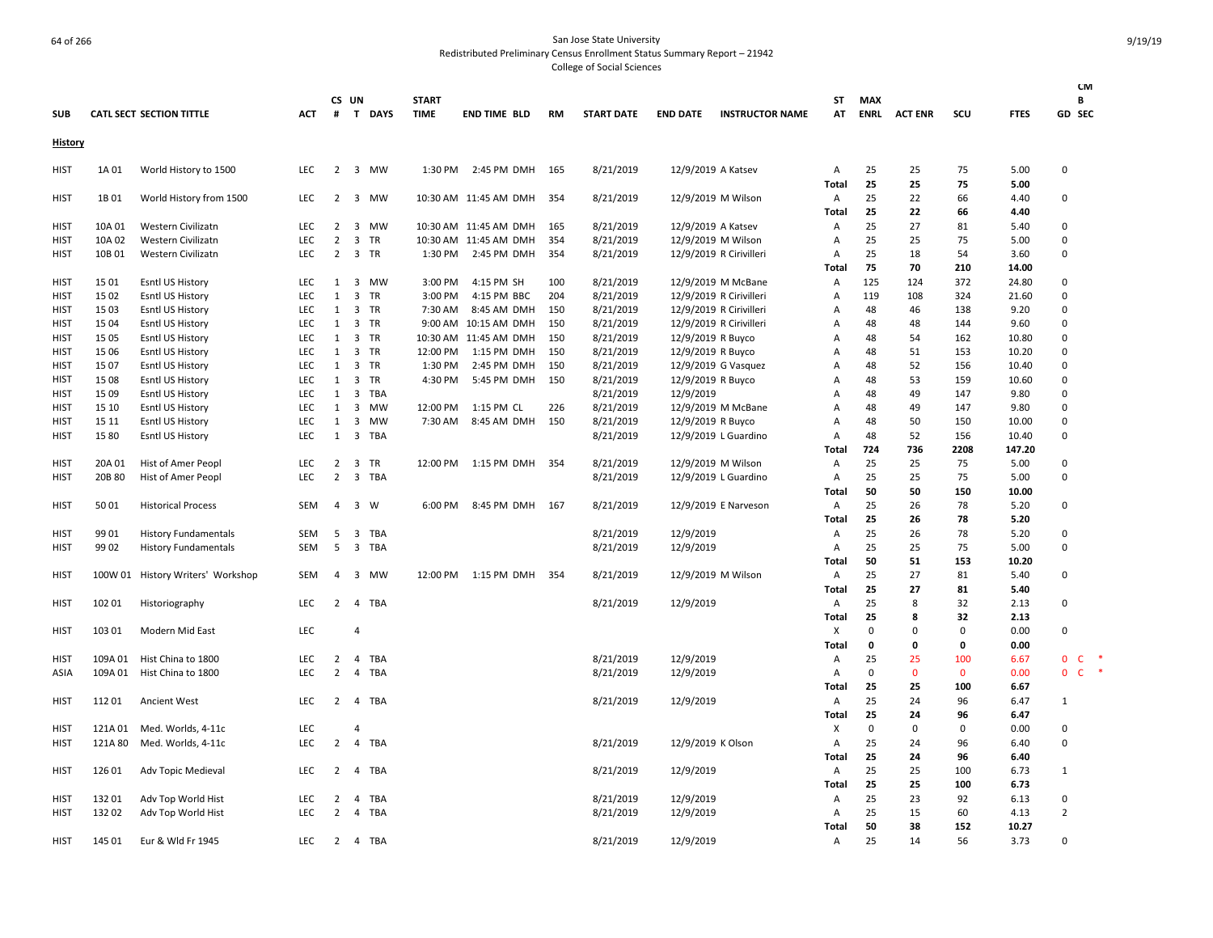| <b>SUB</b>  |         | <b>CATL SECT SECTION TITTLE</b>   | ACT                      | #              | CS UN                   | T DAYS     | <b>START</b><br><b>TIME</b> | END TIME BLD          | RM         | <b>START DATE</b> | <b>END DATE</b>    | <b>INSTRUCTOR NAME</b>  | ST<br>AT              | <b>MAX</b><br><b>ENRL</b> | <b>ACT ENR</b> | scu                | <b>FTES</b>    | <b>CM</b><br>В<br>GD SEC     |
|-------------|---------|-----------------------------------|--------------------------|----------------|-------------------------|------------|-----------------------------|-----------------------|------------|-------------------|--------------------|-------------------------|-----------------------|---------------------------|----------------|--------------------|----------------|------------------------------|
|             |         |                                   |                          |                |                         |            |                             |                       |            |                   |                    |                         |                       |                           |                |                    |                |                              |
| History     |         |                                   |                          |                |                         |            |                             |                       |            |                   |                    |                         |                       |                           |                |                    |                |                              |
| <b>HIST</b> | 1A 01   | World History to 1500             | <b>LEC</b>               | $\overline{2}$ |                         | 3 MW       | 1:30 PM                     | 2:45 PM DMH           | 165        | 8/21/2019         | 12/9/2019 A Katsev |                         | A                     | 25                        | 25             | 75                 | 5.00           | $\Omega$                     |
|             |         |                                   |                          |                |                         |            |                             |                       |            |                   |                    |                         | Total                 | 25                        | 25             | 75                 | 5.00           |                              |
| <b>HIST</b> | 1B 01   | World History from 1500           | <b>LEC</b>               | $\overline{2}$ | $\overline{\mathbf{3}}$ | MW         |                             | 10:30 AM 11:45 AM DMH | 354        | 8/21/2019         | 12/9/2019 M Wilson |                         | Α                     | 25                        | 22             | 66                 | 4.40           | $\Omega$                     |
| <b>HIST</b> | 10A 01  | Western Civilizatn                | <b>LEC</b>               | $\overline{2}$ | $\overline{\mathbf{3}}$ | MW         |                             | 10:30 AM 11:45 AM DMH | 165        | 8/21/2019         | 12/9/2019 A Katsev |                         | Total<br>Α            | 25<br>25                  | 22<br>27       | 66<br>81           | 4.40<br>5.40   | $\Omega$                     |
| HIST        | 10A 02  | Western Civilizatn                | LEC                      | $\overline{2}$ | $\overline{3}$          | <b>TR</b>  |                             | 10:30 AM 11:45 AM DMH | 354        | 8/21/2019         | 12/9/2019 M Wilson |                         | A                     | 25                        | 25             | 75                 | 5.00           | $\Omega$                     |
| <b>HIST</b> | 10B01   | Western Civilizatn                | <b>LEC</b>               |                |                         | 2 3 TR     | 1:30 PM                     | 2:45 PM DMH           | 354        | 8/21/2019         |                    | 12/9/2019 R Cirivilleri | $\overline{A}$        | 25                        | 18             | 54                 | 3.60           | $\Omega$                     |
|             |         |                                   |                          |                |                         |            |                             |                       |            |                   |                    |                         | Total                 | 75                        | 70             | 210                | 14.00          |                              |
| <b>HIST</b> | 15 01   | Esntl US History                  | <b>LEC</b>               | 1              | $\overline{\mathbf{3}}$ | MW         | 3:00 PM                     | 4:15 PM SH            | 100        | 8/21/2019         |                    | 12/9/2019 M McBane      | A                     | 125                       | 124            | 372                | 24.80          | 0                            |
| <b>HIST</b> | 15 02   | Esntl US History                  | <b>LEC</b>               | $\mathbf{1}$   | $\overline{\mathbf{3}}$ | <b>TR</b>  | 3:00 PM                     | 4:15 PM BBC           | 204        | 8/21/2019         |                    | 12/9/2019 R Cirivilleri | $\overline{A}$        | 119                       | 108            | 324                | 21.60          | $\Omega$                     |
| HIST        | 15 03   | Esntl US History                  | <b>LEC</b>               | 1              | $\overline{\mathbf{3}}$ | TR         | 7:30 AM                     | 8:45 AM DMH           | 150        | 8/21/2019         |                    | 12/9/2019 R Cirivilleri | A                     | 48                        | 46             | 138                | 9.20           | $\Omega$                     |
| <b>HIST</b> | 15 04   | Esntl US History                  | <b>LEC</b>               | $\mathbf{1}$   | 3                       | TR         | 9:00 AM                     | 10:15 AM DMH          | 150        | 8/21/2019         |                    | 12/9/2019 R Cirivilleri | A                     | 48                        | 48             | 144                | 9.60           | 0                            |
| <b>HIST</b> | 15 05   | Esntl US History                  | <b>LEC</b>               | 1              | $\overline{\mathbf{3}}$ | <b>TR</b>  |                             | 10:30 AM 11:45 AM DMH | 150        | 8/21/2019         | 12/9/2019 R Buyco  |                         | A                     | 48                        | 54             | 162                | 10.80          | $\Omega$                     |
| HIST        | 15 06   | Esntl US History                  | <b>LEC</b>               | 1              | $\overline{\mathbf{3}}$ | <b>TR</b>  | 12:00 PM                    | 1:15 PM DMH           | 150        | 8/21/2019         | 12/9/2019 R Buyco  |                         | Α                     | 48                        | 51             | 153                | 10.20          | $\Omega$                     |
| <b>HIST</b> | 1507    | Esntl US History                  | <b>LEC</b>               | $\mathbf{1}$   | $\overline{3}$          | <b>TR</b>  | 1:30 PM                     | 2:45 PM DMH           | 150        | 8/21/2019         |                    | 12/9/2019 G Vasquez     | A                     | 48                        | 52             | 156                | 10.40          | $\Omega$                     |
| <b>HIST</b> | 15 08   | Esntl US History                  | <b>LEC</b>               | 1              | $\overline{3}$          | <b>TR</b>  | 4:30 PM                     | 5:45 PM DMH           | 150        | 8/21/2019         | 12/9/2019 R Buyco  |                         | A                     | 48                        | 53             | 159                | 10.60          | $\Omega$                     |
| HIST        | 15 09   | Esntl US History                  | <b>LEC</b>               | 1              | $\overline{\mathbf{3}}$ | <b>TBA</b> |                             |                       |            | 8/21/2019         | 12/9/2019          |                         | $\overline{A}$        | 48                        | 49             | 147                | 9.80           | $\Omega$                     |
| <b>HIST</b> | 15 10   | Esntl US History                  | LEC                      | 1              | $\overline{3}$          | <b>MW</b>  | 12:00 PM                    | 1:15 PM CL            | 226<br>150 | 8/21/2019         |                    | 12/9/2019 M McBane      | A                     | 48<br>48                  | 49<br>50       | 147                | 9.80           | $\Omega$<br>$\Omega$         |
| <b>HIST</b> | 15 11   | Esntl US History                  | <b>LEC</b><br><b>LEC</b> | 1<br>1         | $\overline{3}$          | MW<br>TBA  | 7:30 AM                     | 8:45 AM DMH           |            | 8/21/2019         | 12/9/2019 R Buyco  |                         | A<br>$\overline{A}$   | 48                        |                | 150<br>156         | 10.00<br>10.40 | $\Omega$                     |
| <b>HIST</b> | 1580    | Esntl US History                  |                          |                | $\overline{\mathbf{3}}$ |            |                             |                       |            | 8/21/2019         |                    | 12/9/2019 L Guardino    | Total                 | 724                       | 52<br>736      | 2208               | 147.20         |                              |
| HIST        | 20A 01  | Hist of Amer Peopl                | <b>LEC</b>               | $\overline{2}$ | $\overline{\mathbf{3}}$ | TR         | 12:00 PM                    | 1:15 PM DMH           | 354        | 8/21/2019         | 12/9/2019 M Wilson |                         | A                     | 25                        | 25             | 75                 | 5.00           | 0                            |
| <b>HIST</b> | 20B 80  | Hist of Amer Peopl                | LEC                      | $\overline{2}$ | $\overline{3}$          | <b>TBA</b> |                             |                       |            | 8/21/2019         |                    | 12/9/2019 L Guardino    | A                     | 25                        | 25             | 75                 | 5.00           | $\Omega$                     |
|             |         |                                   |                          |                |                         |            |                             |                       |            |                   |                    |                         | Total                 | 50                        | 50             | 150                | 10.00          |                              |
| <b>HIST</b> | 50 01   | <b>Historical Process</b>         | <b>SEM</b>               | $\overline{4}$ | $\overline{\mathbf{3}}$ | W          | 6:00 PM                     | 8:45 PM DMH           | 167        | 8/21/2019         |                    | 12/9/2019 E Narveson    | Α                     | 25                        | 26             | 78                 | 5.20           | $\Omega$                     |
|             |         |                                   |                          |                |                         |            |                             |                       |            |                   |                    |                         | Total                 | 25                        | 26             | 78                 | 5.20           |                              |
| HIST        | 99 01   | <b>History Fundamentals</b>       | SEM                      | 5              | $\overline{\mathbf{3}}$ | <b>TBA</b> |                             |                       |            | 8/21/2019         | 12/9/2019          |                         | $\overline{A}$        | 25                        | 26             | 78                 | 5.20           | $\Omega$                     |
| <b>HIST</b> | 99 02   | <b>History Fundamentals</b>       | SEM                      | 5              | $\overline{3}$          | <b>TBA</b> |                             |                       |            | 8/21/2019         | 12/9/2019          |                         | A                     | 25                        | 25             | 75                 | 5.00           | $\Omega$                     |
|             |         |                                   |                          |                |                         |            |                             |                       |            |                   |                    |                         | Total                 | 50                        | 51             | 153                | 10.20          |                              |
| <b>HIST</b> |         | 100W 01 History Writers' Workshop | <b>SEM</b>               | $\overline{4}$ |                         | 3 MW       |                             | 12:00 PM 1:15 PM DMH  | 354        | 8/21/2019         | 12/9/2019 M Wilson |                         | $\overline{A}$        | 25                        | 27             | 81                 | 5.40           | $\Omega$                     |
|             |         |                                   |                          |                |                         |            |                             |                       |            |                   |                    |                         | Total                 | 25                        | 27             | 81                 | 5.40           |                              |
| <b>HIST</b> | 102 01  | Historiography                    | <b>LEC</b>               | $\overline{2}$ | $\overline{4}$          | <b>TBA</b> |                             |                       |            | 8/21/2019         | 12/9/2019          |                         | A                     | 25                        | 8              | 32                 | 2.13           | $\Omega$                     |
|             |         |                                   |                          |                |                         |            |                             |                       |            |                   |                    |                         | Total                 | 25                        | 8              | 32                 | 2.13           |                              |
| HIST        | 103 01  | Modern Mid East                   | <b>LEC</b>               |                | $\overline{4}$          |            |                             |                       |            |                   |                    |                         | X                     | 0                         | $\Omega$       | $\Omega$           | 0.00           | $\Omega$                     |
|             |         |                                   |                          |                |                         |            |                             |                       |            |                   |                    |                         | Total                 | 0                         | 0              | 0                  | 0.00           |                              |
| <b>HIST</b> | 109A 01 | Hist China to 1800                | <b>LEC</b>               | 2              | 4                       | <b>TBA</b> |                             |                       |            | 8/21/2019         | 12/9/2019          |                         | Α                     | 25                        | 25             | 100                | 6.67           | $0-$<br>$\rightarrow$        |
| ASIA        | 109A 01 | Hist China to 1800                | <b>LEC</b>               | $\overline{2}$ | $\overline{4}$          | <b>TBA</b> |                             |                       |            | 8/21/2019         | 12/9/2019          |                         | $\mathsf{A}$<br>Total | 0<br>25                   | $\Omega$<br>25 | $\mathbf 0$<br>100 | 0.00<br>6.67   | $\mathsf{C}$<br>$\mathbf{0}$ |
| <b>HIST</b> | 11201   | <b>Ancient West</b>               | <b>LEC</b>               | $\overline{2}$ | $\overline{4}$          | <b>TBA</b> |                             |                       |            | 8/21/2019         | 12/9/2019          |                         | A                     | 25                        | 24             | 96                 | 6.47           | 1                            |
|             |         |                                   |                          |                |                         |            |                             |                       |            |                   |                    |                         | Total                 | 25                        | 24             | 96                 | 6.47           |                              |
| <b>HIST</b> | 121A 01 | Med. Worlds, 4-11c                | <b>LEC</b>               |                | 4                       |            |                             |                       |            |                   |                    |                         | X                     | $\mathbf 0$               | 0              | 0                  | 0.00           | 0                            |
| <b>HIST</b> | 121A 80 | Med. Worlds, 4-11c                | <b>LEC</b>               | $\overline{2}$ | $\overline{4}$          | TBA        |                             |                       |            | 8/21/2019         | 12/9/2019 K Olson  |                         | A                     | 25                        | 24             | 96                 | 6.40           | $\Omega$                     |
|             |         |                                   |                          |                |                         |            |                             |                       |            |                   |                    |                         | Total                 | 25                        | 24             | 96                 | 6.40           |                              |
| HIST        | 126 01  | Adv Topic Medieval                | <b>LEC</b>               | 2              |                         | 4 TBA      |                             |                       |            | 8/21/2019         | 12/9/2019          |                         | A                     | 25                        | 25             | 100                | 6.73           | $\mathbf{1}$                 |
|             |         |                                   |                          |                |                         |            |                             |                       |            |                   |                    |                         | Total                 | 25                        | 25             | 100                | 6.73           |                              |
| HIST        | 13201   | Adv Top World Hist                | <b>LEC</b>               | 2              | 4                       | <b>TBA</b> |                             |                       |            | 8/21/2019         | 12/9/2019          |                         | A                     | 25                        | 23             | 92                 | 6.13           | 0                            |
| HIST        | 13202   | Adv Top World Hist                | <b>LEC</b>               | $\overline{2}$ | $\overline{4}$          | <b>TBA</b> |                             |                       |            | 8/21/2019         | 12/9/2019          |                         | $\overline{A}$        | 25                        | 15             | 60                 | 4.13           | $\overline{2}$               |
|             |         |                                   |                          |                |                         |            |                             |                       |            |                   |                    |                         | Total                 | 50                        | 38             | 152                | 10.27          |                              |
| HIST        | 145 01  | Eur & Wld Fr 1945                 | <b>LEC</b>               | $\overline{2}$ |                         | 4 TBA      |                             |                       |            | 8/21/2019         | 12/9/2019          |                         | A                     | 25                        | 14             | 56                 | 3.73           | $\Omega$                     |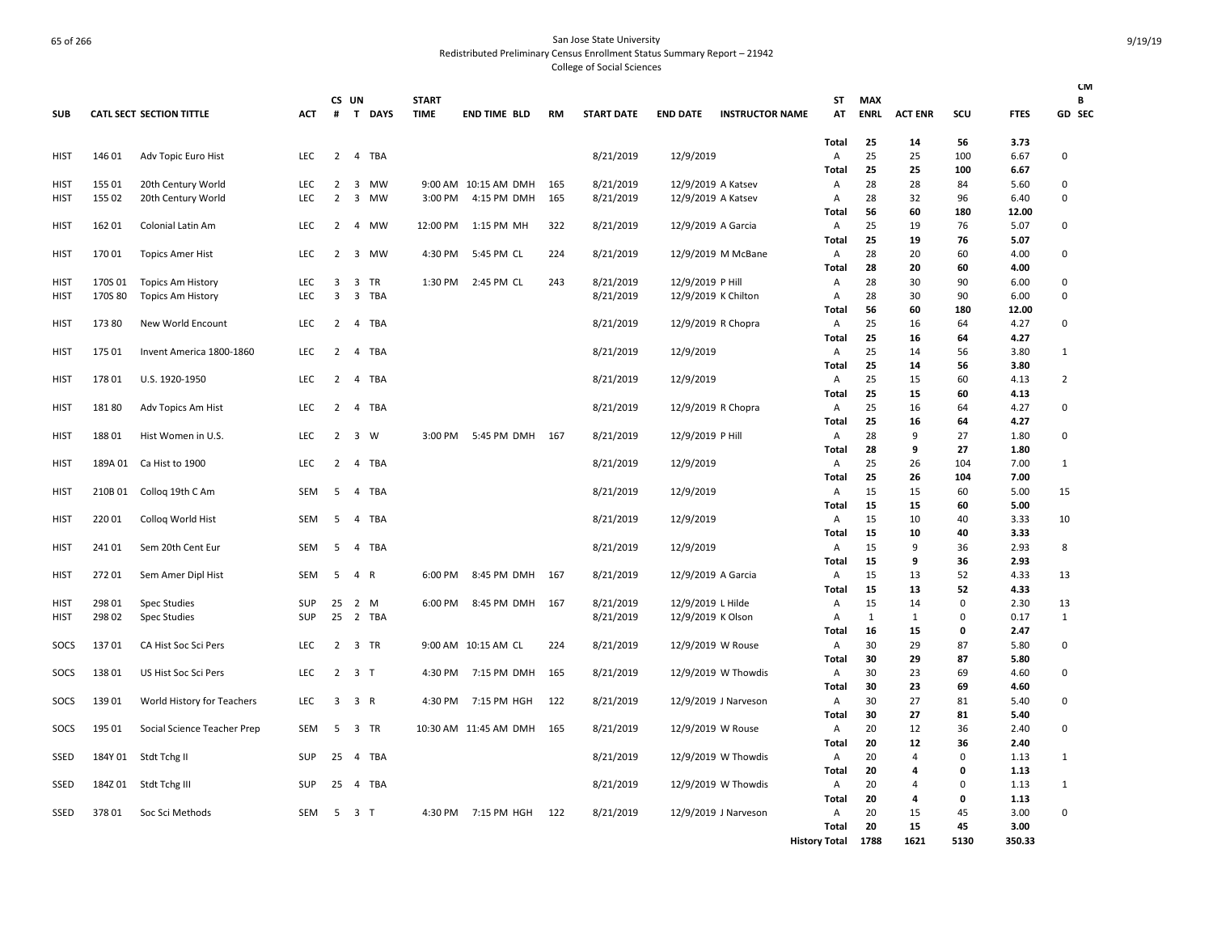| <b>SUB</b>  |         | <b>CATL SECT SECTION TITTLE</b> | ACT        | CS UN<br>#     |                         | T DAYS     | <b>START</b><br><b>TIME</b> | <b>END TIME BLD</b>   | <b>RM</b> | <b>START DATE</b> | <b>END DATE</b>     | <b>INSTRUCTOR NAME</b> | ST<br>AT             | <b>MAX</b><br><b>ENRL</b> | <b>ACT ENR</b>       | SCU         | <b>FTES</b>  | <b>CM</b><br>В<br>GD SEC |
|-------------|---------|---------------------------------|------------|----------------|-------------------------|------------|-----------------------------|-----------------------|-----------|-------------------|---------------------|------------------------|----------------------|---------------------------|----------------------|-------------|--------------|--------------------------|
|             |         |                                 |            |                |                         |            |                             |                       |           |                   |                     |                        | Total                | 25                        | 14                   | 56          | 3.73         |                          |
| <b>HIST</b> | 146 01  | Adv Topic Euro Hist             | <b>LEC</b> | $\overline{2}$ | $\overline{4}$          | TBA        |                             |                       |           | 8/21/2019         | 12/9/2019           |                        | Α                    | 25                        | 25                   | 100         | 6.67         | 0                        |
| <b>HIST</b> | 155 01  | 20th Century World              | <b>LEC</b> | 2              | 3                       | <b>MW</b>  |                             | 9:00 AM 10:15 AM DMH  | 165       | 8/21/2019         | 12/9/2019 A Katsev  |                        | Total<br>Α           | 25<br>28                  | 25<br>28             | 100<br>84   | 6.67<br>5.60 | 0                        |
| <b>HIST</b> | 155 02  | 20th Century World              | LEC        | $\overline{2}$ | 3                       | MW         | 3:00 PM                     | 4:15 PM DMH           | 165       | 8/21/2019         | 12/9/2019 A Katsev  |                        | Α                    | 28                        | 32                   | 96          | 6.40         | 0                        |
|             |         |                                 |            |                |                         |            |                             |                       |           |                   |                     |                        | <b>Total</b>         | 56                        | 60                   | 180         | 12.00        |                          |
| <b>HIST</b> | 162 01  | Colonial Latin Am               | <b>LEC</b> | $\overline{2}$ | 4                       | MW         | 12:00 PM                    | 1:15 PM MH            | 322       | 8/21/2019         | 12/9/2019 A Garcia  |                        | Α                    | 25                        | 19                   | 76          | 5.07         | 0                        |
|             |         |                                 |            |                |                         |            |                             |                       |           |                   |                     |                        | Total                | 25                        | 19                   | 76          | 5.07         |                          |
| <b>HIST</b> | 17001   | <b>Topics Amer Hist</b>         | LEC        | 2              | 3                       | MW         | 4:30 PM                     | 5:45 PM CL            | 224       | 8/21/2019         |                     | 12/9/2019 M McBane     | Α                    | 28                        | 20                   | 60          | 4.00         | 0                        |
|             |         |                                 |            |                |                         |            |                             |                       |           |                   |                     |                        | Total                | 28                        | 20                   | 60          | 4.00         |                          |
| <b>HIST</b> | 170S 01 | <b>Topics Am History</b>        | LEC        | 3              | 3                       | <b>TR</b>  | 1:30 PM                     | 2:45 PM CL            | 243       | 8/21/2019         | 12/9/2019 P Hill    |                        | Α                    | 28                        | 30                   | 90          | 6.00         | 0                        |
| HIST        | 170S 80 | <b>Topics Am History</b>        | LEC        | 3              | 3                       | <b>TBA</b> |                             |                       |           | 8/21/2019         | 12/9/2019 K Chilton |                        | Α                    | 28                        | 30                   | 90          | 6.00         | $\mathbf 0$              |
|             |         |                                 |            |                |                         |            |                             |                       |           |                   |                     |                        | Total                | 56                        | 60                   | 180         | 12.00        |                          |
| <b>HIST</b> | 17380   | New World Encount               | LEC        | 2              | $\overline{a}$          | <b>TBA</b> |                             |                       |           | 8/21/2019         | 12/9/2019 R Chopra  |                        | Α                    | 25                        | 16                   | 64          | 4.27         | 0                        |
|             |         |                                 |            |                |                         |            |                             |                       |           |                   |                     |                        | <b>Total</b>         | 25                        | 16                   | 64          | 4.27         |                          |
| HIST        | 175 01  | Invent America 1800-1860        | LEC        | 2              | 4                       | TBA        |                             |                       |           | 8/21/2019         | 12/9/2019           |                        | Α<br><b>Total</b>    | 25<br>25                  | 14<br>14             | 56<br>56    | 3.80<br>3.80 | 1                        |
| <b>HIST</b> | 17801   | U.S. 1920-1950                  | <b>LEC</b> | 2              | 4                       | TBA        |                             |                       |           | 8/21/2019         | 12/9/2019           |                        | Α                    | 25                        | 15                   | 60          | 4.13         | 2                        |
|             |         |                                 |            |                |                         |            |                             |                       |           |                   |                     |                        | Total                | 25                        | 15                   | 60          | 4.13         |                          |
| <b>HIST</b> | 18180   | Adv Topics Am Hist              | <b>LEC</b> | $\overline{2}$ | $\overline{4}$          | TBA        |                             |                       |           | 8/21/2019         | 12/9/2019 R Chopra  |                        | Α                    | 25                        | 16                   | 64          | 4.27         | 0                        |
|             |         |                                 |            |                |                         |            |                             |                       |           |                   |                     |                        | <b>Total</b>         | 25                        | 16                   | 64          | 4.27         |                          |
| <b>HIST</b> | 18801   | Hist Women in U.S.              | <b>LEC</b> | 2              | 3                       | W          | 3:00 PM                     | 5:45 PM DMH           | 167       | 8/21/2019         | 12/9/2019 P Hill    |                        | Α                    | 28                        | 9                    | 27          | 1.80         | 0                        |
|             |         |                                 |            |                |                         |            |                             |                       |           |                   |                     |                        | Total                | 28                        | 9                    | 27          | 1.80         |                          |
| HIST        | 189A 01 | Ca Hist to 1900                 | <b>LEC</b> | 2              | $\overline{4}$          | TBA        |                             |                       |           | 8/21/2019         | 12/9/2019           |                        | Α                    | 25                        | 26                   | 104         | 7.00         | 1                        |
|             |         |                                 |            |                |                         |            |                             |                       |           |                   |                     |                        | Total                | 25                        | 26                   | 104         | 7.00         |                          |
| HIST        | 210B 01 | Collog 19th C Am                | <b>SEM</b> | 5              | $\overline{4}$          | <b>TBA</b> |                             |                       |           | 8/21/2019         | 12/9/2019           |                        | Α                    | 15                        | 15                   | 60          | 5.00         | 15                       |
|             |         |                                 |            |                |                         |            |                             |                       |           |                   |                     |                        | Total                | 15                        | 15                   | 60          | 5.00         |                          |
| HIST        | 22001   | Colloq World Hist               | <b>SEM</b> | 5              | $\overline{4}$          | <b>TBA</b> |                             |                       |           | 8/21/2019         | 12/9/2019           |                        | Α                    | 15                        | 10                   | 40          | 3.33         | 10                       |
|             |         |                                 |            |                |                         |            |                             |                       |           |                   |                     |                        | <b>Total</b>         | 15                        | 10                   | 40          | 3.33         |                          |
| HIST        | 241 01  | Sem 20th Cent Eur               | SEM        | -5             | $\overline{4}$          | TBA        |                             |                       |           | 8/21/2019         | 12/9/2019           |                        | Α                    | 15<br>15                  | 9<br>9               | 36<br>36    | 2.93<br>2.93 | 8                        |
| <b>HIST</b> | 272 01  | Sem Amer Dipl Hist              | SEM        | 5              | $\overline{4}$          | R          | 6:00 PM                     | 8:45 PM DMH           | 167       | 8/21/2019         | 12/9/2019 A Garcia  |                        | Total<br>Α           | 15                        | 13                   | 52          | 4.33         | 13                       |
|             |         |                                 |            |                |                         |            |                             |                       |           |                   |                     |                        | Total                | 15                        | 13                   | 52          | 4.33         |                          |
| HIST        | 298 01  | Spec Studies                    | SUP        | 25             | $\overline{2}$          | M          | 6:00 PM                     | 8:45 PM DMH           | 167       | 8/21/2019         | 12/9/2019 L Hilde   |                        | Α                    | 15                        | 14                   | $\Omega$    | 2.30         | 13                       |
| <b>HIST</b> | 298 02  | Spec Studies                    | SUP        | 25             | $\overline{2}$          | <b>TBA</b> |                             |                       |           | 8/21/2019         | 12/9/2019 K Olson   |                        | А                    | $\mathbf{1}$              | $\mathbf{1}$         | $\Omega$    | 0.17         | 1                        |
|             |         |                                 |            |                |                         |            |                             |                       |           |                   |                     |                        | Total                | 16                        | 15                   | 0           | 2.47         |                          |
| SOCS        | 13701   | CA Hist Soc Sci Pers            | LEC        | $\overline{2}$ | 3                       | TR         |                             | 9:00 AM 10:15 AM CL   | 224       | 8/21/2019         | 12/9/2019 W Rouse   |                        | Α                    | 30                        | 29                   | 87          | 5.80         | 0                        |
|             |         |                                 |            |                |                         |            |                             |                       |           |                   |                     |                        | Total                | 30                        | 29                   | 87          | 5.80         |                          |
| SOCS        | 13801   | US Hist Soc Sci Pers            | <b>LEC</b> | 2              | 3                       | $\top$     | 4:30 PM                     | 7:15 PM DMH           | 165       | 8/21/2019         |                     | 12/9/2019 W Thowdis    | Α                    | 30                        | 23                   | 69          | 4.60         | 0                        |
|             |         |                                 |            |                |                         |            |                             |                       |           |                   |                     |                        | Total                | 30                        | 23                   | 69          | 4.60         |                          |
| SOCS        | 13901   | World History for Teachers      | <b>LEC</b> | 3              | 3 R                     |            | 4:30 PM                     | 7:15 PM HGH           | 122       | 8/21/2019         |                     | 12/9/2019 J Narveson   | Α                    | 30                        | 27                   | 81          | 5.40         | 0                        |
|             |         |                                 |            |                |                         |            |                             |                       |           |                   |                     |                        | Total                | 30                        | 27                   | 81          | 5.40         |                          |
| SOCS        | 195 01  | Social Science Teacher Prep     | SEM        | 5              | 3                       | TR         |                             | 10:30 AM 11:45 AM DMH | 165       | 8/21/2019         | 12/9/2019 W Rouse   |                        | Α                    | 20<br>20                  | 12                   | 36<br>36    | 2.40<br>2.40 | 0                        |
| SSED        | 184Y 01 | Stdt Tchg II                    | SUP        | 25             | 4                       | TBA        |                             |                       |           | 8/21/2019         |                     | 12/9/2019 W Thowdis    | Total<br>Α           | 20                        | 12<br>$\overline{4}$ | $\Omega$    | 1.13         | 1                        |
|             |         |                                 |            |                |                         |            |                             |                       |           |                   |                     |                        | <b>Total</b>         | 20                        | 4                    | 0           | 1.13         |                          |
| SSED        | 184Z 01 | Stdt Tchg III                   | SUP        | 25             | 4                       | TBA        |                             |                       |           | 8/21/2019         |                     | 12/9/2019 W Thowdis    | Α                    | 20                        | $\overline{a}$       | $\mathbf 0$ | 1.13         | 1                        |
|             |         |                                 |            |                |                         |            |                             |                       |           |                   |                     |                        | <b>Total</b>         | 20                        | 4                    | 0           | 1.13         |                          |
| SSED        | 37801   | Soc Sci Methods                 | SEM        | 5              | $\overline{\mathbf{3}}$ | $\top$     |                             | 4:30 PM 7:15 PM HGH   | 122       | 8/21/2019         |                     | 12/9/2019 J Narveson   | Α                    | 20                        | 15                   | 45          | 3.00         | $\mathbf 0$              |
|             |         |                                 |            |                |                         |            |                             |                       |           |                   |                     |                        | <b>Total</b>         | 20                        | 15                   | 45          | 3.00         |                          |
|             |         |                                 |            |                |                         |            |                             |                       |           |                   |                     |                        | <b>History Total</b> | 1788                      | 1621                 | 5130        | 350.33       |                          |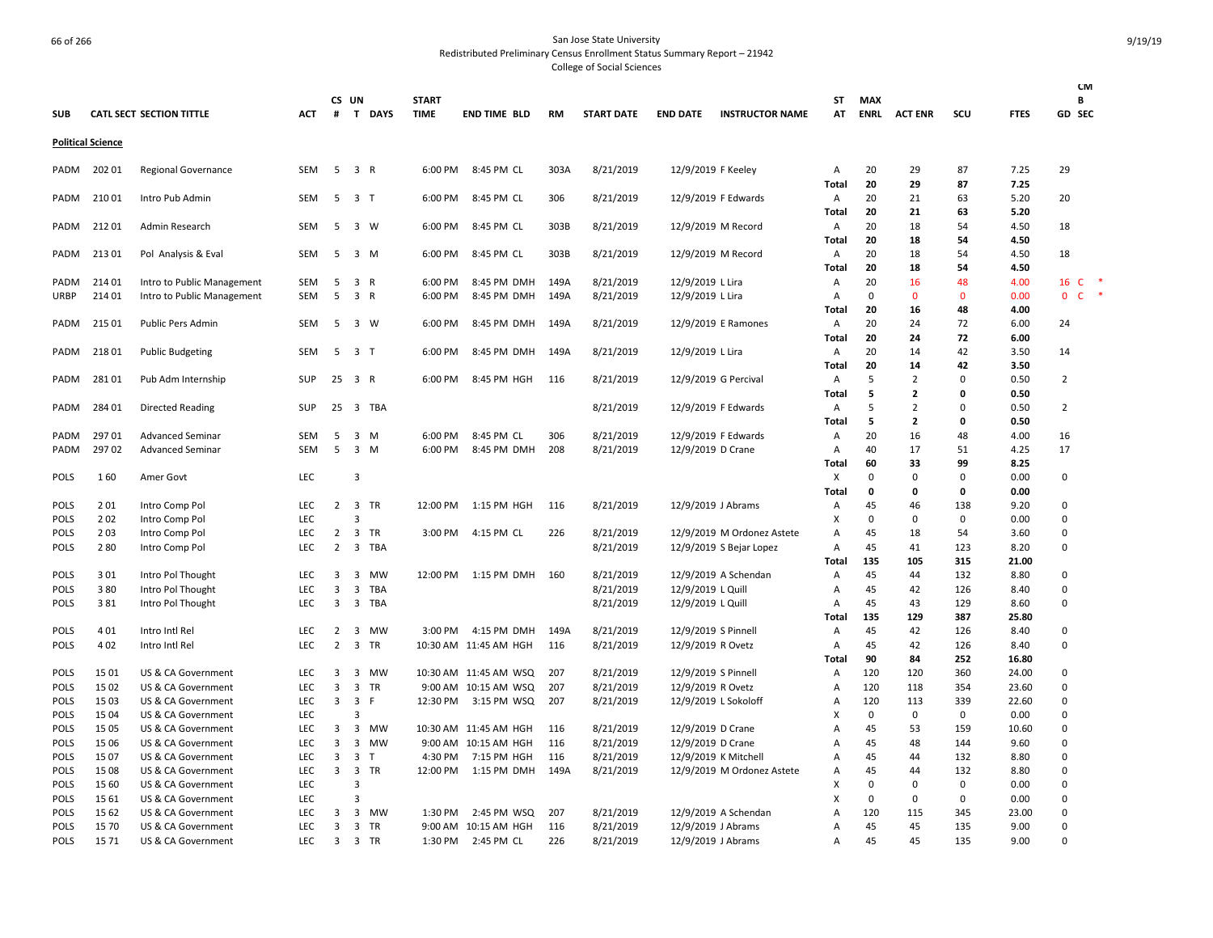| <b>SUB</b>                 |                          | <b>CATL SECT SECTION TITTLE</b>          | <b>ACT</b>               | CS UN<br>$\#$  |                                           | T DAYS          | <b>START</b><br><b>TIME</b> | <b>END TIME BLD</b>                             | <b>RM</b>  | <b>START DATE</b>      | <b>END DATE</b>                           | <b>INSTRUCTOR NAME</b>     | ST<br>AT   | <b>MAX</b><br><b>ENRL</b> | <b>ACT ENR</b>      | SCU               | <b>FTES</b>    | <b>CM</b><br>B<br>GD SEC     |
|----------------------------|--------------------------|------------------------------------------|--------------------------|----------------|-------------------------------------------|-----------------|-----------------------------|-------------------------------------------------|------------|------------------------|-------------------------------------------|----------------------------|------------|---------------------------|---------------------|-------------------|----------------|------------------------------|
|                            | <b>Political Science</b> |                                          |                          |                |                                           |                 |                             |                                                 |            |                        |                                           |                            |            |                           |                     |                   |                |                              |
| PADM                       | 202 01                   | <b>Regional Governance</b>               | SEM                      | 5              | 3 R                                       |                 | 6:00 PM                     | 8:45 PM CL                                      | 303A       | 8/21/2019              | 12/9/2019 F Keeley                        |                            | Α          | 20                        | 29                  | 87                | 7.25           | 29                           |
|                            |                          |                                          |                          |                |                                           |                 |                             |                                                 |            |                        |                                           |                            | Total      | 20                        | 29                  | 87                | 7.25           |                              |
| PADM                       | 21001                    | Intro Pub Admin                          | SEM                      | 5              | 3 T                                       |                 | 6:00 PM                     | 8:45 PM CL                                      | 306        | 8/21/2019              |                                           | 12/9/2019 F Edwards        | A<br>Total | 20<br>20                  | 21<br>21            | 63<br>63          | 5.20<br>5.20   | 20                           |
| PADM                       | 21201                    | Admin Research                           | <b>SEM</b>               | -5             |                                           | 3 W             | 6:00 PM                     | 8:45 PM CL                                      | 303B       | 8/21/2019              | 12/9/2019 M Record                        |                            | Α          | 20                        | 18                  | 54                | 4.50           | 18                           |
|                            |                          |                                          |                          |                |                                           |                 |                             |                                                 |            |                        |                                           |                            | Total      | 20                        | 18                  | 54                | 4.50           |                              |
| PADM                       | 21301                    | Pol Analysis & Eval                      | SEM                      | 5              |                                           | 3 M             | 6:00 PM                     | 8:45 PM CL                                      | 303B       | 8/21/2019              | 12/9/2019 M Record                        |                            | A          | 20                        | 18                  | 54                | 4.50           | 18                           |
|                            |                          |                                          |                          |                |                                           |                 |                             |                                                 |            |                        |                                           |                            | Total      | 20                        | 18                  | 54                | 4.50           |                              |
| PADM                       | 214 01                   | Intro to Public Management               | SEM                      | 5              | 3 R                                       |                 | 6:00 PM                     | 8:45 PM DMH                                     | 149A       | 8/21/2019              | 12/9/2019 L Lira                          |                            | Α          | 20                        | 16                  | 48                | 4.00           | $\ast$<br>16 C<br>$\ast$     |
| URBP                       | 214 01                   | Intro to Public Management               | SEM                      | 5              | 3 R                                       |                 | 6:00 PM                     | 8:45 PM DMH                                     | 149A       | 8/21/2019              | 12/9/2019 L Lira                          |                            | Α<br>Total | 0<br>20                   | $\mathbf{0}$<br>16  | $\mathbf 0$<br>48 | 0.00<br>4.00   | $\mathbf{0}$<br>$\mathsf{C}$ |
| PADM                       | 215 01                   | Public Pers Admin                        | <b>SEM</b>               | 5              |                                           | 3 W             | 6:00 PM                     | 8:45 PM DMH                                     | 149A       | 8/21/2019              |                                           | 12/9/2019 E Ramones        | Α          | 20                        | 24                  | 72                | 6.00           | 24                           |
|                            |                          |                                          |                          |                |                                           |                 |                             |                                                 |            |                        |                                           |                            | Total      | 20                        | 24                  | 72                | 6.00           |                              |
| PADM                       | 21801                    | <b>Public Budgeting</b>                  | SEM                      | 5              | 3 <sub>1</sub>                            |                 | 6:00 PM                     | 8:45 PM DMH                                     | 149A       | 8/21/2019              | 12/9/2019 L Lira                          |                            | Α          | 20                        | 14                  | 42                | 3.50           | 14                           |
|                            |                          |                                          |                          |                |                                           |                 |                             |                                                 |            |                        |                                           |                            | Total      | 20                        | 14                  | 42                | 3.50           |                              |
| PADM                       | 28101                    | Pub Adm Internship                       | SUP                      | 25 3 R         |                                           |                 | 6:00 PM                     | 8:45 PM HGH                                     | 116        | 8/21/2019              | 12/9/2019 G Percival                      |                            | Α          | 5                         | 2                   | 0                 | 0.50           | 2                            |
|                            |                          |                                          |                          |                |                                           |                 |                             |                                                 |            |                        |                                           |                            | Total      | 5                         | $\overline{2}$      | 0                 | 0.50           |                              |
| PADM                       | 284 01                   | Directed Reading                         | SUP                      | 25             |                                           | 3 TBA           |                             |                                                 |            | 8/21/2019              |                                           | 12/9/2019 F Edwards        | Α          | 5<br>5                    | 2<br>$\overline{2}$ | $\Omega$<br>0     | 0.50<br>0.50   | $\overline{2}$               |
| PADM                       | 29701                    | <b>Advanced Seminar</b>                  | SEM                      | 5              |                                           | 3 M             | 6:00 PM                     | 8:45 PM CL                                      | 306        | 8/21/2019              |                                           | 12/9/2019 F Edwards        | Total<br>Α | 20                        | 16                  | 48                | 4.00           | 16                           |
| PADM                       | 29702                    | <b>Advanced Seminar</b>                  | <b>SEM</b>               | -5             |                                           | $3 \, M$        | 6:00 PM                     | 8:45 PM DMH                                     | 208        | 8/21/2019              | 12/9/2019 D Crane                         |                            | Α          | 40                        | 17                  | 51                | 4.25           | 17                           |
|                            |                          |                                          |                          |                |                                           |                 |                             |                                                 |            |                        |                                           |                            | Total      | 60                        | 33                  | 99                | 8.25           |                              |
| <b>POLS</b>                | 160                      | Amer Govt                                | <b>LEC</b>               |                | $\overline{3}$                            |                 |                             |                                                 |            |                        |                                           |                            | X          | 0                         | 0                   | 0                 | 0.00           | 0                            |
|                            |                          |                                          |                          |                |                                           |                 |                             |                                                 |            |                        |                                           |                            | Total      | 0                         | 0                   | 0                 | 0.00           |                              |
| <b>POLS</b>                | 201                      | Intro Comp Pol                           | LEC                      | $\mathbf{2}$   |                                           | 3 TR            | 12:00 PM                    | 1:15 PM HGH                                     | 116        | 8/21/2019              | 12/9/2019 J Abrams                        |                            | Α          | 45                        | 46                  | 138               | 9.20           | 0                            |
| <b>POLS</b>                | 202                      | Intro Comp Pol                           | <b>LEC</b>               |                | 3                                         |                 |                             |                                                 |            |                        |                                           |                            | X          | 0                         | 0                   | $\mathbf 0$       | 0.00           | 0                            |
| <b>POLS</b>                | 203                      | Intro Comp Pol                           | LEC                      | $\overline{2}$ | $\overline{\mathbf{3}}$                   | TR              | 3:00 PM                     | 4:15 PM CL                                      | 226        | 8/21/2019              |                                           | 12/9/2019 M Ordonez Astete | A          | 45                        | 18                  | 54                | 3.60           | 0                            |
| <b>POLS</b>                | 280                      | Intro Comp Pol                           | <b>LEC</b>               | $\overline{2}$ | $\overline{\mathbf{3}}$                   | TBA             |                             |                                                 |            | 8/21/2019              |                                           | 12/9/2019 S Bejar Lopez    | Α          | 45<br>135                 | 41<br>105           | 123<br>315        | 8.20<br>21.00  | 0                            |
| <b>POLS</b>                | 301                      | Intro Pol Thought                        | <b>LEC</b>               | 3              | 3                                         | <b>MW</b>       | 12:00 PM                    | 1:15 PM DMH                                     | 160        | 8/21/2019              |                                           | 12/9/2019 A Schendan       | Total<br>Α | 45                        | 44                  | 132               | 8.80           | $\Omega$                     |
| <b>POLS</b>                | 380                      | Intro Pol Thought                        | <b>LEC</b>               | 3              | 3                                         | TBA             |                             |                                                 |            | 8/21/2019              | 12/9/2019 L Quill                         |                            | Α          | 45                        | 42                  | 126               | 8.40           | $\Omega$                     |
| <b>POLS</b>                | 381                      | Intro Pol Thought                        | LEC                      | 3              | $\overline{\mathbf{3}}$                   | TBA             |                             |                                                 |            | 8/21/2019              | 12/9/2019 L Quill                         |                            | Α          | 45                        | 43                  | 129               | 8.60           | 0                            |
|                            |                          |                                          |                          |                |                                           |                 |                             |                                                 |            |                        |                                           |                            | Total      | 135                       | 129                 | 387               | 25.80          |                              |
| <b>POLS</b>                | 401                      | Intro Intl Rel                           | LEC                      | 2              | 3                                         | <b>MW</b>       | 3:00 PM                     | 4:15 PM DMH                                     | 149A       | 8/21/2019              | 12/9/2019 S Pinnell                       |                            | Α          | 45                        | 42                  | 126               | 8.40           | 0                            |
| <b>POLS</b>                | 402                      | Intro Intl Rel                           | LEC                      | $\overline{2}$ | $\overline{\mathbf{3}}$                   | TR              |                             | 10:30 AM 11:45 AM HGH                           | 116        | 8/21/2019              | 12/9/2019 R Ovetz                         |                            | Α          | 45                        | 42                  | 126               | 8.40           | 0                            |
|                            |                          |                                          |                          |                |                                           |                 |                             |                                                 |            |                        |                                           |                            | Total      | 90                        | 84                  | 252               | 16.80          |                              |
| <b>POLS</b><br><b>POLS</b> | 15 01<br>15 02           | US & CA Government<br>US & CA Government | <b>LEC</b><br><b>LEC</b> | 3<br>3         | 3<br>$\overline{3}$                       | MW<br><b>TR</b> |                             | 10:30 AM  11:45 AM  WSQ<br>9:00 AM 10:15 AM WSQ | 207<br>207 | 8/21/2019<br>8/21/2019 | 12/9/2019 S Pinnell                       |                            | A<br>A     | 120<br>120                | 120<br>118          | 360<br>354        | 24.00<br>23.60 | $\Omega$<br>0                |
| <b>POLS</b>                | 15 03                    | US & CA Government                       | LEC                      | 3              | $\overline{\mathbf{3}}$                   | F               | 12:30 PM                    | 3:15 PM WSQ                                     | 207        | 8/21/2019              | 12/9/2019 R Ovetz<br>12/9/2019 L Sokoloff |                            | A          | 120                       | 113                 | 339               | 22.60          | 0                            |
| <b>POLS</b>                | 15 04                    | US & CA Government                       | <b>LEC</b>               |                | 3                                         |                 |                             |                                                 |            |                        |                                           |                            | x          | 0                         | 0                   | 0                 | 0.00           | 0                            |
| <b>POLS</b>                | 15 05                    | US & CA Government                       | <b>LEC</b>               | 3              | $\overline{\mathbf{3}}$                   | MW              |                             | 10:30 AM 11:45 AM HGH                           | 116        | 8/21/2019              | 12/9/2019 D Crane                         |                            | A          | 45                        | 53                  | 159               | 10.60          | 0                            |
| <b>POLS</b>                | 15 06                    | US & CA Government                       | <b>LEC</b>               | 3              | $\overline{3}$                            | MW              |                             | 9:00 AM 10:15 AM HGH                            | 116        | 8/21/2019              | 12/9/2019 D Crane                         |                            | Α          | 45                        | 48                  | 144               | 9.60           | 0                            |
| <b>POLS</b>                | 1507                     | US & CA Government                       | <b>LEC</b>               | 3              | 3                                         | T               | 4:30 PM                     | 7:15 PM HGH                                     | 116        | 8/21/2019              | 12/9/2019 K Mitchell                      |                            | А          | 45                        | 44                  | 132               | 8.80           | 0                            |
| <b>POLS</b>                | 15 08                    | US & CA Government                       | <b>LEC</b>               | 3              | $\overline{\mathbf{3}}$                   | TR              | 12:00 PM                    | 1:15 PM DMH                                     | 149A       | 8/21/2019              |                                           | 12/9/2019 M Ordonez Astete | A          | 45                        | 44                  | 132               | 8.80           | 0                            |
| <b>POLS</b>                | 15 60                    | US & CA Government                       | <b>LEC</b>               |                | $\overline{3}$                            |                 |                             |                                                 |            |                        |                                           |                            | X          | 0                         | 0                   | 0                 | 0.00           | 0                            |
| <b>POLS</b>                | 15 61                    | US & CA Government                       | LEC                      |                | 3                                         |                 |                             |                                                 |            |                        |                                           |                            | X          | $\Omega$                  | $\Omega$            | 0                 | 0.00           | 0                            |
| <b>POLS</b><br><b>POLS</b> | 15 62<br>15 70           | US & CA Government<br>US & CA Government | LEC<br><b>LEC</b>        | 3<br>3         | $\overline{\mathbf{3}}$<br>$\overline{3}$ | MW<br><b>TR</b> | 1:30 PM                     | 2:45 PM WSQ<br>9:00 AM 10:15 AM HGH             | 207<br>116 | 8/21/2019<br>8/21/2019 | 12/9/2019 J Abrams                        | 12/9/2019 A Schendan       | A<br>A     | 120<br>45                 | 115<br>45           | 345<br>135        | 23.00<br>9.00  | $\Omega$<br>0                |
| POLS                       | 15 71                    | US & CA Government                       | LEC                      | 3              |                                           | 3 TR            | 1:30 PM                     | 2:45 PM CL                                      | 226        | 8/21/2019              | 12/9/2019 J Abrams                        |                            | Α          | 45                        | 45                  | 135               | 9.00           | $\Omega$                     |
|                            |                          |                                          |                          |                |                                           |                 |                             |                                                 |            |                        |                                           |                            |            |                           |                     |                   |                |                              |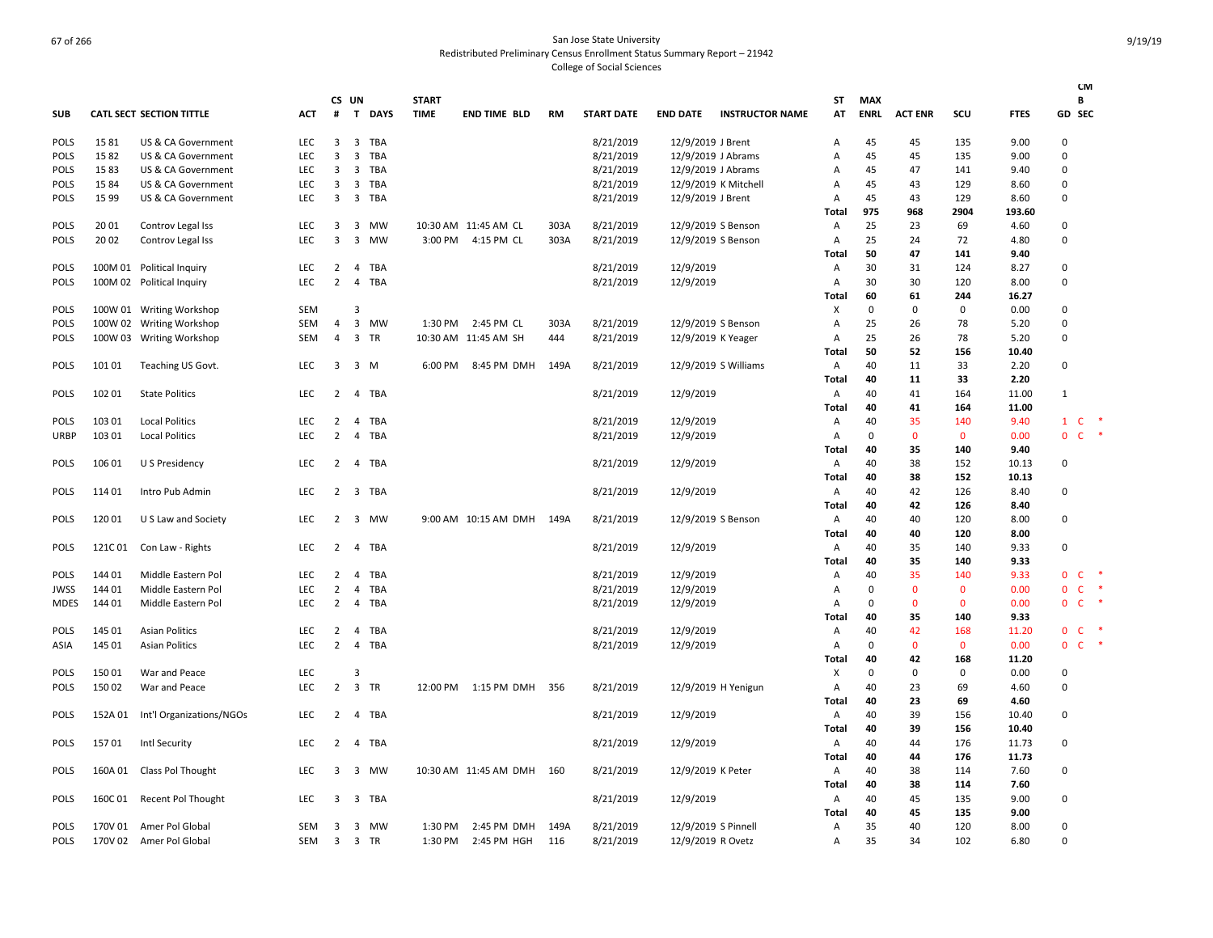|             |         |                                 |            |                |                         |             |              |                       |           |                   |                      |                        |                |             |                |              |             |                              | <b>CM</b> |
|-------------|---------|---------------------------------|------------|----------------|-------------------------|-------------|--------------|-----------------------|-----------|-------------------|----------------------|------------------------|----------------|-------------|----------------|--------------|-------------|------------------------------|-----------|
|             |         |                                 |            | CS UN          |                         |             | <b>START</b> |                       |           |                   |                      |                        | ST             | <b>MAX</b>  |                |              |             | B                            |           |
| <b>SUB</b>  |         | <b>CATL SECT SECTION TITTLE</b> | <b>ACT</b> | #              | T                       | <b>DAYS</b> | <b>TIME</b>  | <b>END TIME BLD</b>   | <b>RM</b> | <b>START DATE</b> | <b>END DATE</b>      | <b>INSTRUCTOR NAME</b> | AT             | <b>ENRL</b> | <b>ACT ENR</b> | SCU          | <b>FTES</b> | GD SEC                       |           |
| <b>POLS</b> | 1581    | US & CA Government              | <b>LEC</b> | 3              | 3                       | <b>TBA</b>  |              |                       |           | 8/21/2019         | 12/9/2019 J Brent    |                        | $\overline{A}$ | 45          | 45             | 135          | 9.00        | $\Omega$                     |           |
| <b>POLS</b> | 1582    | US & CA Government              | LEC        | $\overline{3}$ | 3                       | TBA         |              |                       |           | 8/21/2019         | 12/9/2019 J Abrams   |                        | Α              | 45          | 45             | 135          | 9.00        | 0                            |           |
| <b>POLS</b> | 1583    | US & CA Government              | <b>LEC</b> | 3              | 3                       | TBA         |              |                       |           | 8/21/2019         | 12/9/2019 J Abrams   |                        | A              | 45          | 47             | 141          | 9.40        | $\Omega$                     |           |
| <b>POLS</b> | 15 84   | US & CA Government              | <b>LEC</b> | 3              | 3                       | <b>TBA</b>  |              |                       |           | 8/21/2019         | 12/9/2019 K Mitchell |                        | Α              | 45          | 43             | 129          | 8.60        | $\Omega$                     |           |
| <b>POLS</b> | 15 99   | US & CA Government              | <b>LEC</b> | 3              |                         | 3 TBA       |              |                       |           | 8/21/2019         | 12/9/2019 J Brent    |                        | A              | 45          | 43             | 129          | 8.60        | 0                            |           |
|             |         |                                 |            |                |                         |             |              |                       |           |                   |                      |                        | Total          | 975         | 968            | 2904         | 193.60      |                              |           |
| <b>POLS</b> | 20 01   | Controv Legal Iss               | LEC        | 3              | 3                       | MW          |              | 10:30 AM 11:45 AM CL  | 303A      | 8/21/2019         | 12/9/2019 S Benson   |                        | Α              | 25          | 23             | 69           | 4.60        | 0                            |           |
| <b>POLS</b> | 20 02   | Controv Legal Iss               | <b>LEC</b> | 3              | $\overline{\mathbf{3}}$ | <b>MW</b>   |              | 3:00 PM 4:15 PM CL    | 303A      | 8/21/2019         | 12/9/2019 S Benson   |                        | $\overline{A}$ | 25          | 24             | 72           | 4.80        | 0                            |           |
|             |         |                                 |            |                |                         |             |              |                       |           |                   |                      |                        | Total          | 50          | 47             | 141          | 9.40        |                              |           |
| <b>POLS</b> |         | 100M 01 Political Inquiry       | <b>LEC</b> | 2              | $\overline{4}$          | <b>TBA</b>  |              |                       |           | 8/21/2019         | 12/9/2019            |                        | $\mathsf{A}$   | 30          | 31             | 124          | 8.27        | $\Omega$                     |           |
| <b>POLS</b> |         | 100M 02 Political Inquiry       | <b>LEC</b> | $\overline{2}$ | $\overline{4}$          | TBA         |              |                       |           | 8/21/2019         | 12/9/2019            |                        | Α              | 30          | 30             | 120          | 8.00        | 0                            |           |
|             |         |                                 |            |                |                         |             |              |                       |           |                   |                      |                        | Total          | 60          | 61             | 244          | 16.27       |                              |           |
| <b>POLS</b> |         | 100W 01 Writing Workshop        | <b>SEM</b> |                | $\overline{3}$          |             |              |                       |           |                   |                      |                        | X              | $\mathbf 0$ | 0              | 0            | 0.00        | 0                            |           |
| <b>POLS</b> |         | 100W 02 Writing Workshop        | <b>SEM</b> | $\overline{4}$ | $\overline{3}$          | <b>MW</b>   | 1:30 PM      | 2:45 PM CL            | 303A      | 8/21/2019         | 12/9/2019 S Benson   |                        | Α              | 25          | 26             | 78           | 5.20        | 0                            |           |
| <b>POLS</b> |         | 100W 03 Writing Workshop        | <b>SEM</b> | $\overline{4}$ | $\overline{\mathbf{3}}$ | <b>TR</b>   |              | 10:30 AM 11:45 AM SH  | 444       | 8/21/2019         | 12/9/2019 K Yeager   |                        | $\mathsf{A}$   | 25          | 26             | 78           | 5.20        | $\Omega$                     |           |
|             |         |                                 |            |                |                         |             |              |                       |           |                   |                      |                        | Total          | 50          | 52             | 156          | 10.40       |                              |           |
| <b>POLS</b> | 101 01  | Teaching US Govt.               | <b>LEC</b> | 3              |                         | 3 M         | 6:00 PM      | 8:45 PM DMH           | 149A      | 8/21/2019         | 12/9/2019 S Williams |                        | $\overline{A}$ | 40          | 11             | 33           | 2.20        | 0                            |           |
|             |         |                                 |            |                |                         |             |              |                       |           |                   |                      |                        | Total          | 40          | 11             | 33           | 2.20        |                              |           |
| <b>POLS</b> | 102 01  | <b>State Politics</b>           | <b>LEC</b> | $\overline{2}$ |                         | 4 TBA       |              |                       |           | 8/21/2019         | 12/9/2019            |                        | $\overline{A}$ | 40          | 41             | 164          | 11.00       | $\mathbf{1}$                 |           |
|             |         |                                 |            |                |                         |             |              |                       |           |                   |                      |                        | Total          | 40          | 41             | 164          | 11.00       |                              |           |
| <b>POLS</b> | 103 01  | <b>Local Politics</b>           | <b>LEC</b> | $\overline{2}$ | $\overline{4}$          | TBA         |              |                       |           | 8/21/2019         | 12/9/2019            |                        | Α              | 40          | 35             | 140          | 9.40        | $\mathbf{1}$<br>$\mathsf{C}$ |           |
| <b>URBP</b> | 103 01  | <b>Local Politics</b>           | <b>LEC</b> | $\overline{2}$ |                         | 4 TBA       |              |                       |           | 8/21/2019         | 12/9/2019            |                        | Α              | 0           | $\mathbf{0}$   | $\mathbf{0}$ | 0.00        | $\mathsf{C}$<br>$\mathbf{0}$ |           |
|             |         |                                 |            |                |                         |             |              |                       |           |                   |                      |                        | Total          | 40          | 35             | 140          | 9.40        |                              |           |
| <b>POLS</b> | 106 01  | U S Presidency                  | <b>LEC</b> | 2              |                         | 4 TBA       |              |                       |           | 8/21/2019         | 12/9/2019            |                        | $\mathsf{A}$   | 40          | 38             | 152          | 10.13       | 0                            |           |
|             |         |                                 |            |                |                         |             |              |                       |           |                   |                      |                        | Total          | 40          | 38             | 152          | 10.13       |                              |           |
| <b>POLS</b> | 11401   | Intro Pub Admin                 | <b>LEC</b> | $\overline{2}$ |                         | 3 TBA       |              |                       |           | 8/21/2019         | 12/9/2019            |                        | $\overline{A}$ | 40          | 42             | 126          | 8.40        | 0                            |           |
|             |         |                                 |            |                |                         |             |              |                       |           |                   |                      |                        | Total          | 40          | 42             | 126          | 8.40        |                              |           |
| <b>POLS</b> | 12001   | U S Law and Society             | <b>LEC</b> | 2              |                         | 3 MW        |              | 9:00 AM 10:15 AM DMH  | 149A      | 8/21/2019         | 12/9/2019 S Benson   |                        | Α              | 40          | 40             | 120          | 8.00        | 0                            |           |
|             |         |                                 |            |                |                         |             |              |                       |           |                   |                      |                        | <b>Total</b>   | 40          | 40             | 120          | 8.00        |                              |           |
| <b>POLS</b> | 121C 01 | Con Law - Rights                | LEC        | $\overline{2}$ |                         | 4 TBA       |              |                       |           | 8/21/2019         | 12/9/2019            |                        | A              | 40          | 35             | 140          | 9.33        | 0                            |           |
|             |         |                                 |            |                |                         |             |              |                       |           |                   |                      |                        | Total          | 40          | 35             | 140          | 9.33        |                              |           |
| <b>POLS</b> | 144 01  | Middle Eastern Pol              | LEC        | $\overline{2}$ | 4                       | TBA         |              |                       |           | 8/21/2019         | 12/9/2019            |                        | A              | 40          | 35             | 140          | 9.33        | C<br>0                       |           |
| <b>JWSS</b> | 144 01  | Middle Eastern Pol              | LEC        | 2              | 4                       | TBA         |              |                       |           | 8/21/2019         | 12/9/2019            |                        | Α              | $\Omega$    | $\mathbf 0$    | $\mathbf 0$  | 0.00        | 0<br>C                       |           |
| MDES        | 144 01  | Middle Eastern Pol              | <b>LEC</b> | 2              |                         | 4 TBA       |              |                       |           | 8/21/2019         | 12/9/2019            |                        | Α              | $\Omega$    | $\mathbf 0$    | $\Omega$     | 0.00        | $\mathbf{0}$<br>C            |           |
|             |         |                                 |            |                |                         |             |              |                       |           |                   |                      |                        | Total          | 40          | 35             | 140          | 9.33        |                              |           |
| <b>POLS</b> | 145 01  | <b>Asian Politics</b>           | <b>LEC</b> | $\overline{2}$ |                         | 4 TBA       |              |                       |           | 8/21/2019         | 12/9/2019            |                        | Α              | 40          | 42             | 168          | 11.20       | 0<br>C                       |           |
| ASIA        | 145 01  | <b>Asian Politics</b>           | LEC        | $\overline{2}$ | 4                       | TBA         |              |                       |           | 8/21/2019         | 12/9/2019            |                        | Α              | $\mathbf 0$ | $\mathbf 0$    | $\mathbf 0$  | 0.00        | $\mathbf{0}$<br>$\mathsf{C}$ |           |
|             |         |                                 |            |                |                         |             |              |                       |           |                   |                      |                        | Total          | 40          | 42             | 168          | 11.20       |                              |           |
| <b>POLS</b> | 15001   | War and Peace                   | <b>LEC</b> |                | 3                       |             |              |                       |           |                   |                      |                        | X              | 0           | 0              | 0            | 0.00        | 0                            |           |
| <b>POLS</b> | 15002   | War and Peace                   | <b>LEC</b> | $\overline{2}$ |                         | 3 TR        | 12:00 PM     | 1:15 PM DMH           | 356       | 8/21/2019         |                      | 12/9/2019 H Yenigun    | Α              | 40          | 23             | 69           | 4.60        | 0                            |           |
|             |         |                                 |            |                |                         |             |              |                       |           |                   |                      |                        | Total          | 40          | 23             | 69           | 4.60        |                              |           |
| <b>POLS</b> | 152A 01 | Int'l Organizations/NGOs        | LEC        | 2              |                         | 4 TBA       |              |                       |           | 8/21/2019         | 12/9/2019            |                        | A              | 40          | 39             | 156          | 10.40       | 0                            |           |
|             |         |                                 |            |                |                         |             |              |                       |           |                   |                      |                        | <b>Total</b>   | 40          | 39             | 156          | 10.40       |                              |           |
| <b>POLS</b> | 15701   | Intl Security                   | LEC        | 2              |                         | 4 TBA       |              |                       |           | 8/21/2019         | 12/9/2019            |                        | A              | 40          | 44             | 176          | 11.73       | 0                            |           |
|             |         |                                 |            |                |                         |             |              |                       |           |                   |                      |                        | <b>Total</b>   | 40          | 44             | 176          | 11.73       |                              |           |
| <b>POLS</b> | 160A 01 | Class Pol Thought               | <b>LEC</b> | 3              |                         | 3 MW        |              | 10:30 AM 11:45 AM DMH | 160       | 8/21/2019         | 12/9/2019 K Peter    |                        | A              | 40          | 38             | 114          | 7.60        | 0                            |           |
|             |         |                                 |            |                |                         |             |              |                       |           |                   |                      |                        | Total          | 40          | 38             | 114          | 7.60        |                              |           |
| <b>POLS</b> | 160C 01 | Recent Pol Thought              | LEC        | 3              | 3                       | TBA         |              |                       |           | 8/21/2019         | 12/9/2019            |                        | Α              | 40          | 45             | 135          | 9.00        | 0                            |           |
|             |         |                                 |            |                |                         |             |              |                       |           |                   |                      |                        | Total          | 40          | 45             | 135          | 9.00        |                              |           |
| <b>POLS</b> | 170V 01 | Amer Pol Global                 | SEM        | 3              |                         | 3 MW        | 1:30 PM      | 2:45 PM DMH           | 149A      | 8/21/2019         | 12/9/2019 S Pinnell  |                        | Α              | 35          | 40             | 120          | 8.00        | 0                            |           |
| <b>POLS</b> | 170V 02 | Amer Pol Global                 | SEM        |                | 3 3 TR                  |             | 1:30 PM      | 2:45 PM HGH           | 116       | 8/21/2019         | 12/9/2019 R Ovetz    |                        | A              | 35          | 34             | 102          | 6.80        | 0                            |           |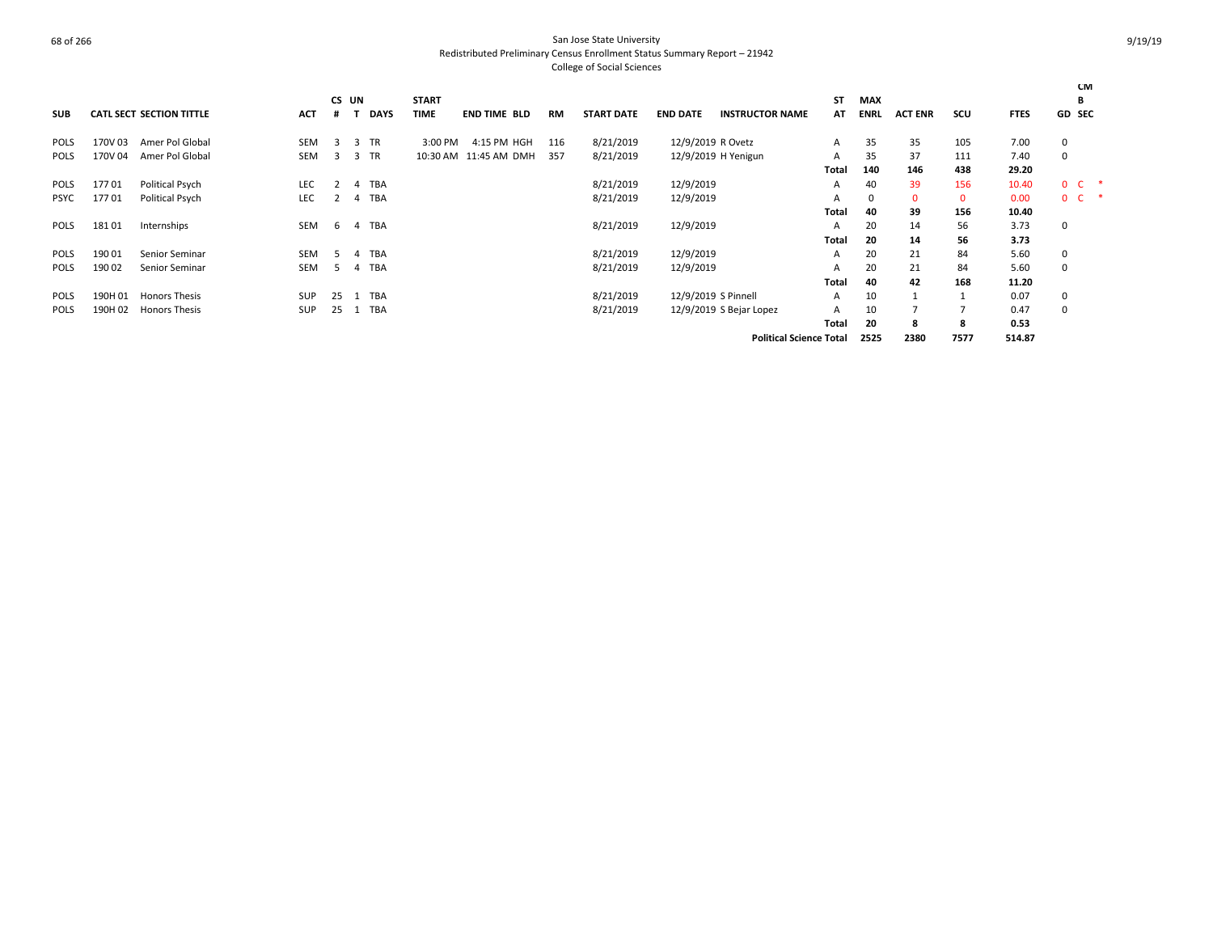|             |         |                                 |            |       |                |             |              |                       |           |                   |                   |                                |       |            |                |              |             |                | <b>CM</b>  |  |
|-------------|---------|---------------------------------|------------|-------|----------------|-------------|--------------|-----------------------|-----------|-------------------|-------------------|--------------------------------|-------|------------|----------------|--------------|-------------|----------------|------------|--|
|             |         |                                 |            | CS UN |                |             | <b>START</b> |                       |           |                   |                   |                                | ST    | <b>MAX</b> |                |              |             |                | в          |  |
| <b>SUB</b>  |         | <b>CATL SECT SECTION TITTLE</b> | <b>ACT</b> |       |                | <b>DAYS</b> | <b>TIME</b>  | <b>END TIME BLD</b>   | <b>RM</b> | <b>START DATE</b> | <b>END DATE</b>   | <b>INSTRUCTOR NAME</b>         | АΤ    | ENRL       | <b>ACT ENR</b> | SCU          | <b>FTES</b> | GD SEC         |            |  |
| <b>POLS</b> | 170V 03 | Amer Pol Global                 | <b>SEM</b> | 3     | 3              | <b>TR</b>   | 3:00 PM      | 4:15 PM HGH           | 116       | 8/21/2019         | 12/9/2019 R Ovetz |                                | А     | 35         | 35             | 105          | 7.00        | 0              |            |  |
| <b>POLS</b> | 170V 04 | Amer Pol Global                 | <b>SEM</b> | 3     | 3              | <b>TR</b>   |              | 10:30 AM 11:45 AM DMH | 357       | 8/21/2019         |                   | 12/9/2019 H Yenigun            | А     | 35         | 37             | 111          | 7.40        | 0              |            |  |
|             |         |                                 |            |       |                |             |              |                       |           |                   |                   |                                | Total | 140        | 146            | 438          | 29.20       |                |            |  |
| POLS        | 17701   | <b>Political Psych</b>          | LEC        |       | $\overline{a}$ | <b>TBA</b>  |              |                       |           | 8/21/2019         | 12/9/2019         |                                | А     | 40         | 39             | 156          | 10.40       |                | $0\quad C$ |  |
| <b>PSYC</b> | 17701   | <b>Political Psych</b>          | <b>LEC</b> |       | 4              | <b>TBA</b>  |              |                       |           | 8/21/2019         | 12/9/2019         |                                | А     |            |                | $\mathbf{0}$ | 0.00        | 0 <sup>2</sup> |            |  |
|             |         |                                 |            |       |                |             |              |                       |           |                   |                   |                                | Total | 40         | 39             | 156          | 10.40       |                |            |  |
| <b>POLS</b> | 18101   | Internships                     | <b>SEM</b> | -6    | 4              | <b>TBA</b>  |              |                       |           | 8/21/2019         | 12/9/2019         |                                | А     | 20         | 14             | 56           | 3.73        | 0              |            |  |
|             |         |                                 |            |       |                |             |              |                       |           |                   |                   |                                | Total | 20         | 14             | 56           | 3.73        |                |            |  |
| <b>POLS</b> | 19001   | Senior Seminar                  | <b>SEM</b> | 5.    | 4              | <b>TBA</b>  |              |                       |           | 8/21/2019         | 12/9/2019         |                                | А     | 20         | 21             | 84           | 5.60        | 0              |            |  |
| <b>POLS</b> | 190 02  | Senior Seminar                  | <b>SEM</b> | 5     | 4              | <b>TBA</b>  |              |                       |           | 8/21/2019         | 12/9/2019         |                                | А     | 20         | 21             | 84           | 5.60        | 0              |            |  |
|             |         |                                 |            |       |                |             |              |                       |           |                   |                   |                                | Total | 40         | 42             | 168          | 11.20       |                |            |  |
| <b>POLS</b> | 190H 01 | <b>Honors Thesis</b>            | <b>SUP</b> | 25    |                | <b>TBA</b>  |              |                       |           | 8/21/2019         |                   | 12/9/2019 S Pinnell            | А     | 10         |                |              | 0.07        | 0              |            |  |
| <b>POLS</b> | 190H 02 | <b>Honors Thesis</b>            | <b>SUP</b> | 25    | 1              | <b>TBA</b>  |              |                       |           | 8/21/2019         |                   | 12/9/2019 S Bejar Lopez        | А     | 10         |                |              | 0.47        | $\mathbf 0$    |            |  |
|             |         |                                 |            |       |                |             |              |                       |           |                   |                   |                                | Total | 20         | я              | 8            | 0.53        |                |            |  |
|             |         |                                 |            |       |                |             |              |                       |           |                   |                   | <b>Political Science Total</b> |       | 2525       | 2380           | 7577         | 514.87      |                |            |  |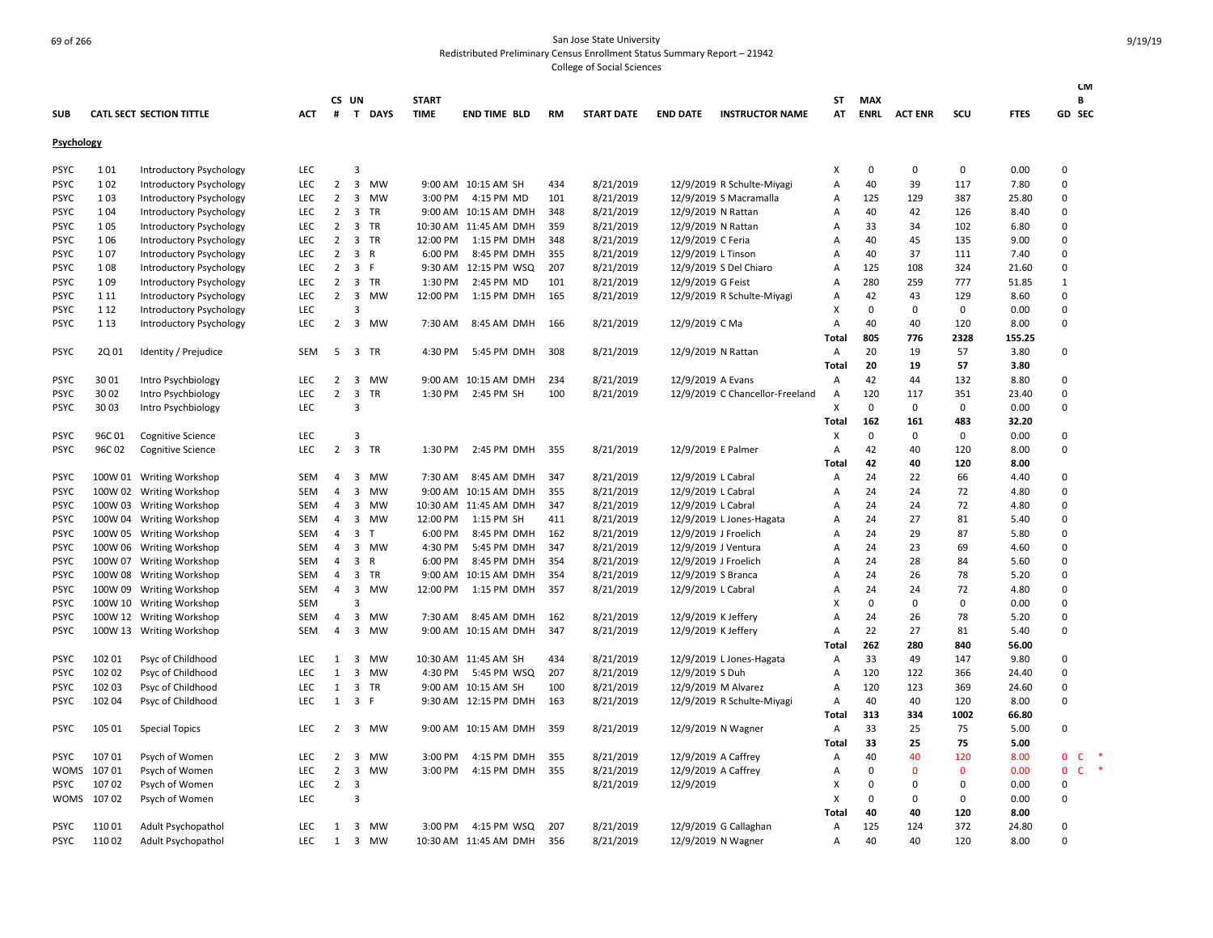|             |        |                                 |            |                |                         |              |              |                       |           |                   |                      |                                 |                           |             |                |              |             | <b>CM</b>                    |        |
|-------------|--------|---------------------------------|------------|----------------|-------------------------|--------------|--------------|-----------------------|-----------|-------------------|----------------------|---------------------------------|---------------------------|-------------|----------------|--------------|-------------|------------------------------|--------|
|             |        |                                 |            |                | CS UN                   |              | <b>START</b> |                       |           |                   |                      |                                 | ST                        | <b>MAX</b>  |                |              |             | В                            |        |
| <b>SUB</b>  |        | <b>CATL SECT SECTION TITTLE</b> | ACT        | #              |                         | T DAYS       | <b>TIME</b>  | <b>END TIME BLD</b>   | <b>RM</b> | <b>START DATE</b> | <b>END DATE</b>      | <b>INSTRUCTOR NAME</b>          | AT                        | <b>ENRL</b> | <b>ACT ENR</b> | scu          | <b>FTES</b> | GD SEC                       |        |
| Psychology  |        |                                 |            |                |                         |              |              |                       |           |                   |                      |                                 |                           |             |                |              |             |                              |        |
| <b>PSYC</b> | 101    | Introductory Psychology         | LEC        |                | 3                       |              |              |                       |           |                   |                      |                                 | $\boldsymbol{\mathsf{x}}$ | $\mathbf 0$ | 0              | $\mathbf 0$  | 0.00        | 0                            |        |
| <b>PSYC</b> | 102    | Introductory Psychology         | <b>LEC</b> | $\overline{2}$ | $\overline{\mathbf{3}}$ | <b>MW</b>    |              | 9:00 AM 10:15 AM SH   | 434       | 8/21/2019         |                      | 12/9/2019 R Schulte-Miyagi      | A                         | 40          | 39             | 117          | 7.80        | $\Omega$                     |        |
| <b>PSYC</b> | 103    | Introductory Psychology         | LEC        | $\overline{2}$ | $\overline{\mathbf{3}}$ | <b>MW</b>    | 3:00 PM      | 4:15 PM MD            | 101       | 8/21/2019         |                      | 12/9/2019 S Macramalla          | A                         | 125         | 129            | 387          | 25.80       | $\Omega$                     |        |
| <b>PSYC</b> | 104    | Introductory Psychology         | LEC        | $\overline{2}$ | $\overline{\mathbf{3}}$ | TR           |              | 9:00 AM 10:15 AM DMH  | 348       | 8/21/2019         | 12/9/2019 N Rattan   |                                 | Α                         | 40          | 42             | 126          | 8.40        | $\mathbf 0$                  |        |
| <b>PSYC</b> | 105    | Introductory Psychology         | <b>LEC</b> | 2              | $\overline{\mathbf{3}}$ | <b>TR</b>    |              | 10:30 AM 11:45 AM DMH | 359       | 8/21/2019         | 12/9/2019 N Rattan   |                                 | A                         | 33          | 34             | 102          | 6.80        | $\Omega$                     |        |
| <b>PSYC</b> | 106    | Introductory Psychology         | <b>LEC</b> | $\overline{2}$ | 3                       | <b>TR</b>    | 12:00 PM     | 1:15 PM DMH           | 348       | 8/21/2019         | 12/9/2019 C Feria    |                                 | Α                         | 40          | 45             | 135          | 9.00        | $\Omega$                     |        |
| <b>PSYC</b> | 107    | Introductory Psychology         | <b>LEC</b> | $\overline{2}$ | $\overline{\mathbf{3}}$ | R            | 6:00 PM      | 8:45 PM DMH           | 355       | 8/21/2019         | 12/9/2019 L Tinson   |                                 | Α                         | 40          | 37             | 111          | 7.40        | $\Omega$                     |        |
| <b>PSYC</b> | 108    | Introductory Psychology         | <b>LEC</b> | $\overline{2}$ | $\overline{\mathbf{3}}$ | - F          |              | 9:30 AM 12:15 PM WSQ  | 207       | 8/21/2019         |                      | 12/9/2019 S Del Chiaro          | A                         | 125         | 108            | 324          | 21.60       | $\Omega$                     |        |
| <b>PSYC</b> | 109    | Introductory Psychology         | LEC        | $\overline{2}$ | $\overline{\mathbf{3}}$ | <b>TR</b>    | 1:30 PM      | 2:45 PM MD            | 101       | 8/21/2019         | 12/9/2019 G Feist    |                                 | Α                         | 280         | 259            | 777          | 51.85       | $\mathbf{1}$                 |        |
| <b>PSYC</b> | 1 1 1  | Introductory Psychology         | <b>LEC</b> | $\overline{2}$ | $\overline{\mathbf{3}}$ | MW           | 12:00 PM     | 1:15 PM DMH           | 165       | 8/21/2019         |                      | 12/9/2019 R Schulte-Miyagi      | Α                         | 42          | 43             | 129          | 8.60        | $\mathbf 0$                  |        |
| <b>PSYC</b> | 1 1 2  | Introductory Psychology         | LEC        |                | 3                       |              |              |                       |           |                   |                      |                                 | $\times$                  | $\mathbf 0$ | 0              | $\mathbf 0$  | 0.00        | $\Omega$                     |        |
| <b>PSYC</b> | 1 1 3  | Introductory Psychology         | LEC        | $\overline{2}$ | $\overline{3}$          | MW           | 7:30 AM      | 8:45 AM DMH           | 166       | 8/21/2019         | 12/9/2019 C Ma       |                                 | Α                         | 40          | 40             | 120          | 8.00        | $\Omega$                     |        |
|             |        |                                 |            |                |                         |              |              |                       |           |                   |                      |                                 | Total                     | 805         | 776            | 2328         | 155.25      |                              |        |
| <b>PSYC</b> | 2Q 01  | Identity / Prejudice            | SEM        | -5             | $\overline{\mathbf{3}}$ | <b>TR</b>    | 4:30 PM      | 5:45 PM DMH           | 308       | 8/21/2019         | 12/9/2019 N Rattan   |                                 | Α                         | 20          | 19             | 57           | 3.80        | $\Omega$                     |        |
|             |        |                                 |            |                |                         |              |              |                       |           |                   |                      |                                 | Total                     | 20          | 19             | 57           | 3.80        |                              |        |
| <b>PSYC</b> | 30 01  | Intro Psychbiology              | LEC        | $\overline{2}$ | $\overline{\mathbf{3}}$ | MW           |              | 9:00 AM 10:15 AM DMH  | 234       | 8/21/2019         | 12/9/2019 A Evans    |                                 | Α                         | 42          | 44             | 132          | 8.80        | 0                            |        |
| <b>PSYC</b> | 30 02  | Intro Psychbiology              | <b>LEC</b> | $\overline{2}$ | $\overline{\mathbf{3}}$ | <b>TR</b>    | 1:30 PM      | 2:45 PM SH            | 100       | 8/21/2019         |                      | 12/9/2019 C Chancellor-Freeland | $\overline{A}$            | 120         | 117            | 351          | 23.40       | $\Omega$                     |        |
| <b>PSYC</b> | 30 03  | Intro Psychbiology              | <b>LEC</b> |                | 3                       |              |              |                       |           |                   |                      |                                 | X                         | $\mathbf 0$ | 0              | 0            | 0.00        | $\Omega$                     |        |
|             |        |                                 |            |                |                         |              |              |                       |           |                   |                      |                                 | Total                     | 162         | 161            | 483          | 32.20       |                              |        |
| <b>PSYC</b> | 96C01  | <b>Cognitive Science</b>        | <b>LEC</b> |                | 3                       |              |              |                       |           |                   |                      |                                 | $\times$                  | $\Omega$    | $\Omega$       | 0            | 0.00        | $\Omega$                     |        |
| <b>PSYC</b> | 96C 02 | <b>Cognitive Science</b>        | <b>LEC</b> | $\overline{2}$ | $\overline{\mathbf{3}}$ | TR           | 1:30 PM      | 2:45 PM DMH           | 355       | 8/21/2019         | 12/9/2019 E Palmer   |                                 | Α                         | 42          | 40             | 120          | 8.00        | $\Omega$                     |        |
|             |        |                                 |            |                |                         |              |              |                       |           |                   |                      |                                 | Total                     | 42          | 40             | 120          | 8.00        |                              |        |
| <b>PSYC</b> |        | 100W 01 Writing Workshop        | SEM        | $\overline{4}$ | $\overline{3}$          | <b>MW</b>    | 7:30 AM      | 8:45 AM DMH           | 347       | 8/21/2019         | 12/9/2019 L Cabral   |                                 | Α                         | 24          | 22             | 66           | 4.40        | $\Omega$                     |        |
| <b>PSYC</b> |        | 100W 02 Writing Workshop        | SEM        | 4              | 3                       | MW           | 9:00 AM      | 10:15 AM DMH          | 355       | 8/21/2019         | 12/9/2019 L Cabral   |                                 | Α                         | 24          | 24             | 72           | 4.80        | $\Omega$                     |        |
| <b>PSYC</b> |        | 100W 03 Writing Workshop        | SEM        | 4              | $\overline{3}$          | <b>MW</b>    |              | 10:30 AM 11:45 AM DMH | 347       | 8/21/2019         | 12/9/2019 L Cabral   |                                 | Α                         | 24          | 24             | 72           | 4.80        | 0                            |        |
| <b>PSYC</b> |        | 100W 04 Writing Workshop        | <b>SEM</b> | 4              | $\overline{3}$          | <b>MW</b>    | 12:00 PM     | 1:15 PM SH            | 411       | 8/21/2019         |                      | 12/9/2019 L Jones-Hagata        | A                         | 24          | 27             | 81           | 5.40        | $\Omega$                     |        |
| <b>PSYC</b> |        | 100W 05 Writing Workshop        | <b>SEM</b> | $\overline{4}$ | $\overline{\mathbf{3}}$ | T            | 6:00 PM      | 8:45 PM DMH           | 162       | 8/21/2019         | 12/9/2019 J Froelich |                                 | A                         | 24          | 29             | 87           | 5.80        | $\Omega$                     |        |
| <b>PSYC</b> |        | 100W 06 Writing Workshop        | SEM        | 4              | 3                       | <b>MW</b>    | 4:30 PM      | 5:45 PM DMH           | 347       | 8/21/2019         | 12/9/2019 J Ventura  |                                 | Α                         | 24          | 23             | 69           | 4.60        | $\mathbf 0$                  |        |
| <b>PSYC</b> |        | 100W 07 Writing Workshop        | <b>SEM</b> | $\overline{4}$ | $\overline{3}$          | $\mathsf{R}$ | 6:00 PM      | 8:45 PM DMH           | 354       | 8/21/2019         | 12/9/2019 J Froelich |                                 | $\overline{A}$            | 24          | 28             | 84           | 5.60        | $\Omega$                     |        |
| <b>PSYC</b> |        | 100W 08 Writing Workshop        | SEM        | 4              | $\overline{\mathbf{3}}$ | TR           | 9:00 AM      | 10:15 AM DMH          | 354       | 8/21/2019         | 12/9/2019 S Branca   |                                 | Α                         | 24          | 26             | 78           | 5.20        | $\Omega$                     |        |
| <b>PSYC</b> |        | 100W 09 Writing Workshop        | SEM        | 4              | $\overline{\mathbf{3}}$ | MW           | 12:00 PM     | 1:15 PM DMH           | 357       | 8/21/2019         | 12/9/2019 L Cabral   |                                 | Α                         | 24          | 24             | 72           | 4.80        | $\mathbf 0$                  |        |
| <b>PSYC</b> |        | 100W 10 Writing Workshop        | <b>SEM</b> |                | 3                       |              |              |                       |           |                   |                      |                                 | $\times$                  | $\mathbf 0$ | $\Omega$       | 0            | 0.00        | $\Omega$                     |        |
| <b>PSYC</b> |        | 100W 12 Writing Workshop        | SEM        | 4              | $\overline{3}$          | MW           | 7:30 AM      | 8:45 AM DMH           | 162       | 8/21/2019         | 12/9/2019 K Jeffery  |                                 | $\overline{A}$            | 24          | 26             | 78           | 5.20        | $\Omega$                     |        |
| <b>PSYC</b> |        | 100W 13 Writing Workshop        | SEM        | 4              | 3                       | MW           |              | 9:00 AM 10:15 AM DMH  | 347       | 8/21/2019         | 12/9/2019 K Jeffery  |                                 | Α                         | 22          | 27             | 81           | 5.40        | $\Omega$                     |        |
|             |        |                                 |            |                |                         |              |              |                       |           |                   |                      |                                 | Total                     | 262         | 280            | 840          | 56.00       |                              |        |
| <b>PSYC</b> | 102 01 | Psyc of Childhood               | <b>LEC</b> | 1              | $\overline{\mathbf{3}}$ | MW           |              | 10:30 AM 11:45 AM SH  | 434       | 8/21/2019         |                      | 12/9/2019 L Jones-Hagata        | Α                         | 33          | 49             | 147          | 9.80        | $\Omega$                     |        |
| <b>PSYC</b> | 102 02 | Psyc of Childhood               | <b>LEC</b> | 1              | $\overline{\mathbf{3}}$ | <b>MW</b>    | 4:30 PM      | 5:45 PM WSQ           | 207       | 8/21/2019         | 12/9/2019 S Duh      |                                 | $\overline{A}$            | 120         | 122            | 366          | 24.40       | $\Omega$                     |        |
| <b>PSYC</b> | 102 03 | Psyc of Childhood               | LEC        | $\mathbf{1}$   | $\overline{\mathbf{3}}$ | TR           |              | 9:00 AM 10:15 AM SH   | 100       | 8/21/2019         |                      | 12/9/2019 M Alvarez             | Α                         | 120         | 123            | 369          | 24.60       | $\Omega$                     |        |
| <b>PSYC</b> | 102 04 | Psyc of Childhood               | <b>LEC</b> | $\mathbf{1}$   | $\overline{\mathbf{3}}$ | - F          |              | 9:30 AM 12:15 PM DMH  | 163       | 8/21/2019         |                      | 12/9/2019 R Schulte-Miyagi      | $\mathsf{A}$              | 40          | 40             | 120          | 8.00        | $\Omega$                     |        |
|             |        |                                 |            |                |                         |              |              |                       |           |                   |                      |                                 | Total                     | 313         | 334            | 1002         | 66.80       |                              |        |
| <b>PSYC</b> | 105 01 | <b>Special Topics</b>           | LEC        | 2              |                         | 3 MW         |              | 9:00 AM 10:15 AM DMH  | 359       | 8/21/2019         |                      | 12/9/2019 N Wagner              | Α                         | 33          | 25             | 75           | 5.00        | $\Omega$                     |        |
|             |        |                                 |            |                |                         |              |              |                       |           |                   |                      |                                 | Total                     | 33          | 25             | 75           | 5.00        |                              |        |
| <b>PSYC</b> | 107 01 | Psych of Women                  | LEC        | 2              | $\overline{\mathbf{3}}$ | MW           | 3:00 PM      | 4:15 PM DMH           | 355       | 8/21/2019         | 12/9/2019 A Caffrey  |                                 | A                         | 40          | 40             | 120          | 8.00        | $\mathbf{0}$<br>$\mathsf{C}$ | $\ast$ |
| <b>WOMS</b> | 10701  | Psych of Women                  | <b>LEC</b> | $\overline{2}$ | $\overline{3}$          | <b>MW</b>    | 3:00 PM      | 4:15 PM DMH           | 355       | 8/21/2019         | 12/9/2019 A Caffrey  |                                 | $\mathsf{A}$              | $\mathbf 0$ | $\Omega$       | $\mathbf{0}$ | 0.00        | $\mathsf{C}$<br>$\mathbf{0}$ | $\ast$ |
| <b>PSYC</b> | 10702  | Psych of Women                  | <b>LEC</b> | $\overline{2}$ | $\overline{\mathbf{3}}$ |              |              |                       |           | 8/21/2019         | 12/9/2019            |                                 | X                         | 0           | 0              | 0            | 0.00        | $\Omega$                     |        |
| WOMS        | 10702  | Psych of Women                  | <b>LEC</b> |                | 3                       |              |              |                       |           |                   |                      |                                 | $\times$                  | $\mathbf 0$ | $\Omega$       | $\mathbf 0$  | 0.00        | $\Omega$                     |        |
|             |        |                                 |            |                |                         |              |              |                       |           |                   |                      |                                 | Total                     | 40          | 40             | 120          | 8.00        |                              |        |
| <b>PSYC</b> | 11001  | Adult Psychopathol              | <b>LEC</b> | 1              | 3                       | MW           | 3:00 PM      | 4:15 PM WSQ           | 207       | 8/21/2019         |                      | 12/9/2019 G Callaghan           | Α                         | 125         | 124            | 372          | 24.80       | 0                            |        |
| <b>PSYC</b> | 11002  | Adult Psychopathol              | <b>LEC</b> | 1              | $\overline{3}$          | <b>MW</b>    |              | 10:30 AM 11:45 AM DMH | 356       | 8/21/2019         |                      | 12/9/2019 N Wagner              | $\overline{A}$            | 40          | 40             | 120          | 8.00        | $\Omega$                     |        |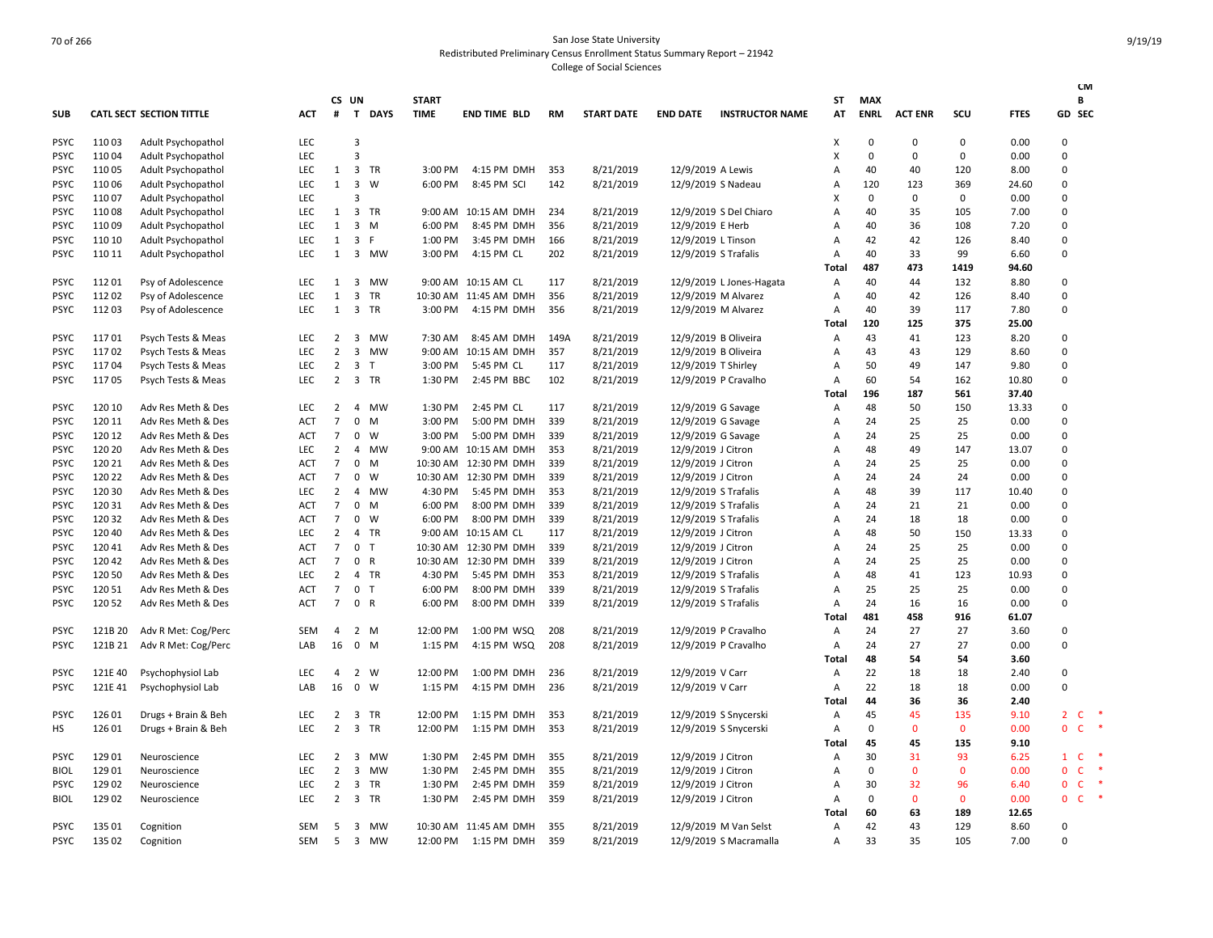|             |         |                                 |            |                |                         |              |              |                       |      |                   |                    |                          |              |             |                |              |             | <b>CM</b>                           |
|-------------|---------|---------------------------------|------------|----------------|-------------------------|--------------|--------------|-----------------------|------|-------------------|--------------------|--------------------------|--------------|-------------|----------------|--------------|-------------|-------------------------------------|
|             |         |                                 |            |                | CS UN                   |              | <b>START</b> |                       |      |                   |                    |                          | SΤ           | MAX         |                |              |             | В                                   |
| <b>SUB</b>  |         | <b>CATL SECT SECTION TITTLE</b> | ACT        | #              |                         | T DAYS       | <b>TIME</b>  | <b>END TIME BLD</b>   | RM   | <b>START DATE</b> | <b>END DATE</b>    | <b>INSTRUCTOR NAME</b>   | AT           | <b>ENRL</b> | <b>ACT ENR</b> | SCU          | <b>FTES</b> | GD SEC                              |
| <b>PSYC</b> | 11003   | Adult Psychopathol              | <b>LEC</b> |                | $\overline{3}$          |              |              |                       |      |                   |                    |                          | X            | 0           | $\mathbf 0$    | 0            | 0.00        | 0                                   |
| <b>PSYC</b> | 11004   | Adult Psychopathol              | <b>LEC</b> |                | $\overline{3}$          |              |              |                       |      |                   |                    |                          | X            | $\mathbf 0$ | 0              | 0            | 0.00        | $\Omega$                            |
| <b>PSYC</b> | 11005   | Adult Psychopathol              | <b>LEC</b> | 1              | $\overline{3}$          | TR           | 3:00 PM      | 4:15 PM DMH           | 353  | 8/21/2019         | 12/9/2019 A Lewis  |                          | A            | 40          | 40             | 120          | 8.00        | $\Omega$                            |
| <b>PSYC</b> | 11006   | Adult Psychopathol              | <b>LEC</b> | 1              | 3                       | W            | 6:00 PM      | 8:45 PM SCI           | 142  | 8/21/2019         |                    | 12/9/2019 S Nadeau       | A            | 120         | 123            | 369          | 24.60       | $\Omega$                            |
| <b>PSYC</b> | 11007   | Adult Psychopathol              | LEC        |                | $\overline{3}$          |              |              |                       |      |                   |                    |                          | X            | 0           | 0              | 0            | 0.00        | $\Omega$                            |
| <b>PSYC</b> | 11008   | Adult Psychopathol              | <b>LEC</b> | 1              |                         | 3 TR         |              | 9:00 AM 10:15 AM DMH  | 234  | 8/21/2019         |                    | 12/9/2019 S Del Chiaro   | A            | 40          | 35             | 105          | 7.00        | $\Omega$                            |
| <b>PSYC</b> | 11009   | Adult Psychopathol              | LEC        | 1              | $\overline{3}$          | M            | 6:00 PM      | 8:45 PM DMH           | 356  | 8/21/2019         | 12/9/2019 E Herb   |                          | A            | 40          | 36             | 108          | 7.20        | 0                                   |
| <b>PSYC</b> | 110 10  | Adult Psychopathol              | <b>LEC</b> | 1              | 3                       | $\mathsf{F}$ | 1:00 PM      | 3:45 PM DMH           | 166  | 8/21/2019         | 12/9/2019 L Tinson |                          | A            | 42          | 42             | 126          | 8.40        | $\Omega$                            |
| <b>PSYC</b> | 110 11  | Adult Psychopathol              | <b>LEC</b> | 1              |                         | 3 MW         | 3:00 PM      | 4:15 PM CL            | 202  | 8/21/2019         |                    | 12/9/2019 S Trafalis     | A            | 40          | 33             | 99           | 6.60        | $\Omega$                            |
|             |         |                                 |            |                |                         |              |              |                       |      |                   |                    |                          | <b>Total</b> | 487         | 473            | 1419         | 94.60       |                                     |
| <b>PSYC</b> | 11201   | Psy of Adolescence              | <b>LEC</b> | 1              |                         | 3 MW         |              | 9:00 AM 10:15 AM CL   | 117  | 8/21/2019         |                    | 12/9/2019 L Jones-Hagata | Α            | 40          | 44             | 132          | 8.80        | 0                                   |
| <b>PSYC</b> | 11202   | Psy of Adolescence              | LEC        | $\mathbf{1}$   | $\overline{3}$          | TR           |              | 10:30 AM 11:45 AM DMH | 356  | 8/21/2019         |                    | 12/9/2019 M Alvarez      | A            | 40          | 42             | 126          | 8.40        | $\Omega$                            |
| <b>PSYC</b> | 11203   | Psy of Adolescence              | <b>LEC</b> | 1              |                         | 3 TR         | 3:00 PM      | 4:15 PM DMH           | 356  | 8/21/2019         |                    | 12/9/2019 M Alvarez      | A            | 40          | 39             | 117          | 7.80        | $\Omega$                            |
|             |         |                                 |            |                |                         |              |              |                       |      |                   |                    |                          | Total        | 120         | 125            | 375          | 25.00       |                                     |
| <b>PSYC</b> | 11701   | Psych Tests & Meas              | <b>LEC</b> | 2              | $\overline{3}$          | <b>MW</b>    | 7:30 AM      | 8:45 AM DMH           | 149A | 8/21/2019         |                    | 12/9/2019 B Oliveira     | Α            | 43          | 41             | 123          | 8.20        | 0                                   |
| <b>PSYC</b> | 11702   | Psych Tests & Meas              | <b>LEC</b> | $\overline{2}$ | $\overline{3}$          | MW           | 9:00 AM      | 10:15 AM DMH          | 357  | 8/21/2019         |                    | 12/9/2019 B Oliveira     | A            | 43          | 43             | 129          | 8.60        | 0                                   |
| <b>PSYC</b> | 11704   | Psych Tests & Meas              | <b>LEC</b> | $\overline{2}$ | 3                       | $\mathsf{T}$ | 3:00 PM      | 5:45 PM CL            | 117  | 8/21/2019         |                    | 12/9/2019 T Shirley      | A            | 50          | 49             | 147          | 9.80        | $\Omega$                            |
| <b>PSYC</b> | 11705   | Psych Tests & Meas              | <b>LEC</b> | $\overline{2}$ |                         | 3 TR         | 1:30 PM      | 2:45 PM BBC           | 102  | 8/21/2019         |                    | 12/9/2019 P Cravalho     | A            | 60          | 54             | 162          | 10.80       | $\mathbf 0$                         |
|             |         |                                 |            |                |                         |              |              |                       |      |                   |                    |                          | <b>Total</b> | 196         | 187            | 561          | 37.40       |                                     |
| <b>PSYC</b> | 120 10  | Adv Res Meth & Des              | <b>LEC</b> | $\overline{2}$ | 4                       | <b>MW</b>    | 1:30 PM      | 2:45 PM CL            | 117  | 8/21/2019         |                    | 12/9/2019 G Savage       | Α            | 48          | 50             | 150          | 13.33       | 0                                   |
| <b>PSYC</b> | 120 11  | Adv Res Meth & Des              | <b>ACT</b> | $\overline{7}$ | 0                       | M            | 3:00 PM      | 5:00 PM DMH           | 339  | 8/21/2019         |                    | 12/9/2019 G Savage       | A            | 24          | 25             | 25           | 0.00        | $\Omega$                            |
| <b>PSYC</b> | 120 12  | Adv Res Meth & Des              | <b>ACT</b> | $\overline{7}$ | 0                       | W            | 3:00 PM      | 5:00 PM DMH           | 339  | 8/21/2019         |                    | 12/9/2019 G Savage       | A            | 24          | 25             | 25           | 0.00        | 0                                   |
| <b>PSYC</b> | 120 20  | Adv Res Meth & Des              | <b>LEC</b> | $\overline{2}$ | 4                       | MW           |              | 9:00 AM 10:15 AM DMH  | 353  | 8/21/2019         | 12/9/2019 J Citron |                          | A            | 48          | 49             | 147          | 13.07       | $\Omega$                            |
| <b>PSYC</b> | 120 21  | Adv Res Meth & Des              | ACT        | $\overline{7}$ | $\mathsf{O}$            | M            |              | 10:30 AM 12:30 PM DMH | 339  | 8/21/2019         | 12/9/2019 J Citron |                          | A            | 24          | 25             | 25           | 0.00        | $\Omega$                            |
| <b>PSYC</b> | 120 22  | Adv Res Meth & Des              | <b>ACT</b> | $\overline{7}$ | 0                       | W            | 10:30 AM     | 12:30 PM DMH          | 339  | 8/21/2019         | 12/9/2019 J Citron |                          | A            | 24          | 24             | 24           | 0.00        | $\Omega$                            |
| <b>PSYC</b> | 120 30  | Adv Res Meth & Des              | <b>LEC</b> | $\overline{2}$ | $\overline{4}$          | MW           | 4:30 PM      | 5:45 PM DMH           | 353  | 8/21/2019         |                    | 12/9/2019 S Trafalis     | A            | 48          | 39             | 117          | 10.40       | 0                                   |
| <b>PSYC</b> | 120 31  | Adv Res Meth & Des              | <b>ACT</b> | $\overline{7}$ | $\mathbf{0}$            | M            | 6:00 PM      | 8:00 PM DMH           | 339  | 8/21/2019         |                    | 12/9/2019 S Trafalis     | A            | 24          | 21             | 21           | 0.00        | $\Omega$                            |
| <b>PSYC</b> | 120 32  | Adv Res Meth & Des              | ACT        | $\overline{7}$ | $\mathbf 0$             | w            | 6:00 PM      | 8:00 PM DMH           | 339  | 8/21/2019         |                    | 12/9/2019 S Trafalis     | A            | 24          | 18             | 18           | 0.00        | 0                                   |
| <b>PSYC</b> | 120 40  | Adv Res Meth & Des              | <b>LEC</b> | $\overline{2}$ |                         | 4 TR         |              | 9:00 AM 10:15 AM CL   | 117  | 8/21/2019         | 12/9/2019 J Citron |                          | A            | 48          | 50             | 150          | 13.33       | $\Omega$                            |
| <b>PSYC</b> | 12041   | Adv Res Meth & Des              | ACT        | $\overline{7}$ | $\mathbf 0$             | $\top$       |              | 10:30 AM 12:30 PM DMH | 339  | 8/21/2019         | 12/9/2019 J Citron |                          | A            | 24          | 25             | 25           | 0.00        | 0                                   |
| <b>PSYC</b> | 120 42  | Adv Res Meth & Des              | <b>ACT</b> | $\overline{7}$ | 0 R                     |              |              | 10:30 AM 12:30 PM DMH | 339  | 8/21/2019         | 12/9/2019 J Citron |                          | A            | 24          | 25             | 25           | 0.00        | $\Omega$                            |
| <b>PSYC</b> | 120 50  | Adv Res Meth & Des              | <b>LEC</b> | $\overline{2}$ |                         | 4 TR         | 4:30 PM      | 5:45 PM DMH           | 353  | 8/21/2019         |                    | 12/9/2019 S Trafalis     | A            | 48          | 41             | 123          | 10.93       | $\Omega$                            |
| <b>PSYC</b> | 120 51  | Adv Res Meth & Des              | <b>ACT</b> | $\overline{7}$ | 0                       | $\mathsf{T}$ | 6:00 PM      | 8:00 PM DMH           | 339  | 8/21/2019         |                    | 12/9/2019 S Trafalis     | A            | 25          | 25             | 25           | 0.00        | $\Omega$                            |
| <b>PSYC</b> | 120 52  | Adv Res Meth & Des              | ACT        | $\overline{7}$ | 0 R                     |              | 6:00 PM      | 8:00 PM DMH           | 339  | 8/21/2019         |                    | 12/9/2019 S Trafalis     | A            | 24          | 16             | 16           | 0.00        | $\Omega$                            |
|             |         |                                 |            |                |                         |              |              |                       |      |                   |                    |                          | Total        | 481         | 458            | 916          | 61.07       |                                     |
| <b>PSYC</b> | 121B 20 | Adv R Met: Cog/Perc             | SEM        | 4              |                         | 2 M          | 12:00 PM     | 1:00 PM WSQ           | 208  | 8/21/2019         |                    | 12/9/2019 P Cravalho     | Α            | 24          | 27             | 27           | 3.60        | 0                                   |
| <b>PSYC</b> | 121B 21 | Adv R Met: Cog/Perc             | LAB        | 16             |                         | $0$ M        | 1:15 PM      | 4:15 PM WSQ           | 208  | 8/21/2019         |                    | 12/9/2019 P Cravalho     | Α            | 24          | 27             | 27           | 0.00        | $\Omega$                            |
|             |         |                                 |            |                |                         |              |              |                       |      |                   |                    |                          | Total        | 48          | 54             | 54           | 3.60        |                                     |
| <b>PSYC</b> | 121E 40 | Psychophysiol Lab               | LEC        | $\overline{4}$ | $2^{\circ}$             | W            | 12:00 PM     | 1:00 PM DMH           | 236  | 8/21/2019         | 12/9/2019 V Carr   |                          | А            | 22          | 18             | 18           | 2.40        | 0                                   |
| <b>PSYC</b> | 121E 41 | Psychophysiol Lab               | LAB        | 16             | $\mathbf{0}$            | W            | 1:15 PM      | 4:15 PM DMH           | 236  | 8/21/2019         | 12/9/2019 V Carr   |                          | Α            | 22          | 18             | 18           | 0.00        | $\Omega$                            |
|             |         |                                 |            |                |                         |              |              |                       |      |                   |                    |                          | Total        | 44          | 36             | 36           | 2.40        |                                     |
| <b>PSYC</b> | 126 01  | Drugs + Brain & Beh             | LEC        | $\overline{2}$ | 3                       | <b>TR</b>    | 12:00 PM     | 1:15 PM DMH           | 353  | 8/21/2019         |                    | 12/9/2019 S Snycerski    | А            | 45          | 45             | 135          | 9.10        | *<br>$\overline{2}$<br>$\mathsf{C}$ |
| HS          | 126 01  | Drugs + Brain & Beh             | LEC        | $\overline{2}$ |                         | 3 TR         | 12:00 PM     | 1:15 PM DMH           | 353  | 8/21/2019         |                    | 12/9/2019 S Snycerski    | А            | 0           | $\mathbf 0$    | $\mathbf 0$  | 0.00        | 0<br>$\mathsf{C}$                   |
|             |         |                                 |            |                |                         |              |              |                       |      |                   |                    |                          | <b>Total</b> | 45          | 45             | 135          | 9.10        |                                     |
| <b>PSYC</b> | 129 01  | Neuroscience                    | LEC        | $\overline{2}$ | 3                       | <b>MW</b>    | 1:30 PM      | 2:45 PM DMH           | 355  | 8/21/2019         | 12/9/2019 J Citron |                          | Α            | 30          | 31             | 93           | 6.25        | $\mathsf{C}$<br>$\mathbf{1}$        |
| <b>BIOL</b> | 129 01  | Neuroscience                    | <b>LEC</b> | 2              | $\overline{\mathbf{3}}$ | MW           | 1:30 PM      | 2:45 PM DMH           | 355  | 8/21/2019         | 12/9/2019 J Citron |                          | A            | 0           | $\mathbf{0}$   | $\mathbf{0}$ | 0.00        | *<br>0<br><b>C</b>                  |
| <b>PSYC</b> | 129 02  | Neuroscience                    | LEC        | $\overline{2}$ | 3                       | TR           | 1:30 PM      | 2:45 PM DMH           | 359  | 8/21/2019         | 12/9/2019 J Citron |                          | A            | 30          | 32             | 96           | 6.40        | 0<br>$\mathsf{C}$                   |
| <b>BIOL</b> | 129 02  | Neuroscience                    | <b>LEC</b> | $\overline{2}$ |                         | 3 TR         | 1:30 PM      | 2:45 PM DMH           | 359  | 8/21/2019         | 12/9/2019 J Citron |                          | A            | 0           | $\mathbf{0}$   | $\mathbf{0}$ | 0.00        | $\ast$<br>$\mathsf{C}$<br>$\Omega$  |
|             |         |                                 |            |                |                         |              |              |                       |      |                   |                    |                          | Total        | 60          | 63             | 189          | 12.65       |                                     |
| <b>PSYC</b> | 135 01  | Cognition                       | <b>SEM</b> | 5              | 3                       | MW           |              | 10:30 AM 11:45 AM DMH | 355  | 8/21/2019         |                    | 12/9/2019 M Van Selst    | A            | 42          | 43             | 129          | 8.60        | 0                                   |
| <b>PSYC</b> | 135 02  | Cognition                       | <b>SEM</b> | -5             | $\overline{3}$          | <b>MW</b>    |              | 12:00 PM 1:15 PM DMH  | 359  | 8/21/2019         |                    | 12/9/2019 S Macramalla   | A            | 33          | 35             | 105          | 7.00        | $\Omega$                            |
|             |         |                                 |            |                |                         |              |              |                       |      |                   |                    |                          |              |             |                |              |             |                                     |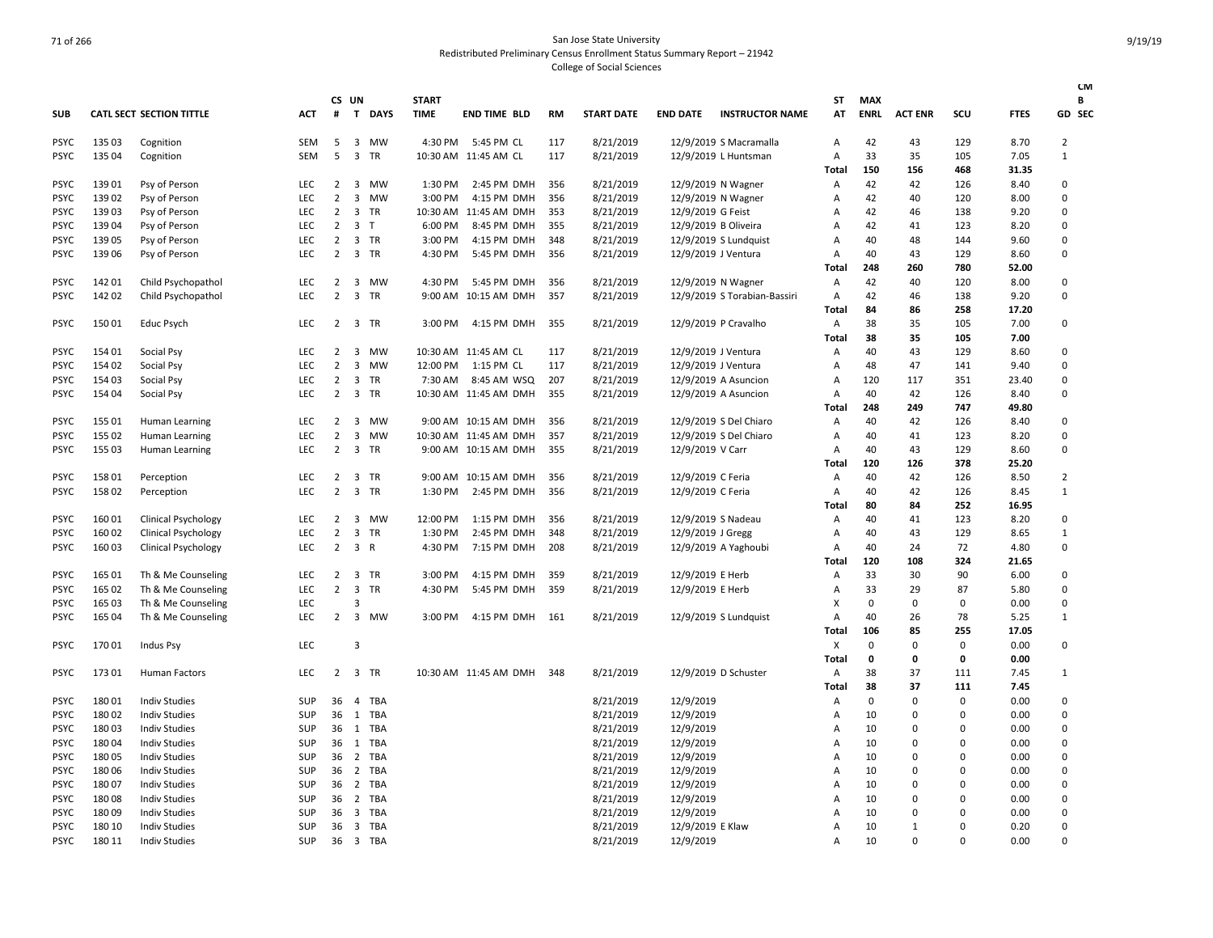|             |        |                                 |            |                |                         |              |              |                       |     |                   |                      |                              |                |             |                |          |             | <b>CM</b>      |
|-------------|--------|---------------------------------|------------|----------------|-------------------------|--------------|--------------|-----------------------|-----|-------------------|----------------------|------------------------------|----------------|-------------|----------------|----------|-------------|----------------|
|             |        |                                 |            |                | CS UN                   |              | <b>START</b> |                       |     |                   |                      |                              | ST             | <b>MAX</b>  |                |          |             | В              |
| <b>SUB</b>  |        | <b>CATL SECT SECTION TITTLE</b> | <b>ACT</b> | #              | T                       | <b>DAYS</b>  | <b>TIME</b>  | <b>END TIME BLD</b>   | RM  | <b>START DATE</b> | <b>END DATE</b>      | <b>INSTRUCTOR NAME</b>       | AT             | <b>ENRL</b> | <b>ACT ENR</b> | scu      | <b>FTES</b> | GD SEC         |
| <b>PSYC</b> | 135 03 | Cognition                       | SEM        | 5              | 3                       | MW           | 4:30 PM      | 5:45 PM CL            | 117 | 8/21/2019         |                      | 12/9/2019 S Macramalla       | A              | 42          | 43             | 129      | 8.70        | 2              |
| <b>PSYC</b> | 135 04 | Cognition                       | <b>SEM</b> | 5              | $\overline{\mathbf{3}}$ | <b>TR</b>    |              | 10:30 AM 11:45 AM CL  | 117 | 8/21/2019         |                      | 12/9/2019 L Huntsman         | A              | 33          | 35             | 105      | 7.05        | $\mathbf{1}$   |
|             |        |                                 |            |                |                         |              |              |                       |     |                   |                      |                              | Total          | 150         | 156            | 468      | 31.35       |                |
| <b>PSYC</b> | 13901  | Psy of Person                   | <b>LEC</b> | 2              | $\overline{\mathbf{3}}$ | <b>MW</b>    | 1:30 PM      | 2:45 PM DMH           | 356 | 8/21/2019         | 12/9/2019 N Wagner   |                              | Α              | 42          | 42             | 126      | 8.40        | $\Omega$       |
| <b>PSYC</b> | 13902  | Psy of Person                   | LEC        | $\overline{2}$ | $\overline{\mathbf{3}}$ | <b>MW</b>    | 3:00 PM      | 4:15 PM DMH           | 356 | 8/21/2019         | 12/9/2019 N Wagner   |                              | A              | 42          | 40             | 120      | 8.00        | $\Omega$       |
| <b>PSYC</b> | 13903  | Psy of Person                   | <b>LEC</b> | $\overline{2}$ | 3                       | <b>TR</b>    | 10:30 AM     | 11:45 AM DMH          | 353 | 8/21/2019         | 12/9/2019 G Feist    |                              | A              | 42          | 46             | 138      | 9.20        | $\Omega$       |
| <b>PSYC</b> | 139 04 | Psy of Person                   | LEC        | $\overline{2}$ | $\overline{\mathbf{3}}$ | T            | 6:00 PM      | 8:45 PM DMH           | 355 | 8/21/2019         | 12/9/2019 B Oliveira |                              | Α              | 42          | 41             | 123      | 8.20        | $\mathbf 0$    |
| <b>PSYC</b> | 13905  | Psy of Person                   | <b>LEC</b> | $\overline{2}$ | $\overline{\mathbf{3}}$ | <b>TR</b>    | 3:00 PM      | 4:15 PM DMH           | 348 | 8/21/2019         |                      | 12/9/2019 S Lundquist        | A              | 40          | 48             | 144      | 9.60        | $\Omega$       |
| <b>PSYC</b> | 139 06 | Psy of Person                   | <b>LEC</b> | 2              |                         | 3 TR         | 4:30 PM      | 5:45 PM DMH           | 356 | 8/21/2019         | 12/9/2019 J Ventura  |                              | $\overline{A}$ | 40          | 43             | 129      | 8.60        | $\Omega$       |
|             |        |                                 |            |                |                         |              |              |                       |     |                   |                      |                              | Total          | 248         | 260            | 780      | 52.00       |                |
| <b>PSYC</b> | 142 01 | Child Psychopathol              | <b>LEC</b> | 2              | 3                       | MW           | 4:30 PM      | 5:45 PM DMH           | 356 | 8/21/2019         | 12/9/2019 N Wagner   |                              | Α              | 42          | 40             | 120      | 8.00        | 0              |
| <b>PSYC</b> | 142 02 | Child Psychopathol              | <b>LEC</b> | $\overline{2}$ | $\overline{3}$          | <b>TR</b>    | $9:00$ AM    | 10:15 AM DMH          | 357 | 8/21/2019         |                      | 12/9/2019 S Torabian-Bassiri | A              | 42          | 46             | 138      | 9.20        | $\Omega$       |
|             |        |                                 |            |                |                         |              |              |                       |     |                   |                      |                              | Total          | 84          | 86             | 258      | 17.20       |                |
| <b>PSYC</b> | 15001  | Educ Psych                      | <b>LEC</b> | 2              | 3                       | TR           | 3:00 PM      | 4:15 PM DMH           | 355 | 8/21/2019         |                      | 12/9/2019 P Cravalho         | Α              | 38          | 35             | 105      | 7.00        | $\Omega$       |
|             |        |                                 |            |                |                         |              |              |                       |     |                   |                      |                              | Total          | 38          | 35             | 105      | 7.00        |                |
| <b>PSYC</b> | 154 01 | Social Psy                      | LEC        | $\overline{2}$ | $\overline{\mathbf{3}}$ | MW           |              | 10:30 AM 11:45 AM CL  | 117 | 8/21/2019         | 12/9/2019 J Ventura  |                              | $\overline{A}$ | 40          | 43             | 129      | 8.60        | $\mathbf 0$    |
| <b>PSYC</b> | 154 02 | Social Psy                      | <b>LEC</b> | $\overline{2}$ | 3                       | <b>MW</b>    | 12:00 PM     | 1:15 PM CL            | 117 | 8/21/2019         | 12/9/2019 J Ventura  |                              | A              | 48          | 47             | 141      | 9.40        | $\Omega$       |
| <b>PSYC</b> | 154 03 | Social Psy                      | LEC        | $\overline{2}$ | $\overline{\mathbf{3}}$ | TR           | 7:30 AM      | 8:45 AM WSQ           | 207 | 8/21/2019         |                      | 12/9/2019 A Asuncion         | $\overline{A}$ | 120         | 117            | 351      | 23.40       | $\mathbf 0$    |
| <b>PSYC</b> | 154 04 | Social Psy                      | <b>LEC</b> | $\overline{2}$ | $\overline{\mathbf{3}}$ | <b>TR</b>    |              | 10:30 AM 11:45 AM DMH | 355 | 8/21/2019         |                      | 12/9/2019 A Asuncion         | A              | 40          | 42             | 126      | 8.40        | $\Omega$       |
|             |        |                                 |            |                |                         |              |              |                       |     |                   |                      |                              | Total          | 248         | 249            | 747      | 49.80       |                |
| <b>PSYC</b> | 155 01 | Human Learning                  | <b>LEC</b> | 2              | $\overline{\mathbf{3}}$ | <b>MW</b>    |              | 9:00 AM 10:15 AM DMH  | 356 | 8/21/2019         |                      | 12/9/2019 S Del Chiaro       | A              | 40          | 42             | 126      | 8.40        | $\Omega$       |
| <b>PSYC</b> | 155 02 | Human Learning                  | LEC        | $\overline{2}$ | 3                       | <b>MW</b>    |              | 10:30 AM 11:45 AM DMH | 357 | 8/21/2019         |                      | 12/9/2019 S Del Chiaro       | $\overline{A}$ | 40          | 41             | 123      | 8.20        | $\mathbf 0$    |
| <b>PSYC</b> | 155 03 | Human Learning                  | <b>LEC</b> | $\overline{2}$ | $\overline{\mathbf{3}}$ | <b>TR</b>    |              | 9:00 AM 10:15 AM DMH  | 355 | 8/21/2019         | 12/9/2019 V Carr     |                              | A              | 40          | 43             | 129      | 8.60        | $\Omega$       |
|             |        |                                 |            |                |                         |              |              |                       |     |                   |                      |                              | Total          | 120         | 126            | 378      | 25.20       |                |
| <b>PSYC</b> | 158 01 | Perception                      | <b>LEC</b> | 2              | 3                       | <b>TR</b>    | $9:00$ AM    | 10:15 AM DMH          | 356 | 8/21/2019         | 12/9/2019 C Feria    |                              | A              | 40          | 42             | 126      | 8.50        | $\overline{2}$ |
| <b>PSYC</b> | 15802  | Perception                      | <b>LEC</b> | $\overline{2}$ | $\overline{\mathbf{3}}$ | TR           | 1:30 PM      | 2:45 PM DMH           | 356 | 8/21/2019         | 12/9/2019 C Feria    |                              | A              | 40          | 42             | 126      | 8.45        | $\mathbf{1}$   |
|             |        |                                 |            |                |                         |              |              |                       |     |                   |                      |                              | Total          | 80          | 84             | 252      | 16.95       |                |
| <b>PSYC</b> | 16001  | <b>Clinical Psychology</b>      | LEC        | 2              | $\overline{3}$          | <b>MW</b>    | 12:00 PM     | 1:15 PM DMH           | 356 | 8/21/2019         | 12/9/2019 S Nadeau   |                              | A              | 40          | 41             | 123      | 8.20        | $\Omega$       |
| <b>PSYC</b> | 160 02 | <b>Clinical Psychology</b>      | LEC        | $\overline{2}$ | $\overline{3}$          | <b>TR</b>    | 1:30 PM      | 2:45 PM DMH           | 348 | 8/21/2019         | 12/9/2019 J Gregg    |                              | $\overline{A}$ | 40          | 43             | 129      | 8.65        | $\mathbf{1}$   |
| <b>PSYC</b> | 160 03 | Clinical Psychology             | LEC        | $\overline{2}$ | $\overline{3}$          | $\mathsf{R}$ | 4:30 PM      | 7:15 PM DMH           | 208 | 8/21/2019         |                      | 12/9/2019 A Yaghoubi         | A              | 40          | 24             | 72       | 4.80        | $\mathbf 0$    |
|             |        |                                 |            |                |                         |              |              |                       |     |                   |                      |                              | Total          | 120         | 108            | 324      | 21.65       |                |
| <b>PSYC</b> | 165 01 | Th & Me Counseling              | <b>LEC</b> | 2              | $\overline{\mathbf{3}}$ | TR           | 3:00 PM      | 4:15 PM DMH           | 359 | 8/21/2019         | 12/9/2019 E Herb     |                              | A              | 33          | 30             | 90       | 6.00        | $\Omega$       |
| <b>PSYC</b> | 165 02 | Th & Me Counseling              | <b>LEC</b> | $\overline{2}$ | $\overline{\mathbf{3}}$ | TR           | 4:30 PM      | 5:45 PM DMH           | 359 | 8/21/2019         | 12/9/2019 E Herb     |                              | A              | 33          | 29             | 87       | 5.80        | $\Omega$       |
| <b>PSYC</b> | 165 03 | Th & Me Counseling              | LEC        |                | 3                       |              |              |                       |     |                   |                      |                              | X              | 0           | 0              | 0        | 0.00        | $\Omega$       |
| <b>PSYC</b> | 165 04 | Th & Me Counseling              | <b>LEC</b> | $\overline{2}$ |                         | 3 MW         | 3:00 PM      | 4:15 PM DMH           | 161 | 8/21/2019         |                      | 12/9/2019 S Lundquist        | $\overline{A}$ | 40          | 26             | 78       | 5.25        | $\mathbf{1}$   |
|             |        |                                 |            |                |                         |              |              |                       |     |                   |                      |                              | Total          | 106         | 85             | 255      | 17.05       |                |
| <b>PSYC</b> | 17001  | <b>Indus Psy</b>                | <b>LEC</b> |                | 3                       |              |              |                       |     |                   |                      |                              | X              | $\Omega$    | $\Omega$       | 0        | 0.00        | $\Omega$       |
|             |        |                                 |            |                |                         |              |              |                       |     |                   |                      |                              | Total          | 0           | 0              | 0        | 0.00        |                |
| <b>PSYC</b> | 17301  | <b>Human Factors</b>            | LEC        | $\overline{2}$ | $\overline{\mathbf{3}}$ | TR           |              | 10:30 AM 11:45 AM DMH | 348 | 8/21/2019         |                      | 12/9/2019 D Schuster         | Α              | 38          | 37             | 111      | 7.45        | 1              |
|             |        |                                 |            |                |                         |              |              |                       |     |                   |                      |                              | Total          | 38          | 37             | 111      | 7.45        |                |
| <b>PSYC</b> | 18001  | <b>Indiv Studies</b>            | SUP        | 36             | $\overline{4}$          | TBA          |              |                       |     | 8/21/2019         | 12/9/2019            |                              | A              | $\mathbf 0$ | $\Omega$       | $\Omega$ | 0.00        | 0              |
| <b>PSYC</b> | 18002  | <b>Indiv Studies</b>            | <b>SUP</b> | 36             | 1                       | <b>TBA</b>   |              |                       |     | 8/21/2019         | 12/9/2019            |                              | A              | 10          | $\Omega$       | $\Omega$ | 0.00        | $\Omega$       |
| <b>PSYC</b> | 18003  | <b>Indiv Studies</b>            | <b>SUP</b> | 36             | 1                       | TBA          |              |                       |     | 8/21/2019         | 12/9/2019            |                              | Α              | 10          | 0              | $\Omega$ | 0.00        | $\mathbf 0$    |
| <b>PSYC</b> | 18004  | <b>Indiv Studies</b>            | SUP        | 36             |                         | 1 TBA        |              |                       |     | 8/21/2019         | 12/9/2019            |                              | A              | 10          | $\Omega$       | $\Omega$ | 0.00        | $\Omega$       |
| <b>PSYC</b> | 18005  | <b>Indiv Studies</b>            | <b>SUP</b> | 36             | $\overline{2}$          | <b>TBA</b>   |              |                       |     | 8/21/2019         | 12/9/2019            |                              | A              | 10          | 0              | $\Omega$ | 0.00        | $\Omega$       |
| <b>PSYC</b> | 18006  | <b>Indiv Studies</b>            | SUP        | 36             | $\overline{2}$          | TBA          |              |                       |     | 8/21/2019         | 12/9/2019            |                              | A              | 10          | $\Omega$       | $\Omega$ | 0.00        | $\Omega$       |
| <b>PSYC</b> | 18007  | <b>Indiv Studies</b>            | SUP        | 36             | 2                       | <b>TBA</b>   |              |                       |     | 8/21/2019         | 12/9/2019            |                              | Α              | 10          | 0              | $\Omega$ | 0.00        | $\mathbf 0$    |
| <b>PSYC</b> | 18008  | <b>Indiv Studies</b>            | <b>SUP</b> | 36             | $\overline{2}$          | <b>TBA</b>   |              |                       |     | 8/21/2019         | 12/9/2019            |                              | A              | 10          | 0              | $\Omega$ | 0.00        | $\Omega$       |
| <b>PSYC</b> | 180 09 | <b>Indiv Studies</b>            | SUP        | 36             | $\overline{\mathbf{3}}$ | <b>TBA</b>   |              |                       |     | 8/21/2019         | 12/9/2019            |                              | А              | 10          | $\Omega$       | $\Omega$ | 0.00        | $\Omega$       |
| <b>PSYC</b> | 180 10 | <b>Indiv Studies</b>            | SUP        | 36             | $\overline{\mathbf{3}}$ | <b>TBA</b>   |              |                       |     | 8/21/2019         | 12/9/2019 E Klaw     |                              | A              | 10          | $\mathbf{1}$   | $\Omega$ | 0.20        | $\Omega$       |
| <b>PSYC</b> | 180 11 | <b>Indiv Studies</b>            | SUP        |                |                         | 36 3 TBA     |              |                       |     | 8/21/2019         | 12/9/2019            |                              | $\Delta$       | 10          | $\Omega$       | $\Omega$ | 0.00        | $\Omega$       |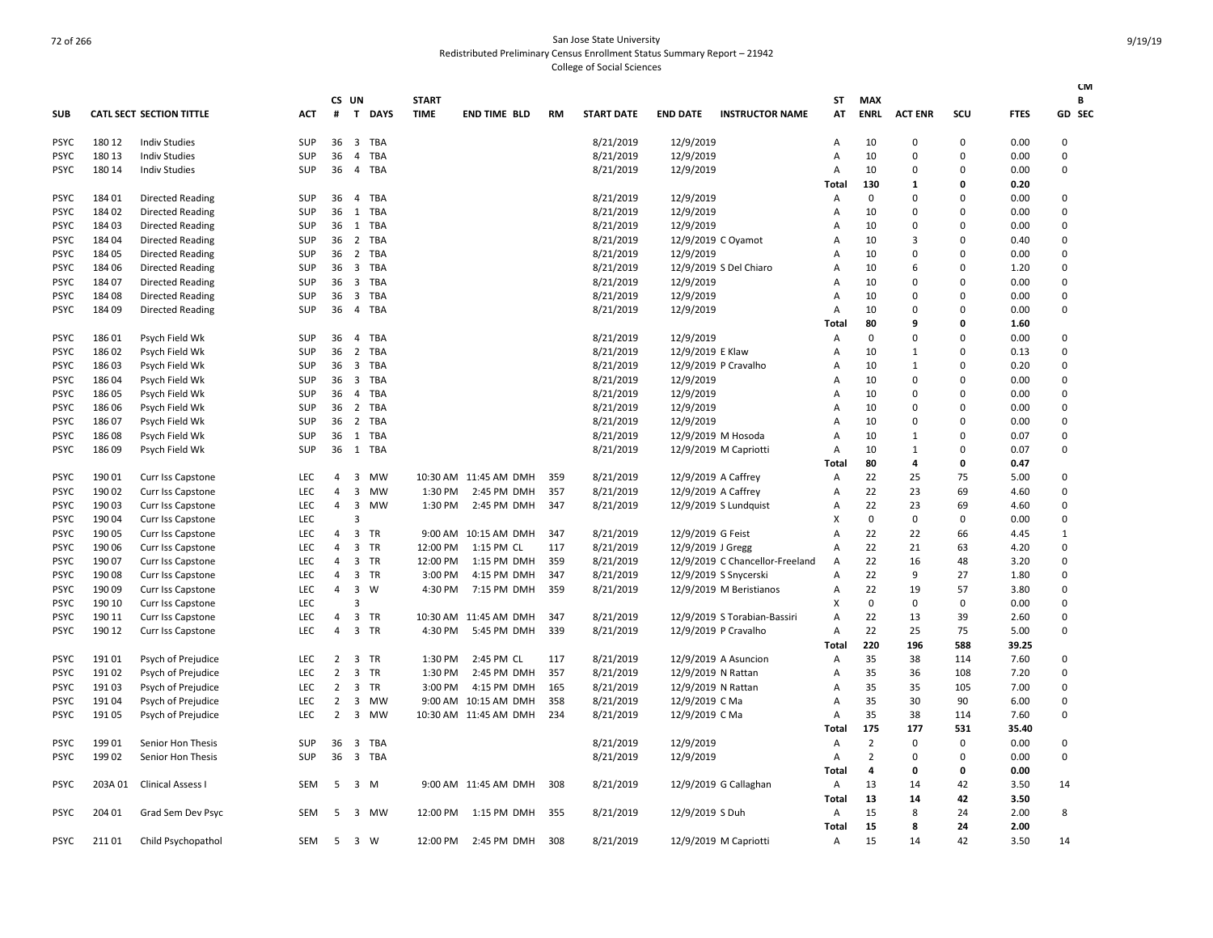| <b>SUB</b>  |         | <b>CATL SECT SECTION TITTLE</b> | <b>ACT</b> | #              | CS UN<br>T              | <b>DAYS</b> | <b>START</b><br><b>TIME</b> | <b>END TIME BLD</b>   | <b>RM</b> | <b>START DATE</b> | <b>END DATE</b>     | <b>INSTRUCTOR NAME</b>          | ST<br>AT       | <b>MAX</b><br><b>ENRL</b> | <b>ACT ENR</b> | SCU         | <b>FTES</b> | <b>CM</b><br>B<br>GD SEC |
|-------------|---------|---------------------------------|------------|----------------|-------------------------|-------------|-----------------------------|-----------------------|-----------|-------------------|---------------------|---------------------------------|----------------|---------------------------|----------------|-------------|-------------|--------------------------|
| <b>PSYC</b> | 180 12  | <b>Indiv Studies</b>            | <b>SUP</b> | 36             | $\overline{\mathbf{3}}$ | TBA         |                             |                       |           | 8/21/2019         | 12/9/2019           |                                 | Α              | 10                        | $\Omega$       | 0           | 0.00        | $\Omega$                 |
| <b>PSYC</b> | 180 13  | <b>Indiv Studies</b>            | SUP        | 36             | $\overline{4}$          | <b>TBA</b>  |                             |                       |           | 8/21/2019         | 12/9/2019           |                                 | Α              | 10                        | 0              | $\mathbf 0$ | 0.00        | 0                        |
| <b>PSYC</b> | 180 14  | <b>Indiv Studies</b>            | <b>SUP</b> | 36             | $\overline{4}$          | TBA         |                             |                       |           | 8/21/2019         | 12/9/2019           |                                 | Α              | 10                        | $\Omega$       | $\Omega$    | 0.00        | 0                        |
|             |         |                                 |            |                |                         |             |                             |                       |           |                   |                     |                                 | Total          | 130                       | $\mathbf{1}$   | 0           | 0.20        |                          |
| <b>PSYC</b> | 18401   | <b>Directed Reading</b>         | SUP        | 36             | $\overline{4}$          | TBA         |                             |                       |           | 8/21/2019         | 12/9/2019           |                                 | A              | 0                         | $\Omega$       | $\Omega$    | 0.00        | 0                        |
| <b>PSYC</b> | 18402   |                                 | SUP        | 36             | 1                       | <b>TBA</b>  |                             |                       |           | 8/21/2019         | 12/9/2019           |                                 |                | 10                        | 0              | $\mathbf 0$ | 0.00        | 0                        |
|             |         | <b>Directed Reading</b>         |            | 36 1           |                         | <b>TBA</b>  |                             |                       |           |                   |                     |                                 | A<br>A         | 10                        | $\Omega$       | $\Omega$    | 0.00        | $\Omega$                 |
| <b>PSYC</b> | 18403   | <b>Directed Reading</b>         | <b>SUP</b> |                |                         | <b>TBA</b>  |                             |                       |           | 8/21/2019         | 12/9/2019           |                                 | $\overline{A}$ | 10                        | 3              | $\Omega$    | 0.40        | $\mathsf 0$              |
| <b>PSYC</b> | 18404   | <b>Directed Reading</b>         | SUP        | 36 2           |                         |             |                             |                       |           | 8/21/2019         |                     | 12/9/2019 C Oyamot              |                |                           | $\Omega$       |             |             |                          |
| <b>PSYC</b> | 184 05  | Directed Reading                | SUP        | 36             | $\overline{2}$          | TBA         |                             |                       |           | 8/21/2019         | 12/9/2019           |                                 | $\overline{A}$ | 10                        |                | $\Omega$    | 0.00        | $\Omega$                 |
| <b>PSYC</b> | 184 06  | <b>Directed Reading</b>         | SUP        | 36             | $\overline{\mathbf{3}}$ | <b>TBA</b>  |                             |                       |           | 8/21/2019         |                     | 12/9/2019 S Del Chiaro          | Α              | 10                        | 6              | $\mathbf 0$ | 1.20        | $\mathsf 0$              |
| <b>PSYC</b> | 18407   | Directed Reading                | SUP        | 36             | $\overline{\mathbf{3}}$ | TBA         |                             |                       |           | 8/21/2019         | 12/9/2019           |                                 | A              | 10                        | $\Omega$       | $\Omega$    | 0.00        | $\Omega$                 |
| <b>PSYC</b> | 18408   | <b>Directed Reading</b>         | <b>SUP</b> | 36             | $\overline{\mathbf{3}}$ | <b>TBA</b>  |                             |                       |           | 8/21/2019         | 12/9/2019           |                                 | Α              | 10                        | $\Omega$       | $\Omega$    | 0.00        | 0                        |
| <b>PSYC</b> | 18409   | Directed Reading                | <b>SUP</b> | 36             | $\overline{4}$          | TBA         |                             |                       |           | 8/21/2019         | 12/9/2019           |                                 | Α              | 10                        | $\Omega$       | $\Omega$    | 0.00        | 0                        |
|             |         |                                 |            |                |                         |             |                             |                       |           |                   |                     |                                 | Total          | 80                        | 9              | $\Omega$    | 1.60        |                          |
| <b>PSYC</b> | 18601   | Psych Field Wk                  | <b>SUP</b> | 36             | $\overline{4}$          | TBA         |                             |                       |           | 8/21/2019         | 12/9/2019           |                                 | $\overline{A}$ | $\Omega$                  | $\Omega$       | $\Omega$    | 0.00        | 0                        |
| <b>PSYC</b> | 18602   | Psych Field Wk                  | <b>SUP</b> | 36             | $\overline{2}$          | <b>TBA</b>  |                             |                       |           | 8/21/2019         | 12/9/2019 E Klaw    |                                 | $\Delta$       | 10                        | $\mathbf{1}$   | $\Omega$    | 0.13        | 0                        |
| <b>PSYC</b> | 18603   | Psych Field Wk                  | <b>SUP</b> | 36             | 3                       | TBA         |                             |                       |           | 8/21/2019         |                     | 12/9/2019 P Cravalho            | $\overline{A}$ | 10                        | $\mathbf{1}$   | $\Omega$    | 0.20        | 0                        |
| <b>PSYC</b> | 18604   | Psych Field Wk                  | <b>SUP</b> | 36             | $\overline{\mathbf{3}}$ | <b>TBA</b>  |                             |                       |           | 8/21/2019         | 12/9/2019           |                                 | $\overline{A}$ | 10                        | 0              | $\mathbf 0$ | 0.00        | 0                        |
| <b>PSYC</b> | 18605   | Psych Field Wk                  | <b>SUP</b> | 36             | $\overline{4}$          | <b>TBA</b>  |                             |                       |           | 8/21/2019         | 12/9/2019           |                                 | A              | 10                        | $\Omega$       | $\Omega$    | 0.00        | $\Omega$                 |
| <b>PSYC</b> | 186 06  | Psych Field Wk                  | <b>SUP</b> | 36             | $\overline{2}$          | <b>TBA</b>  |                             |                       |           | 8/21/2019         | 12/9/2019           |                                 | Α              | 10                        | 0              | $\mathbf 0$ | 0.00        | 0                        |
| <b>PSYC</b> | 18607   | Psych Field Wk                  | <b>SUP</b> | 36             | $\overline{2}$          | TBA         |                             |                       |           | 8/21/2019         | 12/9/2019           |                                 | $\overline{A}$ | 10                        | 0              | $\Omega$    | 0.00        | 0                        |
| <b>PSYC</b> | 18608   | Psych Field Wk                  | <b>SUP</b> | 36             |                         | 1 TBA       |                             |                       |           | 8/21/2019         |                     | 12/9/2019 M Hosoda              | $\overline{A}$ | 10                        | $\mathbf{1}$   | $\mathbf 0$ | 0.07        | 0                        |
| <b>PSYC</b> | 18609   | Psych Field Wk                  | <b>SUP</b> |                | 36 1                    | TBA         |                             |                       |           | 8/21/2019         |                     | 12/9/2019 M Capriotti           | Α              | 10                        | $\mathbf{1}$   | $\Omega$    | 0.07        | 0                        |
|             |         |                                 |            |                |                         |             |                             |                       |           |                   |                     |                                 | Total          | 80                        | 4              | 0           | 0.47        |                          |
| <b>PSYC</b> | 190 01  | Curr Iss Capstone               | <b>LEC</b> | 4              | 3                       | MW          |                             | 10:30 AM 11:45 AM DMH | 359       | 8/21/2019         | 12/9/2019 A Caffrey |                                 | Α              | 22                        | 25             | 75          | 5.00        | 0                        |
| <b>PSYC</b> | 190 02  | Curr Iss Capstone               | LEC        | 4              | 3                       | <b>MW</b>   | 1:30 PM                     | 2:45 PM DMH           | 357       | 8/21/2019         | 12/9/2019 A Caffrey |                                 | $\overline{A}$ | 22                        | 23             | 69          | 4.60        | $\Omega$                 |
| <b>PSYC</b> | 190 03  | Curr Iss Capstone               | LEC        | $\overline{4}$ | 3                       | <b>MW</b>   | 1:30 PM                     | 2:45 PM DMH           | 347       | 8/21/2019         |                     | 12/9/2019 S Lundquist           | $\overline{A}$ | 22                        | 23             | 69          | 4.60        | 0                        |
| <b>PSYC</b> | 19004   | Curr Iss Capstone               | LEC        |                | 3                       |             |                             |                       |           |                   |                     |                                 | X              | $\mathbf 0$               | 0              | $\mathbf 0$ | 0.00        | 0                        |
| <b>PSYC</b> | 190 05  | Curr Iss Capstone               | <b>LEC</b> | 4              | 3                       | <b>TR</b>   |                             | 9:00 AM 10:15 AM DMH  | 347       | 8/21/2019         | 12/9/2019 G Feist   |                                 | Α              | 22                        | 22             | 66          | 4.45        | 1                        |
| <b>PSYC</b> | 190 06  | Curr Iss Capstone               | LEC        | $\overline{a}$ | 3                       | TR          | 12:00 PM                    | 1:15 PM CL            | 117       | 8/21/2019         | 12/9/2019 J Gregg   |                                 | Α              | 22                        | 21             | 63          | 4.20        | $\mathsf 0$              |
| <b>PSYC</b> | 190 07  | Curr Iss Capstone               | <b>LEC</b> | 4              | 3                       | <b>TR</b>   | 12:00 PM                    | 1:15 PM DMH           | 359       | 8/21/2019         |                     | 12/9/2019 C Chancellor-Freeland | Α              | 22                        | 16             | 48          | 3.20        | $\Omega$                 |
| <b>PSYC</b> | 19008   | Curr Iss Capstone               | LEC        | 4              | 3                       | TR          | 3:00 PM                     | 4:15 PM DMH           | 347       | 8/21/2019         |                     | 12/9/2019 S Snycerski           | A              | 22                        | 9              | 27          | 1.80        | $\pmb{0}$                |
| <b>PSYC</b> | 19009   | Curr Iss Capstone               | LEC        | 4              | 3                       | W           | 4:30 PM                     | 7:15 PM DMH           | 359       | 8/21/2019         |                     | 12/9/2019 M Beristianos         | Α              | 22                        | 19             | 57          | 3.80        | 0                        |
| <b>PSYC</b> | 190 10  | Curr Iss Capstone               | LEC        |                | $\mathbf{a}$            |             |                             |                       |           |                   |                     |                                 | X              | 0                         | $\Omega$       | $\mathbf 0$ | 0.00        | $\mathsf 0$              |
| <b>PSYC</b> | 190 11  | Curr Iss Capstone               | LEC        | 4              | 3                       | TR          |                             | 10:30 AM 11:45 AM DMH | 347       | 8/21/2019         |                     | 12/9/2019 S Torabian-Bassiri    | $\overline{A}$ | 22                        | 13             | 39          | 2.60        | 0                        |
| <b>PSYC</b> | 190 12  | Curr Iss Capstone               | <b>LEC</b> | $\overline{4}$ | 3                       | <b>TR</b>   | 4:30 PM                     | 5:45 PM DMH           | 339       | 8/21/2019         |                     | 12/9/2019 P Cravalho            | $\overline{A}$ | 22                        | 25             | 75          | 5.00        | 0                        |
|             |         |                                 |            |                |                         |             |                             |                       |           |                   |                     |                                 | Total          | 220                       | 196            | 588         | 39.25       |                          |
| <b>PSYC</b> | 19101   | Psych of Prejudice              | <b>LEC</b> | $\overline{2}$ | $\overline{\mathbf{3}}$ | TR          | 1:30 PM                     | 2:45 PM CL            | 117       | 8/21/2019         |                     | 12/9/2019 A Asuncion            | Α              | 35                        | 38             | 114         | 7.60        | 0                        |
| <b>PSYC</b> | 19102   | Psych of Prejudice              | LEC        | 2              | 3                       | TR          | 1:30 PM                     | 2:45 PM DMH           | 357       | 8/21/2019         | 12/9/2019 N Rattan  |                                 | $\overline{A}$ | 35                        | 36             | 108         | 7.20        | 0                        |
| <b>PSYC</b> | 19103   | Psych of Prejudice              | <b>LEC</b> | 2              | 3                       | <b>TR</b>   | 3:00 PM                     | 4:15 PM DMH           | 165       | 8/21/2019         | 12/9/2019 N Rattan  |                                 | $\overline{A}$ | 35                        | 35             | 105         | 7.00        | 0                        |
| <b>PSYC</b> | 19104   | Psych of Prejudice              | LEC        | $\overline{2}$ | $\overline{\mathbf{3}}$ | MW          |                             | 9:00 AM 10:15 AM DMH  | 358       | 8/21/2019         | 12/9/2019 C Ma      |                                 | $\overline{A}$ | 35                        | 30             | 90          | 6.00        | $\mathbf 0$              |
| <b>PSYC</b> | 19105   | Psych of Prejudice              | <b>LEC</b> | 2              | 3                       | <b>MW</b>   |                             | 10:30 AM 11:45 AM DMH | 234       | 8/21/2019         | 12/9/2019 C Ma      |                                 | $\overline{A}$ | 35                        | 38             | 114         | 7.60        | $\Omega$                 |
|             |         |                                 |            |                |                         |             |                             |                       |           |                   |                     |                                 | Total          | 175                       | 177            | 531         | 35.40       |                          |
| <b>PSYC</b> | 19901   | Senior Hon Thesis               | <b>SUP</b> | 36             | $\overline{\mathbf{3}}$ | <b>TBA</b>  |                             |                       |           | 8/21/2019         | 12/9/2019           |                                 | $\overline{A}$ | $\overline{2}$            | $\Omega$       | 0           | 0.00        | 0                        |
| <b>PSYC</b> | 19902   | Senior Hon Thesis               | SUP        | 36             | $\overline{\mathbf{3}}$ | <b>TBA</b>  |                             |                       |           | 8/21/2019         | 12/9/2019           |                                 | Α              | $\overline{2}$            | 0              | $\mathbf 0$ | 0.00        | $\mathbf 0$              |
|             |         |                                 |            |                |                         |             |                             |                       |           |                   |                     |                                 | Total          | $\overline{a}$            | 0              | 0           | 0.00        |                          |
| <b>PSYC</b> | 203A 01 | Clinical Assess I               | SEM        | 5              | 3                       | M           |                             | 9:00 AM 11:45 AM DMH  | 308       | 8/21/2019         |                     | 12/9/2019 G Callaghan           | Α              | 13                        | 14             | 42          | 3.50        | 14                       |
|             |         |                                 |            |                |                         |             |                             |                       |           |                   |                     |                                 | Total          | 13                        | 14             | 42          | 3.50        |                          |
| <b>PSYC</b> | 204 01  | Grad Sem Dev Psyc               | <b>SEM</b> | 5              | 3                       | MW          | 12:00 PM                    | 1:15 PM DMH           | 355       | 8/21/2019         | 12/9/2019 S Duh     |                                 | A              | 15                        | 8              | 24          | 2.00        | 8                        |
|             |         |                                 |            |                |                         |             |                             |                       |           |                   |                     |                                 | Total          | 15                        | 8              | 24          | 2.00        |                          |
| PSYC        | 21101   | Child Psychopathol              | <b>SEM</b> | 5              | $\overline{\mathbf{3}}$ | W           | 12:00 PM                    | 2:45 PM DMH           | 308       | 8/21/2019         |                     | 12/9/2019 M Capriotti           | A              | 15                        | 14             | 42          | 3.50        | 14                       |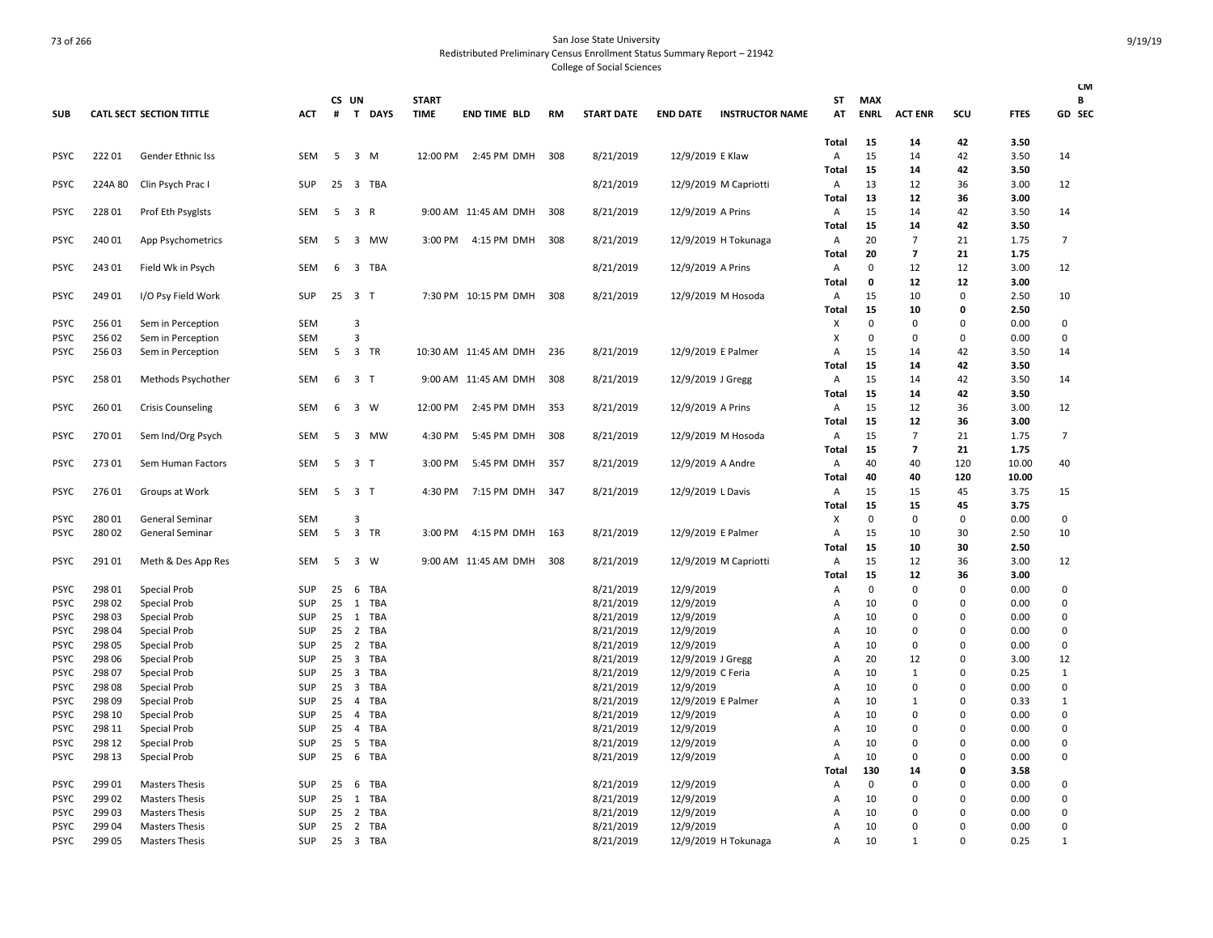|             |         |                                 |            |              |                                       |              |                       |     |                   |                   |                        |                |             |                         |             |             | <b>CM</b>      |
|-------------|---------|---------------------------------|------------|--------------|---------------------------------------|--------------|-----------------------|-----|-------------------|-------------------|------------------------|----------------|-------------|-------------------------|-------------|-------------|----------------|
|             |         |                                 |            | CS UN        |                                       | <b>START</b> |                       |     |                   |                   |                        | ST             | <b>MAX</b>  |                         |             |             | В              |
| <b>SUB</b>  |         | <b>CATL SECT SECTION TITTLE</b> | ACT        | #            | T<br><b>DAYS</b>                      | <b>TIME</b>  | <b>END TIME BLD</b>   | RM  | <b>START DATE</b> | <b>END DATE</b>   | <b>INSTRUCTOR NAME</b> | AT             | <b>ENRL</b> | <b>ACT ENR</b>          | scu         | <b>FTES</b> | GD SEC         |
|             |         |                                 |            |              |                                       |              |                       |     |                   |                   |                        | Total          | 15          | 14                      | 42          | 3.50        |                |
| <b>PSYC</b> | 22201   | Gender Ethnic Iss               | <b>SEM</b> | 5            | 3 M                                   |              | 12:00 PM 2:45 PM DMH  | 308 | 8/21/2019         | 12/9/2019 E Klaw  |                        | Α              | 15          | 14                      | 42          | 3.50        | 14             |
|             |         |                                 |            |              |                                       |              |                       |     |                   |                   |                        | Total          | 15          | 14                      | 42          | 3.50        |                |
| <b>PSYC</b> | 224A 80 | Clin Psych Prac I               | SUP        | 25           | $\overline{\mathbf{3}}$<br><b>TBA</b> |              |                       |     | 8/21/2019         |                   | 12/9/2019 M Capriotti  | Α              | 13          | 12                      | 36          | 3.00        | 12             |
|             |         |                                 |            |              |                                       |              |                       |     |                   |                   |                        | Total          | 13          | 12                      | 36          | 3.00        |                |
| <b>PSYC</b> | 228 01  | Prof Eth Psyglsts               | SEM        | 5            | $\overline{\mathbf{3}}$<br>R          |              | 9:00 AM 11:45 AM DMH  | 308 | 8/21/2019         | 12/9/2019 A Prins |                        | Α              | 15          | 14                      | 42          | 3.50        | 14             |
|             |         |                                 |            |              |                                       |              |                       |     |                   |                   |                        | Total          | 15          | 14                      | 42          | 3.50        |                |
| <b>PSYC</b> | 240 01  | App Psychometrics               | SEM        | 5            | $\overline{\mathbf{3}}$<br>MW         | 3:00 PM      | 4:15 PM DMH           | 308 | 8/21/2019         |                   | 12/9/2019 H Tokunaga   | A              | 20          | $\overline{7}$          | 21          | 1.75        | 7              |
|             |         |                                 |            |              |                                       |              |                       |     |                   |                   |                        | Total          | 20          | $\overline{7}$          | 21          | 1.75        |                |
| <b>PSYC</b> | 243 01  | Field Wk in Psych               | SEM        | 6            | 3 TBA                                 |              |                       |     | 8/21/2019         | 12/9/2019 A Prins |                        | Α              | $\mathbf 0$ | 12                      | 12          | 3.00        | 12             |
|             |         |                                 |            |              |                                       |              |                       |     |                   |                   |                        | <b>Total</b>   | 0           | 12                      | 12          | 3.00        |                |
| <b>PSYC</b> | 249 01  | I/O Psy Field Work              | SUP        |              | 25 3 T                                |              | 7:30 PM 10:15 PM DMH  | 308 | 8/21/2019         |                   | 12/9/2019 M Hosoda     | A              | 15          | 10                      | 0           | 2.50        | 10             |
|             |         |                                 |            |              |                                       |              |                       |     |                   |                   |                        | Total          | 15          | 10                      | 0           | 2.50        |                |
| <b>PSYC</b> | 256 01  | Sem in Perception               | SEM        |              | 3                                     |              |                       |     |                   |                   |                        | X              | $\mathbf 0$ | 0                       | 0           | 0.00        | 0              |
| <b>PSYC</b> | 25602   | Sem in Perception               | <b>SEM</b> |              | $\overline{3}$                        |              |                       |     |                   |                   |                        | X              | 0           | 0                       | 0           | 0.00        | $\mathbf 0$    |
| <b>PSYC</b> | 25603   | Sem in Perception               | SEM        | 5            | $\overline{\mathbf{3}}$<br>TR         |              | 10:30 AM 11:45 AM DMH | 236 | 8/21/2019         |                   | 12/9/2019 E Palmer     | $\overline{A}$ | 15          | 14                      | 42          | 3.50        | 14             |
|             |         |                                 |            |              |                                       |              |                       |     |                   |                   |                        | Total          | 15          | 14                      | 42          | 3.50        |                |
| <b>PSYC</b> | 258 01  | Methods Psychother              | SEM        | 6            | 3 <sub>1</sub>                        |              | 9:00 AM 11:45 AM DMH  | 308 | 8/21/2019         | 12/9/2019 J Gregg |                        | A              | 15          | 14                      | 42          | 3.50        | 14             |
|             |         |                                 |            |              |                                       |              |                       |     |                   |                   |                        | Total          | 15          | 14                      | 42          | 3.50        |                |
| <b>PSYC</b> | 26001   | <b>Crisis Counseling</b>        | <b>SEM</b> | 6            | 3<br>W                                | 12:00 PM     | 2:45 PM DMH           | 353 | 8/21/2019         | 12/9/2019 A Prins |                        | $\overline{A}$ | 15          | 12                      | 36          | 3.00        | 12             |
|             |         |                                 |            |              |                                       |              |                       |     |                   |                   |                        | Total          | 15          | 12                      | 36          | 3.00        |                |
| <b>PSYC</b> | 27001   | Sem Ind/Org Psych               | SEM        | 5            | $\overline{3}$<br>MW                  | 4:30 PM      | 5:45 PM DMH           | 308 | 8/21/2019         |                   | 12/9/2019 M Hosoda     | Α              | 15          | $\overline{7}$          | 21          | 1.75        | $\overline{7}$ |
|             |         |                                 |            |              |                                       |              |                       |     |                   |                   |                        | Total          | 15          | $\overline{\mathbf{z}}$ | 21          | 1.75        |                |
| <b>PSYC</b> | 27301   | Sem Human Factors               | SEM        | 5            | 3 T                                   | 3:00 PM      | 5:45 PM DMH           | 357 | 8/21/2019         | 12/9/2019 A Andre |                        | Α              | 40          | 40                      | 120         | 10.00       | 40             |
|             |         |                                 |            |              |                                       |              |                       |     |                   |                   |                        | Total          | 40          | 40                      | 120         | 10.00       |                |
| <b>PSYC</b> | 27601   | Groups at Work                  | <b>SEM</b> | 5            | 3 <sub>1</sub>                        | 4:30 PM      | 7:15 PM DMH           | 347 | 8/21/2019         | 12/9/2019 L Davis |                        | Α              | 15          | 15                      | 45          | 3.75        | 15             |
|             |         |                                 |            |              |                                       |              |                       |     |                   |                   |                        | Total          | 15          | 15                      | 45          | 3.75        |                |
| PSYC        | 280 01  | General Seminar                 | SEM        |              | 3                                     |              |                       |     |                   |                   |                        | х              | 0           | 0                       | 0           | 0.00        | $\mathbf 0$    |
| <b>PSYC</b> | 280 02  | General Seminar                 | SEM        | 5            | $\overline{\mathbf{3}}$<br>TR         | 3:00 PM      | 4:15 PM DMH           | 163 | 8/21/2019         |                   | 12/9/2019 E Palmer     | Α              | 15          | 10                      | 30          | 2.50        | 10             |
|             |         |                                 |            |              |                                       |              |                       |     |                   |                   |                        | Total          | 15          | 10                      | 30          | 2.50        |                |
| <b>PSYC</b> | 291 01  | Meth & Des App Res              | SEM        | 5            | $\overline{\mathbf{3}}$<br>W          |              | 9:00 AM 11:45 AM DMH  | 308 | 8/21/2019         |                   | 12/9/2019 M Capriotti  | Α              | 15          | 12                      | 36          | 3.00        | 12             |
|             |         |                                 |            |              |                                       |              |                       |     |                   |                   |                        | Total          | 15          | 12                      | 36          | 3.00        |                |
| <b>PSYC</b> | 298 01  | Special Prob                    | SUP        | 25           | 6<br>TBA                              |              |                       |     | 8/21/2019         | 12/9/2019         |                        | Α              | 0           | 0                       | 0           | 0.00        | $\mathbf 0$    |
| <b>PSYC</b> | 298 02  | Special Prob                    | SUP        | $25 \quad 1$ | <b>TBA</b>                            |              |                       |     | 8/21/2019         | 12/9/2019         |                        | $\overline{A}$ | 10          | 0                       | 0           | 0.00        | $\mathbf 0$    |
| <b>PSYC</b> | 298 03  | Special Prob                    | SUP        | 25           | 1<br><b>TBA</b>                       |              |                       |     | 8/21/2019         | 12/9/2019         |                        | $\overline{A}$ | 10          | 0                       | $\Omega$    | 0.00        | $\mathbf 0$    |
| <b>PSYC</b> | 298 04  | Special Prob                    | SUP        | 25           | 2<br><b>TBA</b>                       |              |                       |     | 8/21/2019         | 12/9/2019         |                        | Α              | 10          | 0                       | $\Omega$    | 0.00        | 0              |
| <b>PSYC</b> | 298 05  | Special Prob                    | SUP        | 25           | $\overline{2}$<br><b>TBA</b>          |              |                       |     | 8/21/2019         | 12/9/2019         |                        | $\overline{A}$ | 10          | 0                       | $\Omega$    | 0.00        | $\mathbf 0$    |
| <b>PSYC</b> | 298 06  | Special Prob                    | SUP        | $25 \quad 3$ | <b>TBA</b>                            |              |                       |     | 8/21/2019         | 12/9/2019 J Gregg |                        | A              | 20          | 12                      | $\Omega$    | 3.00        | 12             |
| <b>PSYC</b> | 298 07  | Special Prob                    | SUP        | 25           | $\overline{\mathbf{3}}$<br>TBA        |              |                       |     | 8/21/2019         | 12/9/2019 C Feria |                        | $\overline{A}$ | 10          | $\mathbf{1}$            | 0           | 0.25        | 1              |
| <b>PSYC</b> | 298 08  | Special Prob                    | SUP        | 25           | $\overline{\mathbf{3}}$<br>TBA        |              |                       |     | 8/21/2019         | 12/9/2019         |                        | A              | 10          | 0                       | $\Omega$    | 0.00        | $\mathbf 0$    |
| <b>PSYC</b> | 298 09  | Special Prob                    | SUP        | 25           | <b>TBA</b><br>$\overline{4}$          |              |                       |     | 8/21/2019         |                   | 12/9/2019 E Palmer     | $\overline{A}$ | 10          | $\mathbf{1}$            | 0           | 0.33        | 1              |
| PSYC        | 298 10  | Special Prob                    | SUP        | 25           | $\overline{4}$<br><b>TBA</b>          |              |                       |     | 8/21/2019         | 12/9/2019         |                        | $\overline{A}$ | 10          | 0                       | 0           | 0.00        | $\overline{0}$ |
| <b>PSYC</b> | 298 11  | Special Prob                    | SUP        | 25           | $\overline{4}$<br>TBA                 |              |                       |     | 8/21/2019         | 12/9/2019         |                        | A              | 10          | $\Omega$                | 0           | 0.00        | 0              |
| <b>PSYC</b> | 298 12  | Special Prob                    | SUP        | 25           | 5<br><b>TBA</b>                       |              |                       |     | 8/21/2019         | 12/9/2019         |                        | $\overline{A}$ | 10          | $\Omega$                | $\Omega$    | 0.00        | $\overline{0}$ |
| <b>PSYC</b> | 298 13  | Special Prob                    | SUP        | 25           | <b>TBA</b><br>6                       |              |                       |     | 8/21/2019         | 12/9/2019         |                        | A              | 10          | $\Omega$                | $\Omega$    | 0.00        | $\Omega$       |
|             |         |                                 |            |              |                                       |              |                       |     |                   |                   |                        | Total          | 130         | 14                      | $\mathbf 0$ | 3.58        |                |
| <b>PSYC</b> | 299 01  | <b>Masters Thesis</b>           | SUP        | 25           | <b>TBA</b><br>6                       |              |                       |     | 8/21/2019         | 12/9/2019         |                        | Α              | $\Omega$    | $\Omega$                | $\Omega$    | 0.00        | 0              |
| <b>PSYC</b> | 299 02  | <b>Masters Thesis</b>           | SUP        | 25           | <b>TBA</b><br>1                       |              |                       |     | 8/21/2019         | 12/9/2019         |                        | $\overline{A}$ | 10          | 0                       | 0           | 0.00        | $\mathbf 0$    |
| <b>PSYC</b> | 299 03  | <b>Masters Thesis</b>           | SUP        | 25           | $\overline{2}$<br>TBA                 |              |                       |     | 8/21/2019         | 12/9/2019         |                        | A              | 10          | 0                       | $\Omega$    | 0.00        | $\overline{0}$ |
| <b>PSYC</b> | 299 04  | <b>Masters Thesis</b>           | SUP        | 25           | $\overline{2}$<br>TBA                 |              |                       |     | 8/21/2019         | 12/9/2019         |                        | A              | 10          | 0                       | $\Omega$    | 0.00        | $\Omega$       |
| <b>PSYC</b> | 299 05  | <b>Masters Thesis</b>           | SUP        |              | 25 3 TBA                              |              |                       |     | 8/21/2019         |                   | 12/9/2019 H Tokunaga   | Α              | 10          | $\mathbf{1}$            | $\Omega$    | 0.25        | $\mathbf{1}$   |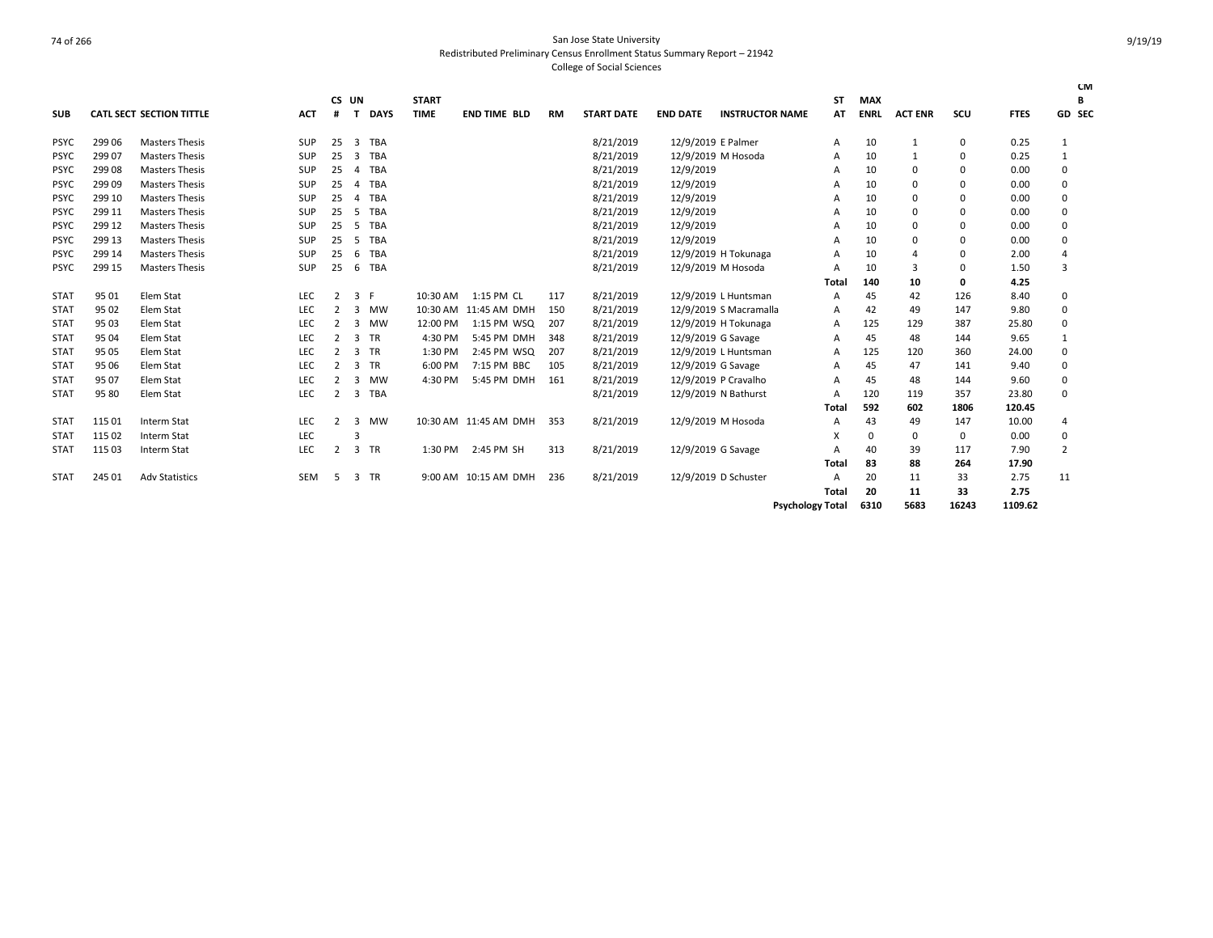|             |        |                                 |            |    | CS UN          |             | <b>START</b> |                       |           |                   |                 |                        | <b>ST</b>               | <b>MAX</b>  |                |          |             | <b>CM</b><br>В |
|-------------|--------|---------------------------------|------------|----|----------------|-------------|--------------|-----------------------|-----------|-------------------|-----------------|------------------------|-------------------------|-------------|----------------|----------|-------------|----------------|
| <b>SUB</b>  |        | <b>CATL SECT SECTION TITTLE</b> | <b>ACT</b> | #  | т              | <b>DAYS</b> | <b>TIME</b>  | <b>END TIME BLD</b>   | <b>RM</b> | <b>START DATE</b> | <b>END DATE</b> | <b>INSTRUCTOR NAME</b> | AT                      | <b>ENRL</b> | <b>ACT ENR</b> | scu      | <b>FTES</b> | GD SEC         |
| <b>PSYC</b> | 299 06 | <b>Masters Thesis</b>           | <b>SUP</b> | 25 | 3              | <b>TBA</b>  |              |                       |           | 8/21/2019         |                 | 12/9/2019 E Palmer     | A                       | 10          | $\mathbf{1}$   | 0        | 0.25        | $\mathbf{1}$   |
| <b>PSYC</b> | 299 07 | <b>Masters Thesis</b>           | <b>SUP</b> | 25 | 3              | TBA         |              |                       |           | 8/21/2019         |                 | 12/9/2019 M Hosoda     | A                       | 10          | $\mathbf{1}$   | $\Omega$ | 0.25        | $\mathbf{1}$   |
| <b>PSYC</b> | 299 08 | <b>Masters Thesis</b>           | <b>SUP</b> | 25 | $\overline{a}$ | TBA         |              |                       |           | 8/21/2019         | 12/9/2019       |                        | A                       | 10          | 0              | $\Omega$ | 0.00        | 0              |
| <b>PSYC</b> | 29909  | <b>Masters Thesis</b>           | SUP        | 25 | 4              | <b>TBA</b>  |              |                       |           | 8/21/2019         | 12/9/2019       |                        | А                       | 10          | 0              | $\Omega$ | 0.00        | 0              |
| <b>PSYC</b> | 299 10 | <b>Masters Thesis</b>           | SUP        | 25 | 4              | <b>TBA</b>  |              |                       |           | 8/21/2019         | 12/9/2019       |                        | A                       | 10          | 0              | $\Omega$ | 0.00        | 0              |
| <b>PSYC</b> | 299 11 | <b>Masters Thesis</b>           | SUP        | 25 | 5              | <b>TBA</b>  |              |                       |           | 8/21/2019         | 12/9/2019       |                        | А                       | 10          | 0              | $\Omega$ | 0.00        | 0              |
| <b>PSYC</b> | 299 12 | <b>Masters Thesis</b>           | SUP        | 25 | 5              | <b>TBA</b>  |              |                       |           | 8/21/2019         | 12/9/2019       |                        | A                       | 10          | $\mathbf 0$    | $\Omega$ | 0.00        | 0              |
| <b>PSYC</b> | 299 13 | <b>Masters Thesis</b>           | <b>SUP</b> | 25 | 5              | <b>TBA</b>  |              |                       |           | 8/21/2019         | 12/9/2019       |                        | A                       | 10          | $\mathbf 0$    | $\Omega$ | 0.00        | 0              |
| <b>PSYC</b> | 299 14 | <b>Masters Thesis</b>           | <b>SUP</b> | 25 | -6             | TBA         |              |                       |           | 8/21/2019         |                 | 12/9/2019 H Tokunaga   | A                       | 10          | $\Delta$       | $\Omega$ | 2.00        | 4              |
| <b>PSYC</b> | 299 15 | <b>Masters Thesis</b>           | SUP        | 25 | -6             | <b>TBA</b>  |              |                       |           | 8/21/2019         |                 | 12/9/2019 M Hosoda     | A                       | 10          | 3              | $\Omega$ | 1.50        | 3              |
|             |        |                                 |            |    |                |             |              |                       |           |                   |                 |                        | Total                   | 140         | 10             | 0        | 4.25        |                |
| <b>STAT</b> | 95 01  | Elem Stat                       | LEC        | 2  | 3              | F           | 10:30 AM     | 1:15 PM CL            | 117       | 8/21/2019         |                 | 12/9/2019 L Huntsman   | A                       | 45          | 42             | 126      | 8.40        | 0              |
| <b>STAT</b> | 95 02  | Elem Stat                       | LEC        |    | 3              | <b>MW</b>   |              | 10:30 AM 11:45 AM DMH | 150       | 8/21/2019         |                 | 12/9/2019 S Macramalla | A                       | 42          | 49             | 147      | 9.80        | 0              |
| <b>STAT</b> | 95 03  | Elem Stat                       | LEC        | 2  | 3              | <b>MW</b>   | 12:00 PM     | 1:15 PM WSQ           | 207       | 8/21/2019         |                 | 12/9/2019 H Tokunaga   | A                       | 125         | 129            | 387      | 25.80       | 0              |
| <b>STAT</b> | 95 04  | Elem Stat                       | LEC        |    | 3              | <b>TR</b>   | 4:30 PM      | 5:45 PM DMH           | 348       | 8/21/2019         |                 | 12/9/2019 G Savage     | A                       | 45          | 48             | 144      | 9.65        | 1              |
| <b>STAT</b> | 95 05  | Elem Stat                       | LEC        | 2  | 3              | <b>TR</b>   | 1:30 PM      | 2:45 PM WSQ           | 207       | 8/21/2019         |                 | 12/9/2019 L Huntsman   | A                       | 125         | 120            | 360      | 24.00       | 0              |
| <b>STAT</b> | 95 06  | Elem Stat                       | LEC        | 2  | 3              | <b>TR</b>   | 6:00 PM      | 7:15 PM BBC           | 105       | 8/21/2019         |                 | 12/9/2019 G Savage     | A                       | 45          | 47             | 141      | 9.40        | 0              |
| <b>STAT</b> | 95 07  | Elem Stat                       | <b>LEC</b> |    | 3              | <b>MW</b>   | 4:30 PM      | 5:45 PM DMH           | 161       | 8/21/2019         |                 | 12/9/2019 P Cravalho   | А                       | 45          | 48             | 144      | 9.60        | 0              |
| <b>STAT</b> | 95 80  | Elem Stat                       | LEC        | 2  | 3              | <b>TBA</b>  |              |                       |           | 8/21/2019         |                 | 12/9/2019 N Bathurst   | A                       | 120         | 119            | 357      | 23.80       | $\Omega$       |
|             |        |                                 |            |    |                |             |              |                       |           |                   |                 |                        | Tota                    | 592         | 602            | 1806     | 120.45      |                |
| <b>STAT</b> | 115 01 | Interm Stat                     | LEC        |    | 3              | <b>MW</b>   |              | 10:30 AM 11:45 AM DMH | 353       | 8/21/2019         |                 | 12/9/2019 M Hosoda     | A                       | 43          | 49             | 147      | 10.00       | $\overline{a}$ |
| <b>STAT</b> | 115 02 | Interm Stat                     | LEC        |    | Р              |             |              |                       |           |                   |                 |                        | X                       | 0           | $\mathbf 0$    | 0        | 0.00        | 0              |
| <b>STAT</b> | 115 03 | Interm Stat                     | LEC        | 2  | 3              | <b>TR</b>   | 1:30 PM      | 2:45 PM SH            | 313       | 8/21/2019         |                 | 12/9/2019 G Savage     | A                       | 40          | 39             | 117      | 7.90        | 2              |
|             |        |                                 |            |    |                |             |              |                       |           |                   |                 |                        | Total                   | 83          | 88             | 264      | 17.90       |                |
| <b>STAT</b> | 245 01 | <b>Adv Statistics</b>           | <b>SEM</b> | .5 | 3              | TR          |              | 9:00 AM 10:15 AM DMH  | 236       | 8/21/2019         |                 | 12/9/2019 D Schuster   | A                       | 20          | 11             | 33       | 2.75        | 11             |
|             |        |                                 |            |    |                |             |              |                       |           |                   |                 |                        | Tota                    | 20          | 11             | 33       | 2.75        |                |
|             |        |                                 |            |    |                |             |              |                       |           |                   |                 |                        | <b>Psychology Total</b> | 6310        | 5683           | 16243    | 1109.62     |                |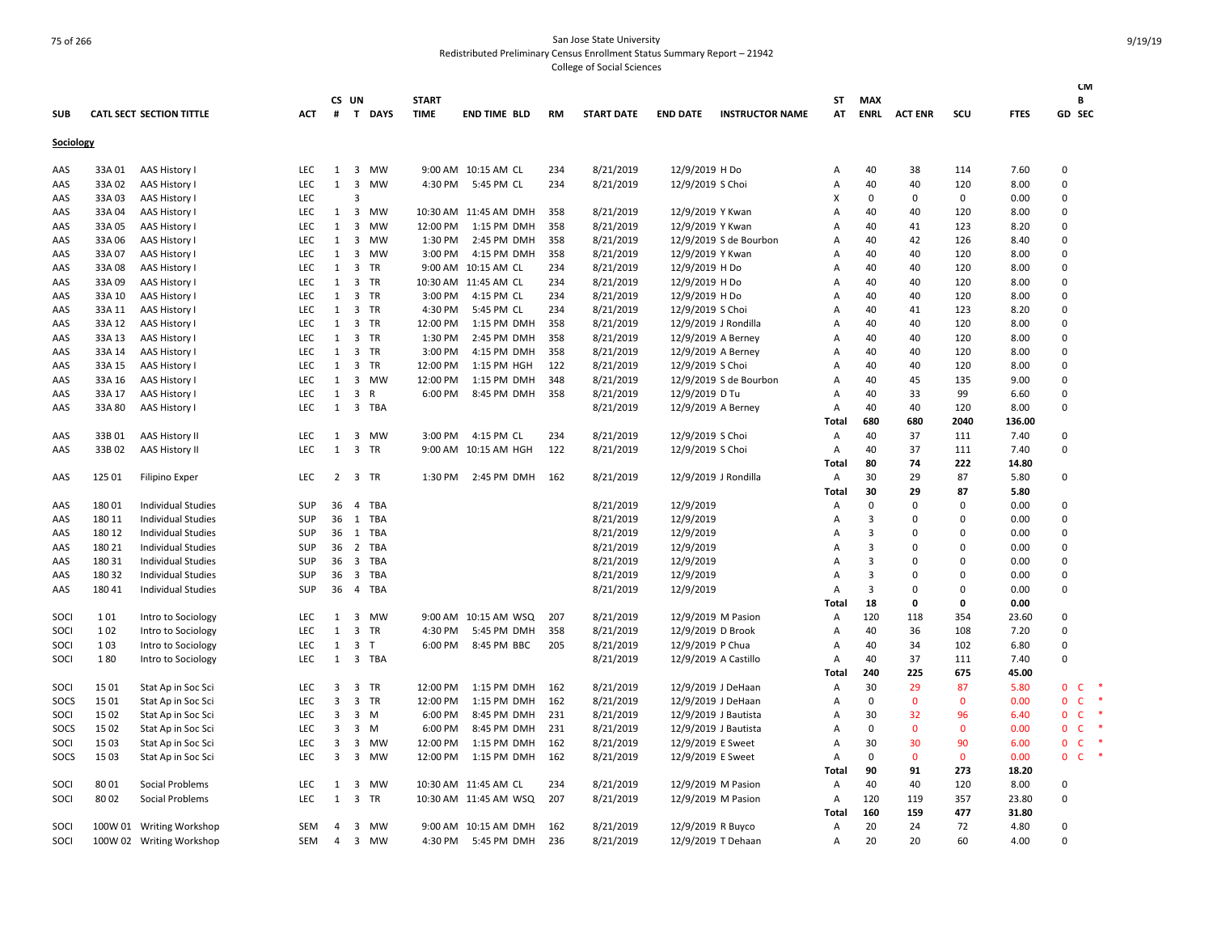| <b>SUB</b> |                  | <b>CATL SECT SECTION TITTLE</b> | ACT        | #              | CS UN                                              | T DAYS            | <b>START</b><br><b>TIME</b> | <b>END TIME BLD</b>   | <b>RM</b> | <b>START DATE</b>      | <b>END DATE</b>        | <b>INSTRUCTOR NAME</b> | ST<br>AT       | MAX<br><b>ENRL</b>  | <b>ACT ENR</b>       | scu              | <b>FTES</b>  | <b>CM</b><br>В<br>GD SEC     |           |
|------------|------------------|---------------------------------|------------|----------------|----------------------------------------------------|-------------------|-----------------------------|-----------------------|-----------|------------------------|------------------------|------------------------|----------------|---------------------|----------------------|------------------|--------------|------------------------------|-----------|
| Sociology  |                  |                                 |            |                |                                                    |                   |                             |                       |           |                        |                        |                        |                |                     |                      |                  |              |                              |           |
| AAS        | 33A 01           | AAS History I                   | <b>LEC</b> | $\mathbf{1}$   | 3                                                  | <b>MW</b>         |                             | 9:00 AM 10:15 AM CL   | 234       | 8/21/2019              | 12/9/2019 H Do         |                        | A              | 40                  | 38                   | 114              | 7.60         | $\Omega$                     |           |
| AAS        | 33A 02           | AAS History I                   | <b>LEC</b> | $\mathbf{1}$   | $\overline{3}$                                     | <b>MW</b>         |                             | 4:30 PM 5:45 PM CL    | 234       | 8/21/2019              | 12/9/2019 S Choi       |                        | Α              | 40                  | 40                   | 120              | 8.00         | $\Omega$                     |           |
| AAS        | 33A 03           | AAS History I                   | LEC        |                | $\overline{3}$                                     |                   |                             |                       |           |                        |                        |                        | X              | 0                   | 0                    | $\mathbf 0$      | 0.00         | $\mathbf 0$                  |           |
| AAS        | 33A 04           | AAS History I                   | <b>LEC</b> | 1              | $\overline{\mathbf{3}}$                            | MW                |                             | 10:30 AM 11:45 AM DMH | 358       | 8/21/2019              | 12/9/2019 Y Kwan       |                        | Α              | 40                  | 40                   | 120              | 8.00         | $\Omega$                     |           |
| AAS        | 33A 05           | AAS History I                   | LEC        | $\mathbf{1}$   | $\overline{3}$                                     | MW                | 12:00 PM                    | 1:15 PM DMH           | 358       | 8/21/2019              | 12/9/2019 Y Kwan       |                        | Α              | 40                  | 41                   | 123              | 8.20         | $\Omega$                     |           |
| AAS        | 33A 06           | AAS History I                   | <b>LEC</b> | $\mathbf{1}$   | $\overline{\mathbf{3}}$                            | <b>MW</b>         | 1:30 PM                     | 2:45 PM DMH           | 358       | 8/21/2019              |                        | 12/9/2019 S de Bourbon | Α              | 40                  | 42                   | 126              | 8.40         | $\Omega$                     |           |
| AAS        | 33A 07           | AAS History I                   | <b>LEC</b> | 1              | $\overline{\mathbf{3}}$                            | MW                | 3:00 PM                     | 4:15 PM DMH           | 358       | 8/21/2019              | 12/9/2019 Y Kwan       |                        | $\overline{A}$ | 40                  | 40                   | 120              | 8.00         | $\Omega$                     |           |
| AAS        | 33A 08           | AAS History I                   | <b>LEC</b> | 1              | $\overline{\mathbf{3}}$                            | TR                |                             | 9:00 AM 10:15 AM CL   | 234       | 8/21/2019              | 12/9/2019 H Do         |                        | Α              | 40                  | 40                   | 120              | 8.00         | 0                            |           |
| AAS        | 33A 09           | AAS History I                   | <b>LEC</b> | $\mathbf{1}$   | 3                                                  | TR                |                             | 10:30 AM 11:45 AM CL  | 234       | 8/21/2019              | 12/9/2019 H Do         |                        | Α              | 40                  | 40                   | 120              | 8.00         | $\Omega$                     |           |
| AAS        | 33A 10           | AAS History I                   | <b>LEC</b> | 1              |                                                    | 3 TR              | 3:00 PM                     | 4:15 PM CL            | 234       | 8/21/2019              | 12/9/2019 H Do         |                        | Α              | 40                  | 40                   | 120              | 8.00         | $\Omega$                     |           |
| AAS        | 33A 11           | AAS History I                   | <b>LEC</b> | 1              | $\overline{\mathbf{3}}$                            | TR                | 4:30 PM                     | 5:45 PM CL            | 234       | 8/21/2019              | 12/9/2019 S Choi       |                        | Α              | 40                  | 41                   | 123              | 8.20         | $\Omega$                     |           |
| AAS        | 33A 12           | AAS History I                   | LEC        | $\mathbf{1}$   |                                                    | 3 TR              | 12:00 PM                    | 1:15 PM DMH           | 358       | 8/21/2019              | 12/9/2019 J Rondilla   |                        | Α              | 40                  | 40                   | 120              | 8.00         | $\Omega$                     |           |
| AAS        | 33A 13           | AAS History I                   | LEC        | $\mathbf{1}$   |                                                    | 3 TR              | 1:30 PM                     | 2:45 PM DMH           | 358       | 8/21/2019              | 12/9/2019 A Berney     |                        | Α              | 40                  | 40                   | 120              | 8.00         | $\Omega$                     |           |
| AAS        | 33A 14           | AAS History I                   | LEC        | $\mathbf{1}$   |                                                    | 3 TR              | 3:00 PM                     | 4:15 PM DMH           | 358       | 8/21/2019              | 12/9/2019 A Berney     |                        | Α              | 40                  | 40                   | 120              | 8.00         | $\Omega$                     |           |
| AAS        | 33A 15           | AAS History I                   | <b>LEC</b> | $\mathbf{1}$   | $\overline{\mathbf{3}}$                            | TR                | 12:00 PM                    | 1:15 PM HGH           | 122       | 8/21/2019              | 12/9/2019 S Choi       |                        | A              | 40                  | 40                   | 120              | 8.00         | $\Omega$                     |           |
| AAS        | 33A 16           | AAS History I                   | <b>LEC</b> | 1              |                                                    | 3 MW              | 12:00 PM                    | 1:15 PM DMH           | 348       | 8/21/2019              |                        | 12/9/2019 S de Bourbon | A              | 40                  | 45                   | 135              | 9.00         | $\Omega$                     |           |
| AAS        | 33A 17           | AAS History I                   | LEC        | 1              | $\overline{\mathbf{3}}$                            | R                 | 6:00 PM                     | 8:45 PM DMH           | 358       | 8/21/2019              | 12/9/2019 D Tu         |                        | Α              | 40                  | 33                   | 99               | 6.60         | $\mathbf 0$                  |           |
| AAS        | 33A 80           | AAS History I                   | <b>LEC</b> | $\mathbf{1}$   |                                                    | 3 TBA             |                             |                       |           | 8/21/2019              | 12/9/2019 A Berney     |                        | A              | 40                  | 40                   | 120              | 8.00         | $\Omega$                     |           |
|            |                  |                                 |            |                |                                                    |                   |                             |                       |           |                        |                        |                        | Total          | 680                 | 680                  | 2040             | 136.00       |                              |           |
| AAS        | 33B01            | AAS History II                  | LEC        | $\mathbf{1}$   | $\overline{\mathbf{3}}$                            | MW                | 3:00 PM                     | 4:15 PM CL            | 234       | 8/21/2019              | 12/9/2019 S Choi       |                        | Α              | 40                  | 37                   | 111              | 7.40         | 0                            |           |
| AAS        | 33B 02           | AAS History II                  | <b>LEC</b> | $\mathbf{1}$   |                                                    | 3 TR              |                             | 9:00 AM 10:15 AM HGH  | 122       | 8/21/2019              | 12/9/2019 S Choi       |                        | Α              | 40                  | 37                   | 111              | 7.40         | $\Omega$                     |           |
|            |                  |                                 |            |                |                                                    |                   |                             |                       |           |                        |                        |                        | Total          | 80                  | 74                   | 222              | 14.80        |                              |           |
| AAS        | 125 01           | <b>Filipino Exper</b>           | <b>LEC</b> | $\overline{2}$ |                                                    | 3 TR              | 1:30 PM                     | 2:45 PM DMH           | 162       | 8/21/2019              | 12/9/2019 J Rondilla   |                        | $\overline{A}$ | 30                  | 29                   | 87               | 5.80         | $\Omega$                     |           |
|            |                  |                                 |            |                |                                                    |                   |                             |                       |           |                        |                        |                        | Total          | 30                  | 29                   | 87               | 5.80         |                              |           |
| AAS        | 18001            | <b>Individual Studies</b>       | SUP        | 36             | $\overline{4}$                                     | <b>TBA</b>        |                             |                       |           | 8/21/2019              | 12/9/2019              |                        | Α              | $\mathbf 0$         | $\Omega$             | $\mathbf 0$      | 0.00         | $\Omega$                     |           |
| AAS        | 180 11           | <b>Individual Studies</b>       | <b>SUP</b> | 36             | <sup>1</sup>                                       | <b>TBA</b>        |                             |                       |           | 8/21/2019              | 12/9/2019              |                        | Α              | 3                   | $\Omega$             | $\mathbf 0$      | 0.00         | $\Omega$                     |           |
| AAS        | 180 12           | <b>Individual Studies</b>       | SUP        | 36             | 1                                                  | TBA               |                             |                       |           | 8/21/2019              | 12/9/2019              |                        | A              | $\overline{3}$      | $\Omega$             | $\mathbf 0$      | 0.00         | $\Omega$                     |           |
| AAS        | 180 21           | Individual Studies              | SUP        | 36             | $\overline{2}$                                     | <b>TBA</b>        |                             |                       |           | 8/21/2019              | 12/9/2019              |                        | A              | $\overline{3}$      | $\Omega$<br>$\Omega$ | $\mathbf 0$      | 0.00         | $\Omega$                     |           |
| AAS        | 180 31           | <b>Individual Studies</b>       | SUP        | 36<br>36       | $\overline{\mathbf{3}}$<br>$\overline{\mathbf{3}}$ | <b>TBA</b><br>TBA |                             |                       |           | 8/21/2019              | 12/9/2019              |                        | Α              | $\overline{3}$<br>3 | <sup>0</sup>         | $\mathbf 0$<br>0 | 0.00<br>0.00 | $\mathbf 0$<br>$\Omega$      |           |
| AAS        | 180 32<br>180 41 | <b>Individual Studies</b>       | SUP<br>SUP | 36             | $\overline{4}$                                     | <b>TBA</b>        |                             |                       |           | 8/21/2019<br>8/21/2019 | 12/9/2019<br>12/9/2019 |                        | A<br>Α         | 3                   | $\Omega$             | $\mathbf 0$      | 0.00         | $\mathbf 0$                  |           |
| AAS        |                  | <b>Individual Studies</b>       |            |                |                                                    |                   |                             |                       |           |                        |                        |                        | Total          | 18                  | O                    | 0                | 0.00         |                              |           |
| SOCI       | 101              | Intro to Sociology              | <b>LEC</b> | $\mathbf{1}$   |                                                    | 3 MW              |                             | 9:00 AM 10:15 AM WSQ  | 207       | 8/21/2019              | 12/9/2019 M Pasion     |                        | Α              | 120                 | 118                  | 354              | 23.60        | $\Omega$                     |           |
| SOCI       | 102              | Intro to Sociology              | LEC        | $\mathbf{1}$   | $\overline{\mathbf{3}}$                            | TR                | 4:30 PM                     | 5:45 PM DMH           | 358       | 8/21/2019              | 12/9/2019 D Brook      |                        | Α              | 40                  | 36                   | 108              | 7.20         | $\mathbf 0$                  |           |
| SOCI       | 103              | Intro to Sociology              | <b>LEC</b> | $\mathbf{1}$   | $\overline{\mathbf{3}}$                            | T                 | 6:00 PM                     | 8:45 PM BBC           | 205       | 8/21/2019              | 12/9/2019 P Chua       |                        | Α              | 40                  | 34                   | 102              | 6.80         | $\Omega$                     |           |
| SOCI       | 180              | Intro to Sociology              | <b>LEC</b> | 1              |                                                    | 3 TBA             |                             |                       |           | 8/21/2019              | 12/9/2019 A Castillo   |                        | Α              | 40                  | 37                   | 111              | 7.40         | $\Omega$                     |           |
|            |                  |                                 |            |                |                                                    |                   |                             |                       |           |                        |                        |                        | Total          | 240                 | 225                  | 675              | 45.00        |                              |           |
| SOCI       | 15 01            | Stat Ap in Soc Sci              | <b>LEC</b> | 3              |                                                    | 3 TR              | 12:00 PM                    | 1:15 PM DMH           | 162       | 8/21/2019              | 12/9/2019 J DeHaan     |                        | A              | 30                  | 29                   | 87               | 5.80         | $\mathbf{0}$<br><b>C</b>     | $\ast$    |
| SOCS       | 15 01            | Stat Ap in Soc Sci              | <b>LEC</b> | 3              | $\overline{\mathbf{3}}$                            | TR                | 12:00 PM                    | 1:15 PM DMH           | 162       | 8/21/2019              | 12/9/2019 J DeHaan     |                        | Α              | $\mathbf 0$         | $\mathbf{0}$         | $\mathbf{0}$     | 0.00         | $\mathsf{C}$<br>0            | $\ast$    |
| SOCI       | 15 02            | Stat Ap in Soc Sci              | <b>LEC</b> | 3              | $\overline{\mathbf{3}}$                            | M                 | 6:00 PM                     | 8:45 PM DMH           | 231       | 8/21/2019              | 12/9/2019 J Bautista   |                        | A              | 30                  | 32                   | 96               | 6.40         | $\mathsf{C}$<br>$\mathbf{0}$ |           |
| SOCS       | 15 02            | Stat Ap in Soc Sci              | LEC        | 3              | $\overline{\mathbf{3}}$                            | M                 | 6:00 PM                     | 8:45 PM DMH           | 231       | 8/21/2019              | 12/9/2019 J Bautista   |                        | Α              | $\mathbf 0$         | $\mathbf{0}$         | $\mathbf 0$      | 0.00         | $\mathbf{0}$<br>$\mathsf{C}$ | $\ast$    |
| SOCI       | 15 03            | Stat Ap in Soc Sci              | <b>LEC</b> | 3              | 3                                                  | <b>MW</b>         | 12:00 PM                    | 1:15 PM DMH           | 162       | 8/21/2019              | 12/9/2019 E Sweet      |                        | A              | 30                  | 30                   | 90               | 6.00         | $\mathsf{C}$<br>0            | $\ast$    |
| SOCS       | 15 03            | Stat Ap in Soc Sci              | LEC        | 3              | $\overline{\mathbf{3}}$                            | MW                | 12:00 PM                    | 1:15 PM DMH           | 162       | 8/21/2019              | 12/9/2019 E Sweet      |                        | Α              | $\mathbf 0$         | $\mathbf{0}$         | $\mathbf 0$      | 0.00         | $\mathbf{0}$<br>$\mathsf{C}$ | $\;$ $\;$ |
|            |                  |                                 |            |                |                                                    |                   |                             |                       |           |                        |                        |                        | Total          | 90                  | 91                   | 273              | 18.20        |                              |           |
| SOCI       | 8001             | Social Problems                 | <b>LEC</b> | 1              | $\overline{\mathbf{3}}$                            | MW                |                             | 10:30 AM 11:45 AM CL  | 234       | 8/21/2019              | 12/9/2019 M Pasion     |                        | Α              | 40                  | 40                   | 120              | 8.00         | $\Omega$                     |           |
| SOCI       | 8002             | Social Problems                 | LEC        | $\mathbf{1}$   | $\overline{\mathbf{3}}$                            | TR                |                             | 10:30 AM 11:45 AM WSQ | 207       | 8/21/2019              | 12/9/2019 M Pasion     |                        | Α              | 120                 | 119                  | 357              | 23.80        | $\Omega$                     |           |
|            |                  |                                 |            |                |                                                    |                   |                             |                       |           |                        |                        |                        | Total          | 160                 | 159                  | 477              | 31.80        |                              |           |
| SOCI       |                  | 100W 01 Writing Workshop        | <b>SEM</b> | 4              | 3                                                  | MW                |                             | 9:00 AM 10:15 AM DMH  | 162       | 8/21/2019              | 12/9/2019 R Buyco      |                        | Α              | 20                  | 24                   | 72               | 4.80         | $\Omega$                     |           |
| SOCI       |                  | 100W 02 Writing Workshop        | SEM        | 4              | $\overline{\mathbf{3}}$                            | MW                | 4:30 PM                     | 5:45 PM DMH           | 236       | 8/21/2019              | 12/9/2019 T Dehaan     |                        | A              | 20                  | 20                   | 60               | 4.00         | $\Omega$                     |           |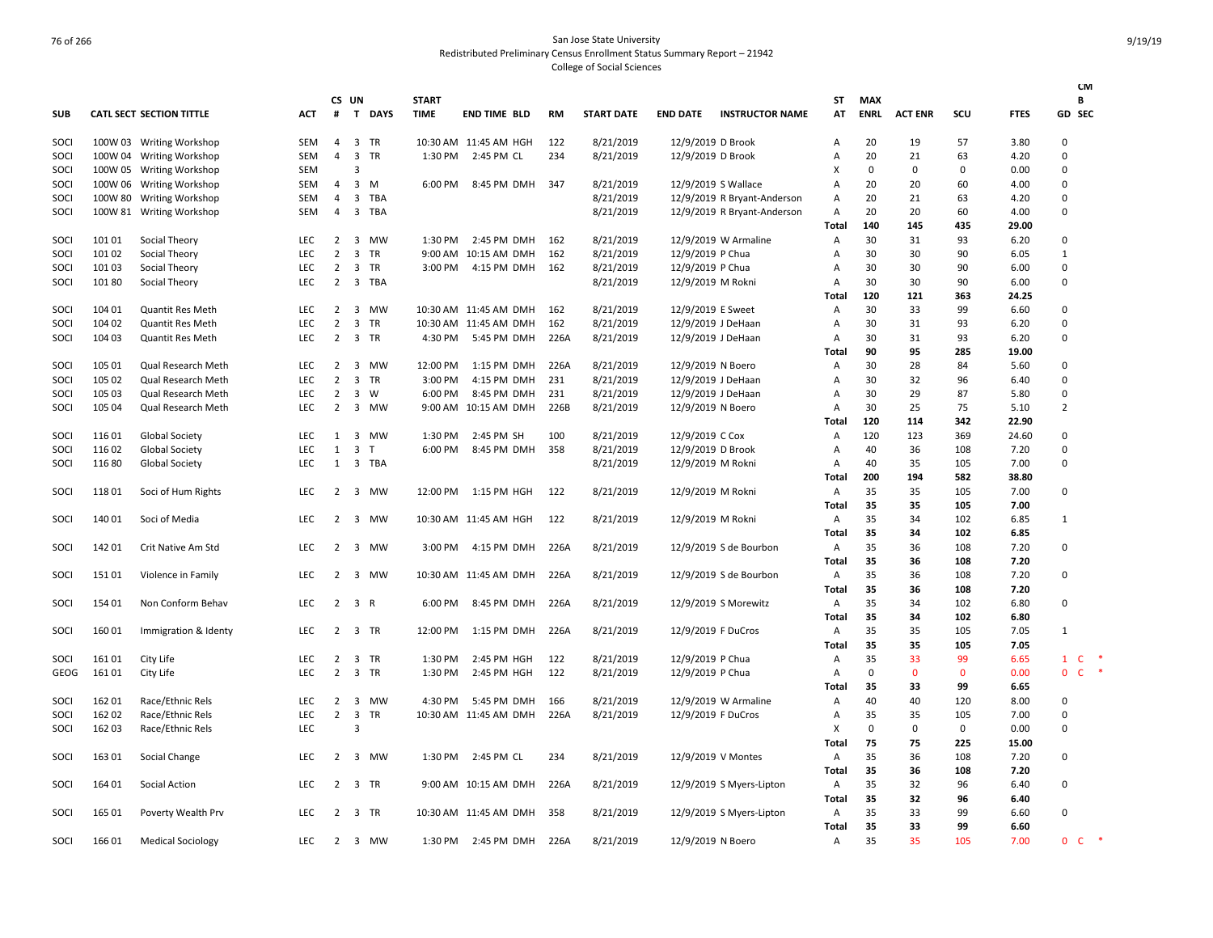|             |         |                                 |            |                |                         |            |              |                       |           |                   |                    |                             |              |             |                |              |             | <b>CM</b>                             |
|-------------|---------|---------------------------------|------------|----------------|-------------------------|------------|--------------|-----------------------|-----------|-------------------|--------------------|-----------------------------|--------------|-------------|----------------|--------------|-------------|---------------------------------------|
|             |         |                                 |            |                | CS UN                   |            | <b>START</b> |                       |           |                   |                    |                             | ST           | <b>MAX</b>  |                |              |             | В                                     |
| <b>SUB</b>  |         | <b>CATL SECT SECTION TITTLE</b> | <b>ACT</b> | #              |                         | T DAYS     | <b>TIME</b>  | <b>END TIME BLD</b>   | <b>RM</b> | <b>START DATE</b> | <b>END DATE</b>    | <b>INSTRUCTOR NAME</b>      | AT           | <b>ENRL</b> | <b>ACT ENR</b> | scu          | <b>FTES</b> | <b>GD SEC</b>                         |
| SOCI        |         | 100W 03 Writing Workshop        | SEM        | 4              | $\overline{3}$          | TR         |              | 10:30 AM 11:45 AM HGH | 122       | 8/21/2019         | 12/9/2019 D Brook  |                             | Α            | 20          | 19             | 57           | 3.80        | $\Omega$                              |
| SOCI        |         | 100W 04 Writing Workshop        | SEM        | 4              | $\overline{\mathbf{3}}$ | TR         | 1:30 PM      | 2:45 PM CL            | 234       | 8/21/2019         | 12/9/2019 D Brook  |                             | Α            | 20          | 21             | 63           | 4.20        | $\Omega$                              |
| SOCI        |         | 100W 05 Writing Workshop        | SEM        |                | $\overline{3}$          |            |              |                       |           |                   |                    |                             | X            | 0           | $\Omega$       | $\Omega$     | 0.00        | $\Omega$                              |
| SOCI        | 100W 06 | <b>Writing Workshop</b>         | SEM        | 4              | $\overline{\mathbf{3}}$ | M          | 6:00 PM      | 8:45 PM DMH           | 347       | 8/21/2019         |                    | 12/9/2019 S Wallace         | A            | 20          | 20             | 60           | 4.00        | $\Omega$                              |
| SOCI        |         | 100W 80 Writing Workshop        | SEM        | 4              | 3                       | <b>TBA</b> |              |                       |           | 8/21/2019         |                    | 12/9/2019 R Bryant-Anderson | Α            | 20          | 21             | 63           | 4.20        | $\Omega$                              |
| SOCI        |         | 100W 81 Writing Workshop        | SEM        | 4              |                         | 3 TBA      |              |                       |           | 8/21/2019         |                    | 12/9/2019 R Bryant-Anderson | Α            | 20          | 20             | 60           | 4.00        | $\Omega$                              |
|             |         |                                 |            |                |                         |            |              |                       |           |                   |                    |                             | Total        | 140         | 145            | 435          | 29.00       |                                       |
| SOCI        | 10101   | Social Theory                   | <b>LEC</b> | $\overline{2}$ | $\overline{\mathbf{3}}$ | <b>MW</b>  | 1:30 PM      | 2:45 PM DMH           | 162       | 8/21/2019         |                    | 12/9/2019 W Armaline        | Α            | 30          | 31             | 93           | 6.20        | $\Omega$                              |
| SOCI        | 101 02  | Social Theory                   | LEC        | $\overline{2}$ | $\overline{3}$          | TR         | 9:00 AM      | 10:15 AM DMH          | 162       | 8/21/2019         | 12/9/2019 P Chua   |                             | Α            | 30          | 30             | 90           | 6.05        | $\mathbf{1}$                          |
| SOCI        | 101 03  | Social Theory                   | <b>LEC</b> | 2              | $\overline{\mathbf{3}}$ | TR         | 3:00 PM      | 4:15 PM DMH           | 162       | 8/21/2019         | 12/9/2019 P Chua   |                             | A            | 30          | 30             | 90           | 6.00        | $\Omega$                              |
| SOCI        | 10180   | Social Theory                   | <b>LEC</b> | $\overline{2}$ | $\overline{3}$          | TBA        |              |                       |           | 8/21/2019         | 12/9/2019 M Rokni  |                             | Α            | 30          | 30             | 90           | 6.00        | $\mathbf 0$                           |
|             |         |                                 |            |                |                         |            |              |                       |           |                   |                    |                             | Total        | 120         | 121            | 363          | 24.25       |                                       |
| SOCI        | 104 01  | <b>Quantit Res Meth</b>         | <b>LEC</b> | $\overline{2}$ |                         | 3 MW       |              | 10:30 AM 11:45 AM DMH | 162       | 8/21/2019         | 12/9/2019 E Sweet  |                             | Α            | 30          | 33             | 99           | 6.60        | $\Omega$                              |
| SOCI        | 104 02  | Quantit Res Meth                | LEC        | $\overline{2}$ | $\overline{\mathbf{3}}$ | TR         |              | 10:30 AM 11:45 AM DMH | 162       | 8/21/2019         | 12/9/2019 J DeHaan |                             | Α            | 30          | 31             | 93           | 6.20        | $\Omega$                              |
| SOCI        | 104 03  | <b>Quantit Res Meth</b>         | <b>LEC</b> | $\overline{2}$ |                         | 3 TR       | 4:30 PM      | 5:45 PM DMH           | 226A      | 8/21/2019         | 12/9/2019 J DeHaan |                             | A            | 30          | 31             | 93           | 6.20        | $\Omega$                              |
|             |         |                                 |            |                |                         |            |              |                       |           |                   |                    |                             | Total        | 90          | 95             | 285          | 19.00       |                                       |
| SOCI        | 105 01  | Qual Research Meth              | <b>LEC</b> | $\overline{2}$ | 3                       | <b>MW</b>  | 12:00 PM     | 1:15 PM DMH           | 226A      | 8/21/2019         | 12/9/2019 N Boero  |                             | Α            | 30          | 28             | 84           | 5.60        | $\Omega$                              |
| SOCI        | 105 02  | Qual Research Meth              | <b>LEC</b> | 2              | 3                       | <b>TR</b>  | 3:00 PM      | 4:15 PM DMH           | 231       | 8/21/2019         | 12/9/2019 J DeHaan |                             | Α            | 30          | 32             | 96           | 6.40        | $\Omega$                              |
| SOCI        | 105 03  | Qual Research Meth              | <b>LEC</b> | $\overline{2}$ | $\overline{\mathbf{3}}$ | W          | 6:00 PM      | 8:45 PM DMH           | 231       | 8/21/2019         | 12/9/2019 J DeHaan |                             | Α            | 30          | 29             | 87           | 5.80        | $\Omega$                              |
| SOCI        | 105 04  | Qual Research Meth              | <b>LEC</b> | $\overline{2}$ | $\overline{\mathbf{3}}$ | MW         | 9:00 AM      | 10:15 AM DMH          | 226B      | 8/21/2019         | 12/9/2019 N Boero  |                             | Α            | 30          | 25             | 75           | 5.10        | $\overline{2}$                        |
|             |         |                                 |            |                |                         |            |              |                       |           |                   |                    |                             | Total        | 120         | 114            | 342          | 22.90       |                                       |
| SOCI        | 116 01  | <b>Global Society</b>           | <b>LEC</b> | 1              | $\overline{\mathbf{3}}$ | <b>MW</b>  | 1:30 PM      | 2:45 PM SH            | 100       | 8/21/2019         | 12/9/2019 C Cox    |                             | Α            | 120         | 123            | 369          | 24.60       | $\Omega$                              |
| SOCI        | 116 02  | <b>Global Society</b>           | LEC        | $\mathbf{1}$   | $\overline{3}$          | T          | 6:00 PM      | 8:45 PM DMH           | 358       | 8/21/2019         | 12/9/2019 D Brook  |                             | Α            | 40          | 36             | 108          | 7.20        | $\Omega$                              |
| SOCI        | 11680   | Global Society                  | <b>LEC</b> | 1              |                         | 3 TBA      |              |                       |           | 8/21/2019         | 12/9/2019 M Rokni  |                             | Α            | 40          | 35             | 105          | 7.00        | $\Omega$                              |
|             |         |                                 |            |                |                         |            |              |                       |           |                   |                    |                             | Total        | 200         | 194            | 582          | 38.80       |                                       |
| SOCI        | 11801   | Soci of Hum Rights              | <b>LEC</b> | 2              |                         | 3 MW       | 12:00 PM     | 1:15 PM HGH           | 122       | 8/21/2019         | 12/9/2019 M Rokni  |                             | Α            | 35          | 35             | 105          | 7.00        | $\Omega$                              |
|             |         |                                 |            |                |                         |            |              |                       |           |                   |                    |                             | Total        | 35          | 35             | 105          | 7.00        |                                       |
| SOCI        | 140 01  | Soci of Media                   | <b>LEC</b> | $\overline{2}$ | $\overline{\mathbf{3}}$ | MW         |              | 10:30 AM 11:45 AM HGH | 122       | 8/21/2019         | 12/9/2019 M Rokni  |                             | Α            | 35          | 34             | 102          | 6.85        | $\mathbf{1}$                          |
|             |         |                                 |            |                |                         |            |              |                       |           |                   |                    |                             | <b>Total</b> | 35          | 34             | 102          | 6.85        |                                       |
| SOCI        | 142 01  | Crit Native Am Std              | <b>LEC</b> | $\overline{2}$ |                         | 3 MW       | 3:00 PM      | 4:15 PM DMH           | 226A      | 8/21/2019         |                    | 12/9/2019 S de Bourbon      | Α            | 35          | 36             | 108          | 7.20        | $\Omega$                              |
|             |         |                                 |            |                |                         |            |              |                       |           |                   |                    |                             | Total        | 35          | 36             | 108          | 7.20        |                                       |
| SOCI        | 15101   | Violence in Family              | <b>LEC</b> | $\overline{2}$ |                         | 3 MW       |              | 10:30 AM 11:45 AM DMH | 226A      | 8/21/2019         |                    | 12/9/2019 S de Bourbon      | Α            | 35          | 36             | 108          | 7.20        | $\Omega$                              |
|             |         |                                 |            |                |                         |            |              |                       |           |                   |                    |                             | Total        | 35          | 36             | 108          | 7.20        |                                       |
| SOCI        | 154 01  | Non Conform Behav               | <b>LEC</b> | $\overline{2}$ | 3 R                     |            | 6:00 PM      | 8:45 PM DMH           | 226A      | 8/21/2019         |                    | 12/9/2019 S Morewitz        | Α            | 35          | 34             | 102          | 6.80        | $\Omega$                              |
|             |         |                                 |            |                |                         |            |              |                       |           |                   |                    |                             | Total        | 35          | 34             | 102          | 6.80        |                                       |
| SOCI        | 16001   | Immigration & Identy            | <b>LEC</b> | 2              |                         | 3 TR       | 12:00 PM     | 1:15 PM DMH           | 226A      | 8/21/2019         | 12/9/2019 F DuCros |                             | Α            | 35          | 35             | 105          | 7.05        | $\mathbf{1}$                          |
|             |         |                                 |            |                |                         |            |              |                       |           |                   |                    |                             | Total        | 35          | 35             | 105          | 7.05        |                                       |
| SOCI        | 16101   | City Life                       | <b>LEC</b> | 2              | $\overline{\mathbf{3}}$ | TR         | 1:30 PM      | 2:45 PM HGH           | 122       | 8/21/2019         | 12/9/2019 P Chua   |                             | Α            | 35          | 33             | 99           | 6.65        | <b>C</b><br>1                         |
| <b>GEOG</b> | 16101   | City Life                       | <b>LEC</b> | $\overline{2}$ | $\overline{\mathbf{3}}$ | TR         | 1:30 PM      | 2:45 PM HGH           | 122       | 8/21/2019         | 12/9/2019 P Chua   |                             | Α            | 0           | $\Omega$       | $\mathbf{0}$ | 0.00        | $\ast$<br>$\mathbf 0$<br>$\mathsf{C}$ |
|             |         |                                 |            |                |                         |            |              |                       |           |                   |                    |                             | Total        | 35          | 33             | 99           | 6.65        |                                       |
| SOCI        | 162 01  | Race/Ethnic Rels                | <b>LEC</b> | $\overline{2}$ |                         | 3 MW       | 4:30 PM      | 5:45 PM DMH           | 166       | 8/21/2019         |                    | 12/9/2019 W Armaline        | Α            | 40          | 40             | 120          | 8.00        | $\Omega$                              |
| SOCI        | 162 02  | Race/Ethnic Rels                | LEC        | $\overline{2}$ | $\overline{\mathbf{3}}$ | TR         |              | 10:30 AM 11:45 AM DMH | 226A      | 8/21/2019         | 12/9/2019 F DuCros |                             | Α            | 35          | 35             | 105          | 7.00        | $\Omega$                              |
| SOCI        | 16203   | Race/Ethnic Rels                | <b>LEC</b> |                | 3                       |            |              |                       |           |                   |                    |                             | X            | 0           | 0              | $\mathbf 0$  | 0.00        | $\Omega$                              |
|             |         |                                 |            |                |                         |            |              |                       |           |                   |                    |                             | Total        | 75          | 75             | 225          | 15.00       |                                       |
| SOCI        | 163 01  | Social Change                   | <b>LEC</b> | 2              | $\overline{\mathbf{3}}$ | MW         | 1:30 PM      | 2:45 PM CL            | 234       | 8/21/2019         |                    | 12/9/2019 V Montes          | Α            | 35          | 36             | 108          | 7.20        | $\Omega$                              |
|             |         |                                 |            |                |                         |            |              |                       |           |                   |                    |                             | <b>Total</b> | 35          | 36             | 108          | 7.20        |                                       |
| SOCI        | 164 01  | Social Action                   | <b>LEC</b> |                | 2 3 TR                  |            |              | 9:00 AM 10:15 AM DMH  | 226A      | 8/21/2019         |                    | 12/9/2019 S Myers-Lipton    | Α            | 35          | 32             | 96           | 6.40        | $\Omega$                              |
|             |         |                                 |            |                |                         |            |              |                       |           |                   |                    |                             | Total        | 35          | 32             | 96           | 6.40        |                                       |
| SOCI        | 165 01  | Poverty Wealth Prv              | <b>LEC</b> | 2              |                         | 3 TR       |              | 10:30 AM 11:45 AM DMH | 358       | 8/21/2019         |                    | 12/9/2019 S Myers-Lipton    | Α            | 35          | 33             | 99           | 6.60        | $\Omega$                              |
|             |         |                                 |            |                |                         |            |              |                       |           |                   |                    |                             | <b>Total</b> | 35          | 33             | 99           | 6.60        |                                       |
| SOCI        | 16601   |                                 | <b>LEC</b> |                |                         | 2 3 MW     | 1:30 PM      | 2:45 PM DMH           | 226A      | 8/21/2019         | 12/9/2019 N Boero  |                             | Α            | 35          | 35             | 105          | 7.00        | $\Omega$<br><b>C</b>                  |
|             |         | <b>Medical Sociology</b>        |            |                |                         |            |              |                       |           |                   |                    |                             |              |             |                |              |             |                                       |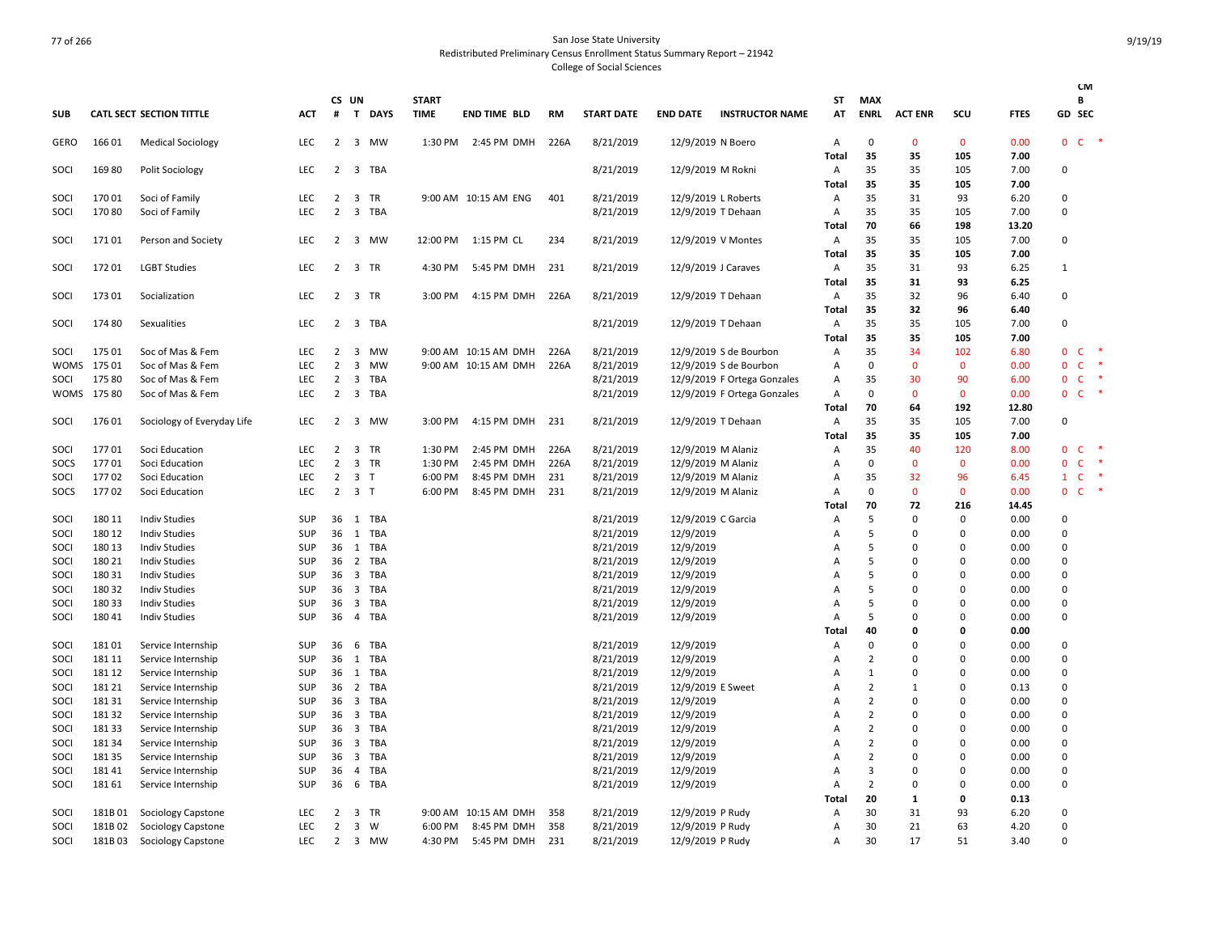|              |                |                                          |                          |                                  |                                           |            |                             |                            |            |                        |                        |                             |                   |                           |                |                      |               |                             | <b>CM</b>                    |               |
|--------------|----------------|------------------------------------------|--------------------------|----------------------------------|-------------------------------------------|------------|-----------------------------|----------------------------|------------|------------------------|------------------------|-----------------------------|-------------------|---------------------------|----------------|----------------------|---------------|-----------------------------|------------------------------|---------------|
| <b>SUB</b>   |                | <b>CATL SECT SECTION TITTLE</b>          | <b>ACT</b>               | #                                | CS UN                                     | T DAYS     | <b>START</b><br><b>TIME</b> | <b>END TIME BLD</b>        | <b>RM</b>  | <b>START DATE</b>      | <b>END DATE</b>        | <b>INSTRUCTOR NAME</b>      | ST<br>AT          | <b>MAX</b><br><b>ENRL</b> | <b>ACT ENR</b> | scu                  | <b>FTES</b>   |                             | B<br>GD SEC                  |               |
|              |                |                                          |                          |                                  |                                           |            |                             |                            |            |                        |                        |                             |                   |                           |                |                      |               |                             |                              |               |
| GERO         | 166 01         | <b>Medical Sociology</b>                 | <b>LEC</b>               | 2                                |                                           | 3 MW       | 1:30 PM                     | 2:45 PM DMH                | 226A       | 8/21/2019              | 12/9/2019 N Boero      |                             | Α                 | $\mathbf 0$               | 0              | $\mathbf 0$          | 0.00          | 0                           | $C$ *                        |               |
|              |                |                                          |                          |                                  |                                           |            |                             |                            |            |                        |                        |                             | <b>Total</b>      | 35                        | 35             | 105                  | 7.00          |                             |                              |               |
| SOCI         | 16980          | <b>Polit Sociology</b>                   | LEC                      | $\overline{2}$                   |                                           | 3 TBA      |                             |                            |            | 8/21/2019              | 12/9/2019 M Rokni      |                             | A                 | 35                        | 35             | 105                  | 7.00          | 0                           |                              |               |
|              |                |                                          |                          |                                  |                                           |            |                             |                            |            |                        |                        |                             | Total             | 35                        | 35             | 105                  | 7.00          |                             |                              |               |
| SOCI         | 17001          | Soci of Family                           | <b>LEC</b>               | $\overline{2}$                   | $\overline{\mathbf{3}}$                   | TR         |                             | 9:00 AM 10:15 AM ENG       | 401        | 8/21/2019              |                        | 12/9/2019 L Roberts         | $\mathsf{A}$      | 35                        | 31             | 93                   | 6.20          | $\Omega$                    |                              |               |
| SOCI         | 17080          | Soci of Family                           | <b>LEC</b>               | $\overline{2}$                   | $\overline{\mathbf{3}}$                   | <b>TBA</b> |                             |                            |            | 8/21/2019              |                        | 12/9/2019 T Dehaan          | Α                 | 35                        | 35             | 105                  | 7.00          | 0                           |                              |               |
|              | 17101          |                                          | <b>LEC</b>               | $\overline{2}$                   |                                           | 3 MW       |                             | 12:00 PM 1:15 PM CL        | 234        |                        |                        |                             | <b>Total</b><br>Α | 70<br>35                  | 66<br>35       | 198<br>105           | 13.20<br>7.00 | 0                           |                              |               |
| SOCI         |                | Person and Society                       |                          |                                  |                                           |            |                             |                            |            | 8/21/2019              |                        | 12/9/2019 V Montes          | Total             | 35                        | 35             | 105                  | 7.00          |                             |                              |               |
| SOCI         | 17201          | <b>LGBT Studies</b>                      | LEC                      | $\overline{2}$                   |                                           | 3 TR       | 4:30 PM                     | 5:45 PM DMH                | 231        | 8/21/2019              |                        | 12/9/2019 J Caraves         | A                 | 35                        | 31             | 93                   | 6.25          | $\mathbf{1}$                |                              |               |
|              |                |                                          |                          |                                  |                                           |            |                             |                            |            |                        |                        |                             | <b>Total</b>      | 35                        | 31             | 93                   | 6.25          |                             |                              |               |
| SOCI         | 17301          | Socialization                            | <b>LEC</b>               | $\overline{2}$                   |                                           | 3 TR       | 3:00 PM                     | 4:15 PM DMH                | 226A       | 8/21/2019              |                        | 12/9/2019 T Dehaan          | $\overline{A}$    | 35                        | 32             | 96                   | 6.40          | $\Omega$                    |                              |               |
|              |                |                                          |                          |                                  |                                           |            |                             |                            |            |                        |                        |                             | <b>Total</b>      | 35                        | 32             | 96                   | 6.40          |                             |                              |               |
| SOCI         | 17480          | Sexualities                              | <b>LEC</b>               | $\overline{2}$                   | $\overline{\mathbf{3}}$                   | TBA        |                             |                            |            | 8/21/2019              |                        | 12/9/2019 T Dehaan          | $\overline{A}$    | 35                        | 35             | 105                  | 7.00          | 0                           |                              |               |
|              |                |                                          |                          |                                  |                                           |            |                             |                            |            |                        |                        |                             | <b>Total</b>      | 35                        | 35             | 105                  | 7.00          |                             |                              |               |
| SOCI         | 175 01         | Soc of Mas & Fem                         | <b>LEC</b>               | 2                                | $\overline{\mathbf{3}}$                   | <b>MW</b>  |                             | 9:00 AM 10:15 AM DMH       | 226A       | 8/21/2019              |                        | 12/9/2019 S de Bourbon      | A                 | 35                        | 34             | 102                  | 6.80          | $\mathbf{0}$                | C                            |               |
| WOMS         | 175 01         | Soc of Mas & Fem                         | <b>LEC</b>               | $\overline{2}$                   | $\overline{3}$                            | <b>MW</b>  |                             | 9:00 AM 10:15 AM DMH       | 226A       | 8/21/2019              |                        | 12/9/2019 S de Bourbon      | А                 | $\mathbf 0$               | $\mathbf{0}$   | $\mathbf{0}$         | 0.00          | $\mathbf 0$                 | $\mathsf{C}$                 | ×             |
| SOCI         | 175 80         | Soc of Mas & Fem                         | LEC                      | $\overline{2}$                   | $\overline{\mathbf{3}}$                   | TBA        |                             |                            |            | 8/21/2019              |                        | 12/9/2019 F Ortega Gonzales | Α                 | 35                        | 30             | 90                   | 6.00          | $\mathbf{0}$                | $\mathsf{C}$                 | $\rightarrow$ |
|              | WOMS 175 80    | Soc of Mas & Fem                         | <b>LEC</b>               | $\overline{2}$                   |                                           | 3 TBA      |                             |                            |            | 8/21/2019              |                        | 12/9/2019 F Ortega Gonzales | Α                 | 0                         | $\mathbf{0}$   | $\mathbf{0}$         | 0.00          | 0                           | $\mathsf{C}$                 | $\ast$        |
|              |                |                                          |                          |                                  |                                           |            |                             |                            |            |                        |                        |                             | <b>Total</b>      | 70                        | 64             | 192                  | 12.80         |                             |                              |               |
| SOCI         | 176 01         | Sociology of Everyday Life               | <b>LEC</b>               | 2                                |                                           | 3 MW       | 3:00 PM                     | 4:15 PM DMH                | 231        | 8/21/2019              |                        | 12/9/2019 T Dehaan          | $\overline{A}$    | 35                        | 35             | 105                  | 7.00          | $\Omega$                    |                              |               |
|              |                |                                          |                          |                                  |                                           |            |                             |                            |            |                        |                        |                             | Total             | 35                        | 35             | 105                  | 7.00          |                             |                              |               |
| SOCI         | 17701          | Soci Education                           | <b>LEC</b>               | 2                                | $\overline{3}$                            | <b>TR</b>  | 1:30 PM                     | 2:45 PM DMH                | 226A       | 8/21/2019              |                        | 12/9/2019 M Alaniz          | $\mathsf{A}$      | 35                        | 40             | 120                  | 8.00          | $\Omega$                    | C                            | ×             |
| SOCS         | 17701          | Soci Education                           | LEC                      | $\overline{2}$                   |                                           | 3 TR       | 1:30 PM                     | 2:45 PM DMH                | 226A       | 8/21/2019              |                        | 12/9/2019 M Alaniz          | А                 | $\mathbf 0$               | $\mathbf{0}$   | $\mathbf 0$          | 0.00          | $\mathbf 0$<br>$\mathbf{1}$ | $\mathsf{C}$<br>$\mathsf{C}$ | $\ast$        |
| SOCI<br>SOCS | 17702<br>17702 | Soci Education<br>Soci Education         | LEC<br><b>LEC</b>        | $\overline{2}$<br>$\overline{2}$ | 3 <sub>1</sub><br>3 <sub>T</sub>          |            | 6:00 PM<br>6:00 PM          | 8:45 PM DMH<br>8:45 PM DMH | 231<br>231 | 8/21/2019<br>8/21/2019 | 12/9/2019 M Alaniz     | 12/9/2019 M Alaniz          | Α<br>A            | 35<br>0                   | 32<br>0        | 96<br>$\mathbf{0}$   | 6.45<br>0.00  | 0                           | $\mathsf{C}$                 | $\ast$        |
|              |                |                                          |                          |                                  |                                           |            |                             |                            |            |                        |                        |                             | Total             | 70                        | 72             | 216                  | 14.45         |                             |                              |               |
| SOCI         | 180 11         | <b>Indiv Studies</b>                     | <b>SUP</b>               |                                  |                                           | 36 1 TBA   |                             |                            |            | 8/21/2019              | 12/9/2019 C Garcia     |                             | Α                 | 5                         | $\Omega$       | 0                    | 0.00          | 0                           |                              |               |
| SOCI         | 180 12         | <b>Indiv Studies</b>                     | SUP                      |                                  |                                           | 36 1 TBA   |                             |                            |            | 8/21/2019              | 12/9/2019              |                             | Α                 | 5                         | $\Omega$       | $\Omega$             | 0.00          | 0                           |                              |               |
| SOCI         | 180 13         | <b>Indiv Studies</b>                     | <b>SUP</b>               | 36                               |                                           | 1 TBA      |                             |                            |            | 8/21/2019              | 12/9/2019              |                             | А                 | 5                         | $\Omega$       | $\Omega$             | 0.00          | $\Omega$                    |                              |               |
| SOCI         | 180 21         | <b>Indiv Studies</b>                     | <b>SUP</b>               | 36                               |                                           | 2 TBA      |                             |                            |            | 8/21/2019              | 12/9/2019              |                             | Α                 | 5                         | 0              | $\Omega$             | 0.00          | 0                           |                              |               |
| SOCI         | 180 31         | <b>Indiv Studies</b>                     | <b>SUP</b>               | 36                               | $\overline{\mathbf{3}}$                   | TBA        |                             |                            |            | 8/21/2019              | 12/9/2019              |                             | А                 | 5                         | O              | $\Omega$             | 0.00          | $\Omega$                    |                              |               |
| SOCI         | 180 32         | <b>Indiv Studies</b>                     | <b>SUP</b>               | 36                               |                                           | 3 TBA      |                             |                            |            | 8/21/2019              | 12/9/2019              |                             | А                 | 5                         | $\Omega$       | $\Omega$             | 0.00          | 0                           |                              |               |
| SOCI         | 18033          | <b>Indiv Studies</b>                     | <b>SUP</b>               | 36                               | $\overline{\mathbf{3}}$                   | TBA        |                             |                            |            | 8/21/2019              | 12/9/2019              |                             | A                 | 5                         | 0              | $\Omega$             | 0.00          | 0                           |                              |               |
| SOCI         | 18041          | <b>Indiv Studies</b>                     | <b>SUP</b>               | 36                               |                                           | 4 TBA      |                             |                            |            | 8/21/2019              | 12/9/2019              |                             | A                 | 5                         | $\Omega$       | $\Omega$             | 0.00          | 0                           |                              |               |
|              |                |                                          |                          |                                  |                                           |            |                             |                            |            |                        |                        |                             | Total             | 40                        | 0              | 0                    | 0.00          |                             |                              |               |
| SOCI         | 18101          | Service Internship                       | <b>SUP</b>               | 36                               | - 6                                       | TBA        |                             |                            |            | 8/21/2019              | 12/9/2019              |                             | A                 | $\Omega$                  | $\Omega$       | $\Omega$             | 0.00          | 0                           |                              |               |
| SOCI         | 181 11         | Service Internship                       | <b>SUP</b>               | 36                               | 1                                         | TBA        |                             |                            |            | 8/21/2019              | 12/9/2019              |                             | А                 | 2                         | 0              | $\Omega$             | 0.00          | 0                           |                              |               |
| SOCI         | 181 12         | Service Internship                       | <b>SUP</b>               | 36                               | 1                                         | TBA        |                             |                            |            | 8/21/2019              | 12/9/2019              |                             | Α                 | 1                         | $\Omega$       | $\Omega$             | 0.00          | $\Omega$                    |                              |               |
| SOCI         | 181 21         | Service Internship                       | <b>SUP</b>               | 36                               |                                           | 2 TBA      |                             |                            |            | 8/21/2019              | 12/9/2019 E Sweet      |                             | Α                 | 2                         | 1              | $\Omega$             | 0.13          | $\Omega$                    |                              |               |
| SOCI         | 18131          | Service Internship                       | <b>SUP</b>               | 36                               |                                           | 3 TBA      |                             |                            |            | 8/21/2019              | 12/9/2019              |                             | A                 | $\overline{2}$            | $\Omega$       | $\Omega$             | 0.00          | 0                           |                              |               |
| SOCI         | 18132          | Service Internship                       | <b>SUP</b>               | 36                               | $\overline{\mathbf{3}}$                   | TBA        |                             |                            |            | 8/21/2019              | 12/9/2019              |                             | A                 | $\overline{2}$            | $\Omega$       | $\Omega$             | 0.00          | $\Omega$                    |                              |               |
| SOCI         | 18133          | Service Internship                       | <b>SUP</b>               | 36                               |                                           | 3 TBA      |                             |                            |            | 8/21/2019              | 12/9/2019              |                             | А                 | $\overline{2}$            | $\Omega$       | $\Omega$             | 0.00          | 0                           |                              |               |
| SOCI         | 181 34         | Service Internship                       | <b>SUP</b>               |                                  |                                           | 36 3 TBA   |                             |                            |            | 8/21/2019<br>8/21/2019 | 12/9/2019<br>12/9/2019 |                             | A                 | $\overline{2}$            | $\Omega$<br>0  | $\Omega$<br>$\Omega$ | 0.00          | $\Omega$<br>0               |                              |               |
| SOCI<br>SOCI | 18135<br>18141 | Service Internship<br>Service Internship | <b>SUP</b><br><b>SUP</b> | 36<br>36                         | $\overline{\mathbf{3}}$<br>$\overline{4}$ | TBA<br>TBA |                             |                            |            |                        |                        |                             | Α<br>Α            | 2<br>3                    | $\Omega$       | $\Omega$             | 0.00<br>0.00  | $\Omega$                    |                              |               |
| SOCI         | 18161          |                                          | <b>SUP</b>               | 36                               |                                           | 6 TBA      |                             |                            |            | 8/21/2019<br>8/21/2019 | 12/9/2019              |                             |                   | $\overline{2}$            | 0              | $\Omega$             | 0.00          | 0                           |                              |               |
|              |                | Service Internship                       |                          |                                  |                                           |            |                             |                            |            |                        | 12/9/2019              |                             | Α<br>Total        | 20                        | $\mathbf{1}$   | 0                    | 0.13          |                             |                              |               |
| SOCI         | 181B01         | Sociology Capstone                       | <b>LEC</b>               | 2                                |                                           | 3 TR       |                             | 9:00 AM 10:15 AM DMH       | 358        | 8/21/2019              | 12/9/2019 P Rudy       |                             | Α                 | 30                        | 31             | 93                   | 6.20          | 0                           |                              |               |
| SOCI         | 181B 02        | Sociology Capstone                       | LEC                      | 2                                | $\overline{\mathbf{3}}$                   | W          | 6:00 PM                     | 8:45 PM DMH                | 358        | 8/21/2019              | 12/9/2019 P Rudy       |                             | Α                 | 30                        | 21             | 63                   | 4.20          | $\Omega$                    |                              |               |
| SOCI         | 181B03         | Sociology Capstone                       | <b>LEC</b>               | $\overline{2}$                   |                                           | 3 MW       | 4:30 PM                     | 5:45 PM DMH                | 231        | 8/21/2019              | 12/9/2019 P Rudy       |                             | A                 | 30                        | 17             | 51                   | 3.40          | $\Omega$                    |                              |               |
|              |                |                                          |                          |                                  |                                           |            |                             |                            |            |                        |                        |                             |                   |                           |                |                      |               |                             |                              |               |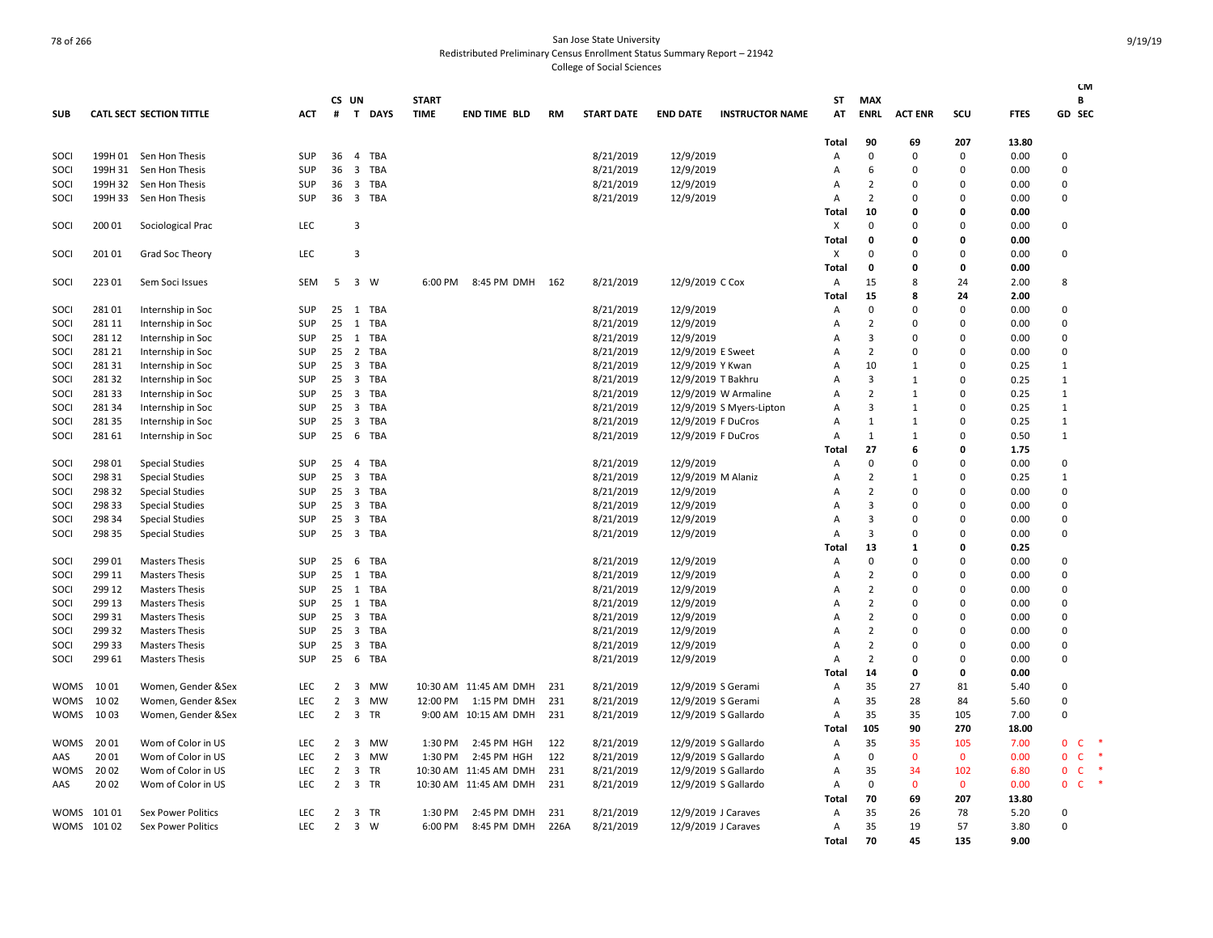# The Case of 266 State University of 266 State University of 266 State University Redistributed Preliminary Census Enrollment Status Summary Report – 21942 College of Social Sciences

|             |            |                                 |            |                |                         |            |              |                       |      |                   |                   |                          |              |                |                |              |             | <b>CM</b>                              |
|-------------|------------|---------------------------------|------------|----------------|-------------------------|------------|--------------|-----------------------|------|-------------------|-------------------|--------------------------|--------------|----------------|----------------|--------------|-------------|----------------------------------------|
|             |            |                                 |            |                | CS UN                   |            | <b>START</b> |                       |      |                   |                   |                          | SΤ           | MAX            |                |              |             | В                                      |
| <b>SUB</b>  |            | <b>CATL SECT SECTION TITTLE</b> | ACT        | #              |                         | T DAYS     | <b>TIME</b>  | <b>END TIME BLD</b>   | RM   | <b>START DATE</b> | <b>END DATE</b>   | <b>INSTRUCTOR NAME</b>   | AT           | <b>ENRL</b>    | <b>ACT ENR</b> | SCU          | <b>FTES</b> | GD SEC                                 |
|             |            |                                 |            |                |                         |            |              |                       |      |                   |                   |                          | Total        | 90             | 69             | 207          | 13.80       |                                        |
| SOCI        |            | 199H 01 Sen Hon Thesis          | <b>SUP</b> | 36             | $\overline{4}$          | TBA        |              |                       |      | 8/21/2019         | 12/9/2019         |                          | Α            | 0              | $\Omega$       | 0            | 0.00        | 0                                      |
| SOCI        | 199H 31    | Sen Hon Thesis                  | SUP        | 36             | 3                       | <b>TBA</b> |              |                       |      | 8/21/2019         | 12/9/2019         |                          | A            | 6              | $\Omega$       | 0            | 0.00        | $\overline{0}$                         |
| SOCI        | 199H 32    | Sen Hon Thesis                  | <b>SUP</b> | 36             | 3                       | TBA        |              |                       |      | 8/21/2019         | 12/9/2019         |                          | A            | 2              | $\Omega$       | 0            | 0.00        | 0                                      |
| SOCI        | 199H 33    | Sen Hon Thesis                  | <b>SUP</b> | 36             | $\overline{\mathbf{3}}$ | TBA        |              |                       |      | 8/21/2019         | 12/9/2019         |                          | A            | $\overline{2}$ | $\Omega$       | $\Omega$     | 0.00        | $\mathsf 0$                            |
|             |            |                                 |            |                |                         |            |              |                       |      |                   |                   |                          | Total        | 10             | O              | O            | 0.00        |                                        |
| SOCI        | 200 01     | Sociological Prac               | LEC        |                | $\overline{3}$          |            |              |                       |      |                   |                   |                          | X            | 0              | $\mathbf 0$    | 0            | 0.00        | $\overline{0}$                         |
|             |            |                                 |            |                |                         |            |              |                       |      |                   |                   |                          | <b>Total</b> | 0              | 0              | 0            | 0.00        |                                        |
| SOCI        | 201 01     | Grad Soc Theory                 | LEC        |                | $\overline{3}$          |            |              |                       |      |                   |                   |                          | X            | $\Omega$       | $\Omega$       | $\Omega$     | 0.00        | $\overline{0}$                         |
|             |            |                                 |            |                |                         |            |              |                       |      |                   |                   |                          | Total        | 0              | 0              | 0            | 0.00        |                                        |
| SOCI        | 223 01     | Sem Soci Issues                 | SEM        | 5              |                         | 3 W        | 6:00 PM      | 8:45 PM DMH 162       |      | 8/21/2019         | 12/9/2019 C Cox   |                          | Α            | 15             | 8              | 24           | 2.00        | 8                                      |
|             |            |                                 |            |                |                         |            |              |                       |      |                   |                   |                          | Total        | 15             | 8              | 24           | 2.00        |                                        |
| SOCI        | 28101      | Internship in Soc               | <b>SUP</b> |                | 25 1                    | <b>TBA</b> |              |                       |      | 8/21/2019         | 12/9/2019         |                          | Α            | 0              | $\Omega$       | $\mathbf 0$  | 0.00        | $\mathbf 0$                            |
| SOCI        | 281 11     | Internship in Soc               | SUP        | 25             | 1                       | TBA        |              |                       |      | 8/21/2019         | 12/9/2019         |                          | A            | $\overline{2}$ | $\Omega$       | 0            | 0.00        | $\Omega$                               |
| SOCI        | 281 12     | Internship in Soc               | SUP        | 25             | 1                       | TBA        |              |                       |      | 8/21/2019         | 12/9/2019         |                          | A            | 3              | $\Omega$       | 0            | 0.00        | $\overline{0}$                         |
| SOCI        | 281 21     | Internship in Soc               | <b>SUP</b> | 25             |                         | 2 TBA      |              |                       |      | 8/21/2019         | 12/9/2019 E Sweet |                          | A            | $\overline{2}$ | $\Omega$       | 0            | 0.00        | $\Omega$                               |
| SOCI        | 28131      | Internship in Soc               | <b>SUP</b> | 25             | $\overline{\mathbf{3}}$ | TBA        |              |                       |      | 8/21/2019         | 12/9/2019 Y Kwan  |                          | A            | 10             | 1              | 0            | 0.25        | $\mathbf{1}$                           |
| SOCI        | 28132      | Internship in Soc               | SUP        | 25             | $\overline{\mathbf{3}}$ | TBA        |              |                       |      | 8/21/2019         |                   | 12/9/2019 T Bakhru       | A            | 3              | $\mathbf{1}$   | 0            | 0.25        | $\mathbf{1}$                           |
| SOCI        | 28133      | Internship in Soc               | SUP        | 25             | $\overline{\mathbf{3}}$ | <b>TBA</b> |              |                       |      | 8/21/2019         |                   | 12/9/2019 W Armaline     | A            | $\overline{2}$ | $\mathbf{1}$   | $\Omega$     | 0.25        | $\mathbf{1}$                           |
| SOCI        | 28134      | Internship in Soc               | SUP        | 25             | $\overline{\mathbf{3}}$ | TBA        |              |                       |      | 8/21/2019         |                   | 12/9/2019 S Myers-Lipton | A            | 3              | $\mathbf{1}$   | 0            | 0.25        | $\mathbf{1}$                           |
| SOCI        | 28135      | Internship in Soc               | SUP        | 25             | $\overline{\mathbf{3}}$ | TBA        |              |                       |      | 8/21/2019         |                   | 12/9/2019 F DuCros       | A            | $\mathbf{1}$   | $\mathbf{1}$   | 0            | 0.25        | $\mathbf{1}$                           |
| SOCI        | 28161      | Internship in Soc               | SUP        | 25             | 6                       | TBA        |              |                       |      | 8/21/2019         |                   | 12/9/2019 F DuCros       | Α            | 1              | $\mathbf{1}$   | $\Omega$     | 0.50        | $\mathbf{1}$                           |
|             |            |                                 |            |                |                         |            |              |                       |      |                   |                   |                          | Total        | 27             | 6              | 0            | 1.75        |                                        |
| SOCI        | 298 01     | <b>Special Studies</b>          | <b>SUP</b> | 25             |                         | 4 TBA      |              |                       |      | 8/21/2019         | 12/9/2019         |                          | Α            | 0              | $\Omega$       | 0            | 0.00        | 0                                      |
| SOCI        | 29831      | <b>Special Studies</b>          | SUP        | 25             | 3                       | <b>TBA</b> |              |                       |      | 8/21/2019         |                   | 12/9/2019 M Alaniz       | Α            | $\overline{2}$ | $\mathbf{1}$   | 0            | 0.25        | $\mathbf{1}$                           |
| SOCI        | 298 32     | <b>Special Studies</b>          | SUP        | 25             | $\overline{\mathbf{3}}$ | TBA        |              |                       |      | 8/21/2019         | 12/9/2019         |                          | A            | $\overline{2}$ | $\Omega$       | 0            | 0.00        | $\mathbf 0$                            |
| SOCI        | 29833      | <b>Special Studies</b>          | SUP        | 25             | 3                       | <b>TBA</b> |              |                       |      | 8/21/2019         | 12/9/2019         |                          | A            | 3              | $\Omega$       | 0            | 0.00        | $\overline{0}$                         |
| SOCI        | 298 34     | <b>Special Studies</b>          | <b>SUP</b> | 25             | 3                       | TBA        |              |                       |      | 8/21/2019         | 12/9/2019         |                          | A            | 3              | $\Omega$       | $\Omega$     | 0.00        | 0                                      |
| SOCI        | 298 35     | <b>Special Studies</b>          | SUP        | 25             |                         | 3 TBA      |              |                       |      | 8/21/2019         | 12/9/2019         |                          | A            | 3              | $\mathbf 0$    | 0            | 0.00        | $\mathsf 0$                            |
|             |            |                                 |            |                |                         |            |              |                       |      |                   |                   |                          | <b>Total</b> | 13             | 1              | 0            | 0.25        |                                        |
| SOCI        | 299 01     | <b>Masters Thesis</b>           | SUP        | 25             | 6                       | TBA        |              |                       |      | 8/21/2019         | 12/9/2019         |                          | Α            | 0              | $\Omega$       | 0            | 0.00        | $\mathbf 0$                            |
| SOCI        | 299 11     | <b>Masters Thesis</b>           | <b>SUP</b> | 25             | 1                       | <b>TBA</b> |              |                       |      | 8/21/2019         | 12/9/2019         |                          | A            | $\overline{2}$ | $\Omega$       | 0            | 0.00        | $\Omega$                               |
| SOCI        | 299 12     | <b>Masters Thesis</b>           | SUP        | 25             | 1                       | <b>TBA</b> |              |                       |      | 8/21/2019         | 12/9/2019         |                          | A            | $\overline{2}$ | $\Omega$       | $\Omega$     | 0.00        | $\mathbf 0$                            |
| SOCI        | 299 13     | <b>Masters Thesis</b>           | SUP        | 25             | 1                       | TBA        |              |                       |      | 8/21/2019         | 12/9/2019         |                          | A            | $\overline{2}$ | $\Omega$       | 0            | 0.00        | $\Omega$                               |
| SOCI        | 299 31     | <b>Masters Thesis</b>           | <b>SUP</b> | 25             | $\overline{3}$          | TBA        |              |                       |      | 8/21/2019         | 12/9/2019         |                          | A            | 2              | $\Omega$       | 0            | 0.00        | 0                                      |
| SOCI        | 299 32     | <b>Masters Thesis</b>           | <b>SUP</b> | 25             | 3                       | TBA        |              |                       |      | 8/21/2019         | 12/9/2019         |                          | A            | $\overline{2}$ | $\Omega$       | 0            | 0.00        | $\Omega$                               |
| SOCI        | 299 33     | <b>Masters Thesis</b>           | SUP        | 25             | $\overline{\mathbf{3}}$ | <b>TBA</b> |              |                       |      | 8/21/2019         | 12/9/2019         |                          | A            | $\overline{2}$ | $\Omega$       | 0            | 0.00        | $\mathbf 0$                            |
| SOCI        | 299 61     | <b>Masters Thesis</b>           | <b>SUP</b> | 25             | 6                       | TBA        |              |                       |      | 8/21/2019         | 12/9/2019         |                          | A            | $\overline{2}$ | $\Omega$       | 0            | 0.00        | $\Omega$                               |
|             |            |                                 |            |                |                         |            |              |                       |      |                   |                   |                          | Total        | 14             | 0              | 0            | 0.00        |                                        |
| <b>WOMS</b> | 1001       | Women, Gender &Sex              | LEC        | $\overline{2}$ | 3                       | MW         |              | 10:30 AM 11:45 AM DMH | 231  | 8/21/2019         |                   | 12/9/2019 S Gerami       | Α            | 35             | 27             | 81           | 5.40        | $\mathbf 0$                            |
| <b>WOMS</b> | 10 02      | Women, Gender &Sex              | <b>LEC</b> | 2              | $\overline{\mathbf{3}}$ | MW         | 12:00 PM     | 1:15 PM DMH           | 231  | 8/21/2019         |                   | 12/9/2019 S Gerami       | Α            | 35             | 28             | 84           | 5.60        | $\overline{0}$                         |
| <b>WOMS</b> | 10 03      | Women, Gender &Sex              | LEC        | $\overline{2}$ | $\overline{3}$          | TR         | 9:00 AM      | 10:15 AM DMH          | 231  | 8/21/2019         |                   | 12/9/2019 S Gallardo     | Α            | 35             | 35             | 105          | 7.00        | $\mathbf 0$                            |
|             |            |                                 |            |                |                         |            |              |                       |      |                   |                   |                          | Total        | 105            | 90             | 270          | 18.00       |                                        |
| <b>WOMS</b> | 20 01      | Wom of Color in US              | <b>LEC</b> | 2              | $\overline{3}$          | MW         | 1:30 PM      | 2:45 PM HGH           | 122  | 8/21/2019         |                   | 12/9/2019 S Gallardo     | Α            | 35             | 35             | 105          | 7.00        | $\mathbf 0$<br>$\mathsf{C}$<br>-*      |
| AAS         | 20 01      | Wom of Color in US              | <b>LEC</b> | $\overline{2}$ | 3                       | MW         | 1:30 PM      | 2:45 PM HGH           | 122  | 8/21/2019         |                   | 12/9/2019 S Gallardo     | Α            | 0              | $\mathbf{0}$   | $\mathbf{0}$ | 0.00        | $\ast$<br>$\mathsf{C}$<br>$\mathbf{0}$ |
| <b>WOMS</b> | 20 02      | Wom of Color in US              | LEC        | $\overline{2}$ | $\overline{3}$          | TR         |              | 10:30 AM 11:45 AM DMH | 231  | 8/21/2019         |                   | 12/9/2019 S Gallardo     | A            | 35             | 34             | 102          | 6.80        | $\mathsf{C}$<br>-*<br>$\mathbf 0$      |
| AAS         | 20 02      | Wom of Color in US              | LEC        | $\overline{2}$ | $\overline{\mathbf{3}}$ | TR         |              | 10:30 AM 11:45 AM DMH | 231  | 8/21/2019         |                   | 12/9/2019 S Gallardo     | Α            | 0              | $\Omega$       | $\mathbf{0}$ | 0.00        | $\ast$<br>$\mathbf{0}$<br><b>C</b>     |
|             |            |                                 |            |                |                         |            |              |                       |      |                   |                   |                          | Total        | 70             | 69             | 207          | 13.80       |                                        |
|             | WOMS 10101 | Sex Power Politics              | LEC        | 2              |                         | 3 TR       | 1:30 PM      | 2:45 PM DMH           | 231  | 8/21/2019         |                   | 12/9/2019 J Caraves      | Α            | 35             | 26             | 78           | 5.20        | $\mathbf 0$                            |
|             | WOMS 10102 | Sex Power Politics              | <b>LEC</b> | $\overline{2}$ |                         | 3 W        | 6:00 PM      | 8:45 PM DMH           | 226A | 8/21/2019         |                   | 12/9/2019 J Caraves      | Α            | 35             | 19             | 57           | 3.80        | $\Omega$                               |
|             |            |                                 |            |                |                         |            |              |                       |      |                   |                   |                          | Total        | 70             | 45             | 135          | 9.00        |                                        |
|             |            |                                 |            |                |                         |            |              |                       |      |                   |                   |                          |              |                |                |              |             |                                        |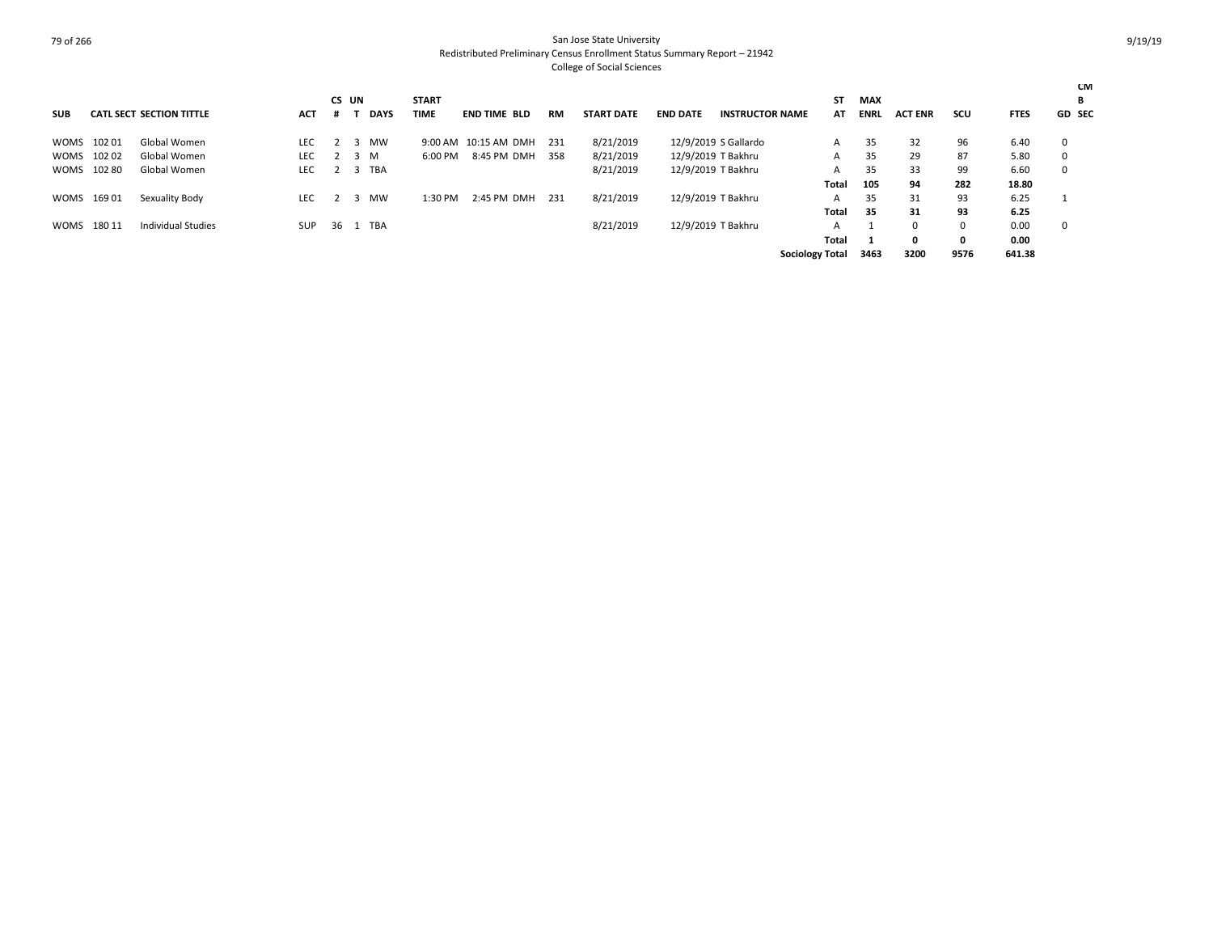|            |             |                                 |            | CS UN |             | <b>START</b> |                      |           |                   |                 |                        | SΤ                     | <b>MAX</b>  |                |          |             | <b>CM</b><br>в |
|------------|-------------|---------------------------------|------------|-------|-------------|--------------|----------------------|-----------|-------------------|-----------------|------------------------|------------------------|-------------|----------------|----------|-------------|----------------|
| <b>SUB</b> |             | <b>CATL SECT SECTION TITTLE</b> | <b>ACT</b> |       | <b>DAYS</b> | <b>TIME</b>  | <b>END TIME BLD</b>  | <b>RM</b> | <b>START DATE</b> | <b>END DATE</b> | <b>INSTRUCTOR NAME</b> | AT                     | <b>ENRL</b> | <b>ACT ENR</b> | scu      | <b>FTES</b> | <b>GD SEC</b>  |
|            | WOMS 10201  | Global Women                    | <b>LEC</b> |       | MW          |              | 9:00 AM 10:15 AM DMH | 231       | 8/21/2019         |                 | 12/9/2019 S Gallardo   | A                      | 35          | 32             | 96       | 6.40        | 0              |
|            | WOMS 10202  | Global Women                    | <b>LEC</b> | 3     | M           | $6:00$ PM    | 8:45 PM DMH          | 358       | 8/21/2019         |                 | 12/9/2019 T Bakhru     | A                      | 35          | 29             | 87       | 5.80        | $\Omega$       |
|            | WOMS 102 80 | Global Women                    | <b>LEC</b> |       | 3 TBA       |              |                      |           | 8/21/2019         |                 | 12/9/2019 T Bakhru     | A                      | 35          | 33             | 99       | 6.60        | $\Omega$       |
|            |             |                                 |            |       |             |              |                      |           |                   |                 |                        | Total                  | 105         | 94             | 282      | 18.80       |                |
|            | WOMS 16901  | Sexuality Body                  | <b>LEC</b> |       | MW          | 1:30 PM      | 2:45 PM DMH          | 231       | 8/21/2019         |                 | 12/9/2019 T Bakhru     | A                      | 35          | 31             | 93       | 6.25        |                |
|            |             |                                 |            |       |             |              |                      |           |                   |                 |                        | Total                  | 35          | 31             | 93       | 6.25        |                |
|            | WOMS 18011  | Individual Studies              | <b>SUP</b> |       | 36 1 TBA    |              |                      |           | 8/21/2019         |                 | 12/9/2019 T Bakhru     | A                      |             | 0              | $\Omega$ | 0.00        | 0              |
|            |             |                                 |            |       |             |              |                      |           |                   |                 |                        | Total                  |             | 0              | O        | 0.00        |                |
|            |             |                                 |            |       |             |              |                      |           |                   |                 |                        | <b>Sociology Total</b> | 3463        | 3200           | 9576     | 641.38      |                |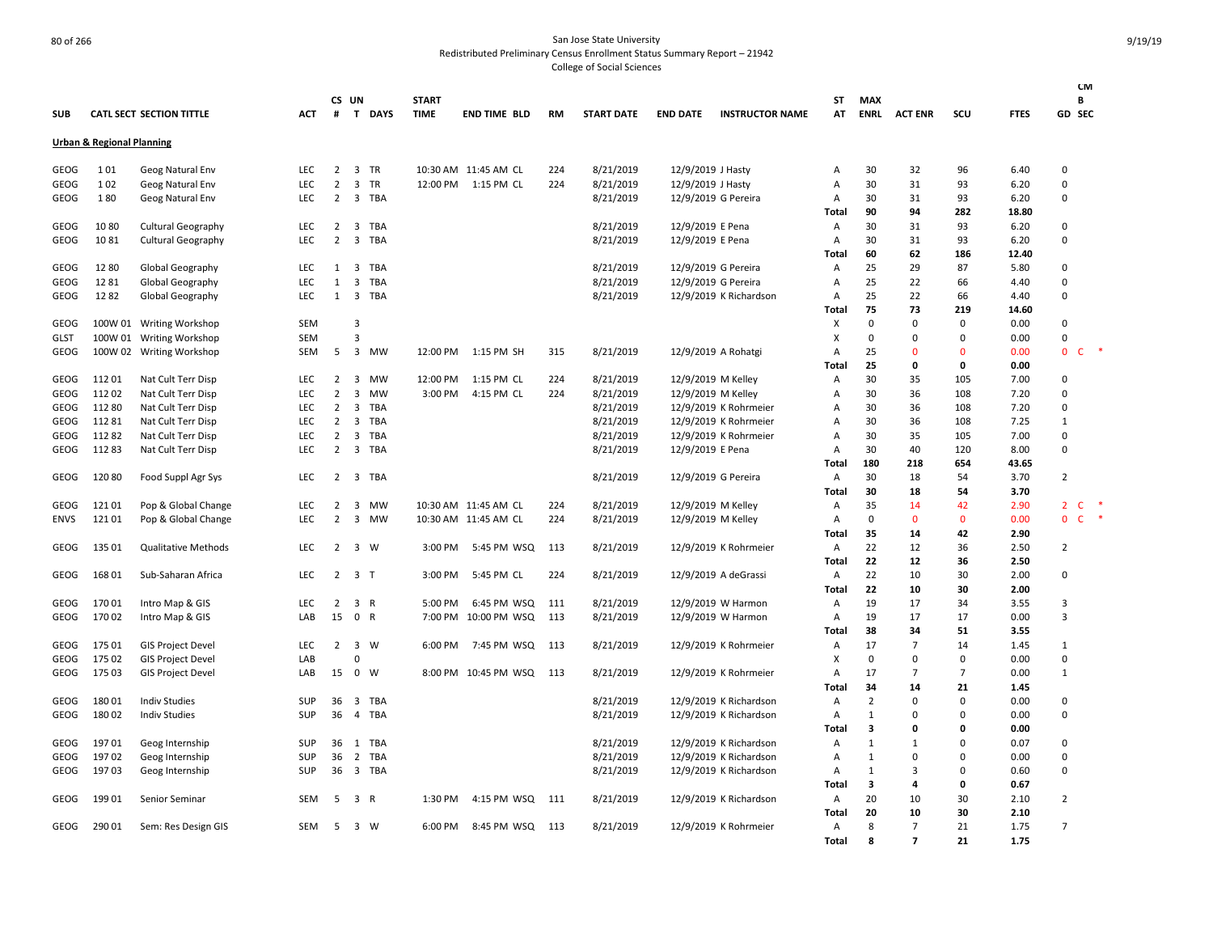|                                      |         |                            |            |                |                         |             |              |                      |       |                   |                     |                        |                |                |                |                |             |                                | <b>CM</b>    |
|--------------------------------------|---------|----------------------------|------------|----------------|-------------------------|-------------|--------------|----------------------|-------|-------------------|---------------------|------------------------|----------------|----------------|----------------|----------------|-------------|--------------------------------|--------------|
|                                      |         |                            |            |                | CS UN                   |             | <b>START</b> |                      |       |                   |                     |                        | ST             | <b>MAX</b>     |                |                |             | В                              |              |
| <b>SUB</b>                           |         | CATL SECT SECTION TITTLE   | <b>ACT</b> | $\#$           | T                       | <b>DAYS</b> | <b>TIME</b>  | <b>END TIME BLD</b>  | RM    | <b>START DATE</b> | <b>END DATE</b>     | <b>INSTRUCTOR NAME</b> | AT             | <b>ENRL</b>    | <b>ACT ENR</b> | SCU            | <b>FTES</b> | GD SEC                         |              |
| <b>Urban &amp; Regional Planning</b> |         |                            |            |                |                         |             |              |                      |       |                   |                     |                        |                |                |                |                |             |                                |              |
| GEOG                                 | 101     | Geog Natural Env           | <b>LEC</b> | $\overline{2}$ |                         | 3 TR        |              | 10:30 AM 11:45 AM CL | 224   | 8/21/2019         | 12/9/2019 J Hasty   |                        | Α              | 30             | 32             | 96             | 6.40        | $\Omega$                       |              |
| GEOG                                 | 102     | Geog Natural Env           | <b>LEC</b> | $\overline{2}$ |                         | 3 TR        |              | 12:00 PM 1:15 PM CL  | 224   | 8/21/2019         | 12/9/2019 J Hasty   |                        | Α              | 30             | 31             | 93             | 6.20        | $\mathbf 0$                    |              |
| <b>GEOG</b>                          | 180     | Geog Natural Env           | <b>LEC</b> | $\overline{2}$ | 3                       | TBA         |              |                      |       | 8/21/2019         |                     | 12/9/2019 G Pereira    | Α              | 30             | 31             | 93             | 6.20        | $\Omega$                       |              |
|                                      |         |                            |            |                |                         |             |              |                      |       |                   |                     |                        | Total          | 90             | 94             | 282            | 18.80       |                                |              |
| <b>GEOG</b>                          | 1080    | <b>Cultural Geography</b>  | <b>LEC</b> | $\overline{2}$ |                         | 3 TBA       |              |                      |       | 8/21/2019         | 12/9/2019 E Pena    |                        | Α              | 30             | 31             | 93             | 6.20        | 0                              |              |
| GEOG                                 | 1081    | Cultural Geography         | <b>LEC</b> | 2              | $\overline{3}$          | TBA         |              |                      |       | 8/21/2019         | 12/9/2019 E Pena    |                        | $\overline{A}$ | 30             | 31             | 93             | 6.20        | $\Omega$                       |              |
|                                      |         |                            |            |                |                         |             |              |                      |       |                   |                     |                        | Total          | 60             | 62             | 186            | 12.40       |                                |              |
| <b>GEOG</b>                          | 12 80   | Global Geography           | <b>LEC</b> | 1              | $\overline{\mathbf{3}}$ | TBA         |              |                      |       | 8/21/2019         | 12/9/2019 G Pereira |                        | Α              | 25             | 29             | 87             | 5.80        | 0                              |              |
| <b>GEOG</b>                          | 1281    | Global Geography           | <b>LEC</b> | $\mathbf{1}$   | 3                       | TBA         |              |                      |       | 8/21/2019         |                     | 12/9/2019 G Pereira    | Α              | 25             | 22             | 66             | 4.40        | $\Omega$                       |              |
| GEOG                                 | 1282    | Global Geography           | LEC        | 1              |                         | 3 TBA       |              |                      |       | 8/21/2019         |                     | 12/9/2019 K Richardson | Α              | 25             | 22             | 66             | 4.40        | $\Omega$                       |              |
|                                      |         |                            |            |                |                         |             |              |                      |       |                   |                     |                        | <b>Total</b>   | 75             | 73             | 219            | 14.60       |                                |              |
| GEOG                                 | 100W 01 | <b>Writing Workshop</b>    | <b>SEM</b> |                | 3                       |             |              |                      |       |                   |                     |                        | X              | $\mathbf 0$    | 0              | 0              | 0.00        | $\Omega$                       |              |
| <b>GLST</b>                          |         | 100W 01 Writing Workshop   | SEM        |                | $\overline{3}$          |             |              |                      |       |                   |                     |                        | X              | $\mathbf 0$    | 0              | 0              | 0.00        | $\Omega$                       |              |
| GEOG                                 | 100W 02 | <b>Writing Workshop</b>    | SEM        | 5              | 3                       | MW          | 12:00 PM     | 1:15 PM SH           | 315   | 8/21/2019         |                     | 12/9/2019 A Rohatgi    | Α              | 25             | 0              | $\Omega$       | 0.00        | $\mathbf 0$<br>C               |              |
|                                      |         |                            |            |                |                         |             |              |                      |       |                   |                     |                        | Total          | 25             | 0              | 0              | 0.00        |                                |              |
| GEOG                                 | 11201   | Nat Cult Terr Disp         | LEC        | $\overline{2}$ | $\overline{\mathbf{3}}$ | <b>MW</b>   | 12:00 PM     | 1:15 PM CL           | 224   | 8/21/2019         | 12/9/2019 M Kelley  |                        | Α              | 30             | 35             | 105            | 7.00        | 0                              |              |
| <b>GEOG</b>                          | 11202   | Nat Cult Terr Disp         | <b>LEC</b> | $\overline{2}$ | 3                       | MW          | 3:00 PM      | 4:15 PM CL           | 224   | 8/21/2019         | 12/9/2019 M Kelley  |                        | Α              | 30             | 36             | 108            | 7.20        | $\Omega$                       |              |
| GEOG                                 | 11280   | Nat Cult Terr Disp         | LEC        | $\overline{2}$ | 3                       | TBA         |              |                      |       | 8/21/2019         |                     | 12/9/2019 K Rohrmeier  | Α              | 30             | 36             | 108            | 7.20        | 0                              |              |
| GEOG                                 | 11281   | Nat Cult Terr Disp         | LEC        | $\overline{2}$ | 3                       | TBA         |              |                      |       | 8/21/2019         |                     | 12/9/2019 K Rohrmeier  | А              | 30             | 36             | 108            | 7.25        | $\mathbf{1}$                   |              |
| GEOG                                 | 11282   | Nat Cult Terr Disp         | <b>LEC</b> | $\overline{2}$ | 3                       | <b>TBA</b>  |              |                      |       | 8/21/2019         |                     | 12/9/2019 K Rohrmeier  | A              | 30             | 35             | 105            | 7.00        | $\Omega$                       |              |
| GEOG                                 | 11283   | Nat Cult Terr Disp         | LEC        | $\overline{2}$ |                         | 3 TBA       |              |                      |       | 8/21/2019         | 12/9/2019 E Pena    |                        | Α              | 30             | 40             | 120            | 8.00        | $\mathbf 0$                    |              |
|                                      |         |                            |            |                |                         |             |              |                      |       |                   |                     |                        | Total          | 180            | 218            | 654            | 43.65       |                                |              |
| GEOG                                 | 12080   | Food Suppl Agr Sys         | LEC        | $\overline{2}$ |                         | 3 TBA       |              |                      |       | 8/21/2019         |                     | 12/9/2019 G Pereira    | Α              | 30             | 18             | 54             | 3.70        | $\overline{2}$                 |              |
|                                      |         |                            |            |                |                         |             |              |                      |       |                   |                     |                        | Total          | 30             | 18             | 54             | 3.70        |                                |              |
| GEOG                                 | 12101   | Pop & Global Change        | <b>LEC</b> | $\overline{2}$ | 3                       | MW          |              | 10:30 AM 11:45 AM CL | 224   | 8/21/2019         | 12/9/2019 M Kelley  |                        | Α              | 35             | 14             | 42             | 2.90        | $\mathsf{C}$<br>$\overline{2}$ |              |
| <b>ENVS</b>                          | 12101   | Pop & Global Change        | LEC        | $\overline{2}$ | $\overline{3}$          | MW          |              | 10:30 AM 11:45 AM CL | 224   | 8/21/2019         | 12/9/2019 M Kelley  |                        | A              | $\mathbf 0$    | $\mathbf{0}$   | $\mathbf{0}$   | 0.00        | $\mathbf{0}$                   | $\mathsf{C}$ |
|                                      |         |                            |            |                |                         |             |              |                      |       |                   |                     |                        | Total          | 35             | 14             | 42             | 2.90        |                                |              |
| GEOG                                 | 135 01  | <b>Qualitative Methods</b> | LEC        | 2              | $\overline{\mathbf{3}}$ | W           | 3:00 PM      | 5:45 PM WSQ          | 113   | 8/21/2019         |                     | 12/9/2019 K Rohrmeier  | Α              | 22             | 12             | 36             | 2.50        | $\overline{2}$                 |              |
|                                      |         |                            |            |                |                         |             |              |                      |       |                   |                     |                        | Total          | 22             | 12             | 36             | 2.50        |                                |              |
| GEOG                                 | 168 01  | Sub-Saharan Africa         | LEC        |                | $2 \quad 3 \quad T$     |             | 3:00 PM      | 5:45 PM CL           | 224   | 8/21/2019         |                     | 12/9/2019 A deGrassi   | Α              | 22             | 10             | 30             | 2.00        | 0                              |              |
|                                      |         |                            |            |                |                         |             |              |                      |       |                   |                     |                        | Total          | 22             | 10             | 30             | 2.00        |                                |              |
| GEOG                                 | 17001   | Intro Map & GIS            | <b>LEC</b> | $\overline{2}$ | 3 R                     |             | 5:00 PM      | 6:45 PM WSQ          | 111   | 8/21/2019         |                     | 12/9/2019 W Harmon     | $\mathsf{A}$   | 19             | 17             | 34             | 3.55        | 3                              |              |
| GEOG                                 | 17002   | Intro Map & GIS            | LAB        | 15             | 0 R                     |             | 7:00 PM      | 10:00 PM WSQ         | 113   | 8/21/2019         |                     | 12/9/2019 W Harmon     | Α              | 19             | 17             | 17             | 0.00        | $\overline{3}$                 |              |
|                                      |         |                            |            |                |                         |             |              |                      |       |                   |                     |                        | <b>Total</b>   | 38             | 34             | 51             | 3.55        |                                |              |
| GEOG                                 | 175 01  | <b>GIS Project Devel</b>   | LEC        | $\overline{2}$ |                         | $3 \quad W$ | 6:00 PM      | 7:45 PM WSQ          | 113   | 8/21/2019         |                     | 12/9/2019 K Rohrmeier  | Α              | 17             | $\overline{7}$ | 14             | 1.45        | $\mathbf{1}$                   |              |
| GEOG                                 | 175 02  | <b>GIS Project Devel</b>   | LAB        |                | $\mathbf 0$             |             |              |                      |       |                   |                     |                        | X              | $\Omega$       | 0              | 0              | 0.00        | 0                              |              |
| GEOG                                 | 175 03  | <b>GIS Project Devel</b>   | LAB        | 15             | 0 W                     |             |              | 8:00 PM 10:45 PM WSQ | 113   | 8/21/2019         |                     | 12/9/2019 K Rohrmeier  | A              | 17             | $\overline{7}$ | $\overline{7}$ | 0.00        | $\mathbf{1}$                   |              |
|                                      |         |                            |            |                |                         |             |              |                      |       |                   |                     |                        | <b>Total</b>   | 34             | 14             | 21             | 1.45        |                                |              |
| GEOG                                 | 18001   | <b>Indiv Studies</b>       | SUP        | 36             |                         | 3 TBA       |              |                      |       | 8/21/2019         |                     | 12/9/2019 K Richardson | Α              | $\overline{2}$ | $\Omega$       | $\Omega$       | 0.00        | $\Omega$                       |              |
| GEOG                                 | 18002   | <b>Indiv Studies</b>       | SUP        | 36             | $\overline{4}$          | TBA         |              |                      |       | 8/21/2019         |                     | 12/9/2019 K Richardson | Α              | 1              | 0              | $\Omega$       | 0.00        | $\Omega$                       |              |
|                                      |         |                            |            |                |                         |             |              |                      |       |                   |                     |                        | Total          | 3              | 0              | 0              | 0.00        |                                |              |
| GEOG                                 | 19701   | Geog Internship            | SUP        | 36             | 1                       | <b>TBA</b>  |              |                      |       | 8/21/2019         |                     | 12/9/2019 K Richardson | Α              | 1              | $\mathbf{1}$   | $\Omega$       | 0.07        | $\Omega$                       |              |
| GEOG                                 | 19702   | Geog Internship            | SUP        | 36             | $\overline{2}$          | TBA         |              |                      |       | 8/21/2019         |                     | 12/9/2019 K Richardson | Α              | 1              | 0              | $\Omega$       | 0.00        | $\mathbf 0$                    |              |
| GEOG                                 | 19703   | Geog Internship            | SUP        |                |                         | 36 3 TBA    |              |                      |       | 8/21/2019         |                     | 12/9/2019 K Richardson | $\overline{A}$ | 1              | 3              | 0              | 0.60        | 0                              |              |
|                                      |         |                            |            |                |                         |             |              |                      |       |                   |                     |                        | Total          | 3              | 4              | 0              | 0.67        |                                |              |
| GEOG                                 | 19901   | Senior Seminar             | SEM        | 5              | 3 R                     |             | 1:30 PM      | 4:15 PM WSQ          | - 111 | 8/21/2019         |                     | 12/9/2019 K Richardson | A              | 20             | 10             | 30             | 2.10        | $\overline{2}$                 |              |
|                                      |         |                            |            |                |                         |             |              |                      |       |                   |                     |                        | Total          | 20             | 10             | 30             | 2.10        |                                |              |
| GEOG                                 | 29001   | Sem: Res Design GIS        | <b>SEM</b> | 5              | 3 W                     |             | 6:00 PM      | 8:45 PM WSQ 113      |       | 8/21/2019         |                     | 12/9/2019 K Rohrmeier  | $\mathsf{A}$   | 8              | $\overline{7}$ | 21             | 1.75        | $\overline{7}$                 |              |
|                                      |         |                            |            |                |                         |             |              |                      |       |                   |                     |                        | <b>Total</b>   | 8              | $\overline{7}$ | 21             | 1.75        |                                |              |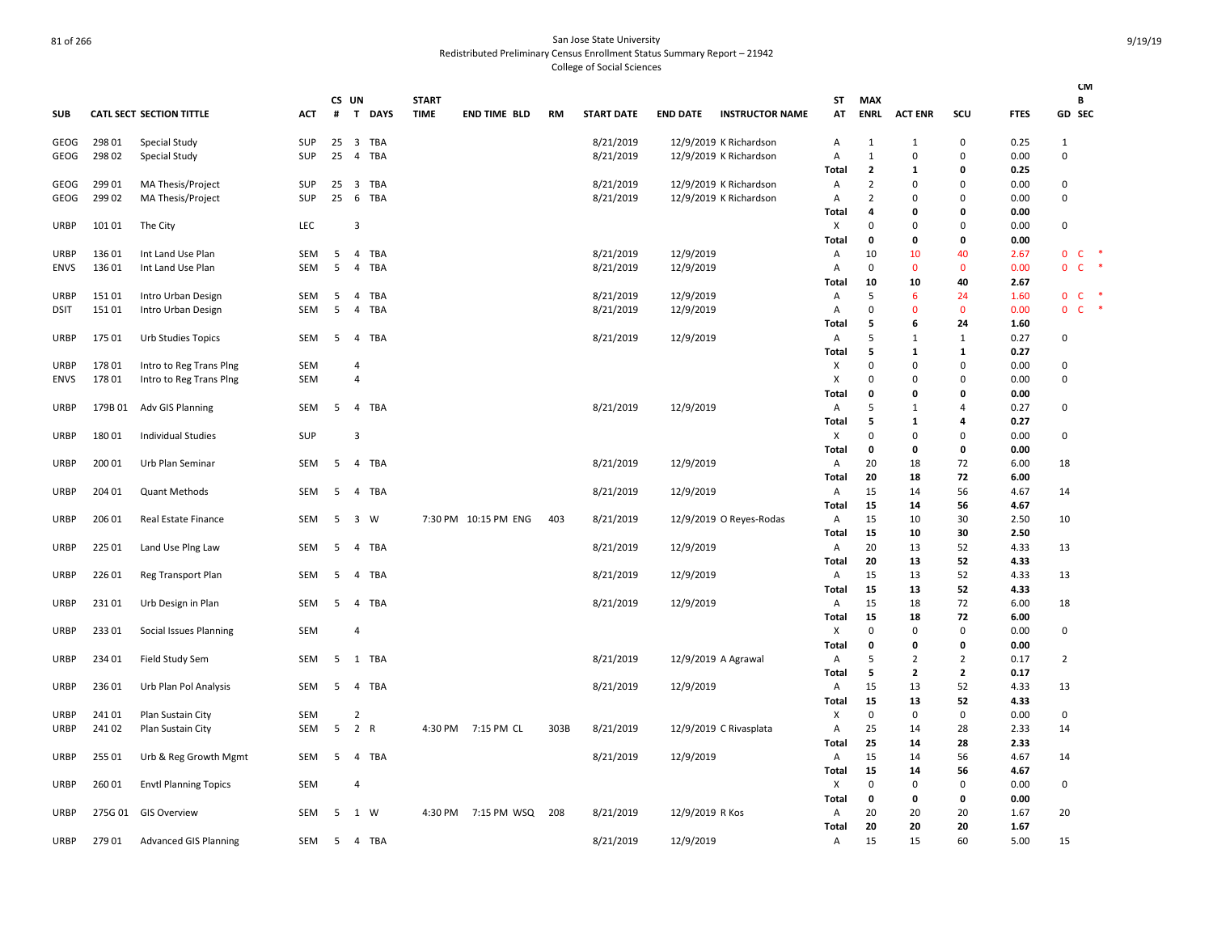|             |         |                                 |            |        |                         |                          |              |                      |           |                   |                 |                         |                       |                   |                   |                     |              | <b>CM</b>                          |
|-------------|---------|---------------------------------|------------|--------|-------------------------|--------------------------|--------------|----------------------|-----------|-------------------|-----------------|-------------------------|-----------------------|-------------------|-------------------|---------------------|--------------|------------------------------------|
|             |         |                                 |            |        | CS UN                   |                          | <b>START</b> |                      |           |                   |                 |                         | ST                    | <b>MAX</b>        |                   |                     |              | В                                  |
| <b>SUB</b>  |         | <b>CATL SECT SECTION TITTLE</b> | <b>ACT</b> | #      | T                       | <b>DAYS</b>              | <b>TIME</b>  | <b>END TIME BLD</b>  | <b>RM</b> | <b>START DATE</b> | <b>END DATE</b> | <b>INSTRUCTOR NAME</b>  | AT                    | <b>ENRL</b>       | <b>ACT ENR</b>    | SCU                 | <b>FTES</b>  | GD SEC                             |
| GEOG        | 298 01  | Special Study                   | <b>SUP</b> | 25     | 3                       | <b>TBA</b>               |              |                      |           | 8/21/2019         |                 | 12/9/2019 K Richardson  | Α                     | 1                 | $\mathbf{1}$      | 0                   | 0.25         | $\mathbf{1}$                       |
| GEOG        | 298 02  | Special Study                   | SUP        | 25     | $\overline{4}$          | <b>TBA</b>               |              |                      |           | 8/21/2019         |                 | 12/9/2019 K Richardson  | A                     | 1                 | $\Omega$          | 0                   | 0.00         | $\Omega$                           |
|             |         |                                 |            |        |                         |                          |              |                      |           |                   |                 |                         | Total                 | $\overline{2}$    | 1                 | $\mathbf 0$         | 0.25         |                                    |
| GEOG        | 299 01  | MA Thesis/Project               | SUP        | 25     | 3                       | <b>TBA</b>               |              |                      |           | 8/21/2019         |                 | 12/9/2019 K Richardson  | $\mathsf{A}$          | $\overline{2}$    | O                 | 0                   | 0.00         | $\Omega$                           |
| GEOG        | 299 02  | MA Thesis/Project               | SUP        | 25     | 6                       | TBA                      |              |                      |           | 8/21/2019         |                 | 12/9/2019 K Richardson  | Α                     | $\overline{2}$    | $\Omega$          | $\mathbf 0$         | 0.00         | 0                                  |
|             |         |                                 |            |        |                         |                          |              |                      |           |                   |                 |                         | Total                 | 4                 | O                 | 0                   | 0.00         |                                    |
| URBP        | 101 01  | The City                        | LEC        |        | 3                       |                          |              |                      |           |                   |                 |                         | Х                     | $\mathbf 0$       | $\Omega$          | $\mathbf 0$         | 0.00         | $\mathbf 0$                        |
|             |         |                                 |            |        |                         |                          |              |                      |           |                   |                 |                         | Total                 | 0                 | 0                 | 0                   | 0.00         |                                    |
| URBP        | 13601   | Int Land Use Plan               | SEM<br>SEM | 5<br>5 | 4                       | <b>TBA</b><br><b>TBA</b> |              |                      |           | 8/21/2019         | 12/9/2019       |                         | A                     | 10<br>$\mathbf 0$ | 10<br>$\mathbf 0$ | 40<br>$\mathbf 0$   | 2.67<br>0.00 | $\mathbf{0}$<br>-C<br>$\mathsf{C}$ |
| <b>ENVS</b> | 13601   | Int Land Use Plan               |            |        | 4                       |                          |              |                      |           | 8/21/2019         | 12/9/2019       |                         | Α<br>Total            | 10                | 10                | 40                  | 2.67         | $\mathbf 0$                        |
| <b>URBP</b> | 15101   | Intro Urban Design              | SEM        | 5      | 4                       | TBA                      |              |                      |           | 8/21/2019         | 12/9/2019       |                         | Α                     | 5                 | 6                 | 24                  | 1.60         | $\mathbf 0$<br><b>C</b>            |
| <b>DSIT</b> | 15101   | Intro Urban Design              | SEM        | 5      | 4                       | <b>TBA</b>               |              |                      |           | 8/21/2019         | 12/9/2019       |                         | $\overline{A}$        | $\mathbf 0$       | n                 | $\mathbf{0}$        | 0.00         | $\mathsf{C}$<br>$\mathbf{0}$       |
|             |         |                                 |            |        |                         |                          |              |                      |           |                   |                 |                         | Total                 | 5                 | 6                 | 24                  | 1.60         |                                    |
| URBP        | 175 01  | Urb Studies Topics              | <b>SEM</b> | 5      | $\overline{4}$          | <b>TBA</b>               |              |                      |           | 8/21/2019         | 12/9/2019       |                         | Α                     | 5                 | $\mathbf{1}$      | $\mathbf{1}$        | 0.27         | $\Omega$                           |
|             |         |                                 |            |        |                         |                          |              |                      |           |                   |                 |                         | Total                 | 5                 | 1                 | 1                   | 0.27         |                                    |
| URBP        | 17801   | Intro to Reg Trans Ping         | <b>SEM</b> |        | 4                       |                          |              |                      |           |                   |                 |                         | Х                     | $\mathbf 0$       | $\mathbf 0$       | $\mathbf 0$         | 0.00         | $\mathbf 0$                        |
| <b>ENVS</b> | 17801   | Intro to Reg Trans Ping         | SEM        |        | $\overline{4}$          |                          |              |                      |           |                   |                 |                         | $\times$              | $\Omega$          | O                 | $\mathbf 0$         | 0.00         | $\Omega$                           |
|             |         |                                 |            |        |                         |                          |              |                      |           |                   |                 |                         | Tota                  | 0                 | 0                 | $\mathbf 0$         | 0.00         |                                    |
| URBP        | 179B 01 | Adv GIS Planning                | SEM        | -5     | $\overline{4}$          | <b>TBA</b>               |              |                      |           | 8/21/2019         | 12/9/2019       |                         | $\mathsf{A}$<br>Total | 5<br>5            | $\mathbf{1}$<br>1 | $\overline{4}$<br>4 | 0.27<br>0.27 | $\Omega$                           |
| <b>URBP</b> | 18001   | <b>Individual Studies</b>       | <b>SUP</b> |        | 3                       |                          |              |                      |           |                   |                 |                         | X                     | 0                 | $\Omega$          | $\mathbf 0$         | 0.00         | $\Omega$                           |
|             |         |                                 |            |        |                         |                          |              |                      |           |                   |                 |                         | Total                 | 0                 | O                 | 0                   | 0.00         |                                    |
| URBP        | 200 01  | Urb Plan Seminar                | SEM        | 5      | 4                       | <b>TBA</b>               |              |                      |           | 8/21/2019         | 12/9/2019       |                         | Α                     | 20                | 18                | 72                  | 6.00         | 18                                 |
|             |         |                                 |            |        |                         |                          |              |                      |           |                   |                 |                         | Total                 | 20                | 18                | 72                  | 6.00         |                                    |
| URBP        | 204 01  | <b>Quant Methods</b>            | SEM        | 5      | 4                       | <b>TBA</b>               |              |                      |           | 8/21/2019         | 12/9/2019       |                         | A                     | 15                | 14                | 56                  | 4.67         | 14                                 |
|             |         |                                 |            |        |                         |                          |              |                      |           |                   |                 |                         | Total                 | 15                | 14                | 56                  | 4.67         |                                    |
| URBP        | 206 01  | Real Estate Finance             | SEM        | 5      | $\overline{\mathbf{3}}$ | W                        |              | 7:30 PM 10:15 PM ENG | 403       | 8/21/2019         |                 | 12/9/2019 O Reyes-Rodas | A                     | 15                | 10                | 30                  | 2.50         | 10                                 |
|             |         |                                 |            |        |                         |                          |              |                      |           |                   |                 |                         | Total                 | 15                | 10                | 30                  | 2.50         |                                    |
| URBP        | 225 01  | Land Use Ping Law               | SEM        | 5      | 4                       | <b>TBA</b>               |              |                      |           | 8/21/2019         | 12/9/2019       |                         | A                     | 20                | 13                | 52                  | 4.33         | 13                                 |
| URBP        | 226 01  | Reg Transport Plan              | SEM        | 5      | 4                       | <b>TBA</b>               |              |                      |           | 8/21/2019         | 12/9/2019       |                         | Total<br>A            | 20<br>15          | 13<br>13          | 52<br>52            | 4.33<br>4.33 | 13                                 |
|             |         |                                 |            |        |                         |                          |              |                      |           |                   |                 |                         | Total                 | 15                | 13                | 52                  | 4.33         |                                    |
| URBP        | 23101   | Urb Design in Plan              | SEM        | 5      | 4                       | <b>TBA</b>               |              |                      |           | 8/21/2019         | 12/9/2019       |                         | A                     | 15                | 18                | 72                  | 6.00         | 18                                 |
|             |         |                                 |            |        |                         |                          |              |                      |           |                   |                 |                         | Total                 | 15                | 18                | 72                  | 6.00         |                                    |
| <b>URBP</b> | 23301   | Social Issues Planning          | <b>SEM</b> |        | 4                       |                          |              |                      |           |                   |                 |                         | X                     | 0                 | $\Omega$          | $\mathbf 0$         | 0.00         | 0                                  |
|             |         |                                 |            |        |                         |                          |              |                      |           |                   |                 |                         | Total                 | 0                 | 0                 | 0                   | 0.00         |                                    |
| <b>URBP</b> | 234 01  | Field Study Sem                 | <b>SEM</b> | 5      |                         | 1 TBA                    |              |                      |           | 8/21/2019         |                 | 12/9/2019 A Agrawal     | Α                     | 5                 | $\mathcal{P}$     | $\overline{2}$      | 0.17         | 2                                  |
|             |         |                                 |            |        |                         |                          |              |                      |           |                   |                 |                         | Total                 | 5                 | $\overline{2}$    | $\overline{2}$      | 0.17         |                                    |
| <b>URBP</b> | 23601   | Urb Plan Pol Analysis           | <b>SEM</b> | 5      | 4                       | TBA                      |              |                      |           | 8/21/2019         | 12/9/2019       |                         | Α                     | 15                | 13                | 52                  | 4.33<br>4.33 | 13                                 |
| URBP        | 24101   | Plan Sustain City               | SEM        |        | $\overline{2}$          |                          |              |                      |           |                   |                 |                         | Total<br>Х            | 15<br>$\mathbf 0$ | 13<br>0           | 52<br>$\mathbf 0$   | 0.00         | 0                                  |
| URBP        | 24102   | Plan Sustain City               | <b>SEM</b> | 5      | $\overline{2}$          | $\mathsf{R}$             | 4:30 PM      | 7:15 PM CL           | 303B      | 8/21/2019         |                 | 12/9/2019 C Rivasplata  | $\mathsf{A}$          | 25                | 14                | 28                  | 2.33         | 14                                 |
|             |         |                                 |            |        |                         |                          |              |                      |           |                   |                 |                         | Tota                  | 25                | 14                | 28                  | 2.33         |                                    |
| <b>URBP</b> | 255 01  | Urb & Reg Growth Mgmt           | SEM        | 5      | 4                       | <b>TBA</b>               |              |                      |           | 8/21/2019         | 12/9/2019       |                         | A                     | 15                | 14                | 56                  | 4.67         | 14                                 |
|             |         |                                 |            |        |                         |                          |              |                      |           |                   |                 |                         | Total                 | 15                | 14                | 56                  | 4.67         |                                    |
| <b>URBP</b> | 26001   | <b>Envtl Planning Topics</b>    | SEM        |        | 4                       |                          |              |                      |           |                   |                 |                         | X                     | $\mathbf 0$       | $\Omega$          | $\mathbf 0$         | 0.00         | 0                                  |
|             |         |                                 |            |        |                         |                          |              |                      |           |                   |                 |                         | Total                 | 0                 | $\Omega$          | 0                   | 0.00         |                                    |
| URBP        | 275G01  | <b>GIS Overview</b>             | SEM        | -5     | 1 W                     |                          | 4:30 PM      | 7:15 PM WSQ          | 208       | 8/21/2019         | 12/9/2019 R Kos |                         | A                     | 20                | 20                | 20                  | 1.67         | 20                                 |
|             |         |                                 |            |        |                         |                          |              |                      |           |                   |                 |                         | <b>Total</b>          | 20                | 20                | 20                  | 1.67         |                                    |
| <b>URBP</b> | 27901   | <b>Advanced GIS Planning</b>    | SEM        | 5      | 4                       | <b>TBA</b>               |              |                      |           | 8/21/2019         | 12/9/2019       |                         | A                     | 15                | 15                | 60                  | 5.00         | 15                                 |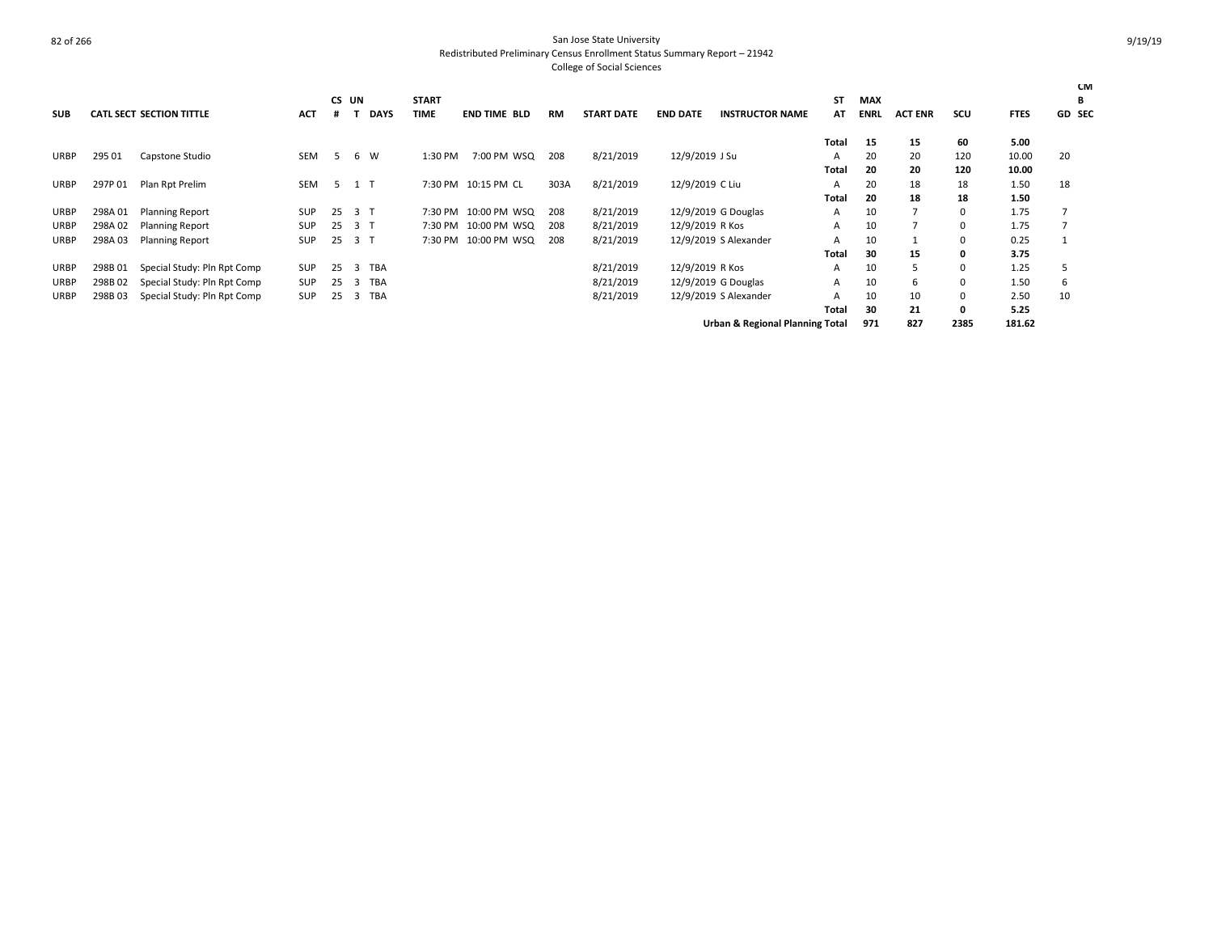|             |         |                                 |            |     |                 |              |                      |           |                   |                 |                        |           |             |                |          |             | <b>CM</b>     |
|-------------|---------|---------------------------------|------------|-----|-----------------|--------------|----------------------|-----------|-------------------|-----------------|------------------------|-----------|-------------|----------------|----------|-------------|---------------|
|             |         |                                 |            |     | CS UN           | <b>START</b> |                      |           |                   |                 |                        | <b>ST</b> | <b>MAX</b>  |                |          |             | В             |
| <b>SUB</b>  |         | <b>CATL SECT SECTION TITTLE</b> | <b>ACT</b> |     | <b>DAYS</b>     | <b>TIME</b>  | <b>END TIME BLD</b>  | <b>RM</b> | <b>START DATE</b> | <b>END DATE</b> | <b>INSTRUCTOR NAME</b> | AT        | <b>ENRL</b> | <b>ACT ENR</b> | scu      | <b>FTES</b> | <b>GD SEC</b> |
|             |         |                                 |            |     |                 |              |                      |           |                   |                 |                        | Total     | 15          | 15             | 60       | 5.00        |               |
| <b>URBP</b> | 295 01  | Capstone Studio                 | SEM        |     | W<br>6          | 1:30 PM      | 7:00 PM WSQ          | 208       | 8/21/2019         | 12/9/2019 J Su  |                        | A         | 20          | 20             | 120      | 10.00       | 20            |
|             |         |                                 |            |     |                 |              |                      |           |                   |                 |                        | Total     | 20          | 20             | 120      | 10.00       |               |
| <b>URBP</b> | 297P 01 | Plan Rpt Prelim                 | <b>SEM</b> | 5   | 1 T             |              | 7:30 PM 10:15 PM CL  | 303A      | 8/21/2019         | 12/9/2019 C Liu |                        | A         | 20          | 18             | 18       | 1.50        | 18            |
|             |         |                                 |            |     |                 |              |                      |           |                   |                 |                        | Total     | 20          | 18             | 18       | 1.50        |               |
| <b>URBP</b> | 298A 01 | <b>Planning Report</b>          | <b>SUP</b> | 25  | 3 T             |              | 7:30 PM 10:00 PM WSQ | 208       | 8/21/2019         |                 | 12/9/2019 G Douglas    | A         | 10          |                | $\Omega$ | 1.75        |               |
| <b>URBP</b> | 298A 02 | <b>Planning Report</b>          | SUP        | 25  | 3 <sub>7</sub>  |              | 7:30 PM 10:00 PM WSQ | 208       | 8/21/2019         | 12/9/2019 R Kos |                        | A         | 10          |                | 0        | 1.75        |               |
| URBP        | 298A03  | <b>Planning Report</b>          | SUP        | -25 | 3 T             |              | 7:30 PM 10:00 PM WSQ | 208       | 8/21/2019         |                 | 12/9/2019 S Alexander  | A         | 10          |                | 0        | 0.25        |               |
|             |         |                                 |            |     |                 |              |                      |           |                   |                 |                        | Total     | 30          | 15             | 0        | 3.75        |               |
| URBP        | 298B01  | Special Study: Pln Rpt Comp     | SUP        | 25  | <b>TBA</b><br>3 |              |                      |           | 8/21/2019         | 12/9/2019 R Kos |                        | A         | 10          | 5              | 0        | 1.25        |               |
| URBP        | 298B02  | Special Study: Pln Rpt Comp     | SUP        | 25  | <b>TBA</b><br>3 |              |                      |           | 8/21/2019         |                 | 12/9/2019 G Douglas    | A         | 10          | 6              | $\Omega$ | 1.50        | 6             |
| <b>URBP</b> | 298B03  | Special Study: Pln Rpt Comp     | SUP        | 25  | TBA<br>3        |              |                      |           | 8/21/2019         |                 | 12/9/2019 S Alexander  | A         | 10          | 10             | 0        | 2.50        | 10            |
|             |         |                                 |            |     |                 |              |                      |           |                   |                 |                        | Total     | 30          | 21             | 0        | 5.25        |               |
|             |         |                                 |            |     |                 |              |                      |           |                   |                 | .                      |           |             |                |          |             |               |

**Urban & Regional Planning Total 971 827 2385 181.62**